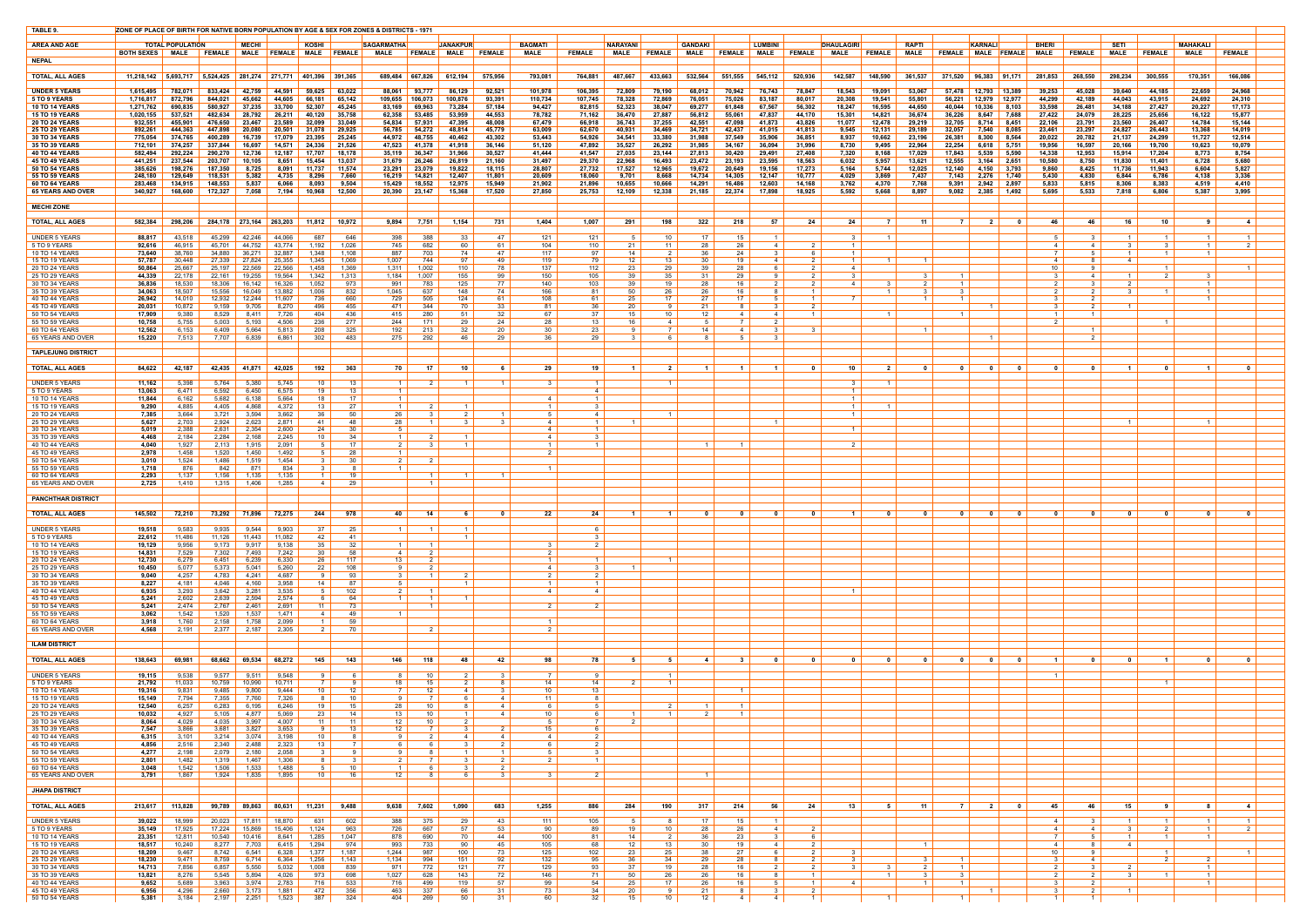| TABLE 9.                                       | ZONE OF PLACE OF BIRTH FOR NATIVE BORN POPULATION BY AGE & SEX FOR ZONES & DISTRICTS - 1971 |                         |                    |                  |                         |                    |                       |                                  |                   |                         |                       |                        |                     |                  |                         |                  |                                  |                  |                                  |                                  |                            |                                                     |                         |                                                     |                  |                                                     |                  |                         |                                     |                                  |                         |
|------------------------------------------------|---------------------------------------------------------------------------------------------|-------------------------|--------------------|------------------|-------------------------|--------------------|-----------------------|----------------------------------|-------------------|-------------------------|-----------------------|------------------------|---------------------|------------------|-------------------------|------------------|----------------------------------|------------------|----------------------------------|----------------------------------|----------------------------|-----------------------------------------------------|-------------------------|-----------------------------------------------------|------------------|-----------------------------------------------------|------------------|-------------------------|-------------------------------------|----------------------------------|-------------------------|
| <b>AREA AND AGE</b>                            |                                                                                             | <b>TOTAL POPULATION</b> |                    | <b>MECHI</b>     |                         | <b>KOSHI</b>       |                       | <b>SAGARMATHA</b>                |                   | JANAKPUR <mark>l</mark> |                       | <b>BAGMATI</b>         |                     | <b>NARAYANI</b>  |                         | <b>GANDAKI</b>   |                                  | <b>LUMBIN</b>    |                                  | <b>DHAULAGIRI</b>                |                            | <b>RAPTI</b>                                        |                         | <b>KARNALI</b>                                      |                  | <b>BHERI</b>                                        |                  | <b>SETI</b>             |                                     | <b>MAHAKALI</b>                  |                         |
|                                                | <b>BOTH SEXES</b> MALE                                                                      |                         | <b>FEMALE</b>      |                  | MALE FEMALE MALE FEMALE |                    |                       | MALE                             | <b>FEMALE</b>     | <b>MALE</b>             | <b>FEMALE</b>         | <b>MALE</b>            | <b>FEMALE</b>       | <b>MALE</b>      | <b>FEMALE</b>           | <b>MALE</b>      | <b>FEMALE</b> MALE               |                  | <b>FEMALE</b>                    | <b>MALE</b>                      | <b>FEMALE</b>              | <b>MALE</b>                                         | <b>FEMALE</b>           | MALE   FEMALE                                       |                  | <b>MALE</b>                                         | <b>FEMALE</b>    | <b>MALE</b>             | <b>FEMALE</b>                       | <b>MALE</b>                      | <b>FEMALE</b>           |
| <b>NEPAL</b>                                   |                                                                                             |                         |                    |                  |                         |                    |                       |                                  |                   |                         |                       |                        |                     |                  |                         |                  |                                  |                  |                                  |                                  |                            |                                                     |                         |                                                     |                  |                                                     |                  |                         |                                     |                                  |                         |
| <b>TOTAL, ALL AGES</b>                         | $11,218,142$ 5.693,717 5.524,425 281,274 271,771 401,396 391,365                            |                         |                    |                  |                         |                    |                       |                                  |                   | 689,484 667,826 612,194 | 575,956               | 793,081                | 764,881             | 487,667          | 433.663                 |                  | 532,564 551,555 545,112          |                  | 520,936                          | 142,587                          | 148,590                    | 361,537                                             | 371,520 96,383 91,171   |                                                     |                  | 281,853                                             | 268.550          | 298,234                 | 300.555                             | 170.351                          | 166,086                 |
| <b>UNDER 5 YEARS</b>                           | 1,615,495                                                                                   | 782,071                 | 833,424            | 42,759           | 44.59 <sup>.</sup>      | 59,625             | 63,022                | 88,061                           | 93,777            | 86,129                  | 92,521                | 101,978                | 106,395             | 72,809           | 79,190                  | 68,012           | 70,942                           | 76.743           | 78,847                           | 18,543                           | 19,091                     | 53,067                                              | 57.478                  | 12,793                                              | $ 13,389\rangle$ | 39,253                                              | 45,028           | 39,640                  | 44,185                              | 22,659                           | 24,968                  |
| 5 TO 9 YEARS<br><b>10 TO 14 YEARS</b>          | 1,716,817  <br>1,271,762                                                                    | 872,796<br>690.835      | 844,021<br>580.927 | 45,662<br>37,235 | 44,605<br>33.700        | 66,181<br>52.307   | 65,142<br>45,245      | 109,655<br>83.169                | 106,073<br>69,963 | 100,876<br>73,284       | 93,391<br>57,184      | 110,734<br>94,427      | 107,745<br>82,815   | 78,328<br>52,323 | 72,869<br>38.047        | 76,051<br>69,277 | 75,026<br>61.848                 | 83,187<br>67.567 | 80,017<br>56.302                 | 20,308<br>18.247                 | 19,541<br>16.595           | 55,801<br>44,650                                    | 56,221<br>40.044        | 12,979<br>10,336                                    | 12,977<br>8.103  | 44,299<br>33.598                                    | 42,189<br>26,481 | 44,043<br>34,188        | 43,915<br>27,427                    | 24,692<br>20,227                 | 24,310<br>17,173        |
| <b>15 TO 19 YEAR</b>                           | 1,020,155                                                                                   | 537,521                 | 482,634            | 28,792           | 26,211                  | 40,120             | 35,758                | 62,358                           | 53,485            | 53,959                  | 44,553                | 78,782                 | 71,162              | 36,470           | 27.887                  | 56,812           | 55,061                           | 47,837           | 44.170                           | 15,301                           | 14,821                     | 36,674                                              | 36,226                  | 8,647                                               | 7,688            | 27,422                                              | 24,079           | 28,225                  | 25,656                              | 16,122                           | 15,877                  |
| <b>20 TO 24 YEARS</b><br><b>25 TO 29 YEARS</b> | 932,551<br>892,261                                                                          | 455,901<br>444.363      | 476,650<br>447,898 | 23,467<br>20,080 | 23,589<br>20.501        | 32,099<br>31.078   | 33,049<br>29,925      | 54,834<br>56,785                 | 57,931<br>54,272  | 47,395<br>48,814        | 48,008<br>45,779      | 67,479<br>63,009       | 66,918<br>62,670    | 36,743<br>40,931 | 37,255<br>34.469        | 42,551<br>34,721 | 47,098<br>42,437                 | 41,873<br>41,015 | 43,826<br>41.813                 | 11,077<br>9,545                  | 12,478<br>12.131           | 29,219<br>29,189                                    | 32,705<br>32,057        | 8,714<br>7,540                                      | 8,451<br>8,085   | 22,106<br>23.461                                    | 23,791<br>23,297 | 23,560<br>24,827        | 26,407<br>26,443                    | 14,784<br>13,368                 | 15,144<br>14,019        |
| <b>30 TO 34 YEARS</b><br><b>35 TO 39 YEARS</b> | 775.054<br>712,101                                                                          | 374.765<br>374,257      | 400.289<br>337,844 | 16,739<br>16,697 | 17,079<br>14,571        | 23,395<br>24,336   | 25,245<br>21,526      | 44,972<br>47,523                 | 48,755<br>41,378  | 40,462<br>41,918        | 43,302<br>36,146      | 53,443<br>51,120       | 54,926<br>47,892    | 34,541<br>35,527 | 33,380<br>26,292        | 31,988<br>31,985 | 37,549<br>34,167                 | 35,906<br>36,094 | 36,851<br>31,996                 | 8,937<br>8,730                   | 10,662<br>9,495            | 23,196<br>22,964                                    | 26,381<br>22,254        | 8,300<br>6,618                                      | 8,564<br>5,751   | 20.022<br>19,956                                    | 20,782<br>16,597 | 21,137<br>20,166        | 24,299<br>19,700                    | 11,727<br>10,623                 | 12,514<br>10,079        |
| <b>40 TO 44 YEARS</b>                          | 582,494                                                                                     | 292,224                 | 290,270            | 12,736           | 12,187                  | 17,707             | 18,178                | 35,119                           | 36,347            | 31,966                  | 30,527                | 41,444                 | 41,547              | 27,035           | 23,144                  | 27,813           | 30,420                           | 29,491           | 27,408                           | 7,320                            | 8,168                      | 17,029                                              | 17,843                  | 5,539                                               | 5,590            | 14,338                                              | 12,953           | 15,914                  | 17,204                              | 8,773                            | 8,754                   |
| <b>45 TO 49 YEARS</b><br><b>50 TO 54 YEARS</b> | 441,251<br>385,626                                                                          | 237,544<br>198,276      | 203,707<br>187,350 | 10,105<br>8,725  | 8.651<br>8,091          | 15,454<br>11.737   | 13,037<br>11,574      | 31,679<br>23,291                 | 26,246<br>23,079  | 26.819<br>19,822        | 21,160<br>18,115      | 31,497<br>28,807       | 29,370<br>27,732    | 22,968<br>17,527 | 16.493<br>12,965        | 23,472<br>19,672 | 23,193<br>20,649                 | 23,595<br>19,156 | 18.563<br>17,273                 | 6,032<br>5,164                   | 5,957<br>5,744             | 13,621<br>12,025                                    | 12,555<br>12,140        | 3,164<br>4,150                                      | 2,651<br>3,793   | 10.580<br>9,860                                     | 8,750<br>8,425   | 11,830<br>11,736        | 11.401<br>11,943                    | 6,728<br>6,604                   | 5,680<br>5,827          |
| <b>55 TO 59 YEARS</b><br><b>60 TO 64 YEARS</b> | 248,180<br>283,468                                                                          | 129,649<br>134,915      | 118,531<br>148,553 | 5,382<br>5,837   | 4,735<br>6,066          | 8,296<br>8,093     | 7,660<br>9,504        | 16,219<br>15,429                 | 14,821<br>18,552  | 12,407<br>12,975        | 11,801<br>15,949      | 20,609<br>21,902       | 18,060<br>21,896    | 9,701<br>10,655  | 8,668<br>10,666         | 14,734<br>14,291 | 14,305<br>16,486                 | 12,147<br>12,603 | 10,777<br>14.168                 | 4,029<br>3,762                   | 3,869<br>4,370             | 7,437<br>7.768                                      | 7,143<br>9,391          | 2,276<br>2,942                                      | 1,740<br>2,897   | 5,430<br>5,833                                      | 4,830<br>5,815   | 6,844<br>8,306          | 6,786<br>8,383                      | 4,138<br>4,519                   | 3,336<br>4,410          |
| <b>65 YEARS AND OVER</b>                       | 340,927                                                                                     | 168,600                 | 172,327            | 7,058            | 7,194                   | 10,968             | 12,500                | 20.390                           | 23,147            | 15.368                  | 17,520                | 27,850                 | 25,753              | 12,109           | 12,338                  | 21,185           | 22,374                           | 17,898           | 18,925                           | 5.592                            | 5.668                      | 8.897                                               | 9,082                   | 2,385                                               | 1,492            | 5.695                                               | 5,533            | 7.818                   | 6.806                               | 5.387                            | 3,995                   |
| <b>MECHI ZONE</b>                              |                                                                                             |                         |                    |                  |                         |                    |                       |                                  |                   |                         |                       |                        |                     |                  |                         |                  |                                  |                  |                                  |                                  |                            |                                                     |                         |                                                     |                  |                                                     |                  |                         |                                     |                                  |                         |
|                                                |                                                                                             |                         |                    |                  |                         |                    |                       |                                  |                   |                         |                       |                        |                     |                  | 198                     |                  |                                  | 57               | - 24                             | 24 l                             | $\overline{7}$             |                                                     | <b>7</b> I              |                                                     | $\mathbf{0}$     |                                                     | 46               | 16                      | 10                                  | <b>Q</b>                         |                         |
| <b>TOTAL, ALL AGES</b>                         | 582,384                                                                                     | 298,206                 |                    |                  | 284,178 273,164 263,203 |                    | 11,812   10,972       | 9,894                            | 7,751             | 1,154                   | 731                   | 1,404                  | 1,007               | 291              |                         | 322              | 218                              |                  |                                  |                                  |                            | - 11 I                                              |                         | $\overline{\phantom{0}}$ 2 $\overline{\phantom{0}}$ |                  | 46                                                  |                  |                         |                                     |                                  | -4                      |
| <b>UNDER 5 YEARS</b><br>5 TO 9 YEARS           | 88,817<br>92,616                                                                            | 43,518<br>46.915        | 45,299<br>45.701   | 42,246<br>44.752 | 44.066<br>43.774        | 687<br>1,192       | 646<br>1,026          | 398<br>745                       | 388<br>682        | 33<br>-60               | 47<br>61              | 121<br>104             | 121<br>110          | 21               | 10<br>11                | 17<br>28         | 15<br>26                         | 4                | - 2                              | $\mathbf{R}$<br>$\overline{1}$   |                            |                                                     |                         |                                                     |                  | .5<br>4                                             | 4                | $\overline{1}$<br>3 I   | $\overline{1}$<br>$\mathbf{B}$      | $\overline{1}$<br>1              | $\vert$ 1 $\vert$       |
| 10 TO 14 YEARS                                 | 73,640                                                                                      | 38,760                  | 34,880             | 36,271           | 32,887                  | 1,348              | 1,108                 | 887                              | 703               | 74                      | 47                    | 117                    | 97                  | 14               | 2 I                     | 36               | 24                               |                  | რ                                | $\overline{1}$                   |                            |                                                     |                         |                                                     |                  |                                                     |                  | $\overline{1}$          | $\overline{1}$                      | 1                                |                         |
| 15 TO 19 YEARS<br>20 TO 24 YEARS               | 57,787<br>50,864                                                                            | 30.448<br>25.667        | 27,339<br>25.197   | 27,824<br>22,569 | 25,355<br>22.566        | 1,345<br>1,458     | 1,069<br>1,369        | 1,007<br>1,311                   | 744<br>1,002      | 97<br>110               | 49<br>78              | 119<br>137             | 79<br>112           | 12<br>23         | 13<br>29                | -30<br>39        | 19<br>28                         | 4                | $\overline{2}$<br>2              | $1 \vert$<br>4                   |                            |                                                     |                         |                                                     |                  | 4<br>10 <sup>1</sup>                                | - 9              | 4                       | $\overline{1}$                      |                                  |                         |
| 25 TO 29 YEARS<br>30 TO 34 YEARS               | 44,339<br>36,836                                                                            | 22,178<br>18,530        | 22,161<br>18,306   | 19,255<br>16,142 | 19,564<br>16,326        | 1,342<br>1,052     | 1,313<br>973          | 1,184<br>991                     | 1,007<br>783      | 155<br>125              | 99<br>77              | 150<br>140             | 105<br>103          | 39<br>39         | 35<br>19                | 31<br>28         | 29<br>16                         |                  | $\overline{2}$<br>2              | 4                                |                            | $\mathbf{3}$                                        | $\blacksquare$          |                                                     |                  |                                                     | 4                | $\overline{1}$          |                                     | $\mathbf{1}$                     |                         |
| 35 TO 39 YEARS                                 | 34,063                                                                                      | 18,507                  | 15,556             | 16,049           | 13,882                  | 1,006              | 832                   | 1,045                            | 637               | 148                     | 74                    | 166                    | 81                  | 50               | 26                      | 26               | 16                               |                  | $\overline{1}$                   |                                  |                            | - 3                                                 |                         |                                                     |                  | $\mathcal{P}$                                       | 2                | 3 I                     | $\overline{1}$                      | $\mathbf{1}$                     |                         |
| 40 TO 44 YEARS<br>45 TO 49 YEARS               | 26,942<br>20,031                                                                            | 14,010<br>10,872        | 12,932<br>9,159    | 12,244<br>9,705  | 11.607<br>8,270         | 736<br>496         | 660<br>455            | 729<br>471                       | 505<br>344        | 124<br>70               | 61<br>33              | 108<br>81              | 61<br>36            | 25<br>20         | 17<br>-91               | 27<br>21         | 17 <sup>2</sup><br>81            |                  | $\overline{1}$<br>$\overline{2}$ |                                  |                            |                                                     |                         | $\overline{1}$                                      |                  | $\mathcal{S}$                                       | $\overline{2}$   | $\overline{1}$          |                                     |                                  |                         |
| 50 TO 54 YEARS                                 | 17,909                                                                                      | 9,380<br>5,755          | 8,529<br>5,003     | 8,411<br>5,193   | 7,726<br>4,506          | 404<br>236         | 436<br>277            | 415<br>244                       | 280<br>171        | 51                      | 32<br>24              | 67<br>28               | 37<br>13            | 15<br>16.        | 10<br>$\overline{4}$    | 12               | 4                                | 4                | $\overline{1}$                   |                                  |                            |                                                     |                         |                                                     |                  | $-1$<br>$\mathcal{P}$                               |                  |                         |                                     |                                  |                         |
| 55 TO 59 YEARS<br>60 TO 64 YEARS               | 10,758<br>12,562                                                                            | 6,153                   | 6,409              | 5,664            | 5,813                   | 208                | 325                   | 192                              | 213               | -29                     | 20                    | 30                     | 23                  |                  | 7                       | 14               | 41                               |                  | - 3                              |                                  |                            | $\overline{1}$                                      |                         |                                                     |                  |                                                     |                  |                         |                                     |                                  |                         |
| 65 YEARS AND OVER                              | 15,220                                                                                      | 7,513                   | 7,707              | 6,839            | 6,861                   | 302                | 483                   | 275                              | 292               | -46                     | 29                    |                        | 29                  |                  |                         |                  |                                  |                  |                                  |                                  |                            |                                                     |                         | $\blacksquare$                                      |                  |                                                     |                  |                         |                                     |                                  |                         |
| <b>TAPLEJUNG DISTRICT</b>                      |                                                                                             |                         |                    |                  |                         |                    |                       |                                  |                   |                         |                       |                        |                     |                  |                         |                  |                                  |                  |                                  |                                  |                            |                                                     |                         |                                                     |                  |                                                     |                  |                         |                                     |                                  |                         |
| <b>TOTAL, ALL AGES</b>                         |                                                                                             | 84,622 42,187           |                    |                  | 42,435 41,871 42,025    |                    | $192$ 363             | 70                               |                   | 10                      | 6                     | 29                     | 19                  | $\blacksquare$ 1 | $\overline{\mathbf{2}}$ | $\sim$ 4 $\pm$   |                                  |                  | $\overline{\mathbf{0}}$          | 10                               | $\overline{\phantom{a}}$ 2 | $\overline{\phantom{0}}$ o $\overline{\phantom{0}}$ |                         | $\begin{array}{ccc c} 0 & 0 & 0 \end{array}$        |                  | $\overline{\phantom{0}}$ 0 $\overline{\phantom{0}}$ |                  | $-1$                    | $\overline{\mathbf{0}}$             | $\blacksquare$ 1                 | $\overline{\mathbf{0}}$ |
| <b>UNDER 5 YEARS</b>                           | 11,162                                                                                      | 5,398                   | 5,764              | 5,380            | 5,745                   | 10                 | 13                    | 1 <sup>1</sup>                   |                   |                         |                       |                        |                     |                  | $\overline{1}$          |                  |                                  |                  |                                  |                                  |                            |                                                     |                         |                                                     |                  |                                                     |                  |                         |                                     |                                  |                         |
| 5 TO 9 YEARS                                   | 13,063                                                                                      | 6,471                   | 6,592              | 6,450            | 6,575                   | 19                 | 13                    | $\mathbf{1}$                     |                   |                         |                       |                        | $\overline{4}$      |                  |                         |                  |                                  |                  |                                  |                                  |                            |                                                     |                         |                                                     |                  |                                                     |                  |                         |                                     |                                  |                         |
| <b>10 TO 14 YEARS</b><br>15 TO 19 YEARS        | 11,844<br>9,290                                                                             | 6,162<br>4,885          | 5,682<br>4,405     | 6,138<br>4,868   | 5,664<br>4,372          | 18<br>13           | 17<br>27              | $\overline{1}$<br>1 <sup>1</sup> |                   |                         |                       | 4<br>$\vert$ 1 $\vert$ | $\mathbf{R}$        |                  |                         |                  |                                  |                  |                                  | 1 <sup>1</sup><br>1 <sup>1</sup> | - 1                        |                                                     |                         |                                                     |                  |                                                     |                  |                         |                                     |                                  |                         |
| 20 TO 24 YEARS<br>25 TO 29 YEARS               | 7,385<br>5,627                                                                              | 3,664<br>2,703          | 3,721<br>2,924     | 3,594<br>2,623   | 3,662<br>2,871          | 36<br>41           | 50<br>48              | 26<br>28                         |                   | -3                      | - 3                   | 4                      | $\overline{4}$      |                  | $\mathbf{1}$            |                  |                                  | $\overline{1}$   |                                  | $\blacksquare$                   |                            |                                                     |                         |                                                     |                  |                                                     |                  | $\overline{1}$          |                                     | $\overline{1}$                   |                         |
| 30 TO 34 YEARS                                 | 5,019                                                                                       | 2,388                   | 2,631              | 2,354            | 2,600                   | 24                 | 30                    | 51                               |                   |                         |                       | 4                      |                     |                  |                         |                  |                                  |                  |                                  | $\vert$ 1 $\vert$                |                            |                                                     |                         |                                                     |                  |                                                     |                  |                         |                                     |                                  |                         |
| 35 TO 39 YEARS<br>40 TO 44 YEARS               | 4,468<br>4,040                                                                              | 2,184<br>1,927          | 2,284<br>2,113     | 2,168<br>1,915   | 2,245<br>2,091          | 10 <sup>1</sup>    | 34<br>17              | 1 <sup>1</sup><br>2 I            | $\mathcal{D}$     |                         |                       | $\overline{4}$         | $\mathbf{3}$        |                  |                         |                  |                                  |                  |                                  |                                  |                            |                                                     |                         |                                                     |                  |                                                     |                  |                         |                                     |                                  |                         |
| 45 TO 49 YEARS<br>50 TO 54 YEARS               | 2,978<br>3,010                                                                              | 1,458<br>1,524          | 1,520<br>1,486     | 1,450<br>1,519   | 1,492<br>1,454          | 5<br>$\mathcal{R}$ | 28<br>30              | 1 <sup>1</sup><br>$2 \mid$       | $\overline{2}$    |                         |                       |                        |                     |                  |                         |                  |                                  |                  |                                  |                                  |                            |                                                     |                         |                                                     |                  |                                                     |                  |                         |                                     |                                  |                         |
| 55 TO 59 YEARS                                 | 1,718                                                                                       | 876                     | 842                | 871              | 834                     |                    |                       |                                  |                   |                         |                       |                        |                     |                  |                         |                  |                                  |                  |                                  |                                  |                            |                                                     |                         |                                                     |                  |                                                     |                  |                         |                                     |                                  |                         |
| 60 TO 64 YEARS<br>65 YEARS AND OVER            | 2,293<br>2,725                                                                              | 1,137<br>1,410          | 1,156<br>$1,315$   | 1,135<br>1,406   | 1,135<br>1,285          | 4                  | 19<br>29              |                                  |                   |                         |                       |                        |                     |                  |                         |                  |                                  |                  |                                  |                                  |                            |                                                     |                         |                                                     |                  |                                                     |                  |                         |                                     |                                  |                         |
| <b>PANCHTHAR DISTRICT</b>                      |                                                                                             |                         |                    |                  |                         |                    |                       |                                  |                   |                         |                       |                        |                     |                  |                         |                  |                                  |                  |                                  |                                  |                            |                                                     |                         |                                                     |                  |                                                     |                  |                         |                                     |                                  |                         |
|                                                |                                                                                             |                         |                    |                  |                         |                    |                       |                                  |                   |                         |                       |                        |                     |                  |                         |                  |                                  |                  |                                  |                                  |                            |                                                     |                         |                                                     |                  |                                                     |                  |                         |                                     |                                  |                         |
| <b>TOTAL, ALL AGES</b>                         | 145,502                                                                                     | 72,210                  | 73,292             |                  | 71,896 72,275           | 244                | 978                   | 40                               | 14                |                         | 0                     | 22                     | 24                  | $\blacksquare$   | $\overline{1}$          |                  | 0 <sub>1</sub>                   |                  | 0                                | $\overline{1}$                   | 0                          | $\mathbf{0}$                                        | $\overline{\mathbf{0}}$ | - 0 - 1                                             | - 0              | $\mathbf{0}$                                        | 0                | - 0                     |                                     |                                  |                         |
| <b>UNDER 5 YEARS</b>                           | 19,518                                                                                      | 9,583<br>11,486         | 9,935              | 9,544            | 9,903                   | 37                 | 25                    | 1 <sup>1</sup>                   |                   |                         |                       |                        | - 6<br>$\mathbf{R}$ |                  |                         |                  |                                  |                  |                                  |                                  |                            |                                                     |                         |                                                     |                  |                                                     |                  |                         |                                     |                                  |                         |
| 5 TO 9 YEARS<br>10 TO 14 YEARS                 | 22,612<br>19,129                                                                            | 9,956                   | 11,126<br>9,173    | 11,443<br>9,917  | 11,082<br>9,138         | 42<br>35           | 41<br>32              |                                  |                   |                         |                       |                        | $\overline{2}$      |                  |                         |                  |                                  |                  |                                  |                                  |                            |                                                     |                         |                                                     |                  |                                                     |                  |                         |                                     |                                  |                         |
| 15 TO 19 YEARS<br>20 TO 24 YEARS               | 14,831<br>12,730                                                                            | 7,529<br>6,279          | 7,302<br>6,451     | 7,493<br>6,239   | 7,242<br>6,330          | 30<br>26           | 58<br>117             | 4 I<br>13                        | 2                 |                         |                       | $\overline{1}$         |                     |                  | $\mathbf{1}$            |                  |                                  |                  |                                  |                                  |                            |                                                     |                         |                                                     |                  |                                                     |                  |                         |                                     |                                  |                         |
| 25 TO 29 YEARS                                 | 10,450                                                                                      | 5,077                   | 5,373              | 5,041            | 5,260                   | 22                 | 108                   | 9                                | $\mathcal{D}$     |                         |                       | 4                      | $\mathbf{R}$        |                  |                         |                  |                                  |                  |                                  |                                  |                            |                                                     |                         |                                                     |                  |                                                     |                  |                         |                                     |                                  |                         |
| 30 TO 34 YEARS<br>35 TO 39 YEARS               | 9,040<br>8,227                                                                              | 4,257<br>4,181          | 4,783<br>4,046     | 4,241<br>4,160   | 4,687<br>3,958          | 14                 | 93<br>87              | -31<br>5                         |                   |                         |                       |                        |                     |                  |                         |                  |                                  |                  |                                  |                                  |                            |                                                     |                         |                                                     |                  |                                                     |                  |                         |                                     |                                  |                         |
| 40 TO 44 YEARS<br>45 TO 49 YEARS               | 6,935<br>5,241                                                                              | 3,293<br>2,602          | 3,642<br>2,639     | 3,281<br>2,594   | 3,535<br>2,574          | .5                 | 102<br>64             | 2 I<br>1 1                       |                   |                         |                       | 4                      | $\overline{4}$      |                  |                         |                  |                                  |                  |                                  | $1 \vert$                        |                            |                                                     |                         |                                                     |                  |                                                     |                  |                         |                                     |                                  |                         |
| 50 TO 54 YEARS                                 | 5,241                                                                                       | 2,474                   | 2,767              | 2,461            | 2,691                   | 11                 | - 73                  |                                  |                   |                         |                       |                        |                     |                  |                         |                  |                                  |                  |                                  |                                  |                            |                                                     |                         |                                                     |                  |                                                     |                  |                         |                                     |                                  |                         |
| 55 TO 59 YEARS<br>60 TO 64 YEARS               | 3,062<br>3,918                                                                              | 1,542<br>1,760          | 1,520<br>2,158     | 1,537<br>1,758   | 1,471<br>2,099          | 4                  | 49<br>59              | $\vert$ 1 $\vert$                |                   |                         |                       |                        |                     |                  |                         |                  |                                  |                  |                                  |                                  |                            |                                                     |                         |                                                     |                  |                                                     |                  |                         |                                     |                                  |                         |
| 65 YEARS AND OVER                              | 4,568                                                                                       | 2,191                   | 2,377              | 2,187            | 2,305                   |                    | -70                   |                                  |                   |                         |                       |                        |                     |                  |                         |                  |                                  |                  |                                  |                                  |                            |                                                     |                         |                                                     |                  |                                                     |                  |                         |                                     |                                  |                         |
| <b>ILAM DISTRICT</b>                           |                                                                                             |                         |                    |                  |                         |                    |                       |                                  |                   |                         |                       |                        |                     |                  |                         |                  |                                  |                  |                                  |                                  |                            |                                                     |                         |                                                     |                  |                                                     |                  |                         |                                     |                                  |                         |
| <b>TOTAL, ALL AGES</b>                         | 138,643                                                                                     | 69,981                  | 68,662             |                  | 69,534 68,272           | 145                | 143                   | 146                              | 118               | 48                      | 42                    | 98                     | 78                  | - 5              | 5                       | -4               | 31                               |                  | 0                                | $\overline{\mathbf{0}}$          | 0                          | $\overline{\phantom{0}}$ 0 $\overline{\phantom{0}}$ | $\overline{\mathbf{0}}$ | $\overline{\phantom{0}}$                            | $\bullet$        | $\blacksquare$                                      | $\mathbf{0}$     | $\overline{\mathbf{0}}$ | $\blacksquare$                      |                                  |                         |
| <b>UNDER 5 YEARS</b>                           | 19,115                                                                                      | 9,538                   | 9,577              | 9,511            | 9,548                   | -9                 | - 6                   | -8                               | 10 <sup>1</sup>   |                         | $\mathbf{3}$          |                        | $\overline{9}$      |                  | $\overline{1}$          |                  |                                  |                  |                                  |                                  |                            |                                                     |                         |                                                     |                  | $\overline{1}$                                      |                  |                         |                                     |                                  |                         |
| 5 TO 9 YEARS                                   | 21,792                                                                                      | 11,033                  | 10,759             | 10,990           | 10,711                  |                    | -9                    | 18                               | 15                |                         | - 8                   | 14                     | 14                  |                  | $1 \vert$               |                  |                                  |                  |                                  |                                  |                            |                                                     |                         |                                                     |                  |                                                     |                  |                         | $\overline{1}$                      |                                  |                         |
| <b>10 TO 14 YEARS</b><br>15 TO 19 YEARS        | 19,316<br>15,149                                                                            | 9,831<br>7,794          | 9,485<br>7,355     | 9,800<br>7,760   | 9,444<br>7,326          | 10                 | 12<br>10              | -9                               | 12                |                         | - 3<br>$\overline{4}$ | 10<br>11               | 13                  |                  |                         |                  | 1 I                              |                  |                                  |                                  |                            |                                                     |                         |                                                     |                  |                                                     |                  |                         |                                     |                                  |                         |
| 20 TO 24 YEARS<br>25 TO 29 YEARS               | 12,540<br>10,032                                                                            | 6,257<br>4,927          | 6,283<br>5,105     | 6,195<br>4,877   | 6,246<br>5,069          | 19<br>23           | 15<br>14              | 28<br>13                         | 10<br>10          |                         | 4                     | 6.<br>10               |                     |                  |                         |                  | 1 <sup>1</sup><br>1 <sup>1</sup> |                  |                                  |                                  |                            |                                                     |                         |                                                     |                  |                                                     |                  |                         |                                     |                                  |                         |
| 30 TO 34 YEARS                                 | 8,064                                                                                       | 4,029                   | 4,035              | 3,997            | 4,007                   | 11                 | 11                    | 12 <sup>1</sup>                  | 10                | 2                       |                       | 51                     | $\overline{7}$      | $\overline{2}$   |                         |                  |                                  |                  |                                  |                                  |                            |                                                     |                         |                                                     |                  |                                                     |                  |                         |                                     |                                  |                         |
| 35 TO 39 YEARS<br>40 TO 44 YEARS               | 7,547<br>6,315                                                                              | 3,866<br>3,101          | 3,681<br>3,214     | 3,827<br>3,074   | 3,653<br>3,198          | 9<br>10            | 13<br>-8              | 12<br>-9                         |                   | $\mathbf{3}$<br>4       | 2 I<br>4              | 15 <sup>1</sup><br>4   | - 6                 |                  |                         |                  |                                  |                  |                                  |                                  |                            |                                                     |                         |                                                     |                  |                                                     |                  |                         |                                     |                                  |                         |
| 45 TO 49 YEARS<br>50 TO 54 YEARS               | 4,856                                                                                       | 2,516                   | 2,340              | 2,488            | 2,323<br>2,058          | 13                 |                       | - 6                              |                   |                         | $\overline{1}$        | -6<br>51               | $\overline{2}$      |                  |                         |                  |                                  |                  |                                  |                                  |                            |                                                     |                         |                                                     |                  |                                                     |                  |                         |                                     |                                  |                         |
| 55 TO 59 YEARS                                 | 4,277<br>2,801                                                                              | 2,198<br>1,482          | 2,079<br>1,319     | 2,180<br>1,467   | 1,306                   | 3<br>8             | - 9<br>$\mathbf{3}$   | 91<br>2 I                        |                   |                         |                       |                        | 3                   |                  |                         |                  |                                  |                  |                                  |                                  |                            |                                                     |                         |                                                     |                  |                                                     |                  |                         |                                     |                                  |                         |
| 60 TO 64 YEARS<br>65 YEARS AND OVER            | 3,048<br>3,791                                                                              | 1,542<br>1,867          | 1,506<br>$1,924$   | 1,533<br>1,835   | 1,488<br>1,895          | -5<br>10           | 10 <sup>1</sup><br>16 | 1 I<br>12 <sup>1</sup>           |                   | 6                       | 2<br>3                | $\mathbf{3}$           |                     |                  |                         | $\overline{1}$   |                                  |                  |                                  |                                  |                            |                                                     |                         |                                                     |                  |                                                     |                  |                         |                                     |                                  |                         |
|                                                |                                                                                             |                         |                    |                  |                         |                    |                       |                                  |                   |                         |                       |                        |                     |                  |                         |                  |                                  |                  |                                  |                                  |                            |                                                     |                         |                                                     |                  |                                                     |                  |                         |                                     |                                  |                         |
| <b>JHAPA DISTRICT</b>                          |                                                                                             |                         |                    |                  |                         |                    |                       |                                  |                   |                         |                       |                        |                     |                  |                         |                  |                                  |                  |                                  |                                  |                            |                                                     |                         |                                                     |                  |                                                     |                  |                         |                                     |                                  |                         |
| <b>TOTAL, ALL AGES</b>                         | 213,617                                                                                     | 113,828                 |                    |                  | $99,789$ 89,863 80,631  |                    | 11,231 9,488          | 9,638                            | 7,602             | 1,090                   | 683                   | 1,255                  | 886                 | 284              | 190                     | 317              | 214 $\parallel$                  | 56               | - 24                             | 13 I                             | 5                          | - 11                                                |                         | 7 2 1                                               | $\bullet$        | 45                                                  | 46               | 15                      | - 9                                 | -8                               | 4                       |
| <b>UNDER 5 YEARS</b>                           | 39,022                                                                                      | 18,999                  | 20,023             | 17,811           | 18,870                  | 631                | 602                   | 388                              | 375               | -29                     | 43                    | 111                    | 105                 |                  | 8                       | 17               | 15                               | $\overline{1}$   |                                  |                                  |                            |                                                     |                         |                                                     |                  | 4                                                   |                  | 1 <sup>1</sup>          | $\overline{1}$                      |                                  | $\overline{1}$          |
| 5 TO 9 YEARS<br>10 TO 14 YEARS                 | 35,149<br>23,351                                                                            | 17,925<br>12,811        | 17,224<br>10,540   | 15,869<br>10,416 | 15,406<br>8,641         | 1,124<br>1,285     | 963<br>1,047          | 726<br>878                       | 667<br>690        | 57<br>70                | 53<br>44              | 90<br>100              | 89<br>81            | 19<br>14         | 10 <sup>1</sup><br>2 I  | 28<br>36         | 26<br>23                         | 4 I              | 2<br>6                           |                                  |                            |                                                     |                         |                                                     |                  | 4<br><b>7</b> I                                     | 4<br>51          | - 3 I<br>$1 \mid$       | $\overline{2}$<br>$\vert$ 1 $\vert$ | $\overline{1}$<br>$\overline{1}$ | $\overline{2}$          |
| 15 TO 19 YEARS<br>20 TO 24 YEARS               | 18,517<br>18,209                                                                            | 10,240<br>9,467         | 8,277<br>8,742     | 7,703<br>6,541   | 6,415<br>6,328          | 1,294<br>1,377     | 974<br>1,187          | 993<br>1,244                     | 733<br>987        | 90<br>100               | 45<br>73              | 105<br>125             | 68<br>102           | 12<br>23         | 13<br>25                | 30<br>-38        | 19<br>27                         | 4                | $\overline{2}$<br>2              | - 3                              |                            | $\overline{1}$                                      |                         |                                                     |                  | 4<br>10 <sup>1</sup>                                | - 9              | 4                       | $\overline{1}$                      |                                  | $\vert$ 1 $\vert$       |
| 25 TO 29 YEARS                                 | 18,230                                                                                      | 9,471                   | 8,759              | 6,714            | 6,364                   | 1,256              | 1,143                 | 1,134                            | 994               | 151                     | 92                    | 132                    | 95                  | 36               | 34                      | 29               | 28                               | 8                | $\overline{2}$                   | 31                               |                            | 3 <sup>1</sup>                                      | $1 \mid$                |                                                     |                  | 31                                                  | 4 I              |                         | 2                                   | 2 <sup>1</sup>                   |                         |
| 30 TO 34 YEARS<br>35 TO 39 YEARS               | 14,713<br>13,821                                                                            | 7,856<br>8,276          | 6,857<br>5,545     | 5,550<br>5,894   | 5,032<br>4,026          | 1,008<br>973       | 839<br>698            | 971<br>1,027                     | 772<br>628        | 121<br>143              | 77<br>72              | 129<br>146             | 93<br>71            | 37<br>50         | 19<br>26                | 28<br>26         | 16<br>16                         |                  | $\overline{2}$<br>$\overline{1}$ | $\mathcal{A}$                    |                            |                                                     | - 1 - I                 |                                                     |                  | $\mathcal{P}$                                       |                  |                         | $\blacksquare$                      | 1<br>$\overline{1}$              |                         |
| 40 TO 44 YEARS<br>45 TO 49 YEARS               | 9,652                                                                                       | 5,689<br>4,296          | 3,963              | 3,974            | 2,783<br>1,881          | 716                | 533                   | 716                              | 499<br>337        | 119<br>66               | 57<br>31              | 99<br>73               | 54<br>34            | 25<br>20         | 17 <sup>2</sup><br>9    | 26<br>21         | 16                               | 5                | $\overline{1}$<br>$\overline{2}$ | 4                                |                            | $\overline{1}$                                      | - 1 - I                 | $\blacksquare$                                      |                  | 3<br>3                                              | 2<br>2           | 1 <sup>1</sup>          |                                     | $\overline{1}$                   |                         |
| 50 TO 54 YEARS                                 | 6,956<br>5,381                                                                              | 3,184                   | 2,660<br>2,197     | 3,173<br>2,251   | 1,523                   | 472<br>387         | 356<br>324            | 463<br>404                       | 269               | 50                      | 31                    | 60                     | 32                  | 15               | 10                      | 12               | 4 I                              | 41               | $\overline{1}$                   |                                  |                            |                                                     |                         |                                                     |                  |                                                     |                  |                         |                                     |                                  |                         |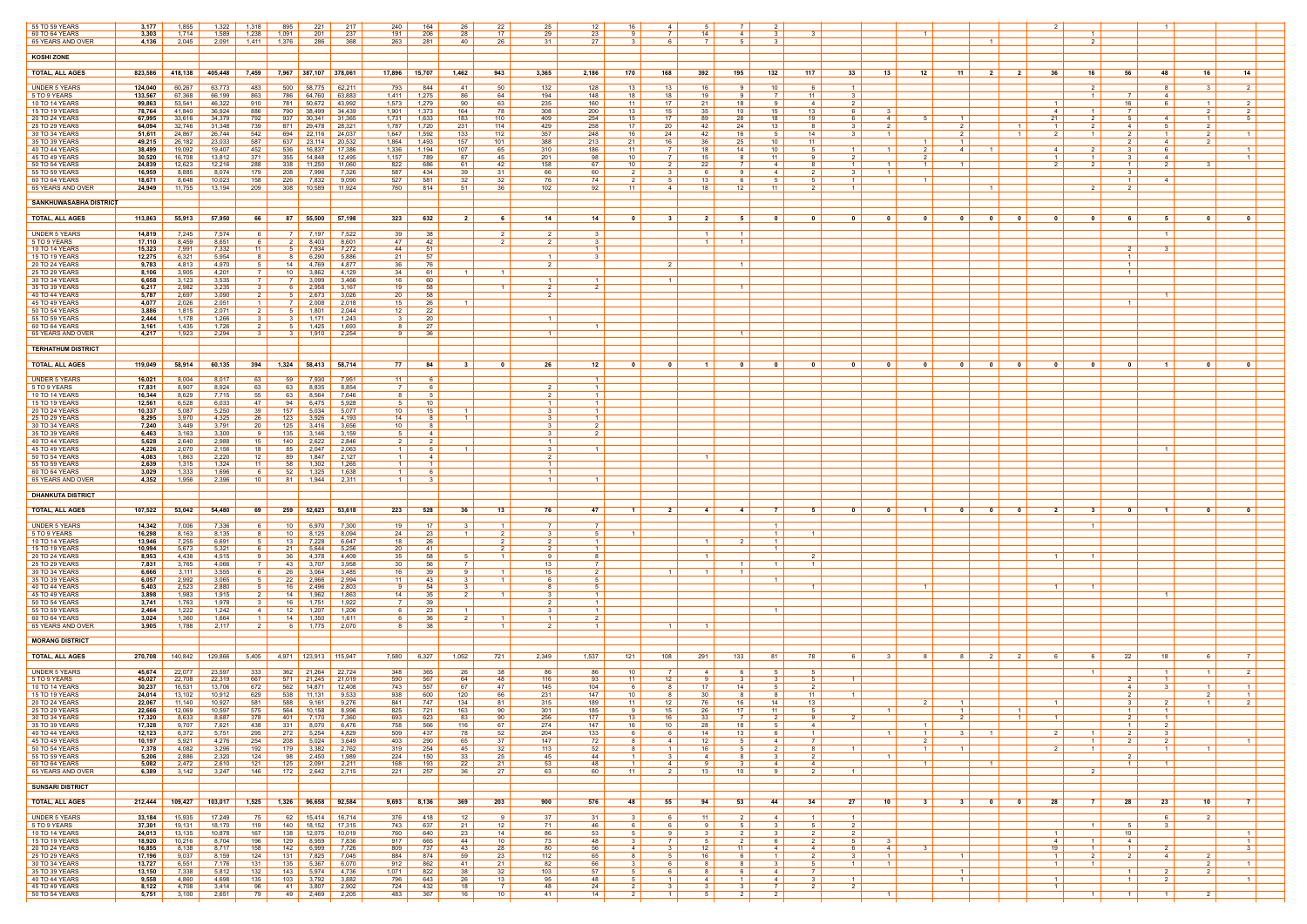| 55 TO 59 YEARS<br>60 TO 64 YEARS     | 3,177<br>3,303   | 1,855<br>1,714   | 1,322<br>1,589   | 1,318<br>1,238        | 895<br>1,091          | 221<br>201            | 217<br>237              | 240<br>191                                      | 164<br>206          | -26<br>28               | 22<br>17 <sup>2</sup>            | 25<br>29            | 12<br>23                         | 16.<br>-9          | 4<br>$\overline{7}$    | -5<br>14                | $\overline{a}$                   |                         | - 3                                            |                   |                       |                                                    |                         |                          |                     |                      | $\overline{1}$                      |                         |                                |
|--------------------------------------|------------------|------------------|------------------|-----------------------|-----------------------|-----------------------|-------------------------|-------------------------------------------------|---------------------|-------------------------|----------------------------------|---------------------|----------------------------------|--------------------|------------------------|-------------------------|----------------------------------|-------------------------|------------------------------------------------|-------------------|-----------------------|----------------------------------------------------|-------------------------|--------------------------|---------------------|----------------------|-------------------------------------|-------------------------|--------------------------------|
| 65 YEARS AND OVER                    | 4,136            | 2,045            | 2,091            | 1.411                 | 1,376                 | 286                   | 368                     | 263                                             | 281                 | 40                      | 26                               | - 31                | 27                               | $\mathcal{R}$      | -6                     | $\overline{7}$          |                                  |                         |                                                |                   |                       | $\overline{1}$                                     |                         |                          |                     |                      |                                     |                         |                                |
| <b>KOSHI ZONE</b>                    |                  |                  |                  |                       |                       |                       |                         |                                                 |                     |                         |                                  |                     |                                  |                    |                        |                         |                                  |                         |                                                |                   |                       |                                                    |                         |                          |                     |                      |                                     |                         |                                |
| <b>TOTAL, ALL AGES</b>               | 823,586          | 418,138          | 405,448          | 7,459                 |                       | 7,967 387,107 378,061 |                         | 17,896   15,707                                 |                     | 1,462                   | 943                              | 3,365               | 2,186                            | 170                | 168                    | 392                     | 195                              | 132                     | 117<br>- 33                                    | 13 I              | 11 <sup>1</sup><br>12 | $\overline{\mathbf{2}}$                            | 2                       | -36                      | 16                  | 56                   | -48                                 | 16                      | 14                             |
| <b>UNDER 5 YEARS</b>                 | 124,040          | 60,267           | 63,773           | 483                   | 500                   | 58,775                | 62,211                  | 793                                             | 844                 | -41                     | 50                               | 132                 | 128                              | 13                 | 13                     | 16                      | -9                               | 10                      | $\overline{1}$<br>6                            |                   |                       |                                                    |                         |                          | - 2                 |                      | 8                                   | 3                       | 2                              |
| 5 TO 9 YEARS                         | 133,567          | 67,368           | 66,199           | 863                   | 786                   | 64,760                | 63,883                  | 1,411                                           | 1,275               | 86                      | 64                               | 194                 | 148                              | 18                 | 18                     | 19                      |                                  |                         | 11<br>$\mathcal{R}$                            |                   |                       |                                                    |                         |                          |                     |                      | $\overline{4}$                      |                         |                                |
| 10 TO 14 YEARS<br>15 TO 19 YEARS     | 99,863<br>78,764 | 53,541<br>41,840 | 46,322<br>36,924 | 910<br>886            | 781<br>790            | 50,672<br>38,499      | 43,992<br>34,439        | 1,573<br>1,901                                  | 1,279<br>1,373      | 90<br>164               | 63<br>78                         | 235<br>308          | 160<br>200                       | 11<br>13           | 17<br>15               | -21<br>-35              | 18<br>10                         | <b>Q</b><br>15          | $\mathcal{P}$<br>$\overline{4}$<br>13<br>6     | -3-               |                       |                                                    |                         | 4                        |                     | 16<br>$\overline{7}$ | -6                                  | $1 \mid$<br>2 I         | 2<br>$\mathcal{P}$             |
| 20 TO 24 YEARS<br>25 TO 29 YEARS     | 67,995<br>64,094 | 33,616<br>32,746 | 34,379<br>31,348 | 792<br>739            | 937<br>871            | 30,341<br>29,478      | 31,365<br>28,321        | 1,731<br>1,787                                  | 1,633<br>1,720      | 183<br>231              | 110<br>114                       | 409<br>429          | 254<br>258                       | 15<br>17           | 17 <sup>2</sup><br>20  | 89<br>42                | 28<br>24                         | 18<br>13                | 19<br>- 8                                      | 41<br>2           | $\overline{1}$<br>_ 5 | 2 <sup>1</sup>                                     |                         | -21<br>$\overline{1}$    | 2                   | -5<br>4              | $\overline{4}$<br>5                 | 1 <sup>1</sup><br>2 I   |                                |
| 30 TO 34 YEARS                       | 51,611           | 24,867           | 26,744           | 542                   | 694                   | 22,116                | 24,037                  | 1,647                                           | 1,592               | 133                     | 112                              | 357                 | 248                              | 16                 | 24                     | 42                      | 16                               | - 5                     | 14<br>$\mathcal{R}$                            | 1                 |                       | 2 <sup>1</sup>                                     |                         | 2                        | $\overline{1}$      | 2                    | $\overline{1}$                      | 2 I                     | $\overline{1}$                 |
| 35 TO 39 YEARS<br>40 TO 44 YEARS     | 49,215<br>38,499 | 26,182<br>19,092 | 23,033<br>19,407 | 587<br>452            | 637<br>536            | 23,114<br>16,837      | 20,532<br>17,386        | 1,864<br>1,336                                  | 1,493<br>1,194      | 157<br>107              | 101<br>65                        | 388<br>310          | 213<br>186                       | 21<br>11           | 16<br>7                | -36<br>18               | 25<br>14                         | 10<br>10 <sup>1</sup>   | 11<br>- 5<br>$\overline{1}$                    | $\overline{1}$    | $\mathbf{1}$<br>2     | 4<br>$\blacksquare$                                |                         | 4                        | $\overline{2}$      | $\mathbf{3}$         | 4<br>- 6                            | 2 I                     | $\overline{1}$                 |
| 45 TO 49 YEARS<br>50 TO 54 YEARS     | 30,520<br>24,839 | 16,708<br>12,623 | 13,812<br>12,216 | 371<br>288            | 355<br>338            | 14,848<br>11,250      | 12,495<br>11,060        | 1,157<br>822                                    | 789<br>686          | 87<br>61                | 45<br>42                         | 201<br>158          | 98<br>-67                        | 10<br>10           | <b>7</b> I             | 15<br>22                | -8                               | 11<br>4                 | 2<br>- 9<br>$\overline{1}$                     |                   |                       |                                                    |                         | $\overline{1}$           | $\overline{1}$      | $\mathbf{3}$         | 4<br>$\overline{2}$                 | $\mathbf{R}$            | $\overline{1}$                 |
| 55 TO 59 YEARS                       | 16,959           | 8,885            | 8,074            | 179                   | 208                   | 7,996                 | 7,326                   | 587                                             | 434                 | 39                      | 31                               | 66                  | 60                               | $\overline{2}$     | -3                     | - 6                     |                                  | 4                       | $\mathcal{R}$<br>2                             | $\overline{1}$    |                       |                                                    |                         |                          |                     |                      |                                     |                         |                                |
| 60 TO 64 YEARS<br>65 YEARS AND OVER  | 18,671<br>24,949 | 8.648<br>11,755  | 10,023<br>13,194 | 158<br>209            | 226<br>308            | 7.832<br>10,589       | 9,090<br>11,924         | 527<br>760                                      | 581<br>814          | -32<br>.51              | 32<br>36                         | 76<br>102           | 74<br>-92                        | 2<br>11            | 5<br>$\overline{4}$    | 13<br>-18               | 12                               | - 5<br>-11              | - 5<br>$\overline{1}$<br>- 2<br>$\overline{1}$ |                   | $\overline{1}$        |                                                    |                         |                          |                     |                      | $\overline{4}$                      |                         |                                |
| SANKHUWASABHA DISTRICT               |                  |                  |                  |                       |                       |                       |                         |                                                 |                     |                         |                                  |                     |                                  |                    |                        |                         |                                  |                         |                                                |                   |                       |                                                    |                         |                          |                     |                      |                                     |                         |                                |
|                                      |                  |                  |                  |                       |                       |                       |                         |                                                 |                     |                         |                                  |                     |                                  |                    |                        |                         |                                  |                         |                                                |                   |                       |                                                    |                         |                          | ົດ                  | -6                   |                                     |                         |                                |
| <b>TOTAL, ALL AGES</b>               | 113,863          | 55,913           | 57,950           | 66                    | 87                    |                       | 55,500 57,198           | $323$                                           | 632                 | $\overline{\mathbf{2}}$ | 6                                | 14                  | 14                               | - 0                | - 3                    | 21                      | 51                               | - 0                     | 0<br>0                                         | $\mathbf{0}$      | - 0                   | $\overline{\mathbf{0}}$<br>$\overline{\mathbf{0}}$ |                         | 0                        |                     |                      | 5                                   | $\overline{\mathbf{0}}$ | $\mathbf{0}$                   |
| <b>UNDER 5 YEARS</b><br>5 TO 9 YEARS | 14,819<br>17,110 | 7.245<br>8,459   | 7,574<br>8,651   | -6                    | 7 I<br>2              | 7.197<br>8,403        | 7,522<br>8,601          | 39  <br>47 I                                    | - 38<br>42          |                         | $\overline{2}$<br>$\overline{2}$ | $\mathcal{P}$       | $\mathbf{3}$<br>$\mathbf{R}$     |                    |                        |                         | $\overline{1}$<br>$\overline{1}$ |                         |                                                |                   |                       |                                                    |                         |                          |                     |                      | $\overline{1}$                      |                         |                                |
| 10 TO 14 YEARS                       | 15,323           | 7,991            | 7,332            | 11                    | 51                    | 7,934                 | 7,272                   | 44                                              | 51<br>57            |                         |                                  | $\mathbf{1}$        | $\overline{1}$<br>્ર             |                    |                        |                         |                                  |                         |                                                |                   |                       |                                                    |                         |                          |                     | 2                    | - 3                                 |                         |                                |
| 15 TO 19 YEARS<br>20 TO 24 YEARS     | 12,275<br>9,783  | 6,321<br>4,813   | 5,954<br>4,970   |                       | -8<br>14 <sup>1</sup> | 6,290<br>4,769        | 5,886<br>4,877          | 21<br>36                                        | 76                  |                         |                                  | $\mathcal{P}$       |                                  |                    | - 2                    |                         | $\overline{1}$                   |                         |                                                |                   |                       |                                                    |                         |                          |                     |                      |                                     |                         |                                |
| 25 TO 29 YEARS<br>30 TO 34 YEARS     | 8,106<br>6,658   | 3,905<br>3,123   | 4,201<br>3,535   | $\overline{7}$        | 10<br>- 7 I           | 3,862<br>3,099        | 4,129<br>3,466          | 34  <br>16 <sup>1</sup>                         | 61<br>60            | -1                      |                                  | $\mathbf{1}$        | $\overline{1}$                   |                    | $\overline{1}$         |                         |                                  |                         |                                                |                   |                       |                                                    |                         |                          |                     |                      |                                     |                         |                                |
| 35 TO 39 YEARS<br>40 TO 44 YEARS     | 6,217<br>5,787   | 2,982<br>2,697   | 3,235<br>3,090   | $\overline{2}$        | 61<br>51              | 2,958<br>2,673        | 3,167<br>3,026          | 19 <sup>1</sup><br>20                           | 58<br>58            |                         |                                  |                     | $\overline{2}$                   |                    |                        |                         | $\vert$ 1 $\vert$                |                         |                                                |                   |                       |                                                    |                         |                          |                     |                      | $\overline{1}$                      |                         |                                |
| 45 TO 49 YEARS                       | 4,077            | 2,026            | 2,051            | $\blacksquare$        | <sup>7</sup>          | 2,008                 | 2,018                   | $15 \vert$                                      | 26                  | 1.                      |                                  |                     |                                  |                    |                        |                         |                                  |                         |                                                |                   |                       |                                                    |                         |                          |                     |                      |                                     |                         |                                |
| 50 TO 54 YEARS<br>55 TO 59 YEARS     | 3,886<br>2,444   | 1,815<br>1,178   | 2,071<br>1,266   |                       | 51                    | 1,801<br>1.171        | 2,044<br>1,243          | $12 \mid$<br>31                                 | 22<br>-20           |                         |                                  |                     |                                  |                    |                        |                         |                                  |                         |                                                |                   |                       |                                                    |                         |                          |                     |                      |                                     |                         |                                |
| 60 TO 64 YEARS<br>65 YEARS AND OVER  | 3,161<br>4,217   | 1,435<br>1,923   | 1,726<br>2,294   | $\overline{2}$        | 51<br>3 I             | 1,425<br>1,910        | 1,693<br>2,254          | 81<br>91                                        | 27<br>- 36          |                         |                                  | $\mathbf{1}$        | $\overline{1}$                   |                    |                        |                         | $\overline{1}$                   |                         |                                                |                   |                       |                                                    |                         |                          |                     |                      |                                     |                         |                                |
|                                      |                  |                  |                  |                       |                       |                       |                         |                                                 |                     |                         |                                  |                     |                                  |                    |                        |                         |                                  |                         |                                                |                   |                       |                                                    |                         |                          |                     |                      |                                     |                         |                                |
| <b>TERHATHUM DISTRICT</b>            |                  |                  |                  |                       |                       |                       |                         |                                                 |                     |                         |                                  |                     |                                  |                    |                        |                         |                                  |                         |                                                |                   |                       |                                                    |                         |                          |                     |                      |                                     |                         |                                |
| <b>TOTAL, ALL AGES</b>               | 119,049          | 58,914           | 60,135           | 394                   | 1,324                 |                       | 58,413 58,714           | 77                                              | 84                  | $\mathbf{3}$            | - 0                              | 26                  | 12                               | - 0                |                        |                         |                                  |                         | - 0                                            |                   | 0                     | $\mathbf{0}$<br>$\overline{\phantom{0}}$           | 0                       | 0                        |                     | 0                    | $\blacksquare$                      | $\mathbf{0}$            | $\mathbf{0}$                   |
| <b>UNDER 5 YEARS</b><br>5 TO 9 YEARS | 16,021<br>17,831 | 8,004<br>8,907   | 8,017<br>8,924   | 63<br>63              | 59<br>63              | 7,930<br>8,835        | 7,951<br>8,854          | 11 $\vert$<br>7 I                               | - 6                 |                         |                                  |                     | $\overline{1}$<br>$\overline{1}$ |                    |                        |                         |                                  |                         |                                                |                   |                       |                                                    |                         |                          |                     |                      |                                     |                         |                                |
| 10 TO 14 YEARS                       | 16,344           | 8,629            | 7,715            | 55                    | 63                    | 8,564                 | 7,646                   | 81                                              |                     |                         |                                  |                     | $\overline{1}$                   |                    |                        |                         |                                  |                         |                                                |                   |                       |                                                    |                         |                          |                     |                      |                                     |                         |                                |
| 15 TO 19 YEARS<br>20 TO 24 YEARS     | 12,561<br>10,337 | 6,528<br>5,087   | 6,033<br>5,250   | 47<br>39              | 94<br>157             | 6,475<br>5,034        | 5,928<br>5,077          | 5  <br>10 <sup>1</sup>                          | 10<br>15            | $\mathbf{1}$            |                                  | $\mathcal{R}$       | $\overline{1}$<br>$\overline{1}$ |                    |                        |                         |                                  |                         |                                                |                   |                       |                                                    |                         |                          |                     |                      |                                     |                         |                                |
| 25 TO 29 YEARS<br>30 TO 34 YEARS     | 8,295<br>7,240   | 3,970<br>3,449   | 4,325<br>3,791   | 26<br>20              | 123<br>125            | 3,926<br>3,416        | 4,193<br>3,656          | 14<br>10 <sup>1</sup>                           | - 8<br>-8           | $\overline{1}$          |                                  | 3<br>3 I            | $\overline{1}$<br>2              |                    |                        |                         |                                  |                         |                                                |                   |                       |                                                    |                         |                          |                     |                      |                                     |                         |                                |
| 35 TO 39 YEARS                       | 6,463            | 3,163            | 3,300            | <b>Q</b>              | 135                   | 3,146                 | 3,159                   | $5 \vert$                                       | 4                   |                         |                                  | -3 I                | $\overline{2}$                   |                    |                        |                         |                                  |                         |                                                |                   |                       |                                                    |                         |                          |                     |                      |                                     |                         |                                |
| 40 TO 44 YEARS<br>45 TO 49 YEARS     | 5,628<br>4,226   | 2,640<br>2,070   | 2,988<br>2,156   | 15<br>18              | 140<br>85             | 2,622<br>2,047        | 2,846<br>2,063          | $2 \mid$<br>$1 \mid$                            | - 6                 | $\mathbf{1}$            |                                  | $\mathcal{S}$       | $\overline{1}$                   |                    |                        |                         |                                  |                         |                                                |                   |                       |                                                    |                         |                          |                     |                      | $\overline{1}$                      |                         |                                |
| 50 TO 54 YEARS<br>55 TO 59 YEARS     | 4,083<br>2,639   | 1,863<br>1,315   | 2,220<br>1,324   | 12<br>- 11            | 89<br>58              | 1,847<br>1,302        | 2,127<br>1,265          | $1 \mid$<br>$\overline{1}$                      | 4<br>$\overline{1}$ |                         |                                  | 2 I<br>$\mathbf{1}$ |                                  |                    |                        | $\overline{\mathbf{1}}$ |                                  |                         |                                                |                   |                       |                                                    |                         |                          |                     |                      |                                     |                         |                                |
| 60 TO 64 YEARS                       | 3,029            | 1,333            | 1,696            | - 6                   | 52                    | 1,325                 | 1,638                   | $1 \mid$                                        |                     |                         |                                  |                     |                                  |                    |                        |                         |                                  |                         |                                                |                   |                       |                                                    |                         |                          |                     |                      |                                     |                         |                                |
| 65 YEARS AND OVER                    | 4,352            | 1,956            | 2,396            | - 10                  | 81                    | 1,944                 | 2,311                   | $\left  \begin{array}{c} 1 \end{array} \right $ | $\mathbf{3}$        |                         |                                  | $\overline{1}$      | $\overline{1}$                   |                    |                        |                         |                                  |                         |                                                |                   |                       |                                                    |                         |                          |                     |                      |                                     |                         |                                |
| <b>DHANKUTA DISTRICT</b>             |                  |                  |                  |                       |                       |                       |                         |                                                 |                     |                         |                                  |                     |                                  |                    |                        |                         |                                  |                         |                                                |                   |                       |                                                    |                         |                          |                     |                      |                                     |                         |                                |
| <b>TOTAL, ALL AGES</b>               | 107,522          | 53,042           | 54,480           | 69                    | 259                   |                       | 52,623 53,618           | 223                                             | 528                 | 36                      | 13                               | 76                  | 47                               | $\blacksquare$     | $\mathbf{2}$           | -4                      | 4                                | <b>7</b>                | - 5<br>$\mathbf{0}$                            | $\mathbf{0}$      | $\blacksquare$        | $\overline{\mathbf{0}}$<br>$\overline{\mathbf{0}}$ |                         | $\overline{\phantom{a}}$ | - 3                 | $\mathbf{0}$         | $\overline{\mathbf{1}}$             | $\mathbf{0}$            | $\mathbf{0}$                   |
| <b>UNDER 5 YEARS</b>                 | 14,342           | 7,006            | 7,336            |                       | 10 l                  | 6,970                 | 7,300                   | 19                                              | 17                  | -3                      | $1 \;$                           | 7                   |                                  |                    |                        |                         |                                  | $\blacksquare$          |                                                |                   |                       |                                                    |                         |                          | $\overline{1}$      |                      |                                     |                         |                                |
| 5 TO 9 YEARS<br>10 TO 14 YEARS       | 16,298<br>13,946 | 8,163<br>7,255   | 8,135<br>6,691   |                       | 10<br>13              | 8,125<br>7,228        | 8,094<br>6,647          | 24<br>18 <sup>1</sup>                           | 23<br>26            | $\overline{1}$          | 2 <sup>1</sup>                   | 3                   | - 5<br>$\overline{1}$            | $\overline{1}$     |                        |                         |                                  |                         | $\overline{1}$                                 |                   |                       |                                                    |                         |                          |                     |                      |                                     |                         |                                |
| 15 TO 19 YEARS<br>20 TO 24 YEARS     | 10,994<br>8,953  | 5,673<br>4,438   | 5,321<br>4,515   |                       | 21<br>36              | 5,644<br>4,378        | 5,256<br>4,409          | 20<br>$35 \mid$                                 | - 41<br>58          | 5                       | 2 I<br>$\overline{1}$            | 2<br>9              | $\overline{1}$<br>-8             |                    |                        | $\overline{\mathbf{1}}$ |                                  |                         | $\overline{2}$                                 |                   |                       |                                                    |                         | $\overline{1}$           |                     |                      |                                     |                         |                                |
| 25 TO 29 YEARS<br>30 TO 34 YEARS     | 7,831<br>6,666   | 3,765<br>3,111   | 4,066<br>3,555   |                       | 43<br>26              | 3,707<br>3,064        | 3,958<br>3,485          | 30<br>16                                        | 56<br>39            | $\overline{7}$<br>9     |                                  | 13<br>15            | $\overline{7}$<br>$\overline{2}$ |                    | $\overline{1}$         |                         | $\overline{1}$<br>$\overline{1}$ |                         | $\overline{1}$                                 |                   |                       |                                                    |                         |                          |                     |                      |                                     |                         |                                |
| 35 TO 39 YEARS                       | 6,057            | 2,992            | 3,065            | - 5                   | 22                    | 2,966                 | 2,994                   | 11                                              | 43                  | 3                       |                                  | 6.                  | 5                                |                    |                        |                         |                                  |                         |                                                |                   |                       |                                                    |                         |                          |                     |                      |                                     |                         |                                |
| 40 TO 44 YEARS<br>45 TO 49 YEARS     | 5,403<br>3,898   | 2,523<br>1,983   | 2,880<br>1,915   |                       | 16<br>14              | 2,496<br>1,962        | 2,803<br>1,863          | 9  <br>14                                       | 54<br>35            | $\mathcal{R}$<br>2 I    |                                  | R.                  | - 5<br>$\overline{1}$            |                    |                        |                         |                                  |                         | $\overline{1}$                                 |                   | $\overline{1}$        |                                                    |                         | $\overline{1}$           | $\overline{1}$      |                      | $\overline{1}$                      |                         |                                |
| 50 TO 54 YEARS<br>55 TO 59 YEARS     | 3,741<br>2,464   | 1,763<br>1,222   | 1,978<br>1,242   | - 3<br>$\overline{4}$ | 16<br>12              | 1,751<br>1,207        | 1,922<br>1,206          | 7 I<br>6                                        | 39<br>23            | 1                       |                                  | 2<br>$\mathcal{R}$  | $\overline{1}$<br>$\overline{1}$ |                    |                        |                         |                                  |                         |                                                |                   |                       |                                                    |                         |                          |                     |                      |                                     |                         |                                |
| 60 TO 64 YEARS                       | 3,024            | 1,360            | 1,664            |                       | 14 <sup>1</sup>       | 1,350                 | 1,611                   | 61                                              | -36                 |                         |                                  |                     |                                  |                    |                        |                         |                                  |                         |                                                |                   |                       |                                                    |                         |                          |                     |                      |                                     |                         |                                |
| 65 YEARS AND OVER                    | 3,905            | 1,788            | 2,117            | $\overline{2}$        | 61                    | 1,775                 | 2,070                   | 81                                              | -38                 |                         |                                  |                     | $\overline{1}$                   |                    | $\overline{1}$         |                         |                                  |                         |                                                |                   |                       |                                                    |                         |                          |                     |                      |                                     |                         |                                |
| <b>MORANG DISTRICT</b>               |                  |                  |                  |                       |                       |                       |                         |                                                 |                     |                         |                                  |                     |                                  |                    |                        |                         |                                  |                         |                                                |                   |                       |                                                    |                         |                          |                     |                      |                                     |                         |                                |
| <b>TOTAL, ALL AGES</b>               | 270,708          | 140,842          | 129,866          | 5,405                 |                       | 4,971 123,913 115,947 |                         |                                                 | 7,580 6,327         | 1,052                   | 721                              | 2,349               | 1,537                            | 121                | 108                    | 291                     | 133                              | - 81                    | 78<br>61                                       | 3 <sup>1</sup>    | - 8 - I               | 81<br>$\overline{2}$                               | 2 <sup>1</sup>          | - 6 I                    | 61                  | 22                   | 18 I                                | 61                      | - 7 I                          |
| <b>UNDER 5 YEARS</b>                 | 45,674           | 22,077           | 23,597           | 333                   | 362                   | 21,264                | 22,724                  | 348                                             | 365                 | 26                      | 38                               | 86                  | 86                               | 10                 |                        | 4                       |                                  |                         | - 5                                            |                   |                       |                                                    |                         |                          |                     |                      | $\overline{1}$                      | 1 <sup>1</sup>          | $\mathcal{P}$                  |
| 5 TO 9 YEARS<br>10 TO 14 YEARS       | 45,027<br>30,237 | 22,708<br>16,531 | 22,319<br>13,706 | 667<br>672            | 571<br>562            | 21,245<br>14,871      | 21,019<br>12,408        | 590<br>743                                      | 567<br>557          | 64<br>67                | 48<br>47                         | 116<br>145          | 93<br>104                        | 11                 | 12                     | - 9<br>17               | 3 I<br>14                        | - 3                     | 51<br>$\overline{1}$<br>$\overline{2}$         |                   |                       |                                                    |                         |                          |                     | 2<br>4               | $\vert$ 1 $\vert$<br>$\mathbf{3}$   | $1 \mid$                | 1                              |
| 15 TO 19 YEARS<br>20 TO 24 YEARS     | 24,014<br>22,067 | 13,102<br>11,140 | 10,912<br>10,927 | 629<br>581            | 538<br>588            | 11,131                | 9,533<br>$9,161$ 9,276  | 938<br>841 I                                    | 600<br>747          | 120<br>134              | 66<br>81                         | 231<br>315          | 147<br>189                       | 10.<br>11          | 12                     | 30<br>76                | 16                               | 14                      | 11<br>13                                       |                   | 2 I                   | $\overline{1}$                                     |                         | $\overline{1}$           |                     | - 3                  | 2                                   | 2 I<br>1 <sup>1</sup>   | 2                              |
| 25 TO 29 YEARS<br>30 TO 34 YEARS     | 22,666<br>17,320 | 12,069<br>8,633  | 10,597<br>8,687  | 575<br>378            | 564<br>401            | 10,158<br>7,170       | 8,996<br>7,360          | 825<br>693                                      | 721<br>623          | <u>163</u><br>83        | 90<br>90                         | 301<br>256          | <u> 185 </u><br>177              | 9<br>13            | 15 <sub>15</sub><br>16 | 26<br>33                | 17                               | 11                      |                                                | $1 \mid$          |                       | $\overline{1}$<br>$\mathcal{P}$                    |                         |                          |                     |                      | $\vert$ 1 $\vert$<br>$\overline{1}$ |                         |                                |
| 35 TO 39 YEARS                       | 17,328           | 9,707            | 7,621            | 438                   | 331                   | 8,070                 | 6,476                   | 758                                             | 566                 | 116                     | 67                               | 274                 | 147                              | 16                 | 10                     | -28                     | 18                               | 5                       | 4                                              |                   | $\overline{1}$        |                                                    |                         |                          |                     |                      | 2 <sup>1</sup>                      |                         |                                |
| 40 TO 44 YEARS<br>45 TO 49 YEARS     | 12,123<br>10,197 | 6,372<br>5,921   | 5,751<br>4,276   | 295<br>254            | 272<br>208            | 5,254<br>5,024        | 4,829<br>3,649          | 509<br>403                                      | 437<br>290          | 78<br>65                | 52<br>37                         | 204<br>147          | 133<br>72                        | 6                  | 61<br>4                | 14<br>12                | 13                               | - 6<br>$\overline{4}$   | $\overline{1}$<br>$\overline{7}$               | - 1 I             | $\overline{1}$        | 3 I<br>$\vert$ 1 $\vert$                           |                         | 2                        | $\overline{1}$      | 2                    | 3 <sup>1</sup><br>$\mathcal{P}$     |                         | $\mathbf{1}$                   |
| 50 TO 54 YEARS<br>55 TO 59 YEARS     | 7,378<br>5,206   | 4,082<br>2,886   | 3,296<br>2,320   | 192<br>124            | 179  <br>98           | 3,382<br>2,450        | 2,762<br>1,989          | 319<br>224                                      | 254<br>150          | 45<br>33                | 32<br>25                         | 113<br>45           | 52<br>44                         | 8<br>$1\vert$      | $\overline{1}$<br>31   | 16<br>4 I               | 51<br>8                          | 2<br>$\mathbf{3}$       | 8<br>$\overline{1}$<br>2                       | $\overline{1}$    | $\overline{1}$        | $\overline{1}$                                     |                         | 2                        |                     | 2                    | $1 \vert$                           | $1 \mid$                |                                |
| 60 TO 64 YEARS                       | 5,082            | 2,472            | 2,610            | 121                   | 125                   | 2,091                 | 2,211                   | 168                                             | 193                 | 22                      | 21                               | 53                  | 48                               | $\overline{1}$     | 4                      | <b>Q</b>                |                                  | $\overline{4}$          | $\overline{4}$                                 |                   | $\overline{1}$        | $\overline{1}$                                     |                         |                          |                     | $\vert$ 1 $\vert$    | $\overline{1}$                      |                         |                                |
| 65 YEARS AND OVER                    | 6,389            | 3,142            | 3,247            | 146                   |                       | $172$ 2,642 2,715     |                         | 221 $\vert$                                     | 257                 | 36                      | 27                               | 63                  | 60                               | 11                 | 2                      | 13                      | 10                               | -9                      | $\overline{2}$<br>$\overline{1}$               |                   |                       |                                                    |                         |                          | 2                   |                      |                                     |                         |                                |
| <b>SUNSARI DISTRICT</b>              |                  |                  |                  |                       |                       |                       |                         |                                                 |                     |                         |                                  |                     |                                  |                    |                        |                         |                                  |                         |                                                |                   |                       |                                                    |                         |                          |                     |                      |                                     |                         |                                |
| <b>TOTAL, ALL AGES</b>               | 212,444          | 109,427          | 103,017          | 1,525                 | 1,326                 |                       | 96,658 92,584           | $9,693$ 8,136                                   |                     | 369                     | 203                              | 900                 | 576                              | 48                 | 55                     | 94                      | 53                               | 44                      | 27  <br>34                                     | 10                | 3 <sup>1</sup>        | 3 <sup>1</sup><br>$\overline{\mathbf{0}}$          | $\overline{\mathbf{0}}$ | 28                       | $\overline{7}$      | 28                   | 23                                  | 10                      | $\overline{7}$                 |
| <b>UNDER 5 YEARS</b><br>5 TO 9 YEARS | 33,184<br>37,301 | 15,935<br>19,131 | 17,249<br>18,170 | 75<br>119             | 62<br>140             | 18,152                | 15,414 16,714<br>17,315 | 376<br>743                                      | 418<br>637          | 12<br>21                | -9<br>12 <sup>12</sup>           | 37<br>71            | 31<br>46                         | 6.                 | 6                      | 11<br>-9                |                                  | -4                      | $\overline{1}$<br>$\overline{1}$<br>- 5<br>2   |                   |                       |                                                    |                         |                          |                     | 5                    | -6<br>$\mathbf{3}$                  | 2 I                     |                                |
| 10 TO 14 YEARS                       | 24,013           | 13,135           | 10,878           | 167                   | 138                   | 12,075                | 10,019                  | 760                                             | 640                 | 23                      | 14                               | 86                  | 53                               | 5 <sup>1</sup>     | -91                    | 3                       | 2 I                              | $\overline{3}$          | 2 <sup>1</sup><br>2                            |                   |                       |                                                    |                         | - 1 I                    |                     | 10 <sup>1</sup>      |                                     |                         | $\vert$ 1 $\vert$              |
| 15 TO 19 YEARS<br>20 TO 24 YEARS     | 18,920<br>16,855 | 10,216<br>8,138  | 8,704<br>8,717   | 196<br>158            | 129<br>142            | 8,959<br>6,999        | 7,836<br>7,726          | 917<br>809                                      | 665<br>737          | 44<br>43                | 10<br>28                         | 73<br>80            | 48<br>56                         | 4                  | <b>7</b> I<br>3        | 12                      | 11                               |                         | $\overline{2}$<br>4                            | 41                |                       |                                                    |                         | 41<br>19                 |                     | $\overline{4}$       | 2                                   |                         | $\overline{1}$<br>$\mathbf{3}$ |
| 25 TO 29 YEARS<br>30 TO 34 YEARS     | 17,196<br>13,727 | 9,037<br>6,551   | 8,159<br>7,176   | 124<br>131            | 131<br>135            | 7,825<br>5,367        | 7,045<br>6,070          | 884<br>912                                      | 874<br>862          | 59<br>41                | 23<br>21                         | 112<br>82           | 65<br>66                         | 8<br>$\mathcal{R}$ | 51<br>6 I              | 16<br>-8                | 61<br>8                          | $\overline{\mathbf{3}}$ | 2<br>3 <sup>1</sup><br>$\vert$ 1<br>- 5        | $1 \mid$<br>- 1 I |                       | $1 \vert$                                          |                         | $1 \mid$<br>1 I          | 2<br>$\overline{1}$ | $\overline{2}$       | 4                                   | 2 I<br>$2 \mid$         | $\mathbf{1}$                   |
| 35 TO 39 YEARS                       | 13,150           | 7,338            | 5,812            | 132                   | 143                   | 5,974                 | 4,736                   | 1,071                                           | 822                 | 38                      | 32                               | 103                 | -57                              |                    | - 6                    | -8                      |                                  | $\overline{4}$          | $\overline{7}$                                 |                   | $\overline{1}$        |                                                    |                         |                          |                     |                      | 2                                   | 2 I                     |                                |
| 40 TO 44 YEARS<br>45 TO 49 YEARS     | 9,558<br>8,122   | 4,860<br>4,708   | 4,698<br>3,414   | 135<br>96             | 103<br>41             | 3,792<br>3,807        | 3,882<br>2,902          | 796<br>724                                      | 643<br>432          | 26<br>18                | 13<br>$\overline{7}$             | 95<br>48            | 48<br>24                         | 5  <br>2 I         | $\overline{1}$<br>3 I  | 4 I<br>3                | $1 \mid$<br>3 I                  | -4<br>7                 | 31<br>$\overline{1}$<br>2<br>2                 |                   |                       | $\vert$ 1 $\vert$                                  |                         | - 1 I<br>$\overline{1}$  |                     |                      | 2 I                                 |                         | - 1 I                          |
| 50 TO 54 YEARS                       | 5,751            | 3,100            | 2,651            | 79                    | 49                    | 2,469                 | 2,205                   | 483                                             | 367                 | 16                      | 10 <sup>1</sup>                  | 41                  | 14                               |                    | $\overline{1}$         |                         |                                  |                         |                                                |                   |                       |                                                    |                         |                          |                     |                      | $\overline{1}$                      | 2 I                     |                                |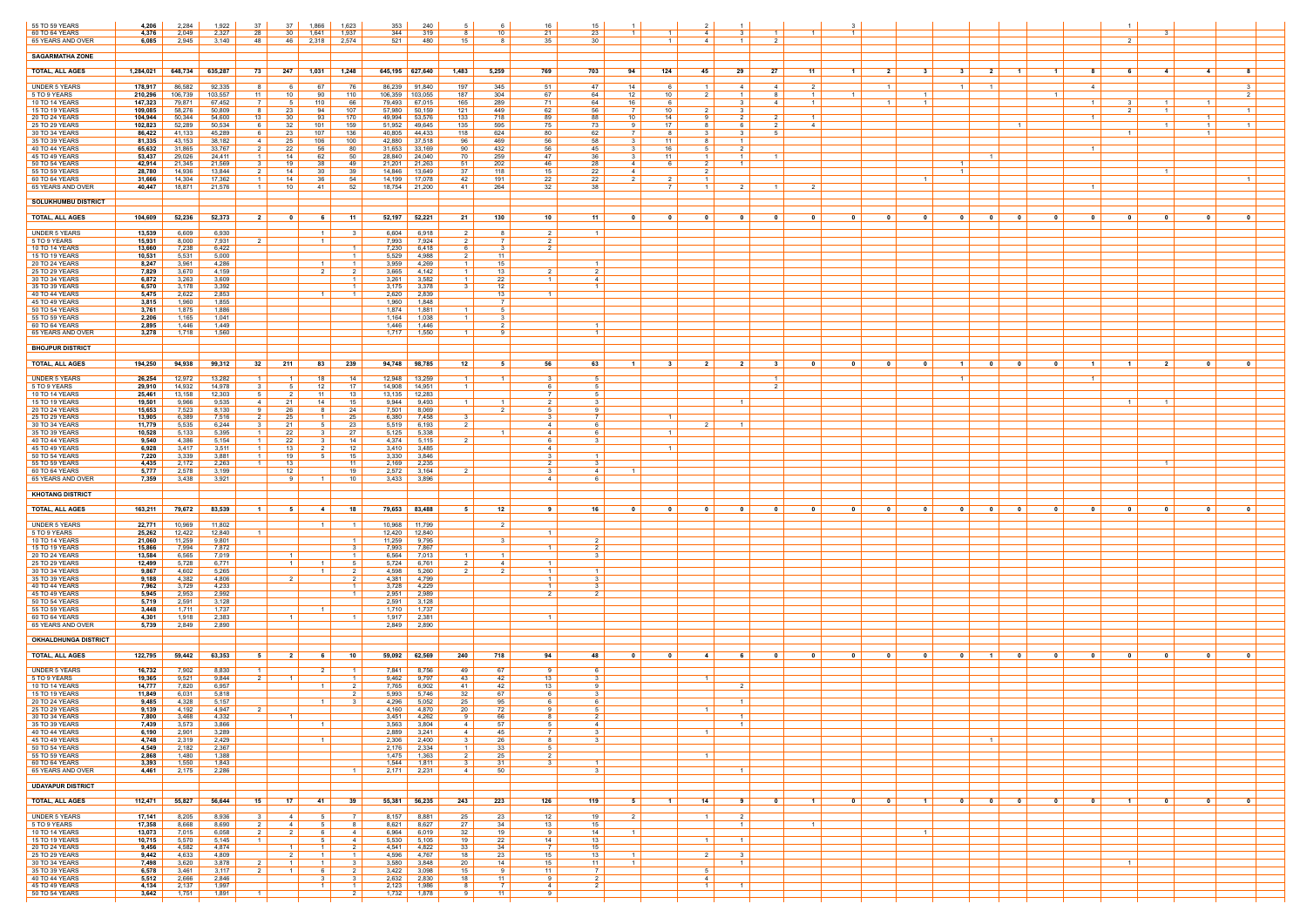| 55 TO 59 YEARS<br>60 TO 64 YEARS | 4,206<br>4,376     | 2,284<br>2,049    | 1,922<br>2,327    | -37<br>28              | 37<br>30                         | 1,866<br>1,641                   | 1,623<br>1,937                      | 353<br>344                 | 240<br>319        | -8                                  | 10 <sup>1</sup>                  | 16<br>21                | 15<br>-23                        | - 1 - I        |                  | -4                  |                                              | $\overline{1}$                   | $\overline{1}$   |                                              |                                                                                 |                  |                | - 3                              |                                  |                         |
|----------------------------------|--------------------|-------------------|-------------------|------------------------|----------------------------------|----------------------------------|-------------------------------------|----------------------------|-------------------|-------------------------------------|----------------------------------|-------------------------|----------------------------------|----------------|------------------|---------------------|----------------------------------------------|----------------------------------|------------------|----------------------------------------------|---------------------------------------------------------------------------------|------------------|----------------|----------------------------------|----------------------------------|-------------------------|
| 65 YEARS AND OVER                | 6,085              | 2,945             | 3,140             | -48                    | 46                               | 2,318                            | 2,574                               | 521                        | 480               | 15                                  | - 8                              | 35                      | - 30                             |                | $\overline{1}$   | 4                   | $\mathcal{P}$<br>$\overline{1}$              |                                  |                  |                                              |                                                                                 |                  |                | $\overline{2}$                   |                                  |                         |
| <b>SAGARMATHA ZONE</b>           |                    |                   |                   |                        |                                  |                                  |                                     |                            |                   |                                     |                                  |                         |                                  |                |                  |                     |                                              |                                  |                  |                                              |                                                                                 |                  |                |                                  |                                  |                         |
| <b>TOTAL, ALL AGES</b>           | 1,284,021          | 648,734           | 635,287           | 73                     | 247                              | 1.031                            | 1,248                               | 645,195 627,640            |                   | 1,483                               | 5,259                            | 769                     | 703                              | 94             | 124              | 45                  | - 27<br>29                                   | 11                               | $\blacksquare$ 1 | 2 <sup>1</sup><br>31                         | 3 <sup>1</sup><br>2 <sup>1</sup><br>$\blacksquare$ 1                            | $\blacksquare$ 1 | 8              | $\overline{4}$<br>61             | $\sim$ 4                         | 8                       |
| <b>UNDER 5 YEARS</b>             | 178,917            | 86,582            | 92,335            | - 8                    | 6                                | 67                               | 76                                  | 86,239                     | 91,840            | 197                                 | 345                              | 51                      | 47                               | 14             | 6                | $\mathbf{1}$        | 4<br>-4                                      | 2                                |                  | $\overline{1}$                               | $\overline{1}$<br>$\overline{1}$                                                |                  | $-4$           |                                  |                                  | 3 <sup>1</sup>          |
| 5 TO 9 YEARS<br>10 TO 14 YEARS   | 210,296<br>147,323 | 106,739<br>79,871 | 103,557<br>67,452 | 11                     | 10                               | 90<br>110                        | 110<br>66                           | 106,359<br>79,493          | 103,055<br>67,015 | 187<br>165                          | 304<br>289                       | 67<br>71                | 64<br>64                         | 12<br>16       | 10<br>-6         | 2 I                 | - 8<br>$\blacksquare$ 1<br>$\mathbf{R}$<br>4 | $\overline{1}$<br>$\overline{1}$ | $\overline{1}$   | $\overline{1}$<br>$1 \mid$<br>$\overline{1}$ |                                                                                 | $\overline{1}$   |                | $\overline{1}$                   | $\overline{1}$                   | 2 I                     |
| 15 TO 19 YEARS                   | 109,085            | 58,276            | 50,809            | - 8                    | 23                               | 94                               | 107                                 | 57,980                     | 50,159            | 121                                 | 449                              | 62                      | -56                              |                | 10               |                     | -3                                           |                                  |                  |                                              |                                                                                 |                  |                | $\overline{1}$                   |                                  | $\vert$ 1 $\vert$       |
| 20 TO 24 YEARS<br>25 TO 29 YEARS | 104,944<br>102,823 | 50,344<br>52,289  | 54,600<br>50,534  | 13                     | 30<br>32                         | 93<br>101                        | 170<br>159                          | 49,994<br>51,952           | 53,576<br>49,645  | 133<br>135                          | 718<br>595                       | 89<br>75                | 88<br>73                         | 10<br>9        | 14<br>17         | - 9<br>-8           | 2 I<br>2<br>$\overline{2}$<br>-6             | $\overline{1}$<br>4              |                  |                                              | $\mathbf{1}$                                                                    |                  | $\overline{1}$ | $\overline{1}$                   | $\overline{1}$<br>1 <sup>1</sup> | $\overline{1}$          |
| 30 TO 34 YEARS<br>35 TO 39 YEARS | 86,422<br>81,335   | 41,133<br>43,153  | 45,289<br>38,182  | რ.<br>-4               | 23<br>25                         | 107<br>106                       | 136<br>100                          | 40,805<br>42,880           | 44,433<br>37,518  | 118<br>96                           | 624<br>469                       | 80<br>56                | 62<br>58                         | 3              | 11               | - 8                 | $1 \vert$                                    |                                  |                  |                                              |                                                                                 |                  |                |                                  |                                  |                         |
| 40 TO 44 YEARS                   | 65,632             | 31,865            | 33,767            |                        | 22                               | 56                               | 80                                  | 31,653                     | 33,169            | 90                                  | 432                              | 56                      | 45                               |                | 16               |                     | $\overline{2}$                               |                                  |                  |                                              |                                                                                 |                  |                |                                  |                                  |                         |
| 45 TO 49 YEARS<br>50 TO 54 YEARS | 53,437<br>42,914   | 29,026<br>21,345  | 24,411<br>21,569  | -3                     | 14<br>19                         | 62<br>38                         | 50<br>49                            | 28,840<br>21,201           | 24,040<br>21,263  | 70<br>51                            | 259<br>202                       | 47<br>46                | -36<br>-28                       | 4              | 11<br>6          | 2                   | $\overline{1}$<br>$\overline{1}$             |                                  |                  |                                              | $\overline{1}$                                                                  |                  |                |                                  |                                  |                         |
| 55 TO 59 YEARS<br>60 TO 64 YEARS | 28,780<br>31,666   | 14,936<br>14,304  | 13,844<br>17,362  | $\mathcal{P}$          | 14<br>14                         | 30<br>36                         | 39<br>54                            | 14,846<br>14,199           | 13,649<br>17,078  | 37<br>42                            | 118<br>191                       | 15<br>22                | 22<br>22                         | 4 I            |                  | $\overline{2}$      |                                              |                                  |                  |                                              | $\overline{1}$                                                                  |                  |                | $\overline{1}$                   |                                  | $\overline{1}$          |
| 65 YEARS AND OVER                | 40,447             | 18,871            | 21,576            | $-1$                   | 10                               | -41                              | 52                                  | 18,754 21,200              |                   | -41                                 | 264                              | 32                      | - 38                             |                | - 7 - I          | $\mathbf{1}$        | $\overline{2}$                               | 2                                |                  |                                              |                                                                                 |                  |                |                                  |                                  |                         |
| <b>SOLUKHUMBU DISTRICT</b>       |                    |                   |                   |                        |                                  |                                  |                                     |                            |                   |                                     |                                  |                         |                                  |                |                  |                     |                                              |                                  |                  |                                              |                                                                                 |                  |                |                                  |                                  |                         |
| <b>TOTAL, ALL AGES</b>           | 104,609            | 52,236            | 52,373            | 2 <sup>1</sup>         | 0                                | 61                               | - 11                                | 52,197 52,221              |                   | 21                                  | 130                              | 10                      | - 11                             | $\mathbf{0}$   | 0                | - 0                 | 0<br>$\overline{\mathbf{0}}$                 | 0                                | $\mathbf{0}$     | 0<br>$\mathbf{0}$                            | $\overline{\mathbf{0}}$<br>$\mathbf{0}$<br>0                                    | 0                | - 0            | 0<br>$\overline{\mathbf{0}}$     | 0                                | $\overline{\mathbf{0}}$ |
| <b>UNDER 5 YEARS</b>             | 13,539             | 6,609             | 6,930             |                        |                                  | $\overline{1}$                   |                                     | 6,604                      | 6,918             | 2                                   | - 8                              | 2                       | - 1                              |                |                  |                     |                                              |                                  |                  |                                              |                                                                                 |                  |                |                                  |                                  |                         |
| 5 TO 9 YEARS                     | 15,931             | 8,000             | 7,931             | $\overline{2}$         |                                  | $\overline{1}$                   | $\vert$ 1 $\vert$                   | 7,993                      | 7,924             | 2 I<br>6                            | $\overline{7}$<br>$\mathbf{3}$   | 2<br>2 I                |                                  |                |                  |                     |                                              |                                  |                  |                                              |                                                                                 |                  |                |                                  |                                  |                         |
| 10 TO 14 YEARS<br>15 TO 19 YEARS | 13,660<br>10,531   | 7,238<br>5,531    | 6,422<br>5,000    |                        |                                  |                                  | $\overline{1}$                      | 7,230<br>5,529             | 6,418<br>4,988    | 2                                   | 11                               |                         |                                  |                |                  |                     |                                              |                                  |                  |                                              |                                                                                 |                  |                |                                  |                                  |                         |
| 20 TO 24 YEARS<br>25 TO 29 YEARS | 8,247<br>7,829     | 3,961<br>3,670    | 4,286<br>4,159    |                        |                                  | $\overline{1}$<br>2              | $\vert$ 1 $\vert$<br>2              | 3,959<br>3,665             | 4,269<br>4,142    | 1 <sup>1</sup><br>$1 \mid$          | 15<br>13                         | 2 I                     | $\overline{1}$<br>2              |                |                  |                     |                                              |                                  |                  |                                              |                                                                                 |                  |                |                                  |                                  |                         |
| 30 TO 34 YEARS                   | 6,872              | 3,263             | 3,609             |                        |                                  |                                  | $\overline{1}$<br>$\blacksquare$    | 3,261<br>3,175             | 3,582<br>3,378    | 1<br>-3                             | 22<br>12                         | $\overline{\mathbf{1}}$ | $\overline{4}$                   |                |                  |                     |                                              |                                  |                  |                                              |                                                                                 |                  |                |                                  |                                  |                         |
| 35 TO 39 YEARS<br>40 TO 44 YEARS | 6,570<br>5,475     | 3,178<br>2,622    | 3,392<br>2,853    |                        |                                  | $\vert$ 1 $\vert$                | $\vert$ 1 $\vert$                   | 2,620                      | 2,839             |                                     | 13                               | $\overline{1}$          |                                  |                |                  |                     |                                              |                                  |                  |                                              |                                                                                 |                  |                |                                  |                                  |                         |
| 45 TO 49 YEARS<br>50 TO 54 YEARS | 3,815<br>3,761     | 1,960<br>1,875    | 1,855<br>1,886    |                        |                                  |                                  |                                     | 1,960<br>1,874             | 1,848<br>1,881    | $\mathbf{1}$                        | $\overline{7}$<br>- 5            |                         |                                  |                |                  |                     |                                              |                                  |                  |                                              |                                                                                 |                  |                |                                  |                                  |                         |
| 55 TO 59 YEARS<br>60 TO 64 YEARS | 2,206<br>2,895     | 1,165<br>1,446    | 1,041<br>1,449    |                        |                                  |                                  |                                     | 1,164<br>1,446             | 1,038<br>1,446    | $1 \mid$                            | 3 <sup>1</sup><br>$\overline{2}$ |                         | $\overline{1}$                   |                |                  |                     |                                              |                                  |                  |                                              |                                                                                 |                  |                |                                  |                                  |                         |
| 65 YEARS AND OVER                | 3,278              | 1,718             | 1,560             |                        |                                  |                                  |                                     | 1,717                      | 1,550             | -1                                  |                                  |                         | $\overline{\mathbf{1}}$          |                |                  |                     |                                              |                                  |                  |                                              |                                                                                 |                  |                |                                  |                                  |                         |
| <b>BHOJPUR DISTRICT</b>          |                    |                   |                   |                        |                                  |                                  |                                     |                            |                   |                                     |                                  |                         |                                  |                |                  |                     |                                              |                                  |                  |                                              |                                                                                 |                  |                |                                  |                                  |                         |
| <b>TOTAL, ALL AGES</b>           | 194,250            | 94,938            | 99,312            | 32                     | 211                              | 83                               | 239                                 | 94,748 98,785              |                   | 12                                  | 5                                | 56                      | 63                               |                | - 3              | - 2                 | 2<br>- 3                                     | 0                                |                  | 0<br>$\mathbf{0}$                            | $\mathbf{0}$<br>$\blacksquare$                                                  | 0                |                | $\overline{2}$<br>$\blacksquare$ | - 0                              | 0                       |
| <b>UNDER 5 YEARS</b>             | 26,254             | 12,972            | 13,282            | - 1                    | $\vert$ 1 $\vert$                | 18                               | 14                                  | 12,948                     | 13,259            | $1 \mid$                            | $\overline{1}$                   |                         |                                  |                |                  |                     |                                              |                                  |                  |                                              | $\overline{1}$                                                                  |                  |                |                                  |                                  |                         |
| 5 TO 9 YEARS                     | 29,910             | 14,932            | 14,978            |                        | $5^{\circ}$                      | 12                               | 17                                  | 14,908                     | 14,951            | 1                                   |                                  |                         | -5                               |                |                  |                     |                                              |                                  |                  |                                              |                                                                                 |                  |                |                                  |                                  |                         |
| 10 TO 14 YEARS<br>15 TO 19 YEARS | 25,461<br>19,501   | 13,158<br>9,966   | 12,303<br>9,535   | -5<br>$\overline{4}$   | 2<br>21                          | 11<br>14                         | 13<br>15                            | 13,135<br>9,944            | 12,283<br>9,493   | $1 \vert$                           | $\vert$ 1 $\vert$                | <sup>7</sup><br>2 I     | - 5<br>$\mathbf{3}$              |                |                  |                     | $\blacksquare$ 1                             |                                  |                  |                                              |                                                                                 |                  |                | $1 \vert$<br>$\overline{1}$      |                                  |                         |
| 20 TO 24 YEARS<br>25 TO 29 YEARS | 15,653<br>13,905   | 7,523<br>6,389    | 8,130<br>7,516    | $\overline{2}$         | 26<br>25                         | $\overline{1}$                   | 24<br>25                            | 7,501<br>6,380             | 8,069<br>7,458    | 3 <sup>1</sup>                      | $\overline{2}$                   | .5<br>3                 | -9                               |                | $\overline{1}$   |                     |                                              |                                  |                  |                                              |                                                                                 |                  |                |                                  |                                  |                         |
| 30 TO 34 YEARS                   | 11,779             | 5,535             | 6,244             |                        | 21                               |                                  | 23                                  | 5,519                      | 6,193             | 2 I                                 |                                  | 4                       | <b>6</b>                         |                |                  | $\overline{2}$ 1    | $1 \vert$                                    |                                  |                  |                                              |                                                                                 |                  |                |                                  |                                  |                         |
| 35 TO 39 YEARS<br>40 TO 44 YEARS | 10,528<br>9,540    | 5,133<br>4,386    | 5,395<br>5,154    | -1                     | 22<br>22                         |                                  | 27<br>14                            | 5,125<br>4,374             | 5,338<br>5,115    | 2                                   |                                  | 4 I<br>6.               | $\mathbf{3}$                     |                | $\overline{1}$   |                     |                                              |                                  |                  |                                              |                                                                                 |                  |                |                                  |                                  |                         |
| 45 TO 49 YEARS<br>50 TO 54 YEARS | 6,928<br>7,220     | 3,417<br>3,339    | 3,511<br>3,881    | $\overline{1}$         | 13<br>19                         |                                  | 12<br>15                            | 3,410<br>3,330             | 3,485<br>3,846    |                                     |                                  | 4                       | $\overline{1}$                   |                | $\overline{1}$   |                     |                                              |                                  |                  |                                              |                                                                                 |                  |                |                                  |                                  |                         |
| 55 TO 59 YEARS<br>60 TO 64 YEARS | 4,435<br>5,777     | 2,172<br>2,578    | 2,263<br>3,199    | $\overline{1}$         | 13<br>12 <sup>12</sup>           |                                  | 11<br>19                            | 2,169<br>2,572             | 2,235<br>3,164    | 2 <sup>1</sup>                      |                                  | 2<br>3                  | $\mathbf{R}$<br>4                | $\overline{1}$ |                  |                     |                                              |                                  |                  |                                              |                                                                                 |                  |                | $\overline{1}$                   |                                  |                         |
| 65 YEARS AND OVER                | 7,359              | 3,438             | 3,921             |                        | -9                               | $\overline{1}$                   | 10                                  | 3,433                      | 3,896             |                                     |                                  | 4                       |                                  |                |                  |                     |                                              |                                  |                  |                                              |                                                                                 |                  |                |                                  |                                  |                         |
| <b>KHOTANG DISTRICT</b>          |                    |                   |                   |                        |                                  |                                  |                                     |                            |                   |                                     |                                  |                         |                                  |                |                  |                     |                                              |                                  |                  |                                              |                                                                                 |                  |                |                                  |                                  |                         |
| <b>TOTAL, ALL AGES</b>           | 163,211            | 79,672            | 83,539            | - 1                    | - 5                              | -4                               | 18                                  | 79,653 83,488              |                   | -5                                  | 12 <sub>2</sub>                  |                         | 16                               | ົດ             |                  | - 0                 |                                              |                                  |                  | - 0                                          | $\mathbf{0}$<br>$\mathbf{0}$                                                    |                  |                | - 0                              | - 0                              | $\mathbf{0}$            |
| <b>UNDER 5 YEARS</b>             | 22,771             | 10,969            | 11,802            |                        |                                  | $\overline{1}$                   | $1 \vert$                           | 10,968 11,799              |                   |                                     | $\overline{2}$                   |                         |                                  |                |                  |                     |                                              |                                  |                  |                                              |                                                                                 |                  |                |                                  |                                  |                         |
| 5 TO 9 YEARS                     | 25,262             | 12,422            | 12,840            |                        |                                  |                                  |                                     | 12,420                     | 12,840            |                                     |                                  |                         |                                  |                |                  |                     |                                              |                                  |                  |                                              |                                                                                 |                  |                |                                  |                                  |                         |
| 10 TO 14 YEARS<br>15 TO 19 YEARS | 21,060<br>15,866   | 11,259<br>7,994   | 9,801<br>7,872    |                        |                                  |                                  | $\overline{1}$<br>- 3               | 11,259<br>7,993            | 9,795<br>7,867    |                                     | $3 \mid$                         |                         | $\overline{2}$<br>$\overline{2}$ |                |                  |                     |                                              |                                  |                  |                                              |                                                                                 |                  |                |                                  |                                  |                         |
| 20 TO 24 YEARS<br>25 TO 29 YEARS | 13,584<br>12,499   | 6,565<br>5,728    | 7,019<br>6,771    |                        | $\overline{1}$<br>$\overline{1}$ |                                  | $\overline{1}$<br>- 5               | 6,564<br>5,724             | 7,013<br>6,761    | $\mathbf{1}$<br>2                   | $\overline{1}$<br>$\sim$ 4       |                         | ્ર                               |                |                  |                     |                                              |                                  |                  |                                              |                                                                                 |                  |                |                                  |                                  |                         |
| 30 TO 34 YEARS<br>35 TO 39 YEARS | 9,867              | 4,602<br>4,382    | 5,265<br>4,806    |                        | $\overline{2}$                   | $\overline{1}$                   | $\overline{2}$                      | 4,598<br>4,381             | 5,260<br>4,799    | 2 I                                 | $\overline{2}$                   | $-1$<br>$\overline{1}$  | $\overline{1}$<br>$\mathbf{R}$   |                |                  |                     |                                              |                                  |                  |                                              |                                                                                 |                  |                |                                  |                                  |                         |
| 40 TO 44 YEARS                   | 9,188<br>7,962     | 3,729             | 4,233             |                        |                                  |                                  | $\overline{1}$                      | 3,728                      | 4,229             |                                     |                                  |                         |                                  |                |                  |                     |                                              |                                  |                  |                                              |                                                                                 |                  |                |                                  |                                  |                         |
| 45 TO 49 YEARS<br>50 TO 54 YEARS | 5,945<br>5,719     | 2,953<br>2,591    | 2,992<br>3,128    |                        |                                  |                                  | $\overline{1}$                      | 2,951<br>2,591             | 2,989<br>3,128    |                                     |                                  | $\mathcal{P}$           | $\overline{2}$                   |                |                  |                     |                                              |                                  |                  |                                              |                                                                                 |                  |                |                                  |                                  |                         |
| 55 TO 59 YEARS<br>60 TO 64 YEARS | 3,448<br>4,301     | 1,711<br>1,918    | 1,737<br>2,383    |                        | $\overline{1}$                   |                                  |                                     | 1,710<br>1,917             | 1,737<br>2,381    |                                     |                                  |                         |                                  |                |                  |                     |                                              |                                  |                  |                                              |                                                                                 |                  |                |                                  |                                  |                         |
| 65 YEARS AND OVER                | 5,739              | 2,849             | 2,890             |                        |                                  |                                  |                                     | 2,849                      | 2,890             |                                     |                                  |                         |                                  |                |                  |                     |                                              |                                  |                  |                                              |                                                                                 |                  |                |                                  |                                  |                         |
| <b>OKHALDHUNGA DISTRICT</b>      |                    |                   |                   |                        |                                  |                                  |                                     |                            |                   |                                     |                                  |                         |                                  |                |                  |                     |                                              |                                  |                  |                                              |                                                                                 |                  |                |                                  |                                  |                         |
| <b>TOTAL, ALL AGES</b>           | 122,795            | 59,442            | 63,353            | - 5                    | 2                                | -6                               | 10                                  | $\overline{59,092}$ 62,569 |                   | 240                                 | 718                              | 94                      | 48                               | 0              |                  | -4                  |                                              |                                  |                  | 0<br>$\mathbf{0}$                            | $\mathbf{0}$<br>$\blacksquare$                                                  | $\mathbf{0}$     |                | $\mathbf{0}$<br>- 0              | 0                                | $\mathbf{0}$            |
| <b>UNDER 5 YEARS</b>             | 16,732             | 7,902             | 8,830             | $\overline{1}$         |                                  | $\overline{2}$                   | $\overline{1}$                      | 7,841                      | 8,756             | 49                                  | 67                               | - 9                     | 6                                |                |                  |                     |                                              |                                  |                  |                                              |                                                                                 |                  |                |                                  |                                  |                         |
| 5 TO 9 YEARS<br>10 TO 14 YEARS   | 19,365<br>14,777   | 9,521<br>7,820    | 9,844<br>6,957    |                        | $\overline{1}$                   | $\overline{1}$                   | $\vert$ 1 $\vert$<br>$\overline{2}$ | 9,462<br>7,765             | 9,797<br>6,902    | 43<br>41                            | 42<br>42                         | 13<br>13                | 9                                |                |                  | $\overline{1}$      | $\overline{2}$                               |                                  |                  |                                              |                                                                                 |                  |                |                                  |                                  |                         |
| 15 TO 19 YEARS<br>20 TO 24 YEARS | 11,849<br>9,485    | 6,031<br>4,328    | 5,818<br>5,157    |                        |                                  | $\overline{1}$                   | - 2<br>$\mathbf{R}$                 | 5,993<br>4,296             | 5,746<br>5,052    | 32<br>25                            | 67<br>95                         | 6                       | $\mathbf{3}$                     |                |                  |                     | $1 \vert$                                    |                                  |                  |                                              |                                                                                 |                  |                |                                  |                                  |                         |
| 25 TO 29 YEARS                   | 9,139              | 4,192             | 4,947             | $\overline{2}$         |                                  |                                  |                                     | 4,160                      | 4,870             | 20                                  | 72                               | 9.                      | - 5                              |                |                  | $\overline{1}$      |                                              |                                  |                  |                                              |                                                                                 |                  |                |                                  |                                  |                         |
| 30 TO 34 YEARS<br>35 TO 39 YEARS | 7,800<br>7,439     | 3,468<br>3,573    | 4,332<br>3,866    |                        | $\overline{1}$                   | $\overline{1}$                   |                                     | 3,451<br>3,563             | 4,262<br>3,804    | 9<br>4                              | 66<br>57                         | 8<br>5                  | $\overline{2}$<br>$\overline{4}$ |                |                  |                     | $\overline{1}$<br>$1 \vert$                  |                                  |                  |                                              |                                                                                 |                  |                |                                  |                                  |                         |
| 40 TO 44 YEARS<br>45 TO 49 YEARS | 6,190<br>4,748     | 2,901<br>2,319    | 3,289<br>2,429    |                        |                                  | $\overline{1}$                   |                                     | 2,889<br>2,306             | 3,241<br>2,400    | 4<br>3 <sup>1</sup>                 | 45<br>26                         | $\overline{7}$<br>8     | $\mathbf{3}$<br>$\mathbf{3}$     |                |                  | $\overline{1}$      |                                              |                                  |                  |                                              | $\overline{1}$                                                                  |                  |                |                                  |                                  |                         |
| 50 TO 54 YEARS                   | 4,549              | 2,182             | 2,367             |                        |                                  |                                  |                                     | 2,176                      | 2,334             | $1 \mid$                            | 33                               | 5 I                     |                                  |                |                  |                     |                                              |                                  |                  |                                              |                                                                                 |                  |                |                                  |                                  |                         |
| 55 TO 59 YEARS<br>60 TO 64 YEARS | 2,868<br>3,393     | 1,480<br>1,550    | 1,388<br>1,843    |                        |                                  |                                  |                                     | 1,475<br>1,544             | 1,363<br>1,811    | $\vert$ 2 $\vert$<br>3 <sup>1</sup> | 25<br>31                         | 2 <sup>1</sup><br>3 I   | $\overline{1}$                   |                |                  | $\overline{1}$      |                                              |                                  |                  |                                              |                                                                                 |                  |                |                                  |                                  |                         |
| 65 YEARS AND OVER                | 4,461              | 2,175             | 2,286             |                        |                                  |                                  | $\overline{1}$                      | $2,171$ 2,231              |                   | 4                                   | 50                               |                         | $\overline{\mathbf{3}}$          |                |                  |                     | $1 \vert$                                    |                                  |                  |                                              |                                                                                 |                  |                |                                  |                                  |                         |
| <b>UDAYAPUR DISTRICT</b>         |                    |                   |                   |                        |                                  |                                  |                                     |                            |                   |                                     |                                  |                         |                                  |                |                  |                     |                                              |                                  |                  |                                              |                                                                                 |                  |                |                                  |                                  |                         |
| <b>TOTAL, ALL AGES</b>           | 112,471            | 55,827            | 56,644            | 15 I                   | 17                               | 41                               | 39                                  | 55,381 56,235              |                   | 243                                 | 223                              | 126                     | 119                              | 51             | $\blacksquare$ 1 | 14 I                | $\mathbf{0}$<br>91                           | $\blacksquare$ 1                 | $\mathbf{0}$     | $\overline{\mathbf{0}}$<br>$-1$              | $\overline{\mathbf{0}}$<br>$\overline{\mathbf{0}}$<br>$\overline{\mathbf{0}}$ l | $\mathbf{0}$     | $\mathbf{0}$   | $\mathbf{0}$<br>1 <sup>1</sup>   | $\overline{\mathbf{0}}$          | $\overline{\mathbf{0}}$ |
| <b>UNDER 5 YEARS</b>             | 17,141             | 8,205             | 8,936             | $\mathbf{3}$           | 4                                | - 5                              | 7                                   | 8,157                      | 8,881             | 25                                  | 23                               | 12                      | 19                               | $\overline{2}$ |                  | $\overline{1}$      | $\overline{2}$                               |                                  |                  |                                              |                                                                                 |                  |                |                                  |                                  |                         |
| 5 TO 9 YEARS<br>10 TO 14 YEARS   | 17,358<br>13,073   | 8,668<br>7,015    | 8,690<br>6,058    | 2<br>2                 | 4<br>$\overline{2}$              | - 5<br>6                         | -8<br>$-4$                          | 8,621<br>6,964             | 8,627<br>6,019    | 27<br>32                            | 34<br>19                         | 13 <sup>1</sup><br>9    | 15<br>14                         | $\overline{1}$ |                  |                     | $1 \vert$                                    | $\vert$ 1 $\vert$                |                  | $\overline{1}$                               |                                                                                 |                  |                |                                  |                                  |                         |
| 15 TO 19 YEARS                   | 10,715             | 5,570             | 5,145             | $\overline{1}$         |                                  | -5                               | $\overline{4}$                      | 5,530                      | 5,105             | 19                                  | 22                               | 14                      | 13                               |                |                  | $\overline{1}$      | $\overline{1}$                               |                                  |                  |                                              |                                                                                 |                  |                |                                  |                                  |                         |
| 20 TO 24 YEARS<br>25 TO 29 YEARS | 9,456<br>9,442     | 4,582<br>4,633    | 4,874<br>4,809    |                        | $1 \vert$<br>$\overline{2}$      | $\overline{1}$<br>$\overline{1}$ | 2<br>$\vert$ 1 $\vert$              | 4,541<br>4,596             | 4,822<br>4,767    | 33<br>18                            | 34<br>23                         | - 7 I<br>15             | 15<br>13                         | $\overline{1}$ |                  | $\mathcal{P}$       | $\mathbf{3}$                                 |                                  |                  |                                              |                                                                                 |                  |                |                                  |                                  |                         |
| 30 TO 34 YEARS<br>35 TO 39 YEARS | 7,498<br>6,578     | 3,620<br>3,461    | 3,878<br>3,117    | - 2<br>$\frac{2}{2}$ 1 | $\overline{1}$<br>$1 \vert$      | $\overline{1}$<br>6              | - 3<br>2                            | 3,580<br>3,422             | 3,848<br>3,098    | 20<br>15                            | 14<br>9                          | 15<br>11 I              | 11<br>$\overline{7}$             | $\overline{1}$ |                  | 5                   | $1 \vert$                                    |                                  |                  |                                              |                                                                                 |                  |                | $\vert$ 1 $\vert$                |                                  |                         |
| 40 TO 44 YEARS<br>45 TO 49 YEARS | 5,512<br>4,134     | 2,666<br>2,137    | 2,846<br>1,997    |                        |                                  | $\mathbf{R}$<br>$\overline{1}$   | $\mathbf{R}$<br>$\vert$ 1 $\vert$   | 2,632<br>2,123             | 2,830<br>1,986    | 18<br>8                             | 11<br>$\overline{7}$             | 9<br>4                  | $\overline{2}$<br>2              |                |                  | 4<br>$\overline{1}$ | $\overline{1}$                               |                                  |                  |                                              |                                                                                 |                  |                |                                  |                                  |                         |
| 50 TO 54 YEARS                   | 3,642              | 1,751             | 1,891             | $\overline{1}$         |                                  |                                  | $\overline{2}$                      | 1,732                      | 1,878             | 9                                   | 11                               | 9.                      |                                  |                |                  |                     |                                              |                                  |                  |                                              |                                                                                 |                  |                |                                  |                                  |                         |
|                                  |                    |                   |                   |                        |                                  |                                  |                                     |                            |                   |                                     |                                  |                         |                                  |                |                  |                     |                                              |                                  |                  |                                              |                                                                                 |                  |                |                                  |                                  |                         |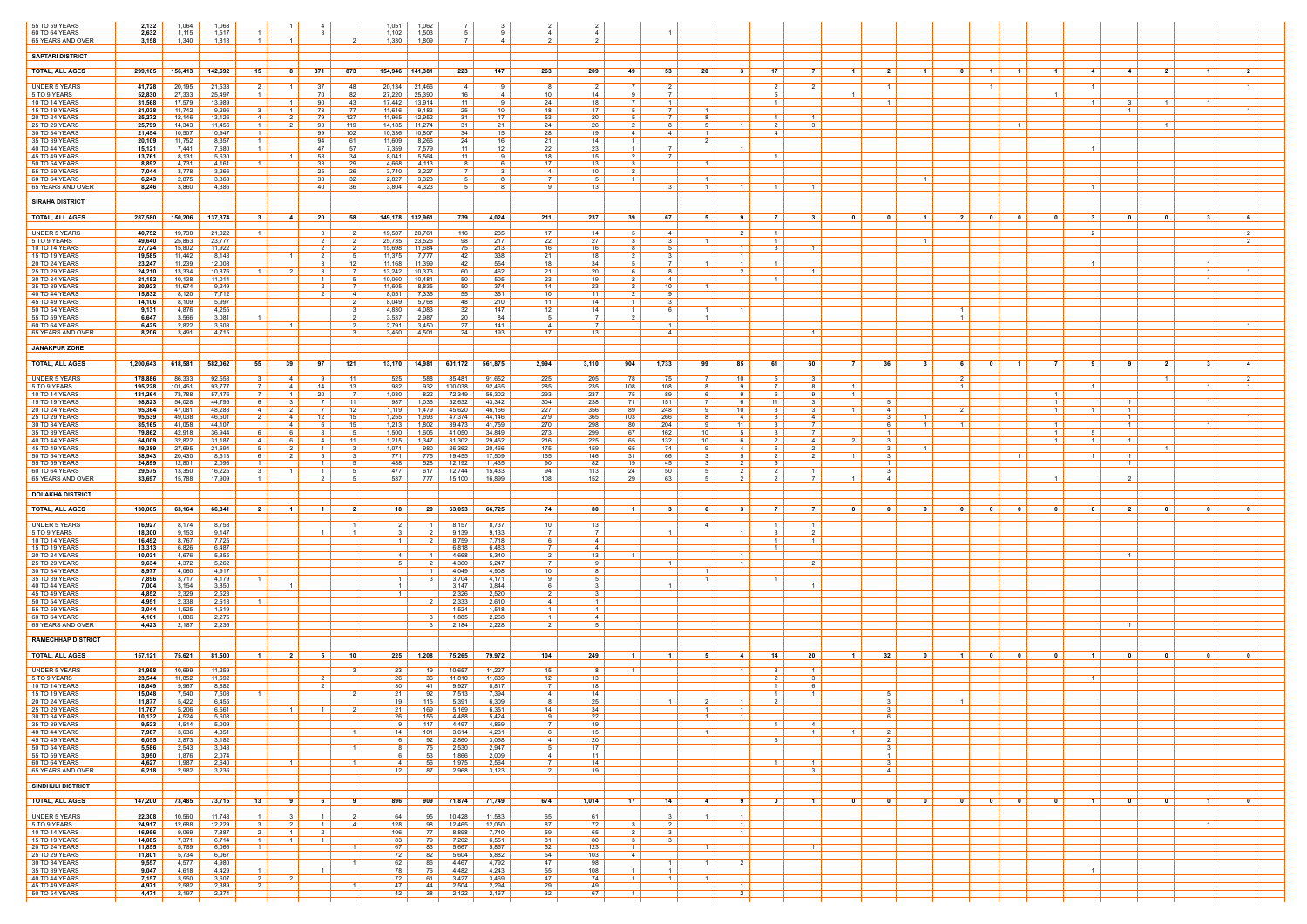| 55 TO 59 YEARS                       | 2,132               | 1,064             | 1,068            |                                  |                                  |                                  |                     | 1,051                | 1,062                    |                       |                        | $\overline{2}$             | $\overline{\mathbf{2}}$          |                                |                                |                      |                                    |                     |                                       |                         |                                         |                         |                                                                                |                |                                         |                                  |                                     |  |
|--------------------------------------|---------------------|-------------------|------------------|----------------------------------|----------------------------------|----------------------------------|---------------------|----------------------|--------------------------|-----------------------|------------------------|----------------------------|----------------------------------|--------------------------------|--------------------------------|----------------------|------------------------------------|---------------------|---------------------------------------|-------------------------|-----------------------------------------|-------------------------|--------------------------------------------------------------------------------|----------------|-----------------------------------------|----------------------------------|-------------------------------------|--|
| 60 TO 64 YEARS<br>65 YEARS AND OVER  | 2,632<br>3,158      | 1,115<br>1,340    | 1,517<br>1,818   |                                  | - 1                              |                                  |                     | 1,102<br>1,330       | 1,503<br>1,809           |                       | <b>Q</b><br>4          | 4<br>$\mathcal{P}$         | $\overline{4}$                   |                                |                                |                      |                                    |                     |                                       |                         |                                         |                         |                                                                                |                |                                         |                                  |                                     |  |
| <b>SAPTARI DISTRICT</b>              |                     |                   |                  |                                  |                                  |                                  |                     |                      |                          |                       |                        |                            |                                  |                                |                                |                      |                                    |                     |                                       |                         |                                         |                         |                                                                                |                |                                         |                                  |                                     |  |
| <b>TOTAL, ALL AGES</b>               | 299,105             | 156,413           | 142,692          | 15                               | 81                               | 871                              | 873                 | 154,946              | 141,381                  | 223                   | 147                    | 263                        | 209                              | 49                             | 53                             | -20                  | 31                                 | 17                  | 7<br>$\blacksquare$                   | 2                       | - 0<br>- 1                              | $\blacksquare$          | $\blacksquare$ 1<br>$\blacksquare$                                             | -4             | $\overline{\mathbf{2}}$<br>-4           | - 1                              | $\overline{2}$                      |  |
|                                      |                     |                   |                  |                                  |                                  |                                  |                     |                      |                          |                       |                        |                            |                                  |                                |                                |                      |                                    |                     |                                       |                         |                                         |                         |                                                                                |                |                                         |                                  |                                     |  |
| <b>UNDER 5 YEARS</b><br>5 TO 9 YEARS | 41,728<br>52,830    | 20,195<br>27,333  | 21,533<br>25,497 |                                  | $\overline{1}$                   | -37<br>-70                       | 48<br>82            | 20,134<br>27,220     | 21,466<br>25,390         | 4<br>16               | - 9<br>4               | 8<br>10                    | - 2<br>14                        |                                | 2                              |                      |                                    | 2                   | -2                                    | $1 \mid$                |                                         |                         | - 1                                                                            |                |                                         |                                  | $\overline{1}$                      |  |
| 10 TO 14 YEARS<br>15 TO 19 YEARS     | 31,568<br>21,038    | 17,579<br>11,742  | 13,989<br>9,296  |                                  | $\overline{1}$<br>$\overline{1}$ | 90<br>73                         | 43<br>77            | 17,442<br>11,616     | 13,914<br>9,183          | 11<br>25              | - 9<br>10 <sup>1</sup> | 24  <br>18                 | 18<br>17                         | 7                              | $\overline{1}$<br><sup>7</sup> |                      |                                    | $\overline{1}$      |                                       | $1 \mid$                |                                         |                         |                                                                                | $\overline{1}$ | 31<br>$\overline{1}$                    | $\overline{1}$                   | $\overline{1}$                      |  |
| 20 TO 24 YEARS<br>25 TO 29 YEARS     | 25,272<br>25,799    | 12,146<br>14,343  | 13,126<br>11,456 | 4<br>$\overline{1}$              | - 2<br>2                         | 93                               | 127<br>119          | 11,965<br>14,185     | 12,952<br>11,274         | -31<br>31             | 17<br>21               | 53<br>24                   | 20<br>26                         | 2                              | 8                              | 51                   |                                    | 2                   | $\overline{\mathbf{1}}$<br>- 3        |                         |                                         |                         | $\overline{1}$                                                                 |                | $\overline{1}$                          |                                  |                                     |  |
| 30 TO 34 YEARS<br>35 TO 39 YEARS     | 21,454<br>20,109    | 10,507<br>11,752  | 10,947<br>8,357  | $\blacksquare$                   |                                  | 99<br>94                         | 102<br>61           | 10,336<br>11,609     | 10,807<br>8,266          | 34<br>24              | 15<br>16               | 28<br>21                   | 19<br>14                         | 4                              | -4                             | $\overline{1}$       |                                    | 4                   |                                       |                         |                                         |                         |                                                                                |                |                                         |                                  |                                     |  |
| 40 TO 44 YEARS                       | 15,121              | 7,441             | 7,680            | $\blacksquare$                   |                                  | 47                               | 57                  | 7,359                | 7,579                    | 11                    | 12                     | 22                         | 23                               | 1                              | 7                              |                      | $\overline{1}$                     |                     |                                       |                         |                                         |                         |                                                                                | $\overline{1}$ |                                         |                                  |                                     |  |
| 45 TO 49 YEARS<br>50 TO 54 YEARS     | 13,761<br>8,892     | 8,131<br>4,731    | 5,630<br>4,161   |                                  | $\overline{1}$                   | 58<br>33                         | 34<br>29            | 8,041<br>4,668       | 5,564<br>4,113           | 11<br>8               | -9<br><b>6</b>         | 18<br>17 <sup>1</sup>      | 15<br>13                         | $\overline{2}$                 | 7                              |                      |                                    |                     |                                       |                         |                                         |                         |                                                                                |                |                                         |                                  |                                     |  |
| 55 TO 59 YEARS<br>60 TO 64 YEARS     | 7,044<br>6,243      | 3,778<br>2,875    | 3,266<br>3,368   |                                  |                                  | -25<br>- 33                      | 26<br>32            | 3,740<br>2,827       | 3,227<br>3,323           | .5                    | $\mathbf{3}$<br>-8     | 4<br>- 7 I                 | 10<br>- 5                        | $\overline{1}$                 |                                | - 1                  |                                    |                     |                                       |                         | $\overline{1}$                          |                         |                                                                                |                |                                         |                                  |                                     |  |
| 65 YEARS AND OVER                    | 8,246               | 3,860             | 4,386            |                                  |                                  | 40                               | 36                  | 3,804                | 4,323                    |                       |                        | Q                          | 13                               |                                |                                | $\overline{1}$       |                                    |                     | $\overline{1}$                        |                         |                                         |                         |                                                                                |                |                                         |                                  |                                     |  |
| <b>SIRAHA DISTRICT</b>               |                     |                   |                  |                                  |                                  |                                  |                     |                      |                          |                       |                        |                            |                                  |                                |                                |                      |                                    |                     |                                       |                         |                                         |                         |                                                                                |                |                                         |                                  |                                     |  |
| <b>TOTAL, ALL AGES</b>               | 287,580             | 150,206           | 137,374          |                                  | -4                               | 20                               | 58                  | 149,178 132,961      |                          | 739                   | 4,024                  | 211                        | 237                              | 39                             | 67                             | - 5                  |                                    | $\overline{7}$      | - 3                                   | 0                       | $\overline{2}$<br>$\mathbf 1$           | - 0                     | - 0                                                                            | - 3            | - 0<br>- 0                              | - 3                              | -6                                  |  |
| <b>UNDER 5 YEARS</b>                 | 40,752              | 19,730            | 21,022           | $\blacksquare$                   |                                  | $\mathbf{3}$                     |                     | 19,587               | 20,761                   | 116                   | 235                    | 17 <sup>1</sup>            | - 14                             | -5                             | -4                             |                      | 2 I                                | $\overline{1}$      |                                       |                         |                                         |                         |                                                                                | 2              |                                         |                                  | 2 <sup>1</sup>                      |  |
| 5 TO 9 YEARS<br>10 TO 14 YEARS       | 49,640<br>27,724    | 25,863<br>15,802  | 23,777<br>11,922 |                                  |                                  | $\overline{2}$                   |                     | 25,735<br>15,698     | 23,526<br>11,684         | 98<br>75              | 217<br>213             | 22<br>16                   | 27<br>16                         |                                | . 5                            |                      |                                    | -3                  | $\overline{1}$                        |                         | -1                                      |                         |                                                                                |                |                                         |                                  |                                     |  |
| 15 TO 19 YEARS<br>20 TO 24 YEARS     | 19,585<br>23,247    | 11,442<br>11,239  | 8,143<br>12,008  |                                  | $\overline{1}$                   | $\overline{2}$                   | 12                  | 11,375<br>11,168     | 7,777<br>11,399          | 42<br>42              | 338<br>554             | 21  <br>18                 | 18<br>34                         | 2                              | 3  <br><sup>7</sup>            |                      | $\overline{1}$<br>$\blacksquare$ 1 |                     |                                       |                         |                                         |                         |                                                                                |                |                                         | $\overline{1}$                   |                                     |  |
| 25 TO 29 YEARS<br>30 TO 34 YEARS     | 24,210<br>21,152    | 13,334<br>10,138  | 10,876<br>11,014 |                                  | $\overline{\phantom{a}}^2$       | $\overline{1}$                   |                     | 13,242<br>10,060     | 10,373<br>10,481         | 60<br>50              | 462<br>505             | 21<br>23                   | 20<br>19                         | 2                              | -4                             |                      |                                    |                     | - 1                                   |                         |                                         |                         |                                                                                |                |                                         | $\overline{1}$<br>$\overline{1}$ |                                     |  |
| 35 TO 39 YEARS                       | 20,923              | 11,674            | 9,249            |                                  |                                  |                                  | $\overline{7}$      | 11,605               | 8,835                    | 50                    | 374                    | 14                         | 23                               |                                | 10 <sup>1</sup>                |                      |                                    |                     |                                       |                         |                                         |                         |                                                                                |                |                                         |                                  |                                     |  |
| 40 TO 44 YEARS<br>45 TO 49 YEARS     | 15,832<br>14,106    | 8,120<br>8,109    | 7,712<br>5,997   |                                  |                                  |                                  | 4<br>$\overline{2}$ | 8,051<br>8,049       | 7,336<br>5,768           | 55<br>48              | 351<br>210             | 10<br>11 <sup>1</sup>      | 11<br>14                         | $\overline{1}$                 | 31                             |                      |                                    |                     |                                       |                         |                                         |                         |                                                                                |                |                                         |                                  |                                     |  |
| 50 TO 54 YEARS<br>55 TO 59 YEARS     | 9,131<br>6,647      | 4,876<br>3,566    | 4,255<br>3,081   |                                  |                                  |                                  |                     | 4,830<br>3,537       | 4,083<br>2,987           | 32<br>20              | 147<br>84              | 12<br>$5-1$                | 14                               | $\overline{1}$                 | 6                              | $\overline{1}$<br>-1 | $\overline{1}$                     |                     |                                       |                         | $\overline{1}$<br>$\overline{1}$        |                         |                                                                                |                |                                         |                                  |                                     |  |
| 60 TO 64 YEARS<br>65 YEARS AND OVER  | 6,425<br>8,206      | 2,822<br>3,491    | 3,603<br>4,715   |                                  | $\overline{1}$                   |                                  | $\overline{2}$      | 2,791<br>3,450       | 3,450<br>4,501           | 27<br>24              | 141<br>193             | 4<br>17 <sup>1</sup>       | 13                               |                                | - 1<br>4                       |                      |                                    |                     | $\overline{1}$                        |                         |                                         |                         |                                                                                |                |                                         |                                  | $\overline{1}$                      |  |
| <b>JANAKPUR ZONE</b>                 |                     |                   |                  |                                  |                                  |                                  |                     |                      |                          |                       |                        |                            |                                  |                                |                                |                      |                                    |                     |                                       |                         |                                         |                         |                                                                                |                |                                         |                                  |                                     |  |
|                                      |                     |                   |                  |                                  |                                  |                                  |                     |                      |                          |                       |                        |                            |                                  |                                |                                |                      |                                    |                     |                                       |                         |                                         |                         |                                                                                |                |                                         |                                  |                                     |  |
| <b>TOTAL, ALL AGES</b>               | $1,200,643$ 618,581 |                   | 582,062          | 55                               | 39                               | 97                               | 121                 |                      |                          | 13,170 14,981 601,172 | 561,875                | 2,994                      | 3,110                            | 904                            | 1,733                          | 99                   | 85                                 | 61                  | 60                                    | 36                      | - 3<br>61                               | $\mathbf{0}$            | 7<br>$\blacksquare$                                                            | - 9            | $\overline{\mathbf{2}}$<br>- 9          | - 3                              | $-4$                                |  |
| <b>UNDER 5 YEARS</b><br>5 TO 9 YEARS | 178,886<br>195,228  | 86,333<br>101,451 | 92,553<br>93,777 | $\mathbf{R}$                     | 4<br>4                           | <b>Q</b><br>14                   | 11<br>13            | 525<br>982           | 588<br>932               | 85,481<br>100,038     | 91,652<br>92,465       | 225<br>285                 | 205<br>235                       | 78<br>108                      | 75<br>108                      | 7 I<br>-8            | 10 <sup>1</sup>                    | 5<br>$\overline{7}$ | - 3<br>-8<br>$\overline{1}$           |                         | $\overline{2}$<br>$\vert$ 1 $\vert$     |                         |                                                                                | $\overline{1}$ | $\overline{1}$                          | 1 <sup>1</sup>                   | $\overline{2}$<br>$\vert$ 1 $\vert$ |  |
| 10 TO 14 YEARS<br>15 TO 19 YEARS     | 131,264<br>98,823   | 73,788<br>54,028  | 57,476<br>44,795 | - 6                              | - 1<br>3                         | -20                              | 11                  | 1,030<br>987         | 822<br>1,036             | 72,349<br>52,632      | 56,302<br>43,342       | 293<br>304                 | 237<br>238                       | 75<br>71                       | 89<br>151                      | 6                    | 61                                 | 11                  | - 3                                   | 5                       |                                         |                         | $\overline{1}$<br>$\overline{1}$                                               |                | $\overline{1}$                          | -1                               |                                     |  |
| 20 TO 24 YEARS<br>25 TO 29 YEARS     | 95,364<br>95,539    | 47,081<br>49,038  | 48,283<br>46,501 | 4                                | $\overline{2}$<br>4              | $12 \overline{ }$                | 12<br>15            | 1,119<br>1,255       | 1,479<br>1,693           | 45,620<br>47,374      | 46,166<br>44,146       | 227<br>279                 | 356<br>365                       | 89<br>103                      | 248<br>266                     | -9                   | 10<br>4                            |                     | - 3<br>$\overline{1}$<br>-4           | 4<br>31                 |                                         |                         | $\vert$ 1 $\vert$                                                              |                | $1 \vert$<br>$\overline{1}$             |                                  |                                     |  |
| 30 TO 34 YEARS                       | 85,165              | 41,058            | 44,107           |                                  | 4                                |                                  | 15                  | 1,213                | 1,802                    | 39,473                | 41,759                 | 270                        | 298                              | 80                             | 204                            | -9                   | 11                                 |                     | 7                                     | 6 I                     |                                         |                         | $\overline{1}$                                                                 |                | $\overline{1}$                          | $\overline{1}$                   |                                     |  |
| 35 TO 39 YEARS<br>40 TO 44 YEARS     | 79,862<br>64,009    | 42,918<br>32,822  | 36,944<br>31,187 |                                  | -6                               | 4                                | - 5<br>11           | 1,500<br>1,215       | 1,605<br>1,347           | 41,050<br>31,302      | 34,849<br>29,452       | 273<br>216                 | 299<br>225                       | 67<br>65                       | 162<br>132                     | 10<br>10             | 51                                 | $\mathbf{3}$        | $\overline{7}$<br>-4                  | $1 \mid$<br>3 I         |                                         |                         | $\vert$ 1 $\vert$<br>$\overline{1}$                                            |                | $\overline{1}$                          |                                  |                                     |  |
| 45 TO 49 YEARS<br>50 TO 54 YEARS     | 49,389<br>38,943    | 27,695<br>20,430  | 21,694<br>18,513 | -6                               | 2<br>2                           | - 5                              | $\mathbf{B}$<br>- 3 | 1,071<br>771 I       | 980<br>775               | 26,362<br>19,455      | 20,466<br>17,509       | 175<br>155                 | 159<br>146                       | 65<br>31                       | 74<br>66                       | 9<br>3               | 4<br>51                            | -6<br>2             | 2<br>2<br>$\overline{1}$              | 3 I<br>3 I              |                                         |                         | $-1$                                                                           | $\overline{1}$ | $\overline{1}$<br>$\overline{1}$        |                                  |                                     |  |
| 55 TO 59 YEARS<br>60 TO 64 YEARS     | 24,899<br>29,575    | 12,801<br>13,350  | 12,098<br>16,225 |                                  | $\overline{\mathbf{1}}$          | $\overline{1}$                   |                     | 488<br>477           | 528<br>617               | 12,192<br>12,744      | 11,435<br>15,433       | 90<br>94                   | 82<br>113                        | 19<br>24                       | 45<br>50                       | 5                    |                                    |                     | $\overline{1}$                        | $1 \vert$<br>3 I        |                                         |                         |                                                                                |                | $\overline{1}$                          |                                  |                                     |  |
| 65 YEARS AND OVER                    | 33,697              | 15,788            | 17,909           |                                  |                                  | 2                                | - 5                 | 537                  | 777                      | 15,100                | 16,899                 | 108                        | 152                              | 29                             | 63                             | 5                    | 2 I                                | 2                   | - 7 I<br>$\overline{1}$               | 4                       |                                         |                         | $\blacksquare$                                                                 |                | $\overline{2}$                          |                                  |                                     |  |
| <b>DOLAKHA DISTRICT</b>              |                     |                   |                  |                                  |                                  |                                  |                     |                      |                          |                       |                        |                            |                                  |                                |                                |                      |                                    |                     |                                       |                         |                                         |                         |                                                                                |                |                                         |                                  |                                     |  |
| <b>TOTAL, ALL AGES</b>               | 130.005             | 63,164            | 66,841           | $\overline{2}$                   | $\overline{1}$                   | $\blacksquare$                   | 2 I                 | 18 <sup>1</sup>      | 20 l                     | 63,053                | 66,725                 | 74                         | 80                               |                                | $\mathbf{3}$                   | -6                   | $\mathbf{3}$                       | - 7 I               | - 7 I<br>n.                           | $\mathbf{0}$            | $\mathbf{a}$<br>$\mathbf{a}$            | $\mathbf{0}$            | $\overline{\mathbf{0}}$<br>$\mathbf{0}$                                        | $\mathbf{a}$   | $\overline{\mathbf{2}}$<br>0            | $\mathbf{a}$                     | $\overline{\mathbf{0}}$             |  |
| <b>UNDER 5 YEARS</b>                 | 16,927              | 8,174             | 8,753            |                                  |                                  |                                  | $\overline{1}$      | 2 I                  |                          | 8,157                 | 8,737                  | 10                         | 13                               |                                |                                | 4                    |                                    |                     | $\overline{1}$                        |                         |                                         |                         |                                                                                |                |                                         |                                  |                                     |  |
| 5 TO 9 YEARS<br>10 TO 14 YEARS       | 18,300<br>16,492    | 9,153<br>8,767    | 9,147<br>7,725   |                                  |                                  | $\overline{1}$                   | $\overline{1}$      | 31<br>1 <sup>1</sup> |                          | 9,139<br>8,759        | 9,133<br>7,718         | 7 I<br>6                   | $\overline{7}$<br>4              |                                | $\overline{1}$                 |                      |                                    | - 3                 | 2<br>$\overline{1}$                   |                         |                                         |                         |                                                                                |                |                                         |                                  |                                     |  |
| 15 TO 19 YEARS<br>20 TO 24 YEARS     | 13,313<br>10,031    | 6,826<br>4,676    | 6,487<br>5,355   |                                  |                                  |                                  |                     | 4 I                  |                          | 6,818<br>4,668        | 6,483<br>5,340         | 7 I<br>2 I                 | $\overline{4}$<br>13             |                                |                                |                      | $\overline{1}$                     |                     |                                       |                         |                                         |                         |                                                                                |                |                                         |                                  |                                     |  |
| 25 TO 29 YEARS<br>30 TO 34 YEARS     | 9,634<br>8,977      | 4,372<br>4,060    | 5,262<br>4,917   |                                  |                                  |                                  |                     | 5 I                  |                          | 4,360                 | 5,247<br>4,908         | <b>7</b> I                 | <b>Q</b>                         |                                | $\overline{1}$                 |                      | $1 \vert$                          |                     | 2                                     |                         |                                         |                         |                                                                                |                |                                         |                                  |                                     |  |
| 35 TO 39 YEARS                       | 7,896               | 3,717             | 4,179            |                                  |                                  |                                  |                     | $\overline{1}$       |                          | 4,049<br>3,704        | 4,171                  | 10<br>9                    |                                  |                                |                                |                      |                                    |                     |                                       |                         |                                         |                         |                                                                                |                |                                         |                                  |                                     |  |
| 40 TO 44 YEARS<br>45 TO 49 YEARS     | 7,004<br>4,852      | 3,154<br>2,329    | 3,850<br>2,523   |                                  | $\overline{1}$                   |                                  |                     | $1 \mid$<br>$1 \mid$ |                          | 3.147<br>2,326        | 3,844<br>2,520         | 6  <br>2 <sup>1</sup>      | 3<br>$\mathbf{R}$                |                                | $\overline{1}$                 |                      |                                    |                     | $\overline{1}$                        |                         |                                         |                         |                                                                                |                |                                         |                                  |                                     |  |
| 50 TO 54 YEARS<br>55 TO 59 YEARS     | 4,951<br>3,044      | 2,338<br>1,525    | 2,613<br>1,519   |                                  |                                  |                                  |                     |                      |                          | 2,333<br>1,524        | 2,610<br>1,518         | $4 \vert$<br>$1 \vert$     | $\overline{1}$<br>$\overline{1}$ |                                |                                |                      |                                    |                     |                                       |                         |                                         |                         |                                                                                |                |                                         |                                  |                                     |  |
| 60 TO 64 YEARS<br>65 YEARS AND OVER  | 4,161<br>4,423      | 1,886<br>2,187    | 2,275<br>2,236   |                                  |                                  |                                  |                     |                      | - 3 - 1                  | 1,885<br>2,184        | 2,268<br>2,228         | $1 \mid$<br>$\overline{2}$ | 4<br>- 5                         |                                |                                |                      |                                    |                     |                                       |                         |                                         |                         |                                                                                |                | $\vert$ 1 $\vert$                       |                                  |                                     |  |
|                                      |                     |                   |                  |                                  |                                  |                                  |                     |                      |                          |                       |                        |                            |                                  |                                |                                |                      |                                    |                     |                                       |                         |                                         |                         |                                                                                |                |                                         |                                  |                                     |  |
| <b>RAMECHHAP DISTRICT</b>            |                     |                   |                  |                                  |                                  |                                  |                     |                      |                          |                       |                        |                            |                                  |                                |                                |                      |                                    |                     |                                       |                         |                                         |                         |                                                                                |                |                                         |                                  |                                     |  |
| <b>TOTAL, ALL AGES</b>               | 157,121             | 75,621            | 81,500           | $-1$                             | $\overline{\phantom{0}}$ 2       | - 5                              | 10                  |                      | $225$ 1,208              | 75,265                | 79,972                 | 104                        | 249                              |                                | $\blacksquare$                 | -5                   | 4                                  | 14 I                | 20<br>$-1$                            | $32$                    | $\mathbf{0}$<br>$\overline{1}$          | $\overline{\mathbf{0}}$ | 0<br>0                                                                         | $\blacksquare$ | - 0<br>$\mathbf{0}$                     | . വ                              | $\mathbf{0}$                        |  |
| <b>UNDER 5 YEARS</b><br>5 TO 9 YEARS | 21,958<br>23,544    | 10,699<br>11,852  | 11,259<br>11,692 |                                  |                                  | - 2                              | $\mathbf{R}$        | 23  <br>26           | 19<br>36                 | 10,657<br>11,810      | 11,227<br>11,639       | 15<br>12                   | - 8<br>13                        |                                |                                |                      | $\vert$ 1 $\vert$                  | $\mathbf{R}$<br>2   | $\overline{1}$<br>$\mathbf{3}$        |                         |                                         |                         |                                                                                |                |                                         |                                  |                                     |  |
| 10 TO 14 YEARS<br>15 TO 19 YEARS     | 18,849<br>15,048    | 9,967<br>7,540    | 8,882<br>7,508   |                                  |                                  |                                  |                     | 30<br>21             | -41<br>92                | 9,927<br>7,513        | 8,817<br>7,394         | 7 I<br>4                   | 18<br>14                         |                                |                                |                      |                                    |                     | $\overline{1}$                        | -5                      |                                         |                         |                                                                                |                |                                         |                                  |                                     |  |
| 20 TO 24 YEARS<br>25 TO 29 YEARS     | 11,877<br>11,767    | 5,422<br>5,206    | 6,455<br>6,561   |                                  | $1 \vert$                        | $1 \vert$                        | 2 <sup>1</sup>      | 19 I<br>21           | 115  <br>$\frac{169}{1}$ | 5,391<br>5,169        | 6,309<br>6,351         | 8<br>14                    | 25<br>34                         |                                | $\overline{1}$                 | 2<br>$1 \mid$        | $\vert$ 1 $\vert$<br>$1 \vert$     | 2                   |                                       | 3 I<br>$3 \mid$         |                                         |                         |                                                                                |                |                                         |                                  |                                     |  |
| 30 TO 34 YEARS                       | 10,132              | 4,524             | 5,608            |                                  |                                  |                                  |                     | 26                   | 155                      | 4,488                 | 5,424                  | 9                          | 22                               |                                |                                | $\overline{1}$       | $\overline{1}$                     | $\vert$ 1 $\vert$   |                                       | 6                       |                                         |                         |                                                                                |                |                                         |                                  |                                     |  |
| 35 TO 39 YEARS<br>40 TO 44 YEARS     | 9,523<br>7,987      | 4,514<br>3,636    | 5,009<br>4,351   |                                  |                                  |                                  | $\vert$ 1 $\vert$   | 9  <br>14            | 117<br>101               | 4,497<br>3,614        | 4,869<br>4,231         | <b>7</b>  <br>6 I          | 19<br>15                         |                                |                                |                      |                                    |                     | 4<br>$\overline{1}$<br>$\overline{1}$ | 2 I                     |                                         |                         |                                                                                |                |                                         |                                  |                                     |  |
| 45 TO 49 YEARS<br>50 TO 54 YEARS     | 6,055<br>5,586      | 2,873<br>2,543    | 3,182<br>3,043   |                                  |                                  |                                  | $\overline{1}$      | 6  <br>8             | 92<br>75                 | 2,860<br>2,530        | 3,068<br>2,947         | $4 \vert$<br>$5 \mid$      | 20<br>17                         |                                |                                |                      |                                    | $\mathbf{3}$        |                                       | $2 \mid$<br>3           |                                         |                         |                                                                                |                |                                         |                                  |                                     |  |
| 55 TO 59 YEARS<br>60 TO 64 YEARS     | 3,950<br>4,627      | 1,876<br>1,987    | 2,074<br>2,640   |                                  | $\overline{1}$                   |                                  | $\vert$ 1 $\vert$   | 6  <br>4             | 53<br>56                 | 1,866<br>1,975        | 2,009<br>2,564         | $4 \mid$<br><b>7</b> I     | 11<br>14                         |                                |                                |                      |                                    | $\overline{1}$      | $\overline{1}$                        | $1 \mid$<br>3 I         |                                         |                         |                                                                                |                |                                         |                                  |                                     |  |
| 65 YEARS AND OVER                    | 6,218               | 2,982             | 3,236            |                                  |                                  |                                  |                     | $12 \mid$            | 87                       | 2,968                 | 3,123                  | 2 <sup>1</sup>             | 19                               |                                |                                |                      |                                    |                     | 3                                     | 4                       |                                         |                         |                                                                                |                |                                         |                                  |                                     |  |
| <b>SINDHULI DISTRICT</b>             |                     |                   |                  |                                  |                                  |                                  |                     |                      |                          |                       |                        |                            |                                  |                                |                                |                      |                                    |                     |                                       |                         |                                         |                         |                                                                                |                |                                         |                                  |                                     |  |
| <b>TOTAL, ALL AGES</b>               | 147,200             | 73,485            | 73,715           | - 13                             | -91                              | 6                                | 91                  | 896                  |                          | 909 71,874 71,749     |                        | 674                        | 1,014                            | - 17 I                         | 14                             | 4                    | 91                                 | $\mathbf{0}$        | $\blacksquare$ 1<br>$\mathbf{0}$      | $\overline{\mathbf{0}}$ | $\overline{\mathbf{0}}$<br>$\mathbf{0}$ | $\overline{\mathbf{0}}$ | $\overline{\phantom{0}}$ 0 $\overline{\phantom{0}}$<br>$\overline{\mathbf{0}}$ | $\blacksquare$ | $\mathbf{0}$<br>$\overline{\mathbf{0}}$ | $\vert$ 1 $\vert$                | $\overline{\mathbf{0}}$             |  |
| <b>UNDER 5 YEARS</b>                 | 22,308              | 10,560            | 11,748           | $\overline{1}$                   | 3                                | $\overline{1}$                   | 21                  | 64                   | 95                       | 10,428                | 11,583                 | 65                         | 61                               |                                | 3                              | $1 \vert$            | $1 \vert$                          |                     |                                       |                         |                                         |                         |                                                                                |                |                                         |                                  |                                     |  |
| 5 TO 9 YEARS<br>10 TO 14 YEARS       | 24,917<br>16,956    | 12,688<br>9,069   | 12,229<br>7,887  | $\mathbf{3}$<br>$\overline{2}$   | $\overline{2}$                   | $\overline{1}$<br>$\overline{2}$ | 4                   | 128<br>106           | 98<br>77 I               | 12,465<br>8,898       | 12,050<br>7,740        | 87<br>59                   | 72<br>65                         | 2                              | 2 I<br>3                       |                      | $1 \vert$<br>$\vert$ 1 $\vert$     |                     |                                       |                         |                                         |                         |                                                                                |                |                                         | $\vert$ 1 $\vert$                |                                     |  |
| 15 TO 19 YEARS<br>20 TO 24 YEARS     | 14,085<br>11,855    | 7,371<br>5,789    | 6,714<br>6,066   | $\blacksquare$<br>$\overline{1}$ | $\overline{1}$                   | $\overline{1}$                   | $\overline{1}$      | 83<br>67             | 79<br>83                 | 7,202<br>5,667        | 6,551<br>5,857         | 81  <br>52                 | 80<br>123                        | $\mathbf{3}$<br>$\overline{1}$ | 3                              | $1 \vert$            | $1 \vert$                          |                     | $\overline{1}$                        |                         |                                         |                         |                                                                                |                |                                         |                                  |                                     |  |
| 25 TO 29 YEARS<br>30 TO 34 YEARS     | 11,801<br>9,557     | 5,734<br>4,577    | 6,067<br>4,980   |                                  |                                  |                                  | $\vert$ 1 $\vert$   | 72  <br>62           | 82<br>86                 | 5,604<br>4,467        | 5,882<br>4,792         | 54<br>47                   | 103<br>98                        | 4                              | $\overline{1}$                 | $\overline{1}$       | 2                                  |                     |                                       |                         |                                         |                         |                                                                                |                |                                         |                                  |                                     |  |
| 35 TO 39 YEARS                       | 9,047               | 4,618             | 4,429            | $\overline{1}$                   |                                  | $\vert$ 1 $\vert$                |                     | 78                   | 76                       | 4,482                 | 4,243                  | $55$                       | 108                              | 11                             | $\overline{1}$                 |                      |                                    |                     |                                       |                         |                                         |                         |                                                                                | $\overline{1}$ |                                         |                                  |                                     |  |
| 40 TO 44 YEARS<br>45 TO 49 YEARS     | 7,157<br>4,971      | 3,550<br>2,582    | 3,607<br>2,389   | 2<br>$\overline{2}$              | $\overline{2}$                   |                                  | $\overline{1}$      | 72  <br>47           | 61<br>44                 | 3,427<br>2,504        | 3,469<br>2,294         | 47  <br>29                 | 74<br>49                         | $1\vert$                       | $\overline{1}$                 | $\overline{1}$       | $\overline{1}$                     |                     |                                       |                         |                                         |                         |                                                                                |                |                                         |                                  |                                     |  |
| 50 TO 54 YEARS                       | 4,471               | 2,197             | 2,274            |                                  |                                  |                                  |                     | 42                   | 38                       | 2,122                 | 2,167                  | 32                         | 67                               | 1                              |                                |                      | 2 I                                |                     |                                       |                         |                                         |                         |                                                                                |                |                                         |                                  |                                     |  |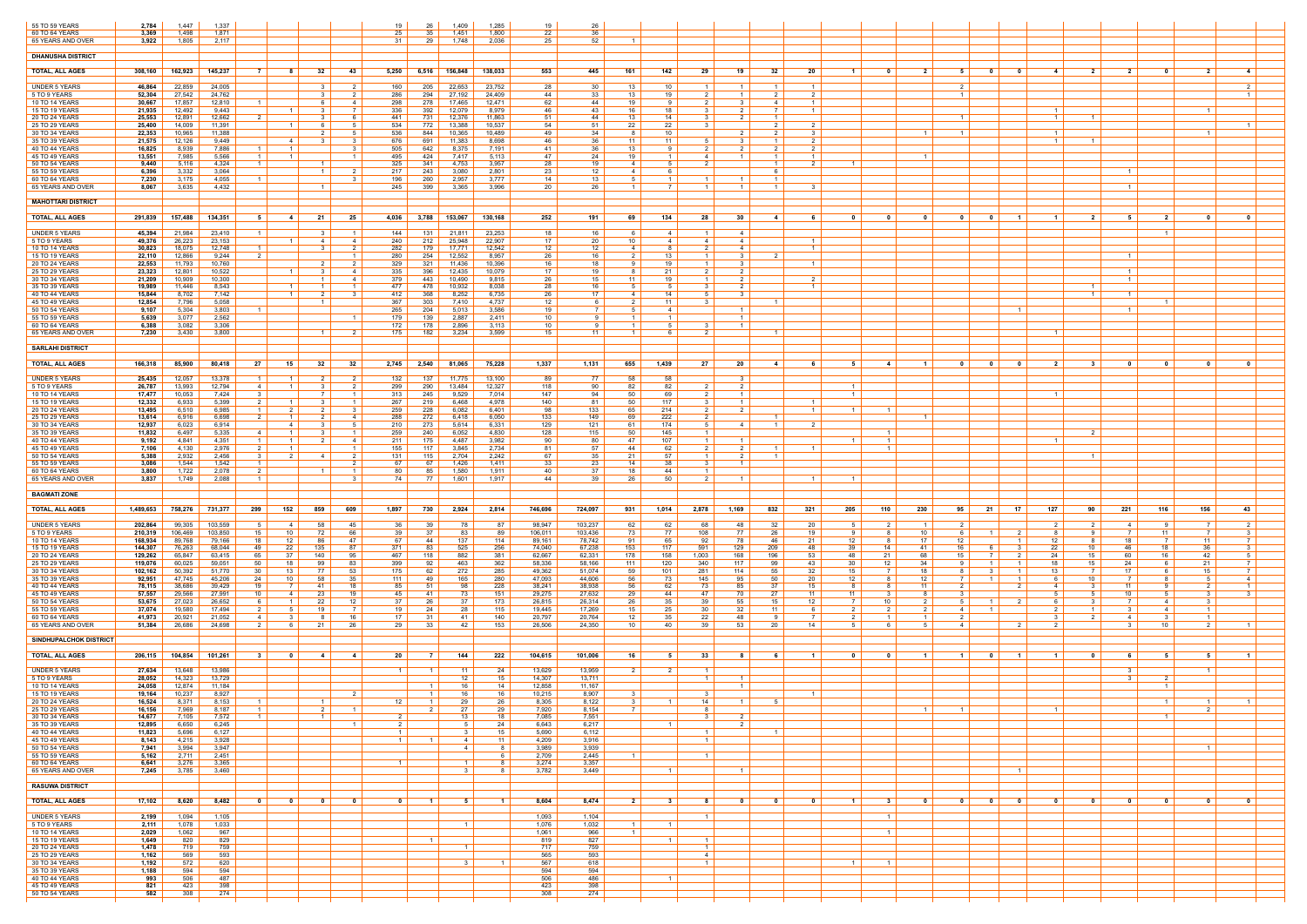| 55 TO 59 YEARS<br>60 TO 64 YEARS<br>65 YEARS AND OVER | 2,784<br>3,369<br>3,922  | 1.447<br>1,498<br>1,805 | 1.337<br>1,871<br>2.117 |                                                    |                                  |                                                 | 19<br>25<br>-31               | 26<br>35<br>-29  | 1,409<br>1,451<br>1.748 | 1,285<br>1,800<br>2.036 | 19<br>22<br>25    | 26<br>-36<br>52    |                  |                      |                                     |                                  |                                  |                                  |                       |                                  |                         |                                                     |                |                |                                   |                       |                      |                       |                     |
|-------------------------------------------------------|--------------------------|-------------------------|-------------------------|----------------------------------------------------|----------------------------------|-------------------------------------------------|-------------------------------|------------------|-------------------------|-------------------------|-------------------|--------------------|------------------|----------------------|-------------------------------------|----------------------------------|----------------------------------|----------------------------------|-----------------------|----------------------------------|-------------------------|-----------------------------------------------------|----------------|----------------|-----------------------------------|-----------------------|----------------------|-----------------------|---------------------|
| <b>DHANUSHA DISTRICT</b>                              |                          |                         |                         |                                                    |                                  |                                                 |                               |                  |                         |                         |                   |                    |                  |                      |                                     |                                  |                                  |                                  |                       |                                  |                         |                                                     |                |                |                                   |                       |                      |                       |                     |
| <b>TOTAL, ALL AGES</b>                                | 308,160                  | 162,923                 | 145,237                 | 7<br>- 8                                           | 32                               | - 43                                            | 5,250                         |                  | 6,516 156,848           | 138,033                 | 553               | 445                | 161              | 142                  | 29                                  | 19 I                             | - 32                             | 20                               | $\mathbf{1}$          | - 0                              | $\overline{2}$          | $\mathbf{0}$<br>51                                  | - 0            | -4             | $\overline{\mathbf{2}}$           | 2 I                   | $\mathbf{0}$         | $\overline{2}$        | $\overline{4}$      |
|                                                       |                          |                         |                         |                                                    |                                  |                                                 |                               |                  |                         |                         |                   |                    |                  |                      |                                     |                                  |                                  |                                  |                       |                                  |                         |                                                     |                |                |                                   |                       |                      |                       |                     |
| UNDER 5 YEARS<br>5 TO 9 YEARS                         | 46,864<br>52,304         | 22,859<br>27,542        | 24,005<br>24,762        |                                                    | 3<br>$\mathbf{3}$                | 2<br>$\mathcal{P}$                              | 160<br>286                    | 205<br>294       | 22,653<br>27.192        | 23,752<br>24,409        | 28<br>44          | 30<br>33           | 13<br>13         | 10<br>19             | $\overline{1}$<br>$\mathcal{D}$     | $\blacksquare$ 1<br>- 1 - I      | $\overline{1}$<br>$\mathcal{D}$  | $\overline{1}$<br>2              |                       |                                  |                         |                                                     |                |                |                                   |                       |                      |                       | 2<br>$\overline{1}$ |
| 10 TO 14 YEARS<br>15 TO 19 YEARS                      | 30,667<br>21,935         | 17,857<br>12,492        | 12,810<br>9,443         | $\overline{1}$                                     | 6<br>- 3                         | -4<br><sup>7</sup>                              | 298<br>336                    | 278<br>392       | 17,465<br>12,079        | 12,471<br>8,979         | 62<br>46          | 44<br>43           | 19<br>16         | -91<br>18            | $\mathbf{R}$                        | 3<br>2 I                         | 4<br><sup>7</sup>                | $\overline{1}$<br>$\overline{1}$ |                       |                                  |                         |                                                     |                | $\overline{1}$ |                                   |                       |                      | $\overline{1}$        |                     |
| 20 TO 24 YEARS<br>25 TO 29 YEARS                      | 25,553<br>25,400         | 12,891<br>14,009        | 12,662<br>11,391        | $\overline{2}$<br>$\overline{1}$                   | $\mathcal{R}$<br>-6              | -6                                              | 441<br>534                    | 731<br>772       | 12,376<br>13,388        | 11,863<br>10,537        | 51<br>54          | 44<br>51           | 13<br>22         | 14<br>22             | $\mathcal{R}$<br>- 3                | $\overline{2}$ 1                 | $\overline{1}$<br>2              | 2                                |                       |                                  |                         |                                                     |                | $\overline{1}$ | $\overline{1}$                    |                       |                      |                       |                     |
| 30 TO 34 YEARS<br>35 TO 39 YEARS                      | 22,353<br>21,575         | 10,965<br>12,126        | 11,388<br>9,449         | $\sim$ 4                                           | 2<br>$\mathbf{3}$                | $5 -$<br>3                                      | 536<br>676                    | 844<br>691       | 10,365<br>11,383        | 10,489<br>8,698         | 49<br>46          | 34<br>36           | 11               | 10<br>11             | - 5                                 | 2<br>3 I                         | -2<br>$\overline{1}$             | 3<br><sup>2</sup>                |                       |                                  |                         |                                                     |                | $\mathbf{1}$   | $\overline{1}$                    |                       |                      | - 1                   |                     |
| 40 TO 44 YEARS                                        | 16,825                   | 8,939                   | 7,886                   | $\overline{1}$                                     |                                  |                                                 | 505                           | 642              | 8,375                   | 7,191                   | -41               | 36                 | 13               | 91                   |                                     |                                  |                                  | 2                                |                       |                                  |                         |                                                     |                |                |                                   |                       |                      |                       |                     |
| 45 TO 49 YEARS<br>50 TO 54 YEARS                      | 13,551<br>9,440          | 7,985<br>5,116          | 5,566<br>4,324          | $\overline{1}$<br>$\overline{1}$                   | $\mathbf{1}$                     |                                                 | 495<br>325                    | 424<br>341       | 7,417<br>4,753          | 5,113<br>3,957          | 47<br>28          | 24<br>19           | 19<br>4          | $\overline{1}$<br>51 | $\mathbf{\Delta}$<br>-2             |                                  | $\overline{1}$<br>$\overline{1}$ | $\overline{1}$<br>2 I            | -1                    |                                  |                         |                                                     |                |                |                                   |                       |                      |                       |                     |
| 55 TO 59 YEARS<br>60 TO 64 YEARS                      | 6,396<br>7,230           | 3,332<br>3,175          | 3,064<br>4,055          |                                                    | $\overline{1}$                   |                                                 | 217<br>196                    | 243<br>260       | 3,080<br>2,957          | 2,801<br>3,777          | 23<br>14          | 12<br>13           | 4                | 61<br>$\mathbf{1}$   |                                     |                                  | -6                               |                                  |                       |                                  |                         |                                                     |                |                |                                   | $1 \vert$             |                      |                       |                     |
| 65 YEARS AND OVER                                     | 8.067                    | 3.635                   | 4,432                   |                                                    | $\overline{1}$                   |                                                 | 245                           | 399              | 3.365                   | 3.996                   | 20                | 26                 | $\overline{1}$   | 7 I                  | $\overline{1}$                      | $\overline{1}$                   | $\overline{1}$                   | 3                                |                       |                                  |                         |                                                     |                |                |                                   | $1 \vert$             |                      |                       |                     |
| <b>MAHOTTARI DISTRICT</b>                             |                          |                         |                         |                                                    |                                  |                                                 |                               |                  |                         |                         |                   |                    |                  |                      |                                     |                                  |                                  |                                  |                       |                                  |                         |                                                     |                |                |                                   |                       |                      |                       |                     |
| <b>TOTAL, ALL AGES</b>                                | 291,839                  | 157,488                 | 134,351                 | 5<br>4                                             | 21                               | 25                                              | 4,036                         |                  | 3,788 153,067           | 130,168                 | 252               | 191                | 69               | 134                  | 28                                  | 30                               | -41                              | - 6                              | $\mathbf{0}$          | 0                                | $\mathbf{0}$            | 0<br>0                                              | $\blacksquare$ |                | 2                                 | 51                    | $\overline{2}$       | $\mathbf{0}$          | $\mathbf{0}$        |
| <b>UNDER 5 YEARS</b>                                  | 45,394                   | 21,984                  | 23,410                  |                                                    | - 3                              | $\overline{1}$                                  | 144                           | 131              | 21,811                  | 23,253                  | 18                | 16                 |                  | 4                    | $\overline{1}$                      | 4 I                              |                                  |                                  |                       |                                  |                         |                                                     |                |                |                                   |                       | $\blacksquare$       |                       |                     |
| 5 TO 9 YEARS<br><b>10 TO 14 YEARS</b>                 | 49.376<br>30,823         | 26,223<br>18,075        | 23,153<br>12,748        | $\overline{1}$                                     | $\overline{4}$                   | 4 I                                             | 240<br>282                    | 212<br>179       | 25,948<br>17.771        | 22,907<br>12,542        | 17<br>12          | 20<br>12           | 10<br>4          | 4<br>8 I             | 4                                   | 41<br>4                          |                                  | $\overline{1}$<br>$\overline{1}$ |                       |                                  |                         |                                                     |                |                |                                   |                       |                      |                       |                     |
| 15 TO 19 YEARS<br>20 TO 24 YEARS                      | 22,110<br>22,553         | 12,866<br>11,793        | 9,244<br>10,760         | - 2                                                | 2                                | $\mathcal{P}$                                   | 280<br>329                    | 254<br>321       | 12,552<br>11,436        | 8,957<br>10,396         | 26<br>16          | 16<br>18           | - 9              | 13<br>19             | $\overline{1}$                      | 31<br>3 I                        |                                  | $\overline{1}$                   |                       |                                  |                         |                                                     |                |                |                                   | $\overline{1}$        |                      |                       |                     |
| 25 TO 29 YEARS<br>30 TO 34 YEARS                      | 23,323<br>21,209         | 12,801<br>10,909        | 10,522<br>10,300        | $\overline{1}$                                     | $\mathbf{3}$                     | -4<br>-4                                        | 335<br>379                    | 396<br>443       | 12,435<br>10,490        | 10,079<br>9,815         | 17<br>26          | 19<br>15           | -11              | 21<br>19             | $\mathcal{D}$                       | 2 I<br>2                         |                                  | 2                                |                       |                                  |                         |                                                     |                |                |                                   | 1  <br>$\overline{1}$ |                      |                       |                     |
| 35 TO 39 YEARS                                        | 19,989<br>15,844         | 11,446<br>8,702         | 8,543<br>7,142          | $\overline{1}$<br>$\overline{1}$                   | $\overline{1}$<br>2              | $\overline{1}$<br>- 3                           | 477<br>412                    | 478<br>368       | 10,932<br>8,252         | 8,038<br>6,735          | 28<br>26          | 16<br>17           | - 5<br>41        | 51<br>14             | -3<br>- 5                           | 2 I<br>- 3- I                    |                                  | $\overline{1}$                   |                       |                                  |                         |                                                     |                |                | $\overline{1}$<br>$\overline{1}$  | $1 \vert$             |                      |                       |                     |
| 40 TO 44 YEARS<br>45 TO 49 YEARS                      | 12,854                   | 7,796                   | 5,058                   |                                                    |                                  |                                                 | 367                           | 303              | 7.410                   | 4,737                   | 12                |                    |                  | 11                   |                                     |                                  | $\overline{1}$                   |                                  |                       |                                  |                         |                                                     |                |                |                                   |                       | $\blacksquare$       |                       |                     |
| 50 TO 54 YEARS<br>55 TO 59 YEARS                      | 9,107<br>5,639           | 5,304<br>3,077          | 3,803<br>2,562          |                                                    |                                  | $\overline{1}$                                  | 265<br>179                    | 204<br>139       | 5,013<br>2.887          | 3,586<br>2,411          | 19<br>10          | <b>Q</b>           |                  | 4<br>$1 \vert$       |                                     | - 1<br>$\blacksquare$ 1          |                                  |                                  |                       |                                  |                         |                                                     | - 1            |                |                                   |                       |                      |                       |                     |
| 60 TO 64 YEARS<br>65 YEARS AND OVER                   | 6,388<br>7,230           | 3,082<br>3,430          | 3,306<br>3,800          |                                                    |                                  | $\mathcal{P}$                                   | 172<br>175                    | 178<br>182       | 2,896<br>3,234          | 3,113<br>3,599          | 10<br>15          | - 11               |                  | 51<br>6              |                                     | $\overline{1}$                   | $\blacksquare$                   |                                  |                       |                                  |                         |                                                     |                |                |                                   |                       |                      |                       |                     |
| <b>SARLAHI DISTRICT</b>                               |                          |                         |                         |                                                    |                                  |                                                 |                               |                  |                         |                         |                   |                    |                  |                      |                                     |                                  |                                  |                                  |                       |                                  |                         |                                                     |                |                |                                   |                       |                      |                       |                     |
| <b>TOTAL, ALL AGES</b>                                | 166,318                  | 85,900                  | 80,418                  | 27<br>15                                           | 32                               | 32                                              | 2,745                         | 2,540            | 81,065                  | 75,228                  | 1,337             | 1,131              | 655              | 1,439                | 27                                  | 20                               | -4                               | 6                                | 5                     | -4                               | - 1 -                   | $\mathbf 0$<br>$\mathbf{0}$                         | 0              | 2              | - 3                               |                       | 0                    | 0                     |                     |
| <b>UNDER 5 YEARS</b>                                  | 25,435                   | 12,057                  | 13,378                  |                                                    |                                  |                                                 | 132                           | 137              | 11,775                  | 13,100                  | 89                | 77                 | 58               | 58                   |                                     |                                  |                                  |                                  |                       |                                  |                         |                                                     |                |                |                                   |                       |                      |                       |                     |
| 5 TO 9 YEARS                                          | 26,787                   | 13,993                  | 12,794                  | $\overline{4}$<br>$\overline{1}$                   | 3                                | 2                                               | 299                           | 290              | 13,484                  | 12,327                  | 118               | 90                 | 82               | 82                   | $\overline{2}$                      | 2 I                              |                                  |                                  |                       |                                  |                         |                                                     |                |                |                                   |                       |                      |                       |                     |
| 10 TO 14 YEARS<br>15 TO 19 YEARS                      | 17,477<br>12,332         | 10,053<br>6,933         | 7,424<br>5,399          | $\mathbf{R}$                                       | $\overline{7}$                   | $\overline{1}$                                  | 313<br>267                    | 245<br>219       | 9,529<br>6,468          | 7,014<br>4,978          | 147<br>140        | 94<br>81           | 50<br>50         | 69<br>117            |                                     | $\overline{1}$<br>$\overline{1}$ |                                  | $\overline{1}$                   | $\mathbf{1}$          |                                  |                         |                                                     |                | $\overline{1}$ |                                   |                       |                      |                       |                     |
| 20 TO 24 YEARS<br>25 TO 29 YEARS                      | 13,495<br>13,614         | 6,510<br>6,916          | 6,985<br>6,698          | 2<br>2<br>$\overline{1}$                           | 2<br>2                           | -3 I<br>-4                                      | 259<br>288                    | 228<br>272       | 6,082<br>6,418          | 6,401<br>6,050          | 98<br>133         | 133<br>149         | 65<br>69         | 214<br>222           | 21<br>2                             | 2 I                              | $\vert$ 1 $\vert$                | $1 \vert$                        | - 1 - I               | $\overline{1}$                   |                         |                                                     |                |                |                                   |                       |                      |                       |                     |
| 30 TO 34 YEARS<br>35 TO 39 YEARS                      | 12,937<br>11,832         | 6,023<br>6,497          | 6,914<br>5,335          | 4<br>4<br>$\overline{1}$                           | 3                                |                                                 | 210<br>259                    | 273<br>240       | 5,614<br>6,052          | 6,331<br>4,830          | 129<br>128        | 121<br>115         | -61<br>50        | 174<br>145           |                                     | $\overline{4}$                   | $\vert$ 1 $\vert$                | $\mathcal{L}$                    |                       |                                  |                         |                                                     |                |                | $\overline{2}$                    |                       |                      |                       |                     |
| 40 TO 44 YEARS<br>45 TO 49 YEARS                      | 9,192<br>7,106           | 4,841<br>4,130          | 4,351<br>2,976          | $\overline{1}$<br>$\overline{1}$<br>$\overline{1}$ | 2                                | -4<br>$\overline{1}$                            | 211<br>155                    | 175<br>117       | 4,487<br>3,845          | 3,982<br>2,734          | 90<br>81          | 80<br>57           | 47<br>44         | 107<br>62            | $\vert$ 1 $\vert$                   | - 1 - I                          | $\overline{1}$                   | $\vert$ 1 $\vert$                |                       | $\overline{1}$<br>$\overline{1}$ |                         |                                                     |                |                |                                   |                       |                      |                       |                     |
| 50 TO 54 YEARS                                        | 5,388                    | 2,932                   | 2,456                   | 2<br>3<br>$\overline{1}$                           | -4                               | 2<br>2 I                                        | 131<br>67                     | 115              | 2,704                   | 2,242                   | 67                | 35                 | 21               | 57<br>38             | $\mathcal{R}$                       |                                  |                                  |                                  |                       |                                  |                         |                                                     |                |                |                                   |                       |                      |                       |                     |
| 55 TO 59 YEARS<br>60 TO 64 YEARS                      | 3,086<br>3,800           | 1,544<br>1,722          | 1,542<br>2,078          | $\overline{2}$                                     | 1                                | $\overline{1}$                                  | 80                            | 67<br>85         | 1,426<br>1,580          | 1,411<br>1,911          | 33<br>40          | 23<br>37           | 14<br>18         | 44                   | $\overline{1}$                      | $\overline{1}$                   |                                  |                                  |                       |                                  |                         |                                                     |                |                |                                   |                       |                      |                       |                     |
| 65 YEARS AND OVER                                     | 3,837                    | 1,749                   | 2,088                   |                                                    |                                  |                                                 | 74                            | 77               | 1,601                   | 1,917                   | 44                | 39                 | 26               | 50                   |                                     |                                  |                                  | $\overline{1}$                   |                       |                                  |                         |                                                     |                |                |                                   |                       |                      |                       |                     |
| <b>BAGMATI ZONE</b>                                   |                          |                         |                         |                                                    |                                  |                                                 |                               |                  |                         |                         |                   |                    |                  |                      |                                     |                                  |                                  |                                  |                       |                                  |                         |                                                     |                |                |                                   |                       |                      |                       |                     |
| <b>TOTAL, ALL AGES</b>                                | 1,489,653                | 758,276                 | 731,377                 | 152<br>299                                         | 859                              | 609                                             | 1,897                         | 730              | 2,924                   | 2,814                   | 746,696           | 724,097            | 931              | 1,014                | 2,878                               | 1,169                            | 832                              | 321                              | 205                   | 110                              | 230                     | 95  <br>21                                          | 17             | 127            | 90                                | 221                   | 116                  | 156                   | 43                  |
| <b>UNDER 5 YEARS</b><br>5 TO 9 YEARS                  | 202,864<br>210,319       | 99,305<br>106,469       | 103,559<br>103,850      | 4<br>15<br>10 <sup>°</sup>                         | 58                               | 45<br>66                                        | 36<br>39                      | 39<br>-37        | 78<br>83                | 87<br>89                | 98,947<br>106,011 | 103,237<br>103,436 | 62<br>73         | 62<br>77             | 68<br>108                           | 48<br>77                         | 32<br>26                         | 20<br>19                         |                       |                                  | 10                      |                                                     |                |                | <b>Q</b>                          | 4 I                   | -9<br>11             |                       |                     |
| 10 TO 14 YEARS<br>15 TO 19 YEARS                      | 168,934<br>144,307       | 89,768<br>76,263        | 79,166<br>68,044        | 18<br>12<br>22<br>49                               | 86<br>135                        | 47<br>87                                        | 67<br>371                     | 44<br>83         | 137<br>525              | 114<br>256              | 89,161<br>74,040  | 78,742<br>67,238   | 91<br>153        | 65<br>117            | 92<br>591                           | 78  <br>129                      | -46<br>209                       | 21<br>48                         | 12<br>39              | -8<br>14                         | 17<br>41                | 12<br>16                                            |                | 12<br>22       | 8<br>10 <sup>1</sup>              | 18<br>46              | 7<br>18              | 11<br>36              | 7                   |
| 20 TO 24 YEARS                                        | 129,262                  | 65,847                  | 63,415                  | 65<br>37                                           | 140                              | 95                                              | 467                           | 118              | 882                     | 381                     | 62,667            | 62,331             | 178              | 158                  | 1,003                               | 168                              | 196                              | 53                               | 48                    | 21                               | 68                      | 15                                                  |                | 24             | 15                                | 60                    | 16                   | 42                    | .5                  |
| 25 TO 29 YEARS<br>30 TO 34 YEARS                      | 119,076<br>102,162       | 60,025<br>50,392        | 59,051<br>51,770        | 50<br>18<br>13<br>30                               | 99<br>77                         | 83<br>53                                        | 399<br>175                    | 92<br>62         | 463<br>272              | 362<br>285              | 58,336<br>49,362  | 58,166<br>51,074   | 111<br>59        | 120<br>101           | 340<br>281                          | 117<br>114                       | 99<br>55                         | 43<br>32                         | 30<br>15              | 12 <sup>2</sup><br>7             | 34<br>18                |                                                     | $\overline{1}$ | 18<br>13       | 15<br><b>7</b>                    | 24<br>17              | -6<br>-6             | 21<br>15              | 7                   |
| 35 TO 39 YEARS<br>40 TO 44 YEARS                      | 92,951<br>78,115         | 47,745<br>38,686        | 45,206<br>39,429        | 24<br>10 <sup>°</sup><br>19<br>$\overline{7}$      | 58<br>41                         | 35<br>18                                        | 111<br>85                     | 49<br>-51        | 165<br>98               | 280<br>228              | 47,093<br>38,241  | 44,606<br>38,938   | 56<br>56         | 73<br>62             | 145<br>73                           | 95<br>85                         | 50<br>37                         | 20<br>15                         | 12 <sup>12</sup><br>8 | - 8                              | 12<br>11                |                                                     | $\overline{2}$ | 4              | 10 <sup>1</sup><br>3 <sup>1</sup> | 11                    | -9                   | 2                     | $\overline{4}$      |
| 45 TO 49 YEARS<br>50 TO 54 YEARS                      | 57,557<br>53,675         | 29,566<br>27,023        | 27,991<br>26,652        | 10<br>4<br>$\overline{1}$                          | 23<br>22                         | 19<br>12                                        | 45<br>37                      | 41<br>26         | 73<br>37                | 151<br>173              | 29,275<br>26,815  | 27,632<br>26,314   | 29<br>26         | 44<br>35             | 47<br>39                            | 70<br>55                         | -27<br>15 <sup>15</sup>          | 11<br>12                         | 11                    | -3<br>10 <sup>1</sup>            |                         |                                                     |                |                | -5                                | 10 <sup>1</sup>       | -5<br>$\overline{4}$ | 3<br>$\mathcal{R}$    |                     |
| 55 TO 59 YEARS<br>60 TO 64 YEARS                      | 37,074<br>41,973         | 19,580<br>20,921        | 17,494<br>21,052        | -5<br>$\overline{4}$<br>- 3                        | 19<br>8                          | 16                                              | 19<br>17                      | 24<br>- 31       | 28<br>-41               | 115<br>140              | 19,445<br>20,797  | 17,269<br>20,764   | 15<br>12         | 25<br>35             | 30<br>22                            | 32<br>48                         | 11<br><b>Q</b>                   | 6<br>7                           | $\mathcal{P}$         | $\mathbf{1}$                     |                         | -4 I                                                |                |                |                                   | 4                     | -4<br>- 3            | 1 1<br>$\overline{1}$ |                     |
| 65 YEARS AND OVER                                     | 51,384                   | 26,686                  | 24,698                  | 2<br>6                                             | 21                               | 26                                              | 29                            | 33               | 42                      | 153                     | 26,506            | 24,350             | 10               | 40                   | 39                                  | 53                               | 20                               | 14                               | 5                     | - 6                              |                         | 4                                                   |                | $\mathcal{P}$  |                                   |                       | 10                   | 2 I                   |                     |
| <b>SINDHUPALCHOK DISTRICT</b>                         |                          |                         |                         |                                                    |                                  |                                                 |                               |                  |                         |                         |                   |                    |                  |                      |                                     |                                  |                                  |                                  |                       |                                  |                         |                                                     |                |                |                                   |                       |                      |                       |                     |
| <b>TOTAL, ALL AGES</b>                                | 206,115                  | 104,854                 | 101,261                 | - 3<br>0                                           | -4                               | -4                                              | 20                            |                  | 144                     | 222                     | 104,615           | 101,006            | 16               | 51                   | 33                                  |                                  | - 6                              | $\overline{\mathbf{1}}$          |                       | - 0                              |                         | $\mathbf{0}$                                        |                |                | $\mathbf{0}$                      |                       | -5                   |                       |                     |
| <b>UNDER 5 YEARS</b>                                  | 27,634                   | 13,648                  | 13,986                  |                                                    |                                  |                                                 | 1 <sup>1</sup>                |                  | $-11$                   | 24                      | 13,629            | 13,959             | 2 I              | 2 I                  | $\overline{1}$                      |                                  |                                  |                                  |                       |                                  |                         |                                                     |                |                |                                   | $\mathcal{R}$         |                      | $\overline{1}$        |                     |
| 5 TO 9 YEARS<br><b>10 TO 14 YEARS</b>                 | 28,052<br>24,058         | 14,323<br>12,874        | 13,729<br>11,184        |                                                    |                                  |                                                 |                               |                  | 12 <sup>12</sup><br>16  | 15<br>14                | 14,307<br>12,858  | 13,711<br>11,167   |                  |                      |                                     |                                  |                                  |                                  |                       |                                  |                         |                                                     |                |                |                                   |                       | -1                   |                       |                     |
| 15 TO 19 YEARS<br>20 TO 24 YEARS                      | 19,164<br>16,524         | 10,237<br>8,371         | 8,927<br>8,153          |                                                    |                                  | $\mathcal{P}$                                   | 12                            |                  | 16<br>29                | 16<br>26                | 10,215<br>8,305   | 8,907<br>8,122     |                  | 1 <sup>1</sup>       | 14                                  |                                  |                                  | $\overline{1}$                   |                       |                                  |                         |                                                     |                |                |                                   |                       | $\overline{1}$       |                       |                     |
| 25 TO 29 YEARS<br>30 TO 34 YEARS                      | 16,156 $\vert$<br>14,677 | 7,969<br>7,105          | 8,187<br>7,572          | $1 \vert$<br>1 I                                   | $\overline{2}$<br>$\overline{1}$ | $\left  \begin{array}{c} 1 \end{array} \right $ | 2 I                           | $2 \mid$         | 27<br>13                | 29<br>18                | 7,920<br>7,085    | 8,154<br>7,551     | 7 <sup>1</sup>   |                      | 8<br>$\overline{\mathbf{3}}$        | 2 I                              |                                  |                                  |                       |                                  | $\overline{1}$          |                                                     |                | $\overline{1}$ |                                   |                       | $\overline{1}$       | 2 <sup>1</sup>        |                     |
| 35 TO 39 YEARS<br>40 TO 44 YEARS                      | 12,895<br>11,823         | 6,650<br>5,696          | 6,245<br>6,127          |                                                    |                                  | $\overline{\mathbf{1}}$                         | $2 \mid$<br>$\vert$ 1 $\vert$ |                  |                         | 24<br>15                | 6,643<br>5,690    | 6,217<br>6,112     |                  | 1 <sup>1</sup>       | -1                                  |                                  | $\overline{1}$                   |                                  |                       |                                  |                         |                                                     |                |                |                                   |                       |                      |                       |                     |
| 45 TO 49 YEARS                                        | 8,143                    | 4,215                   | 3,928                   |                                                    |                                  |                                                 | $1 \mid$                      |                  | $\overline{4}$          | 11                      | 4,209             | 3,916              |                  |                      | $\overline{1}$                      |                                  |                                  |                                  |                       |                                  |                         |                                                     |                |                |                                   |                       |                      |                       |                     |
| 50 TO 54 YEARS<br>55 TO 59 YEARS                      | 7,941<br>5,162           | 3,994<br>2,711          | 3,947<br>2,451          |                                                    |                                  |                                                 |                               |                  | 4                       | - 8<br>- 6              | 3,989<br>2,709    | 3,939<br>2,445     |                  |                      | $\overline{1}$                      |                                  |                                  |                                  |                       |                                  |                         |                                                     |                |                |                                   |                       |                      | $\overline{1}$        |                     |
| 60 TO 64 YEARS<br>65 YEARS AND OVER                   | 6,641<br>7,245           | 3,276<br>3,785          | 3,365<br>3,460          |                                                    |                                  |                                                 | $\overline{1}$                |                  | $\mathcal{R}$           | - 8<br>- 8              | 3,274<br>3,782    | 3,357<br>3,449     |                  | $\vert$ 1 $\vert$    |                                     | $\overline{1}$                   |                                  |                                  |                       |                                  |                         |                                                     | $-1$           |                |                                   |                       |                      |                       |                     |
| <b>RASUWA DISTRICT</b>                                |                          |                         |                         |                                                    |                                  |                                                 |                               |                  |                         |                         |                   |                    |                  |                      |                                     |                                  |                                  |                                  |                       |                                  |                         |                                                     |                |                |                                   |                       |                      |                       |                     |
| <b>TOTAL, ALL AGES</b>                                | 17,102                   | 8,620                   | 8,482                   | $\overline{\mathbf{0}}$<br>$\overline{\mathbf{0}}$ | $\overline{\mathbf{0}}$          | $\overline{\mathbf{0}}$                         | $\overline{\phantom{0}}$      | $\blacksquare$ 1 | 5.                      | $\blacksquare$          | 8,604             | 8,474              | 2 <sup>1</sup>   | $3 \mid$             | - 8                                 | $\overline{\mathbf{0}}$          | $\overline{\mathbf{0}}$          | $\overline{\mathbf{0}}$          | $\overline{1}$        | $\overline{\mathbf{3}}$          | $\overline{\mathbf{0}}$ | $\overline{\mathbf{0}}$<br>$\overline{\phantom{0}}$ | $\bullet$      | $\mathbf{0}$   | $\overline{\mathbf{0}}$           | $\overline{0}$        | $\mathbf{0}$         | $\mathbf{0}$          | $\mathbf{0}$        |
|                                                       |                          |                         |                         |                                                    |                                  |                                                 |                               |                  |                         |                         |                   |                    |                  |                      | $\overline{1}$                      |                                  |                                  |                                  |                       |                                  |                         |                                                     |                |                |                                   |                       |                      |                       |                     |
| <b>UNDER 5 YEARS</b><br>5 TO 9 YEARS                  | 2,199<br>2,111           | 1,094<br>1,078          | 1,105<br>1,033          |                                                    |                                  |                                                 |                               |                  | $\blacksquare$          |                         | 1,093<br>1,076    | 1,104<br>1,032     | $\blacksquare$ 1 | $1 \mid$             |                                     |                                  |                                  |                                  |                       | $\vert$ 1 $\vert$                |                         |                                                     |                |                |                                   |                       |                      |                       |                     |
| 10 TO 14 YEARS<br>15 TO 19 YEARS                      | 2,029<br>1,649           | 1,062<br>820            | 967<br>829              |                                                    |                                  |                                                 |                               |                  |                         |                         | 1,061<br>819      | 966<br>827         |                  | $1 \mid$             | $\overline{1}$                      |                                  |                                  |                                  |                       | $\overline{1}$                   |                         |                                                     |                |                |                                   |                       |                      |                       |                     |
| 20 TO 24 YEARS<br>25 TO 29 YEARS                      | 1,478<br>1,162           | 719<br>569              | 759<br>593              |                                                    |                                  |                                                 |                               |                  | $\overline{1}$          |                         | 717<br>565        | 759<br>593         |                  |                      | $\vert$ 1 $\vert$<br>$\overline{4}$ |                                  |                                  |                                  |                       |                                  |                         |                                                     |                |                |                                   |                       |                      |                       |                     |
| 30 TO 34 YEARS<br>35 TO 39 YEARS                      | 1,192<br>1,188           | 572<br>594              | 620<br>594              |                                                    |                                  |                                                 |                               |                  | - 3                     | $\blacksquare$          | 567<br>594        | 618<br>594         |                  |                      | $\overline{1}$                      |                                  |                                  |                                  | $\overline{1}$        | $\overline{1}$                   |                         |                                                     |                |                |                                   |                       |                      |                       |                     |
| 40 TO 44 YEARS<br>45 TO 49 YEARS                      | 993<br>821               | 506<br>423              | 487<br>398              |                                                    |                                  |                                                 |                               |                  |                         |                         | 506<br>423        | 486<br>398         |                  | $\overline{1}$       |                                     |                                  |                                  |                                  |                       |                                  |                         |                                                     |                |                |                                   |                       |                      |                       |                     |
| 50 TO 54 YEARS                                        | 582                      | 308                     | 274                     |                                                    |                                  |                                                 |                               |                  |                         |                         | 308               | 274                |                  |                      |                                     |                                  |                                  |                                  |                       |                                  |                         |                                                     |                |                |                                   |                       |                      |                       |                     |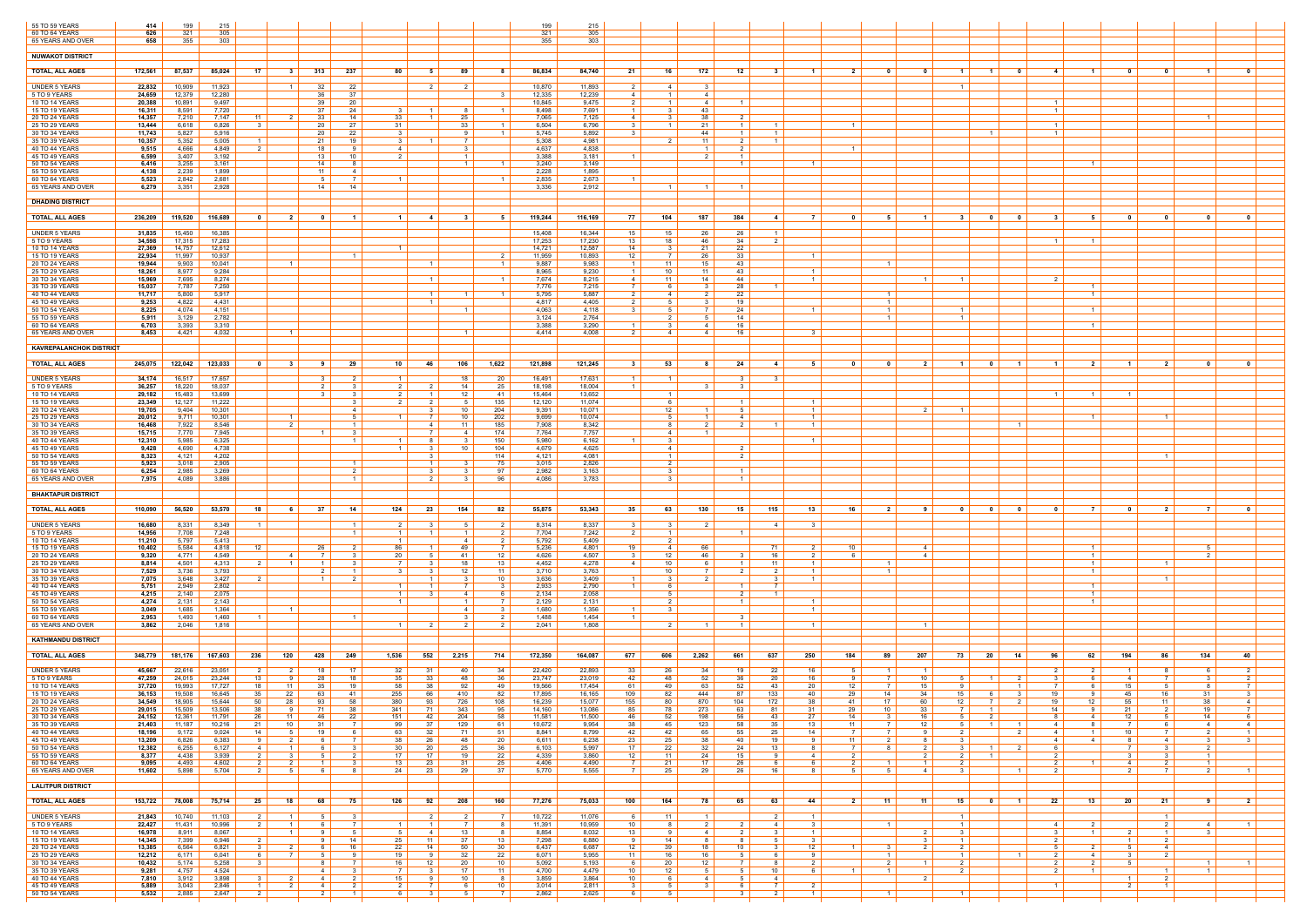| 55 TO 59 YEARS<br>60 TO 64 YEARS     | 414<br>626       | 199<br>321       | 215<br>305       |                                                                               |                     |                   |                                |              |                      |                       | 199<br>321       | 215<br>305       |                       |                            |                                |                                           |                        |                                     |                                  |                     |                                  |                                                            |                                |                                     |                               |                                                    |                            |                     |
|--------------------------------------|------------------|------------------|------------------|-------------------------------------------------------------------------------|---------------------|-------------------|--------------------------------|--------------|----------------------|-----------------------|------------------|------------------|-----------------------|----------------------------|--------------------------------|-------------------------------------------|------------------------|-------------------------------------|----------------------------------|---------------------|----------------------------------|------------------------------------------------------------|--------------------------------|-------------------------------------|-------------------------------|----------------------------------------------------|----------------------------|---------------------|
| 65 YEARS AND OVER                    | 658              | 355              | 303              |                                                                               |                     |                   |                                |              |                      |                       | 355              | 303              |                       |                            |                                |                                           |                        |                                     |                                  |                     |                                  |                                                            |                                |                                     |                               |                                                    |                            |                     |
| <b>NUWAKOT DISTRICT</b>              |                  |                  |                  |                                                                               |                     |                   |                                |              |                      |                       |                  |                  |                       |                            |                                |                                           |                        |                                     |                                  |                     |                                  |                                                            |                                |                                     |                               |                                                    |                            |                     |
| <b>TOTAL, ALL AGES</b>               | 172,561          | 87,537           | 85,024           | 17<br>31                                                                      | 313                 | 237               | 80                             | -5           | 89                   | -8                    | 86,834           | 84,740           | 21                    | 16                         | 172                            | 12                                        | $\blacksquare$<br>- 3  | $\mathbf{2}$                        | $\mathbf{0}$                     |                     |                                  | - 0<br>$\blacksquare$                                      | $\mathbf{A}$                   | $\blacksquare$                      |                               | - 0                                                | $\mathbf 1$                | n.                  |
|                                      |                  | 10,909           |                  | $\overline{1}$                                                                | 32                  |                   |                                |              |                      |                       |                  |                  | - 2                   |                            | $\mathbf{3}$                   |                                           |                        |                                     |                                  |                     |                                  |                                                            |                                |                                     |                               |                                                    |                            |                     |
| UNDER 5 YEARS<br>5 TO 9 YEARS        | 22,832<br>24,659 | 12,379           | 11,923<br>12,280 |                                                                               | -36                 | 22<br>37          |                                |              |                      |                       | 10,870<br>12,335 | 11,893<br>12,239 | 4                     | 4<br>- 1 I                 | $\overline{4}$                 |                                           |                        |                                     |                                  |                     |                                  |                                                            |                                |                                     |                               |                                                    |                            |                     |
| 10 TO 14 YEARS<br>15 TO 19 YEARS     | 20,388<br>16,311 | 10,891<br>8,591  | 9,497<br>7,720   |                                                                               | 39<br>37            | 20<br>24          | $\mathbf{B}$                   |              |                      |                       | 10,845<br>8,498  | 9,475<br>7,691   | 2                     | $1 \mid$<br>3 <sub>1</sub> | 4<br>43                        | $\overline{1}$                            |                        |                                     |                                  |                     |                                  |                                                            | $\mathbf{1}$<br>$\overline{1}$ |                                     |                               |                                                    |                            |                     |
| 20 TO 24 YEARS<br>25 TO 29 YEARS     | 14,357<br>13,444 | 7,210<br>6,618   | 7,147<br>6,826   | - 11<br>- 2<br>- 3                                                            | 33<br>20            | 14<br>27          | 33<br>31                       |              | 25<br>33             |                       | 7,065<br>6,504   | 7,125<br>6,796   | 4                     | 3 I<br>$\overline{1}$      | 38<br>-21                      | 2 <sub>1</sub><br>$\overline{1}$          | $\overline{1}$         |                                     |                                  |                     |                                  |                                                            |                                |                                     |                               |                                                    | - 1                        |                     |
| 30 TO 34 YEARS                       | 11,743           | 5,827            | 5,916            |                                                                               | 20                  | 22                | - 3                            |              |                      |                       | 5,745            | 5,892            |                       |                            | 44                             |                                           | $\overline{1}$         |                                     |                                  |                     |                                  |                                                            | $\overline{1}$                 |                                     |                               |                                                    |                            |                     |
| 35 TO 39 YEARS<br>40 TO 44 YEARS     | 10,357<br>9,515  | 5,352<br>4,666   | 5,005<br>4,849   | $\overline{2}$                                                                | 21<br>18            | 19<br>-9          | 3 I<br>4                       |              |                      |                       | 5,308<br>4,637   | 4,981<br>4,838   |                       | 2 I                        | -11<br>$\overline{1}$          | 2 I<br>$\mathcal{P}$                      | $\overline{1}$         |                                     |                                  |                     |                                  |                                                            |                                |                                     |                               |                                                    |                            |                     |
| 45 TO 49 YEARS<br>50 TO 54 YEARS     | 6,599<br>6,416   | 3,407<br>3,255   | 3,192<br>3,161   |                                                                               | 13<br>14            | 10<br>-8          | 2                              |              |                      | - 1                   | 3,388<br>3,240   | 3,181<br>3,149   |                       |                            |                                | $\overline{\mathbf{1}}$<br>$\blacksquare$ |                        | $\overline{1}$                      |                                  |                     |                                  |                                                            |                                | $\overline{1}$                      |                               |                                                    |                            |                     |
| 55 TO 59 YEARS<br>60 TO 64 YEARS     | 4,138<br>5,523   | 2,239<br>2,842   | 1,899<br>2,681   |                                                                               | 11<br>-5            | 4<br>7            | $\overline{1}$                 |              |                      |                       | 2,228<br>2,835   | 1,895<br>2,673   |                       |                            |                                |                                           |                        |                                     |                                  |                     |                                  |                                                            |                                |                                     |                               |                                                    |                            |                     |
| 65 YEARS AND OVER                    | 6,279            | 3,351            | 2,928            |                                                                               | 14                  | 14                |                                |              |                      |                       | 3,336            | 2,912            |                       | $\blacksquare$ 1           | $\blacksquare$ 1               | - 1                                       |                        |                                     |                                  |                     |                                  |                                                            |                                |                                     |                               |                                                    |                            |                     |
| <b>DHADING DISTRICT</b>              |                  |                  |                  |                                                                               |                     |                   |                                |              |                      |                       |                  |                  |                       |                            |                                |                                           |                        |                                     |                                  |                     |                                  |                                                            |                                |                                     |                               |                                                    |                            |                     |
| <b>TOTAL, ALL AGES</b>               | 236,209          | 119,520          | 116,689          | $\overline{2}$<br>- 0                                                         | ົດ                  | - 1 -             | $\overline{1}$                 | -4           |                      | - 5                   | 119,244          | 116,169          | 77                    | 104                        | 187                            | 384                                       | 4                      | <b>7</b>                            | -5                               | $\mathbf{1}$        | $\mathbf{3}$                     | $\mathbf{0}$<br>0                                          | $\mathbf{R}$                   | 5                                   |                               | 0                                                  | n                          | $\mathbf{a}$        |
|                                      |                  |                  |                  |                                                                               |                     |                   |                                |              |                      |                       |                  |                  |                       |                            |                                |                                           | $\overline{1}$         |                                     |                                  |                     |                                  |                                                            |                                |                                     |                               |                                                    |                            |                     |
| <b>UNDER 5 YEARS</b><br>5 TO 9 YEARS | 31,835<br>34,598 | 15,450<br>17,315 | 16,385<br>17,283 |                                                                               |                     |                   |                                |              |                      |                       | 15,408<br>17,253 | 16,344<br>17,230 | 15<br>13              | 15<br>18                   | -26<br>46                      | 26<br>- 34                                |                        |                                     |                                  |                     |                                  |                                                            | $\overline{1}$                 | $\blacksquare$                      |                               |                                                    |                            |                     |
| 10 TO 14 YEARS<br>15 TO 19 YEARS     | 27,369<br>22,934 | 14,757<br>11,997 | 12,612<br>10,937 |                                                                               |                     | $\blacksquare$    | $\overline{1}$                 |              |                      | - 2                   | 14,721<br>11,959 | 12,587<br>10,893 | 14<br>12              | 31<br>7 I                  | 21<br>26                       | 22<br>33                                  |                        | $\overline{1}$                      |                                  |                     |                                  |                                                            |                                |                                     |                               |                                                    |                            |                     |
| 20 TO 24 YEARS<br>25 TO 29 YEARS     | 19,944<br>18,261 | 9,903<br>8,977   | 10,041<br>9,284  | $\overline{1}$                                                                |                     |                   |                                |              |                      |                       | 9,887<br>8,965   | 9,983<br>9,230   | $\overline{1}$        | 11<br>10                   | 15<br>11                       | 43<br>43                                  |                        | $\overline{1}$                      | $\blacksquare$                   |                     |                                  |                                                            |                                |                                     |                               |                                                    |                            |                     |
| 30 TO 34 YEARS                       | 15,969           | 7,695            | 8,274            |                                                                               |                     |                   |                                |              |                      | - 1                   | 7,674            | 8,215            | 41                    | 11                         | 14                             | 44                                        |                        | $\overline{1}$                      |                                  | $\overline{1}$      |                                  |                                                            | $\overline{2}$                 | $\overline{1}$                      |                               |                                                    |                            |                     |
| 35 TO 39 YEARS<br>40 TO 44 YEARS     | 15,037<br>11,717 | 7,787<br>5,800   | 7,250<br>5,917   |                                                                               |                     |                   |                                |              |                      | - 1                   | 7,776<br>5,795   | 7,215<br>5,887   | 2                     | 6 I<br>4 I                 | $\overline{2}$                 | 28<br>22                                  |                        |                                     | $\overline{1}$                   |                     |                                  |                                                            |                                | $\vert$ 1 $\vert$                   |                               |                                                    |                            |                     |
| 45 TO 49 YEARS<br>50 TO 54 YEARS     | 9,253<br>8,225   | 4,822<br>4,074   | 4,431<br>4,151   |                                                                               |                     |                   |                                |              |                      |                       | 4,817<br>4,063   | 4,405<br>4,118   | - 2                   | 51<br>5                    | $\mathbf{3}$                   | 19<br>24                                  | $\overline{1}$         |                                     | $\overline{1}$<br>$\overline{1}$ |                     |                                  |                                                            |                                | $\overline{1}$                      |                               |                                                    |                            |                     |
| 55 TO 59 YEARS<br>60 TO 64 YEARS     | 5,911<br>6,703   | 3,129<br>3,393   | 2,782<br>3,310   |                                                                               |                     |                   |                                |              |                      |                       | 3,124<br>3,388   | 2,764<br>3,290   |                       | 2 I<br>3                   | .5<br>4                        | 14<br>16                                  |                        |                                     | $\vert$ 1 $\vert$                |                     |                                  |                                                            |                                | $\overline{1}$                      |                               |                                                    |                            |                     |
| 65 YEARS AND OVER                    | 8,453            | 4,421            | 4,032            | $\overline{1}$                                                                |                     |                   |                                |              |                      |                       | 4.414            | 4,008            |                       | 4                          | $\overline{4}$                 | 16                                        |                        | 3                                   |                                  |                     |                                  |                                                            |                                |                                     |                               |                                                    |                            |                     |
| <b>KAVREPALANCHOK DISTRICT</b>       |                  |                  |                  |                                                                               |                     |                   |                                |              |                      |                       |                  |                  |                       |                            |                                |                                           |                        |                                     |                                  |                     |                                  |                                                            |                                |                                     |                               |                                                    |                            |                     |
| <b>TOTAL, ALL AGES</b>               | 245,075          | 122,042          | 123,033          | $\mathbf{0}$<br>-31                                                           | -9                  | 29                | 10                             | 46           | 106                  | 1,622                 | 121,898          | 121,245          |                       | 53                         |                                | 24                                        | -4                     |                                     | - 0                              |                     |                                  | 0<br>$\mathbf{1}$                                          |                                | -2                                  |                               |                                                    |                            |                     |
| <b>UNDER 5 YEARS</b>                 | 34,174           | 16,517           | 17,657           |                                                                               | 3                   | $\overline{2}$    | $\overline{1}$                 |              | 18                   | 20                    | 16,491           | 17,631           |                       | $\overline{1}$             |                                | -3 I                                      | $\mathbf{R}$           |                                     |                                  |                     |                                  |                                                            |                                |                                     |                               |                                                    |                            |                     |
| 5 TO 9 YEARS                         | 36,257           | 18,220           | 18,037           |                                                                               | 2                   |                   | 2 I                            |              | 14                   | 25                    | 18,198           | 18,004           |                       |                            |                                | - 3                                       |                        |                                     |                                  |                     |                                  |                                                            |                                |                                     |                               |                                                    |                            |                     |
| 10 TO 14 YEARS<br>15 TO 19 YEARS     | 29,182<br>23,349 | 15,483<br>12,127 | 13,699<br>11,222 |                                                                               |                     | 3                 | $\mathcal{P}$<br>2 I           | 2            | 12<br>-5             | -41<br>135            | 15,464<br>12,120 | 13,652<br>11,074 |                       | $\overline{1}$<br>6        |                                | $\overline{1}$                            |                        | $\overline{1}$                      |                                  |                     |                                  |                                                            | $\overline{1}$                 | $\overline{1}$                      | $\overline{1}$                |                                                    |                            |                     |
| 20 TO 24 YEARS<br>25 TO 29 YEARS     | 19,705<br>20,012 | 9,404<br>9,711   | 10,301<br>10,301 | $\overline{1}$                                                                |                     | 41                | $\mathbf{1}$                   |              | 10<br>10             | 204<br>202            | 9,391<br>9,699   | 10,071<br>10,074 |                       | 12 <sup>1</sup><br>51      | $\overline{1}$<br>$\mathbf{1}$ | 51<br>4                                   |                        | $\vert$ 1 $\vert$<br>$\overline{1}$ |                                  |                     |                                  |                                                            |                                | $\overline{1}$                      |                               | $\blacksquare$                                     |                            |                     |
| 30 TO 34 YEARS                       | 16,468           | 7,922            | 8,546            | 2                                                                             |                     | $\overline{1}$    |                                | 4            | 11                   | 185                   | 7,908            | 8,342            |                       | 8                          | $\overline{2}$                 | 2 I                                       | $\overline{1}$         | $\overline{1}$                      |                                  |                     |                                  | $1 \mid$                                                   |                                |                                     |                               |                                                    |                            |                     |
| 35 TO 39 YEARS<br>40 TO 44 YEARS     | 15,715<br>12,310 | 7,770<br>5,985   | 7,945<br>6,325   |                                                                               |                     | $\mathcal{R}$     |                                |              | 4                    | 174<br>150            | 7,764<br>5,980   | 7,757<br>6,162   |                       | 4<br>3                     | $\overline{1}$                 |                                           |                        | $\overline{1}$                      |                                  |                     |                                  |                                                            |                                |                                     |                               |                                                    |                            |                     |
| 45 TO 49 YEARS<br>50 TO 54 YEARS     | 9,428<br>8,323   | 4,690<br>4,121   | 4,738<br>4,202   |                                                                               |                     |                   | 1 <sup>1</sup>                 | - 3          | 10                   | 104<br>114            | 4,679<br>4,121   | 4,625<br>4,081   |                       | 4<br>$1 \vert$             |                                | 2 <sup>1</sup><br>2 I                     |                        |                                     |                                  |                     |                                  |                                                            |                                |                                     |                               | $\overline{1}$                                     |                            |                     |
| 55 TO 59 YEARS<br>60 TO 64 YEARS     | 5,923<br>6,254   | 3,018<br>2,985   | 2,905<br>3,269   |                                                                               |                     |                   |                                |              |                      | 75<br>97              | 3,015<br>2,982   | 2,826<br>3,163   |                       | 2<br>3                     |                                | $\overline{1}$                            |                        |                                     |                                  |                     |                                  |                                                            |                                |                                     |                               |                                                    |                            |                     |
| 65 YEARS AND OVER                    | 7,975            | 4,089            | 3,886            |                                                                               |                     | $\overline{1}$    |                                |              |                      | 96                    | 4,086            | 3,783            |                       | 31                         |                                | $\overline{1}$                            |                        |                                     |                                  |                     |                                  |                                                            |                                |                                     |                               |                                                    |                            |                     |
| <b>BHAKTAPUR DISTRICT</b>            |                  |                  |                  |                                                                               |                     |                   |                                |              |                      |                       |                  |                  |                       |                            |                                |                                           |                        |                                     |                                  |                     |                                  |                                                            |                                |                                     |                               |                                                    |                            |                     |
| <b>TOTAL, ALL AGES</b>               | 110,090          | 56,520           | 53,570           | 18                                                                            | - 37 I<br>61        | 14                | 124                            | 23           | 154                  | 82                    | 55,875           | 53,343           | - 35 I                | 63                         | 130                            | 15 <sup>1</sup>                           | 115                    | 13<br>16                            | 2 I                              | -9                  | $\overline{0}$                   | $\overline{\mathbf{0}}$<br>$\overline{\mathbf{0}}$         | $\mathbf{0}$                   | - 7 I                               | $\overline{\mathbf{0}}$       | $\overline{2}$                                     | 7 <sup>1</sup>             | $\mathbf{0}$        |
| UNDER 5 YEARS                        | 16,680           | 8,331            | 8,349            | $\overline{1}$                                                                |                     | 1                 | 2 I                            | - 3          |                      | 2 I                   | 8,314            | 8,337            | - 3 I                 | 31                         | 2                              |                                           | -4                     | 3                                   |                                  |                     |                                  |                                                            |                                |                                     |                               |                                                    |                            |                     |
| 5 TO 9 YEARS<br>10 TO 14 YEARS       | 14,956<br>11,210 | 7,708<br>5,797   | 7,248<br>5,413   |                                                                               |                     | $\vert$ 1 $\vert$ | $1 \mid$<br>$\mathbf{1}$       |              | 4                    | 2<br>2                | 7,704<br>5,792   | 7,242<br>5,409   | 2                     | $1 \vert$<br>2 I           |                                | $\overline{1}$                            |                        |                                     |                                  |                     |                                  |                                                            |                                |                                     |                               |                                                    |                            |                     |
| 15 TO 19 YEARS                       | 10,402           | 5,584            | 4,818            | 12                                                                            | 26                  | $\mathcal{P}$     | 86                             |              | -49                  | 7                     | 5,236            | 4,801            | 19                    | 4 I                        | 66                             |                                           | 71                     | 2<br>10                             |                                  | $\overline{A}$      |                                  |                                                            |                                | $\overline{1}$                      |                               |                                                    | -5                         |                     |
| 20 TO 24 YEARS<br>25 TO 29 YEARS     | 9,320<br>8,814   | 4,771<br>4,501   | 4,549<br>4,313   | $\overline{4}$<br>$\overline{1}$                                              | 7                   | $\mathcal{R}$     | 20<br>7 I                      | -5           | 41<br>18             | 12<br>13              | 4,626<br>4,452   | 4,507<br>4,278   | $\mathbf{R}$<br>41    | 12 <sup>1</sup><br>10      | 46                             | -3 I                                      | 16<br>11               | 2 I<br><b>6</b><br>$\overline{1}$   | $\overline{1}$                   | $\overline{4}$      |                                  |                                                            |                                | $\vert$ 1 $\vert$<br>$\overline{1}$ |                               | $\overline{1}$                                     | 2                          |                     |
| 30 TO 34 YEARS<br>35 TO 39 YEARS     | 7,529<br>7,075   | 3,736<br>3,648   | 3,793<br>3,427   | 2                                                                             | $\overline{1}$      | 2 I               | - 3                            |              | -12<br>$\mathcal{R}$ | 11<br>10 <sup>1</sup> | 3,710<br>3,636   | 3,763<br>3,409   |                       | 10<br>3 I                  | $\overline{2}$                 |                                           | $\mathbf{3}$           | $\overline{1}$<br>$\overline{1}$    | $\overline{1}$                   |                     |                                  |                                                            |                                | $\overline{1}$                      |                               | $\overline{1}$                                     |                            |                     |
| 40 TO 44 YEARS<br>45 TO 49 YEARS     | 5,751<br>4,215   | 2,949<br>2,140   | 2,802<br>2,075   |                                                                               |                     |                   | $\overline{1}$<br>$\mathbf{1}$ |              | 4                    | - 3<br>- 6            | 2,933<br>2,134   | 2,790<br>2,058   |                       | 61<br>5                    |                                | $\blacksquare$                            | 7<br>$\overline{1}$    |                                     |                                  |                     |                                  |                                                            |                                | $\overline{1}$<br>$\overline{1}$    |                               |                                                    |                            |                     |
| 50 TO 54 YEARS                       | 4,274            | 2,131            | 2,143            |                                                                               |                     |                   | 1 <sup>1</sup>                 |              | $\overline{1}$       | $\overline{7}$        | 2,129            | 2,131            |                       | 2 I                        |                                | $\blacksquare$ 1                          |                        | $\overline{1}$                      |                                  |                     |                                  |                                                            |                                | $\vert$ 1 $\vert$                   |                               |                                                    |                            |                     |
| 55 TO 59 YEARS<br>60 TO 64 YEARS     | 3,049<br>2,953   | 1,685<br>1,493   | 1,364<br>1,460   | $\overline{1}$                                                                |                     |                   |                                |              | 4                    | $\mathbf{3}$          | 1,680<br>1,488   | 1,356<br>1,454   |                       | 3 I                        |                                |                                           |                        | $\overline{1}$                      |                                  |                     |                                  |                                                            |                                |                                     |                               |                                                    |                            |                     |
| 65 YEARS AND OVER                    | 3,862            | 2,046            | 1,816            |                                                                               |                     |                   | $\overline{1}$                 |              | 2                    | 2                     | 2,041            | 1,808            |                       | 2 I                        | $\blacksquare$ 1               | $\overline{1}$                            |                        | $\vert$ 1 $\vert$                   |                                  | $\overline{1}$      |                                  |                                                            |                                |                                     |                               |                                                    |                            |                     |
| <b>KATHMANDU DISTRICT</b>            |                  |                  |                  |                                                                               |                     |                   |                                |              |                      |                       |                  |                  |                       |                            |                                |                                           |                        |                                     |                                  |                     |                                  |                                                            |                                |                                     |                               |                                                    |                            |                     |
| <b>TOTAL, ALL AGES</b>               | 348,779          | 181,176          | 167,603          | 236<br>120                                                                    | 428                 | 249               | 1,536                          | 552          | 2,215                | 714                   | 172,350          | 164,087          | 677                   | 606                        | 2,262                          | 661                                       | 250<br>637             | 184                                 | 89                               | 207                 | 73 I<br>20                       | - 14                                                       | 96                             | 62                                  | 194                           | 86                                                 | 134                        | 40                  |
| <b>UNDER 5 YEARS</b>                 | 45,667           | 22,616           | 23,051           | 2<br>2                                                                        | 18                  | 17                | 32                             | -31          | 40                   | 34                    | 22,420           | 22,893           | 33                    | 26                         | 34                             | 19 I                                      | 16<br>22               | -5                                  | - 1 - I                          | $\blacksquare$      |                                  |                                                            | -2                             | 2 <sup>1</sup>                      | $\overline{1}$                | - 8                                                | - 6                        |                     |
| 5 TO 9 YEARS<br>10 TO 14 YEARS       | 47,259<br>37,720 | 24,015<br>19,993 | 23,244<br>17,727 | 13<br>- 9<br>18<br>11                                                         | 28<br>35            | 18<br>19          | 35<br>58                       | 33<br>38     | 48<br>92             | 36<br>49              | 23,747<br>19,566 | 23,019<br>17,454 | 42<br>61              | 48<br>49                   | 52<br>63                       | 36<br>52                                  | -20<br>20<br>-43       | 16<br>9<br>12                       | <sup>7</sup><br><b>7</b>         | 10<br>15            | 51                               | 2                                                          | - 3                            | - 6 I<br>6                          | 4 I<br>15                     | <sup>7</sup><br>-5                                 | -3                         | 2<br>$\overline{7}$ |
| 15 TO 19 YEARS<br>20 TO 24 YEARS     | 36,153<br>34,549 | 19,508<br>18,905 | 16,645<br>15,644 | 22<br>35<br>50<br>28                                                          | 63<br>93            | - 41<br>58        | 255<br>380                     | 66<br>93     | 410<br>726           | 82<br>108             | 17,895<br>16,239 | 16,165<br>15,077 | 109<br>155            | 82<br>80                   | 444<br>870                     | 87<br>104                                 | 133<br>40<br>172<br>38 | 29<br>-41                           | 14<br>17                         | -34<br>60           | 15<br>12 I                       | 2 I<br>- 7 I                                               | 19                             | 9<br>12                             | 45<br>55                      | 16<br>11                                           | -31<br>38                  | 4                   |
| 25 TO 29 YEARS                       | 29,015           | 15,509           | 13,506           | 38                                                                            | 71<br>$9 \mid$      | 38                | 341                            | 71           | 343                  | 95                    | 14,160           | 13,086           | 85                    | $\overline{78}$            | 273                            | 63                                        | 81<br>31               | 29                                  | 10                               | 33                  | 7 I                              |                                                            | 14                             | Q                                   | 21                            | $\overline{2}$                                     | 19                         | <b>7</b>  <br>6     |
| 30 TO 34 YEARS<br>35 TO 39 YEARS     | 24,152<br>21,403 | 12,361<br>11,187 | 11,791<br>10,216 | 26<br>11<br>21<br>10                                                          | 46<br>31            | 22<br>- 7 I       | 151<br>99                      | 42<br>37     | 204<br>129           | 58<br>61              | 11,581<br>10,672 | 11,500<br>9,954  | 46<br>38              | 52<br>45                   | 198<br>123                     | 56<br>58                                  | 27<br>43<br>35<br>13   | 14<br>- 11 I                        | -3<br>7 I                        | 16<br>12            | 5                                | $\overline{1}$<br>$1\vert$                                 | 4                              | 4<br>8 <sup>1</sup>                 | 12 <sup>2</sup><br><b>7</b> I | - 5<br>6                                           | 14<br>4                    | 4                   |
| 40 TO 44 YEARS<br>45 TO 49 YEARS     | 18,196<br>13,209 | 9,172<br>6,826   | 9,024<br>6,383   | 14<br>51<br>-9<br>2                                                           | 19<br>-6            | 6 I<br>- 7 I      | 63<br>38                       | 32<br>26     | 71<br>48             | 51<br>20              | 8,841<br>6,611   | 8,799<br>6,238   | 42<br>23              | 42  <br>25                 | 65<br>38                       | 55<br>40                                  | 25<br>19               | 14<br>7 I<br>11<br>-9               | 7 I<br>2 I                       | $\alpha$<br>8       | 2 <sup>1</sup><br>3              | 2 <sup>1</sup>                                             | 4<br>4                         | $1 \mid$<br>$4 \vert$               | 10<br>- 8                     | $\overline{7}$<br>4                                | 2 <sup>1</sup><br>3        | $\vert$ 1 $\vert$   |
| 50 TO 54 YEARS<br>55 TO 59 YEARS     | 12,382<br>8,377  | 6,255<br>4,438   | 6,127<br>3,939   | $\overline{4}$<br>$\overline{1}$<br>$\overline{2}$<br>$\overline{\mathbf{3}}$ | -6<br>5             | - 3 - I<br>2 I    | 30<br>17                       | 20<br>17     | 25<br>19             | 36<br>22              | 6,103<br>4,339   | 5,997<br>3,860   | 17<br>12 <sup>1</sup> | 22<br>11                   | 32<br>24                       | 24<br>15                                  | 13<br>9                | 8<br>2 <sup>1</sup><br>4            | 8                                | 2<br>$\overline{2}$ | 3<br>$2 \mid$                    | $\overline{2}$<br>- 1 I                                    | -6<br>2 <sup>1</sup>           |                                     | $\overline{3}$                | $\overline{\mathbf{3}}$<br>$\overline{\mathbf{3}}$ | 2 <sup>1</sup><br>$1 \mid$ |                     |
| 60 TO 64 YEARS                       | 9,095            | 4,493            | 4,602            | 2                                                                             |                     |                   | 13                             | 23           | 31                   | 25                    | 4,406            | 4,490            |                       | 21                         | 17 <sup>2</sup>                | 26                                        | -6                     | 6                                   | $\overline{1}$                   | $\overline{1}$      |                                  |                                                            | $\mathcal{P}$                  | $\overline{1}$                      | 4                             | $\overline{2}$                                     | $1 \quad$                  |                     |
| 65 YEARS AND OVER                    | 11,602           | 5,898            | 5,704            | 2<br>5                                                                        | -6                  |                   | 24                             | 23           | 29                   | 37                    | 5,770            | 5,555            |                       | 25                         | 29                             | 26                                        | 16                     | -8                                  | 5                                | $\overline{A}$      |                                  |                                                            |                                |                                     |                               |                                                    | 2                          |                     |
| <b>LALITPUR DISTRICT</b>             |                  |                  |                  |                                                                               |                     |                   |                                |              |                      |                       |                  |                  |                       |                            |                                |                                           |                        |                                     |                                  |                     |                                  |                                                            |                                |                                     |                               |                                                    |                            |                     |
| <b>TOTAL, ALL AGES</b>               | 153,722          | 78,008           | 75,714           | 25  <br>18                                                                    | 68 I                | 75                | 126                            | 92           | 208                  | 160                   | 77,276           | 75,033           | 100                   | 164                        | 78                             | 65                                        | 63  <br>44             | 2 <sup>1</sup>                      | $-11$                            | - 11 I              | 15 <sup>1</sup>                  | $\overline{\mathbf{0}}$<br>$\blacksquare$ 1 $\blacksquare$ | 22                             | $13$                                | 20 <sub>1</sub>               | 21                                                 | 9                          | 2 <sup>1</sup>      |
| <b>UNDER 5 YEARS</b>                 | 21,843           | 10,740           | 11,103           | $\overline{1}$                                                                |                     |                   |                                |              |                      |                       | 10,722           | 11,076           |                       | 11                         | $\mathbf{1}$                   |                                           | $\overline{2}$         | $\overline{1}$                      |                                  |                     |                                  |                                                            |                                |                                     |                               | $\overline{1}$                                     |                            |                     |
| 5 TO 9 YEARS<br>10 TO 14 YEARS       | 22,427<br>16,978 | 11,431<br>8,911  | 10,996<br>8,067  | 2 I<br>$\vert$ 1 $\vert$<br>$\vert$ 1 $\vert$                                 | - 6<br>9            | - 7 I<br>51       | 1 <sup>1</sup><br>5            | 4            | 13                   | 8<br>- 8              | 11,391<br>8,854  | 10,959<br>8,032  | 10<br>13              | 81<br>9                    | $\overline{2}$<br>$\sim$ 4     | 2 I<br>2 I                                | 4<br>- 3               | 3<br>$\overline{1}$                 | $1\vert$                         | 2                   | 3                                |                                                            | 4<br>-3                        | 2 <sup>1</sup><br>$\vert$ 1 $\vert$ | 2 I                           | $\overline{2}$<br>$\overline{1}$                   | 4<br>3 <sup>3</sup>        |                     |
| 15 TO 19 YEARS<br>20 TO 24 YEARS     | 14,345<br>13,385 | 7,399<br>6,564   | 6,946<br>6,821   | 3<br>2                                                                        | 6                   | 14<br>16          | 25<br>22                       | 11<br>14     | 37<br>50             | 13<br>30              | 7,298<br>6,437   | 6,880<br>6,687   | 12                    | 14<br>39                   | -8<br>18                       | <b>8</b><br>10                            | 5<br>- 3               | $\mathbf{3}$<br>12                  | 3 <sup>1</sup>                   | 2                   | $\overline{2}$                   |                                                            | $\mathcal{D}$<br>-5            | $\overline{2}$                      | $\overline{1}$<br>5           | $\overline{2}$<br>4                                |                            |                     |
| 25 TO 29 YEARS                       | 12,212           | 6,171            | 6,041            | 6<br>7 I                                                                      | 5                   | 9                 | 19                             | 9            | 32                   | 22                    | 6,071            | 5,955            | 11                    | 16                         | 16                             | 51<br>7 I                                 | 6                      | 9                                   | $1\vert$                         |                     | $\overline{1}$<br>$\overline{2}$ | - 1 - I                                                    | 2<br>$\mathcal{P}$             | $4 \vert$                           | 3 I                           | 2                                                  |                            |                     |
| 30 TO 34 YEARS<br>35 TO 39 YEARS     | 10,432<br>9,281  | 5,174<br>4,757   | 5,258<br>4,524   | $\mathbf{3}$                                                                  | 8<br>$\overline{4}$ | 7<br>3            | 16                             | 12           | 20<br>17             | 10<br>11              | 5,092<br>4,700   | 5,193<br>4,479   | <b>6</b><br>10        | 20<br>12 <sup>1</sup>      | 12<br>5                        | 51                                        | -8<br>10 <sup>1</sup>  | 2<br>61                             | 2 <sup>1</sup><br>$\overline{1}$ | $\overline{1}$      |                                  |                                                            | 2                              | 2 <sup>1</sup><br>$1 \vert$         |                               |                                                    | $\vert$ 1 $\vert$<br>-1    |                     |
| 40 TO 44 YEARS<br>45 TO 49 YEARS     | 7,810<br>5,889   | 3,912<br>3,043   | 3,898<br>2,846   | 31<br>2<br>2 I<br>$\overline{1}$                                              | 4<br>4              | 2 I<br>2 I        | $15 \mid$<br>$2 \mid$          | - 9<br>- 7 I | 10<br>-6             | - 8<br>10             | 3,859<br>3,014   | 3,864<br>2,811   | 10<br>3 I             | 6 I<br>$5 \mid$            | 4<br>$\mathbf{3}$              | 51<br>6                                   | -4<br>7 I              | $\overline{2}$                      |                                  | $\overline{2}$      |                                  |                                                            | $\vert$ 1 $\vert$              |                                     | $1\vert$<br>2 <sup>1</sup>    | 2<br>$\overline{1}$                                |                            |                     |
| 50 TO 54 YEARS                       | 5,532            | 2,885            | 2,647            |                                                                               | $\overline{2}$      |                   | - 6 I                          |              |                      | $\overline{7}$        | 2,862            | 2,625            |                       | 51                         |                                |                                           |                        | $\overline{1}$                      | $\overline{1}$                   |                     |                                  |                                                            |                                |                                     |                               |                                                    |                            |                     |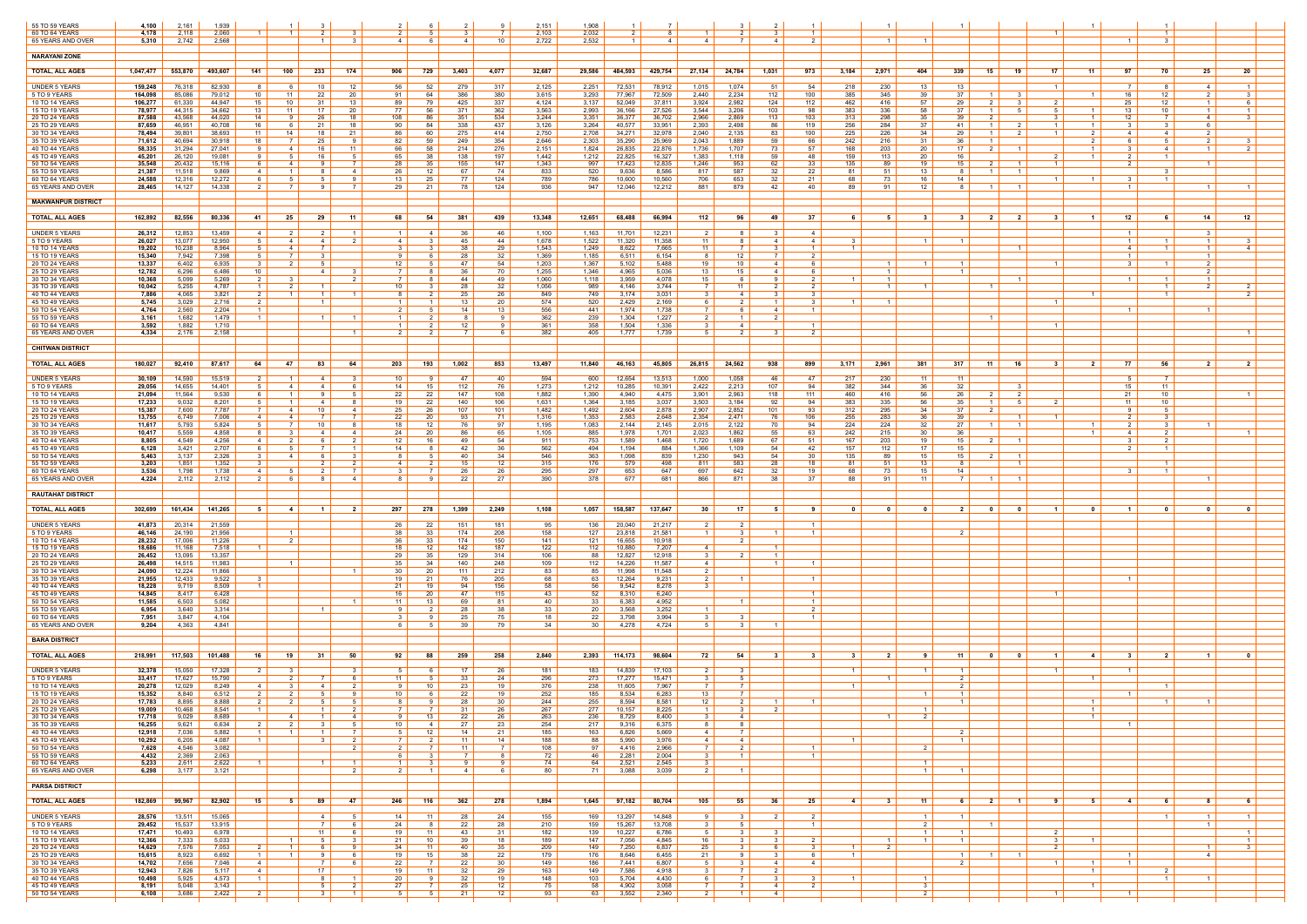| 55 TO 59 YEARS                          | 4,100              | 2,161            | 1,939                                              |                                           |                      |                        |                                   |                          |                  |                      | 2,151          | 1,908          |                  |                  |                      |                       |                        | $\overline{1}$                         |                   |                                                        |                                  |                                             |                  |                                         |                                                    |                                               |
|-----------------------------------------|--------------------|------------------|----------------------------------------------------|-------------------------------------------|----------------------|------------------------|-----------------------------------|--------------------------|------------------|----------------------|----------------|----------------|------------------|------------------|----------------------|-----------------------|------------------------|----------------------------------------|-------------------|--------------------------------------------------------|----------------------------------|---------------------------------------------|------------------|-----------------------------------------|----------------------------------------------------|-----------------------------------------------|
| 60 TO 64 YEARS                          | 4,178              | 2,118            | 2,060                                              | $\overline{1}$                            |                      |                        |                                   |                          |                  |                      | 2.103          | 2,032          |                  |                  |                      |                       |                        | $\overline{1}$                         |                   |                                                        |                                  |                                             |                  |                                         | $\overline{1}$                                     |                                               |
| 65 YEARS AND OVER                       | 5,310              | 2,742            | 2,568                                              |                                           |                      | -3-                    | 4 I                               |                          | 4                | 10                   | 2,722          | 2,532          |                  | 4                | $\overline{a}$       |                       | 4                      | 2                                      |                   |                                                        |                                  |                                             |                  |                                         | -3                                                 |                                               |
| <b>NARAYANI ZONE</b>                    |                    |                  |                                                    |                                           |                      |                        |                                   |                          |                  |                      |                |                |                  |                  |                      |                       |                        |                                        |                   |                                                        |                                  |                                             |                  |                                         |                                                    |                                               |
| <b>TOTAL, ALL AGES</b>                  | 1.047.477          | 553,870          | 493,607<br>141                                     | 100                                       | 233                  | 174                    | 906                               | 729                      | 3,403            | 4,077                | 32,687         | 29,586         | 484,593          | 429,754          | 27,134               | 24,784                | 1,031                  | 973                                    | 3,184             | 2,971<br>404                                           | 339                              | 15  <br>19                                  | 17<br>11         | 97                                      | 70<br>25                                           | 20                                            |
| <b>UNDER 5 YEARS</b>                    | 159,248            | 76,318           | 82,930                                             |                                           | 10                   | 12                     | 56                                | 52                       | 279              | 317                  | 2,125          | 2,251          | 72,531           | 78,912           | 1,015                | 1,074                 | 51                     | 54                                     | 218               | 230<br>13                                              | 13                               |                                             |                  | 7                                       | 4                                                  | $\overline{1}$                                |
| 5 TO 9 YEARS<br>10 TO 14 YEARS          | 164,098<br>106,277 | 85,086<br>61,330 | 79,012<br>10<br>44.947<br>15                       | 11<br>10                                  | -22<br>-31           | -20<br>13              | 91<br>89                          | 64<br>79                 | 386<br>425       | 380<br>337           | 3,615<br>4,124 | 3,293<br>3,137 | 77,967<br>52,049 | 72,509<br>37.811 | 2,440<br>3,924       | 2,234<br>2,982        | 112<br>124             | 100<br>112                             | 385<br>462        | 345<br>39<br>57<br>416                                 | 37<br>29                         | - 3<br>- 1 - 1<br>2 I<br>- 3                | 2                | 16<br>25                                | 12<br>2<br>12                                      | 3<br>$\overline{1}$<br>61                     |
| 15 TO 19 YEARS<br>20 TO 24 YEARS        | 78,977<br>87,588   | 44,315<br>43,568 | 34,662<br>13<br>44,020<br>14                       | -11                                       | 17<br>-26            | 20<br>18               | 77<br>108                         | 56<br>-86                | -371<br>351      | 362<br>534           | 3,563<br>3,244 | 2,993<br>3,351 | 36,166<br>36,377 | 27,526<br>36,702 | 3,544<br>2,966       | 3,206<br>2,869        | 103<br>113             | 98<br>103                              | 383<br>313        | 336<br>58<br>298<br>35                                 | 37<br>39                         | $\blacksquare$                              |                  | 13<br>12                                | 10<br>4                                            | $\mathbf{1}$<br>$\vert$ 1 $\vert$             |
| 25 TO 29 YEARS                          | 87,659             | 46,951           | 40,708<br>16                                       | 6                                         | 21                   | 18                     | 90                                | 84                       | 338              | 437                  | 3,126          | 3,264          | 40,577           | 33,951           | 2,393                | 2,498                 | 86                     | 119                                    | 256               | 284<br>37                                              | -41                              | 1 <sup>1</sup><br>$\overline{2}$            | $\overline{1}$   | 31<br>$\overline{1}$                    | 3                                                  | 6                                             |
| 30 TO 34 YEARS<br>35 TO 39 YEARS        | 78,494<br>71,612   | 39,801<br>40,694 | 38,693<br>11<br>30,918<br>18                       | 14<br>7                                   | 18<br>25             | - 21                   | 86<br>82                          | -60<br>59                | 275<br>249       | 414<br>354           | 2,750<br>2,646 | 2,708<br>2,303 | 34,271<br>35,290 | 32,978<br>25,969 | 2,040<br>2,043       | 2,135<br>1,889        | 83<br>59               | 100<br>66                              | 225<br>242        | 226<br>34<br>216<br>31                                 | 29<br>36                         | 1 <sup>1</sup>                              | 1 <sup>1</sup>   | 2<br>4<br>-6                            | 4<br>-5                                            | 2                                             |
| 40 TO 44 YEARS<br>45 TO 49 YEARS        | 58,335<br>45,201   | 31,294<br>26,120 | 27,041<br>- 9<br>19,081<br><b>Q</b>                | 4<br>-5                                   | 16<br>16             | 11<br>-5               | 66<br>65                          | 58<br>38                 | 214<br>138       | 276<br>197           | 2,151<br>1,442 | 1,824<br>1,212 | 26,835<br>22,825 | 22,876<br>16,327 | 1,736<br>1,383       | 1,707<br>1,118        | 73<br>59               | -57<br>48                              | 168<br>159        | 203<br>20<br>20<br>113                                 | 17 <sup>1</sup><br>16            | 2 I<br>$\overline{\mathbf{1}}$              | $\mathcal{P}$    | $\overline{1}$<br>3 I<br>2 <sub>1</sub> | $\overline{4}$<br>$\overline{1}$                   | $\overline{1}$<br>2                           |
| 50 TO 54 YEARS                          | 35,548             | 20,432           | 15.116                                             | -4                                        |                      | 7                      | 28                                | 35                       | 155              | 147                  | 1,343          | 997            | 17,423           | 12,835           | 1,246                | 953                   | 62                     | - 33                                   | 135               | 89<br>19                                               | 15                               | - 2                                         | 1 <sup>1</sup>   | $\overline{2}$                          | $\overline{1}$<br>$\mathbf{R}$                     |                                               |
| 55 TO 59 YEARS<br>60 TO 64 YEARS        | 21,387<br>24,588   | 11,518<br>12,316 | 9,869<br>-4<br>12,272<br>- 6                       | - 1<br>5                                  |                      | -4<br>-9               | 26<br>13                          | 12<br>25                 | 67<br>77         | 74<br>124            | 833<br>789     | 520<br>786     | 9,636<br>10,600  | 8,586<br>10,560  | -817<br>706          | 587<br>653            | 32<br>32               | -22<br>-21                             | -81<br>68         | 13<br>.51<br>16<br>73                                  | -81<br>14                        | $\overline{1}$<br>- 1                       | -1               | 3                                       | $\mathbf{1}$                                       |                                               |
| 65 YEARS AND OVER                       | 28.465             | 14,127           | 14.338                                             | 7                                         | <b>Q</b>             | 7                      | 29                                | 21                       | 78               | 124                  | 936            | 947            | 12,046           | 12,212           | 881                  | 879                   | 42                     | 40                                     | 89                | 91<br>12                                               |                                  | $\overline{1}$                              |                  | $\vert$ 1 $\vert$                       |                                                    | $\overline{1}$<br>$\overline{1}$              |
| <b>MAKWANPUR DISTRICT</b>               |                    |                  |                                                    |                                           |                      |                        |                                   |                          |                  |                      |                |                |                  |                  |                      |                       |                        |                                        |                   |                                                        |                                  |                                             |                  |                                         |                                                    |                                               |
| <b>TOTAL, ALL AGES</b>                  | 162,892            | 82,556           | 80,336<br>-41                                      | 25                                        | 29                   | - 11                   | 68                                | 54                       | 381              | 439                  | 13,348         | 12,651         | 68,488           | 66,994           | 112                  | 96                    | $-49$                  | - 37                                   | -6                | -5<br>- 3                                              | - 3 - 1                          | 2 <sup>1</sup><br>$\overline{\mathbf{2}}$   | $\mathbf{3}$     | 12                                      | - 6<br>14                                          | 12 <sup>12</sup>                              |
| <b>UNDER 5 YEARS</b>                    | 26,312             | 12,853           | 13,459<br>-4                                       | 2                                         | 2                    | $\overline{1}$         | $\mathbf{1}$                      | 4                        | -36              | 46                   | 1,100          | 1,163          | 11,701           | 12,231           | 2                    | 81                    | $\mathbf{3}$           | $\overline{4}$                         |                   |                                                        |                                  |                                             |                  | $\overline{1}$                          | $\mathbf{3}$                                       |                                               |
| 5 TO 9 YEARS<br>10 TO 14 YEARS          | 26,027<br>19,202   | 13,077<br>10,238 | 12,950<br>8,964                                    | $\overline{4}$<br>-4                      | 4                    |                        | 4<br>-3                           |                          | 45<br>-38        | 44<br>29             | 1,678<br>1,543 | 1,522<br>1,249 | 11,320<br>8,622  | 11,358<br>7,665  | 11<br>11             | 81                    | 4                      | $\overline{4}$<br>$\overline{1}$       |                   | $\overline{1}$                                         | $\overline{1}$                   |                                             |                  | $\vert$ 1 $\vert$<br>4                  | $\overline{1}$<br>$\overline{1}$<br>$\blacksquare$ | $\mathbf{1}$<br>$\mathbf{\Delta}$             |
| 15 TO 19 YEARS                          | 15,340             | 7,942            | 7,398<br>-5                                        | $\overline{7}$                            | 3<br>.5              |                        | -9                                |                          | 28               | 32                   | 1,369          | 1,185          | 6,511            | 6,154            | -8                   | $12-1$                | <sup>7</sup>           | $\overline{2}$                         |                   | $\overline{1}$                                         | $\overline{1}$                   |                                             |                  | $\overline{1}$                          |                                                    | $1 \quad$                                     |
| 20 TO 24 YEARS<br>25 TO 29 YEARS        | 13,337<br>12,782   | 6,402<br>6,296   | 6,935<br>- 3<br>10<br>6,486                        | $\overline{2}$                            | 4                    |                        | 12<br>7                           |                          | 47<br>36         | 54<br>70             | 1,203<br>1,255 | 1,367<br>1,346 | 5,102<br>4,965   | 5,488<br>5,036   | 19<br>13             | 10<br>15              | 4<br>4                 | 6<br>- 6                               |                   |                                                        |                                  |                                             |                  | 3 I                                     | $\overline{1}$                                     | 2<br>$\mathcal{P}$                            |
| 30 TO 34 YEARS<br>35 TO 39 YEARS        | 10,368<br>10,042   | 5,099<br>5,255   | 5,269<br>- 2<br>4,787                              | - 3<br>- 2                                |                      | $\mathcal{P}$          | - 7 - I<br>10                     |                          | -44<br>28        | 49<br>32             | 1,060<br>1,056 | 1,118<br>989   | 3,959<br>4,146   | 4,078<br>3,744   | 15<br>7              | 61<br>11              | -9<br>-2               | 2<br>$\overline{2}$                    | $\overline{1}$    | $\overline{\mathbf{1}}$<br>$\overline{1}$              |                                  | $\blacksquare$                              |                  | $1 \vert$                               | $\overline{1}$<br>$\overline{1}$                   | $1 \quad$<br>$\mathcal{P}$                    |
| 40 TO 44 YEARS                          | 7,886              | 4,065            | 3,821<br>$\overline{2}$                            | $\overline{1}$                            | $\overline{1}$       |                        | -8                                |                          | 25               | 26                   | 849            | 749            | 3,174            | 3,031            | $\mathbf{B}$         | 4                     | $\mathbf{R}$           | $\mathbf{3}$                           |                   |                                                        |                                  |                                             |                  |                                         | $\overline{1}$                                     | $\overline{2}$                                |
| 45 TO 49 YEARS<br>50 TO 54 YEARS        | 5,745<br>4,764     | 3,029<br>2,560   | 2,716<br>2,204                                     |                                           | $\blacksquare$       |                        | $\mathbf{1}$<br>-2                |                          | 13<br>14         | 20<br>13             | 574<br>556     | 520<br>441     | 2,429<br>1,974   | 2,169<br>1,738   |                      | 2 I<br>6              | $\vert$ 1 $\vert$<br>4 | - 3<br>$\overline{1}$                  | $\blacksquare$ 1  | $\overline{1}$                                         |                                  |                                             | $\overline{1}$   |                                         | -1                                                 |                                               |
| 55 TO 59 YEARS<br>60 TO 64 YEARS        | 3,161<br>3,592     | 1,682<br>1,882   | 1.479<br>$\overline{1}$<br>1,710                   |                                           |                      |                        | $\vert$ 1 $\vert$<br>$\mathbf{1}$ |                          | 12 <sup>12</sup> | <b>Q</b><br><b>Q</b> | 362<br>361     | 239<br>358     | 1,304<br>1,504   | 1,227<br>1,336   |                      | $1 \vert$<br>4        | $\overline{2}$         | $\overline{1}$                         |                   |                                                        |                                  | $\overline{1}$                              | $\blacksquare$ 1 |                                         |                                                    |                                               |
| 65 YEARS AND OVER                       | 4,334              | 2,176            | 2,158                                              |                                           |                      |                        | -2                                |                          |                  |                      | 382            | 405            | 1,777            | 1,739            |                      | 2 I                   |                        | - 2                                    |                   |                                                        |                                  |                                             |                  |                                         |                                                    | $\overline{1}$                                |
| <b>CHITWAN DISTRICT</b>                 |                    |                  |                                                    |                                           |                      |                        |                                   |                          |                  |                      |                |                |                  |                  |                      |                       |                        |                                        |                   |                                                        |                                  |                                             |                  |                                         |                                                    |                                               |
| <b>TOTAL, ALL AGES</b>                  | 180,027            | 92,410           | 87,617<br>64                                       | 47                                        | 83                   | 64                     | 203                               | 193                      | 1,002            | 853                  | 13,497         | 11,840         | 46,163           | 45,805           | 26,815               | 24,562                | 938                    | 899                                    | 3,171             | 2,961<br>381                                           | 317                              | 11<br>16                                    | 3                | 77<br>2                                 | 56<br>2                                            | 2 <sup>1</sup>                                |
| <b>UNDER 5 YEARS</b>                    | 30,109             | 14,590           | 15,519                                             | $\overline{1}$                            | $\overline{4}$       | $\mathbf{3}$           | 10                                |                          | 47               | 40                   | 594            | 600            | 12,654           | 13,513           | 1,000                | 1,058                 | 46                     | 47                                     | 217               | 230<br>- 11                                            | 11                               |                                             |                  | 51                                      | $\overline{7}$                                     |                                               |
| 5 TO 9 YEARS                            | 29,056             | 14,655           | 14,401                                             | -4                                        | 4                    |                        | 14                                | 15                       | 112              | 76                   | 1,273          | 1,212          | 10,285           | 10,391           | 2,422                | 2,213                 | 107                    | 94                                     | 382               | 36<br>344                                              | 32                               |                                             |                  | 15                                      | 11                                                 |                                               |
| 10 TO 14 YEARS<br><b>15 TO 19 YEARS</b> | 21,094<br>17,233   | 11,564<br>9,032  | 9,530<br>6<br>8,201                                | - 1<br>$\blacksquare$                     | -4                   | 8                      | 22<br>19                          | 22<br>22                 | 147<br>140       | 108<br>106           | 1,882<br>1,631 | 1,390<br>1,364 | 4,940<br>3,185   | 4,475<br>3,037   | 3,901<br>3,503       | 2,963<br>3,184        | 118<br>92              | 111<br>94                              | 460<br>383        | 416<br>56<br>335<br>56                                 | 26<br>35                         | $\overline{2}$<br>- 5                       | $\mathcal{P}$    | 21<br>11                                | 10<br>10                                           |                                               |
| 20 TO 24 YEARS<br>25 TO 29 YEARS        | 15,387<br>13,755   | 7,600<br>6,749   | 7,787<br>7,006<br>$-4$                             | -4<br>-4                                  | 10                   | 4                      | 25<br>22                          | 26<br>20                 | 107<br>93        | 101<br>71            | 1,482<br>1,316 | 1,492<br>1,353 | 2,604<br>2,583   | 2,878<br>2,648   | 2,907<br>2,354       | 2,852<br>2,471        | 101<br>76              | 93<br>106                              | 312<br>255        | 295<br>34<br>283<br>36                                 | 37<br>39                         |                                             |                  |                                         |                                                    |                                               |
| 30 TO 34 YEARS                          | 11,617             | 5,793            | 5,824<br>-5                                        | 7                                         | 10                   |                        | 18                                | 12                       | -76              | 97                   | 1,195          | 1,083          | 2,144            | 2,145            | 2,015                | 2,122                 | 70                     | 94                                     | 224               | 224<br>32                                              | 27                               |                                             |                  | 2 <sup>1</sup>                          | -3<br>$\overline{1}$                               |                                               |
| 35 TO 39 YEARS<br>40 TO 44 YEARS        | 10,417<br>8,805    | 5,559<br>4,549   | 4,858<br>4,256                                     |                                           | 4                    | 4                      | 24<br>12                          | 20<br>16                 | 86<br>49         | 65<br>54             | 1,105<br>911   | 885<br>753     | 1,978<br>1,589   | 1,701<br>1,468   | 2,023<br>1,720       | 1,862<br>1,689        | 55<br>67               | 63<br>51                               | 242<br>167        | 215<br>30<br>203<br>19                                 | 36<br>15                         | -2                                          |                  | 4                                       |                                                    | - 1 - I                                       |
| 45 TO 49 YEARS<br>50 TO 54 YEARS        | 6,128<br>5,463     | 3,421<br>3,137   | 2,707<br>- 6<br>2,326<br>-3                        | - 5<br>-4                                 |                      | 3                      | 14<br>81                          | .5                       | -42<br>-40       | 36<br>34             | 562<br>546     | 494<br>363     | 1,194<br>1,098   | 884<br>839       | 1,366<br>1,230       | 1,109<br>943          | 54<br>54               | -42<br>30                              | 157<br>135        | 17 <sup>17</sup><br>112<br>89<br>15                    | 15<br>15 <sup>1</sup>            | 2 <sup>1</sup><br>- 1                       |                  |                                         | $\overline{1}$                                     |                                               |
| 55 TO 59 YEARS                          | 3,203              | 1,851            | 1,352                                              |                                           |                      |                        | 4                                 |                          |                  | 12 <sup>7</sup>      | 315            | 176            | 579              | 498              | 811                  | 583                   | 28                     | 18                                     | 81                | 51<br>13                                               |                                  |                                             |                  |                                         |                                                    |                                               |
| 60 TO 64 YEARS<br>65 YEARS AND OVER     | 3,536<br>4,224     | 1,798<br>2,112   | 1,738<br>4<br>2,112<br>2                           | 6                                         | 8                    | -4                     | 81                                | <b>Q</b>                 | 22               | 26<br>27             | 295<br>390     | 297<br>378     | 653<br>677       | 647<br>681       | 697<br>866           | 642<br>871            | 32<br>-38              | 19<br>37                               | 68.<br>88         | 15<br>73<br>91<br>- 11                                 | 14<br>7 I                        | $\blacksquare$ 1<br>$\overline{\mathbf{1}}$ |                  |                                         | $\overline{1}$                                     | $\overline{1}$                                |
| <b>RAUTAHAT DISTRICT</b>                |                    |                  |                                                    |                                           |                      |                        |                                   |                          |                  |                      |                |                |                  |                  |                      |                       |                        |                                        |                   |                                                        |                                  |                                             |                  |                                         |                                                    |                                               |
| <b>TOTAL, ALL AGES</b>                  | 302.699            | 161,434          | 141,265<br>5                                       | 4                                         | <u>1</u> I           | 2 <sup>1</sup>         | 297                               | 278                      | 1,399            | 2,249                | 1,108          | 1,057          | 158,587          | 137,647          | 30                   | 17 <sup>1</sup>       | 51                     | -9                                     | $\overline{0}$    | $\mathbf{0}$<br>- 0                                    | 2 <sup>1</sup>                   | $\overline{\mathbf{0}}$<br>$\mathbf{0}$     | $\blacksquare$   | $\mathbf{0}$<br>$\blacksquare$          | $\mathbf{r}$                                       | $\mathbf{a}$                                  |
|                                         |                    |                  |                                                    |                                           |                      |                        |                                   |                          |                  |                      |                |                |                  |                  |                      |                       |                        |                                        |                   |                                                        |                                  |                                             |                  |                                         |                                                    |                                               |
| <b>UNDER 5 YEARS</b><br>5 TO 9 YEARS    | 41,873  <br>46,146 | 20,314<br>24,190 | 21,559<br>21,956                                   | $\overline{1}$                            |                      |                        | -26<br>38                         | 22<br>33                 | 151<br>174       | 181<br>208           | 95<br>158      | 136<br>127     | 20,040<br>23,818 | 21,217<br>21,581 | 2<br>$\overline{1}$  | 2 I<br>3 I            | - 1 - I                | $\overline{1}$<br>$\overline{1}$       |                   |                                                        | $\overline{2}$                   |                                             |                  |                                         |                                                    |                                               |
| 10 TO 14 YEARS<br>15 TO 19 YEARS        | 28,232<br>18,686   | 17,006<br>11,168 | 11,226<br>7,518                                    | 2                                         |                      |                        | 36<br>18                          | 33<br>12                 | 174<br>142       | 150<br>187           | 141<br>122     | 121<br>112     | 16,655<br>10,880 | 10,918<br>7,207  | -4                   | 2 <sup>1</sup>        | $\overline{1}$         |                                        |                   |                                                        |                                  |                                             |                  |                                         |                                                    |                                               |
| 20 TO 24 YEARS                          | 26,452             | 13,095           | 13,357                                             |                                           |                      |                        | 29<br>35                          | 35                       | 129              | 314                  | 106            | 88             | 12,827           | 12,918           | 31                   | 2 <sup>1</sup>        | $\overline{1}$         |                                        |                   |                                                        |                                  |                                             |                  |                                         |                                                    |                                               |
| 25 TO 29 YEARS<br>30 TO 34 YEARS        | 26,498<br>24,090   | 14,515<br>12,224 | 11,983<br>11,866                                   | $\overline{1}$                            |                      |                        | 30                                | 34<br>20                 | 140<br>111       | 248<br>212           | 109<br>83      | 112<br>85      | 14,226<br>11,998 | 11,587<br>11,548 | 4                    |                       | $\overline{1}$         | $\vert$ 1 $\vert$                      |                   |                                                        |                                  |                                             |                  |                                         |                                                    |                                               |
| 35 TO 39 YEARS<br>40 TO 44 YEARS        | 21,955<br>18,228   | 12,433<br>9,719  | 9,522<br>-3<br>8,509                               |                                           |                      |                        | 19<br>21                          | -21<br>19                | -76<br>94        | 205<br>156           | 68<br>58       | 63<br>56       | 12,264<br>9,542  | 9,231<br>8,278   | 2<br>$\mathbf{3}$    | -1-1                  |                        | $\overline{1}$                         |                   |                                                        |                                  |                                             |                  | $\overline{1}$                          |                                                    |                                               |
| 45 TO 49 YEARS<br>50 TO 54 YEARS        | 14,845<br>11,585   | 8,417<br>6,503   | 6,428<br>5,082                                     |                                           |                      |                        | 16<br>-11                         | 20<br>13.                | 47<br>-69        | 115<br>81            | 43<br>40       | 52<br>33       | 8,310<br>6,383   | 6,240<br>4,952   |                      |                       |                        | $\overline{1}$<br>$\overline{1}$       |                   |                                                        |                                  |                                             |                  |                                         |                                                    |                                               |
| 55 TO 59 YEARS                          | 6,954              | 3,640            | 3,314                                              |                                           |                      |                        | - 9                               |                          | -28              | 38                   | 33             | 20             | 3,568            | 3,252            | $\overline{1}$       |                       |                        | 2                                      |                   |                                                        |                                  |                                             |                  |                                         |                                                    |                                               |
| 60 TO 64 YEARS<br>65 YEARS AND OVER     | 7,951<br>9,204     | 3,847<br>4,363   | 4,104<br>4,841                                     |                                           |                      |                        | -3                                |                          | 39               | 75<br>79             | 18<br>34       | 22<br>30       | 3.798<br>4,278   | 3,994<br>4,724   |                      | ્વ                    |                        | $\overline{1}$                         |                   |                                                        |                                  |                                             |                  |                                         |                                                    |                                               |
| <b>BARA DISTRICT</b>                    |                    |                  |                                                    |                                           |                      |                        |                                   |                          |                  |                      |                |                |                  |                  |                      |                       |                        |                                        |                   |                                                        |                                  |                                             |                  |                                         |                                                    |                                               |
| <b>TOTAL, ALL AGES</b>                  |                    | 117,503          |                                                    |                                           |                      | 50                     |                                   |                          |                  |                      | 2,840          |                | 114,173          | 98,604           |                      |                       | -31                    | $\mathbf{3}$                           | - 3               | $\overline{\mathbf{2}}$<br>91                          |                                  |                                             | $\blacksquare$ 1 | 31                                      | $\overline{\mathbf{2}}$<br>- 1 -                   |                                               |
|                                         | 218,991            |                  | 101,488<br>16                                      | 19 I                                      | 31                   |                        | 92                                | 88                       | 259              | 258                  |                | 2,393          |                  |                  | 72                   | 54                    |                        |                                        |                   |                                                        | $-11$                            | $\overline{\mathbf{0}}$<br>$\mathbf{0}$     |                  | $\overline{4}$                          |                                                    |                                               |
| <b>UNDER 5 YEARS</b><br>5 TO 9 YEARS    | 32,378<br>33,417   | 15,050<br>17,627 | 17,328<br>15,790                                   | $\mathbf{3}$<br>2                         |                      |                        | -5<br>11                          |                          | 17<br>33         | 26<br>24             | 181<br>296     | 183<br>273     | 14,839<br>17,277 | 17,103<br>15,471 |                      | 3 I<br>5              |                        |                                        | $\vert$ 1 $\vert$ | $\overline{1}$                                         | $\overline{1}$<br>2              |                                             | $\overline{1}$   | $\vert$ 1 $\vert$                       |                                                    |                                               |
| <b>10 TO 14 YEARS</b><br>15 TO 19 YEARS | 20,278<br>15,352   | 12,029<br>8,840  | 8,249<br>-4<br>6,512<br>$\overline{2}$             | - 3<br>2                                  | -4<br>.5             | $\mathcal{P}$          | -91<br>10                         | 10                       | 23<br>22         | 19<br>19             | 376<br>252     | 238<br>185     | 11,605<br>8,534  | 7,967<br>6,283   | 13                   | 7 I<br>7 I            |                        |                                        |                   | $\overline{1}$                                         | $\overline{2}$<br>$\overline{1}$ |                                             |                  | 1 <sup>1</sup>                          | $\overline{1}$                                     |                                               |
| 20 TO 24 YEARS                          | 17,783             | 8,895            | 8,888                                              | 2 I                                       | -5                   |                        | $8 +$                             | 7 I                      | 28               | 30                   | 244            | 255            | 8,594            | 8,581            | 12 <sup>12</sup>     | 2 I                   |                        | $\overline{1}$                         |                   |                                                        | $\overline{1}$                   |                                             |                  |                                         | $\overline{1}$<br>$\overline{1}$                   |                                               |
| 25 TO 29 YEARS<br>30 TO 34 YEARS        | 19,009<br>17,718   | 10,468<br>9,029  | 8,541<br>8,689                                     | 4                                         | $\overline{1}$<br>-1 | $2 \mid$<br>41         | <b>7</b>  <br>-91                 | 13                       | 31<br>22         | 26<br>26             | 267<br>263     | 277<br>236     | 10,157<br>8,729  | 8,225<br>8,400   | $\mathbf{3}$         | 3  <br>4              | $2 \mid$               |                                        |                   | $\vert$ 1 $\vert$<br>2<br>$\overline{1}$               |                                  |                                             |                  |                                         |                                                    |                                               |
| 35 TO 39 YEARS<br>40 TO 44 YEARS        | 16,255<br>12,918   | 9,621<br>7,036   | 6,634<br>5,882                                     | 2<br>$\overline{1}$                       |                      | - 7 I                  | 10 <sup>1</sup><br>51             | 4 I<br>12                | 27<br>14         | 23<br>21             | 254<br>185     | 217<br>163     | 9,316<br>6,826   | 6,375<br>5,669   | 8<br>4               | 8  <br>7 I            |                        |                                        |                   |                                                        |                                  |                                             |                  | $1 \vert$                               |                                                    |                                               |
| 45 TO 49 YEARS                          | 10,292             | 6,205            | 4,087<br>$\blacksquare$                            |                                           | -3                   | 2 I                    | 7 I                               | 2 I                      | 11               | 14                   | 188            | 88             | 5,990            | 3,976            | 4                    | 4                     |                        |                                        | $\overline{1}$    |                                                        | $\overline{1}$                   |                                             |                  |                                         |                                                    |                                               |
| 50 TO 54 YEARS<br>55 TO 59 YEARS        | 7,628<br>4,432     | 4,546<br>2,369   | 3,082<br>2,063                                     |                                           |                      | 2 I                    | $2 \mid$<br>61                    | - 7 I                    | 11               | - 7 I<br>8           | 108<br>72      | 97<br>46       | 4,416<br>2,281   | 2,966<br>2,004   | 7<br>- 3             | 2 I<br>$\overline{1}$ |                        | $\vert$ 1 $\vert$<br>$\vert$ 1 $\vert$ |                   | 2 I                                                    |                                  |                                             |                  |                                         |                                                    |                                               |
| 60 TO 64 YEARS<br>65 YEARS AND OVER     | 5,233<br>6,298     | 2,611<br>3,177   | 2,622<br>3,121                                     |                                           | $\overline{1}$       | $\vert$ 1 $\vert$<br>2 | $1 \mid$<br>$2 \mid$              | - 3                      | 9.<br>4          | -91<br>6             | 74<br>80       | 64<br>71       | 2,521<br>3,088   | 2,545<br>3,039   | $\mathbf{3}$<br>2    | 1 <sup>1</sup>        |                        |                                        |                   | $\vert$ 1 $\vert$<br>$1 \vert$                         | - 1 - I                          |                                             |                  |                                         |                                                    |                                               |
| <b>PARSA DISTRICT</b>                   |                    |                  |                                                    |                                           |                      |                        |                                   |                          |                  |                      |                |                |                  |                  |                      |                       |                        |                                        |                   |                                                        |                                  |                                             |                  |                                         |                                                    |                                               |
|                                         |                    |                  |                                                    |                                           |                      |                        |                                   |                          |                  |                      |                |                |                  |                  |                      |                       |                        |                                        |                   |                                                        |                                  |                                             |                  |                                         |                                                    |                                               |
| <b>TOTAL, ALL AGES</b>                  | 182,869            | 99,967           | 82,902<br>15                                       | 51                                        | -89 I                | 47                     | 246 l                             | 116                      | 362              | 278                  | 1,894          | 1,645          | 97,182           | 80,704           | 105                  | 55                    | 36 I                   | 25                                     | $-4$              | 3<br>$-11$                                             | 6 2                              | $\blacksquare$ 1                            | 91               | $4 \vert$<br>- 51                       | 6<br>- 8                                           | 6                                             |
| <b>UNDER 5 YEARS</b><br>5 TO 9 YEARS    | 28,576<br>29,452   | 13,511<br>15,537 | 15,065<br>13,915                                   |                                           | 4<br>$\overline{7}$  | 5<br>6                 | 14<br>24                          | 11                       | 28<br>22         | 24<br>28             | 155<br>210     | 169            | 13,297<br>15,267 | 14,848<br>13,708 | 9.<br>3              | 3  <br>5 I            | 2 I                    | 2<br>$\overline{1}$                    |                   | $\left  \begin{array}{c} 1 \end{array} \right $<br>2 I | $\overline{1}$                   | $\vert$ 1 $\vert$                           |                  |                                         | $\overline{1}$                                     | $1 \quad$<br>$\overline{1}$<br>$\overline{1}$ |
| 10 TO 14 YEARS                          | 17,471             | 10,493           | 6,978                                              |                                           | 11                   | 6                      | 19 <sup>1</sup>                   | 11                       | 43               | 31                   | 182            | 159<br>139     | 10,227           | 6,786            | 5                    | 3                     | 3                      |                                        |                   | $1 \vert$                                              | - 1 - I                          |                                             | 2                |                                         |                                                    | $1 \vert$                                     |
| 15 TO 19 YEARS<br>20 TO 24 YEARS        | 12,366<br>14,629   | 7,333<br>7,576   | 5,033<br>7,053                                     | $\overline{1}$<br>$\overline{1}$          | -5<br>-6             |                        | 21<br>34                          | 10 <sup>1</sup><br>11    | 39<br>40         | 18<br>35             | 189<br>209     | 147<br>149     | 7,056<br>7,250   | 4,845<br>6,837   | 16<br>25             | 3 I<br>3 I            |                        | 2<br>3                                 | $\overline{1}$    | $\vert$ 1 $\vert$<br>$\overline{\mathbf{1}}$<br>2      | $\vert$ 1 $\vert$                |                                             | $3-1$<br>2       |                                         | $\overline{1}$                                     | $\overline{1}$<br>$\mathbf{3}$                |
| 25 TO 29 YEARS                          | 15,615             | 8,923            | 6,692<br>$\overline{1}$                            | $\begin{array}{ccc} \hline \end{array}$ 1 | -9                   | 6                      | 19 <sup>1</sup>                   | 15 <sup>1</sup><br>- 7 I | 38               | 22                   | 179            | 176            | 8,646            | 6,455            | 21                   | 91                    | 3                      | 6                                      | $\overline{1}$    |                                                        | $\overline{1}$<br>$\overline{2}$ | $1 \mid$                                    | $\overline{1}$   | $1 \vert$<br>$\overline{1}$             |                                                    | 4                                             |
| 30 TO 34 YEARS<br>35 TO 39 YEARS        | 14,702<br>12,943   | 7,656<br>7,826   | 7,046<br>$\overline{4}$<br>5,117<br>$\overline{4}$ |                                           | $\overline{7}$<br>17 | -6 I                   | 22<br>19                          | 11                       | 22<br>32         | 30<br>29             | 149<br>163     | 186<br>149     | 7,441<br>7,586   | 6,807<br>4,918   | 5  <br>$\mathcal{S}$ | 3 I                   | 4                      | 4                                      |                   |                                                        |                                  |                                             | $\overline{1}$   | $\overline{1}$                          | 2                                                  |                                               |
| 40 TO 44 YEARS<br>45 TO 49 YEARS        | 10,498<br>8,191    | 5,925<br>5,048   | 4,573<br>$\overline{1}$<br>3,143                   |                                           | -8<br>5              | $\overline{1}$<br>2 I  | 20<br>27                          | - 9<br>- 7 I             | 32<br>25         | 19<br>12             | 148<br>75      | 103<br>58      | 5,704<br>4,902   | 4,430<br>3,058   | 61<br>- 7 I          | 7 I<br>3 <sup>1</sup> | 3<br>4 I               | 3<br>2                                 | $\blacksquare$ 1  | $\overline{1}$<br>3                                    |                                  |                                             |                  |                                         | $\overline{1}$<br>$\overline{1}$                   |                                               |
| 50 TO 54 YEARS                          | 6,108              | 3,686            | 2,422                                              |                                           | $\mathcal{R}$        | $\overline{1}$         | 5                                 |                          | 21               | 12                   | 93             | 63             | 3,552            | 2,340            |                      | $1 \vert$             | 4                      |                                        |                   | 2                                                      |                                  |                                             | $\mathbf{1}$     | $1 \vert$                               |                                                    |                                               |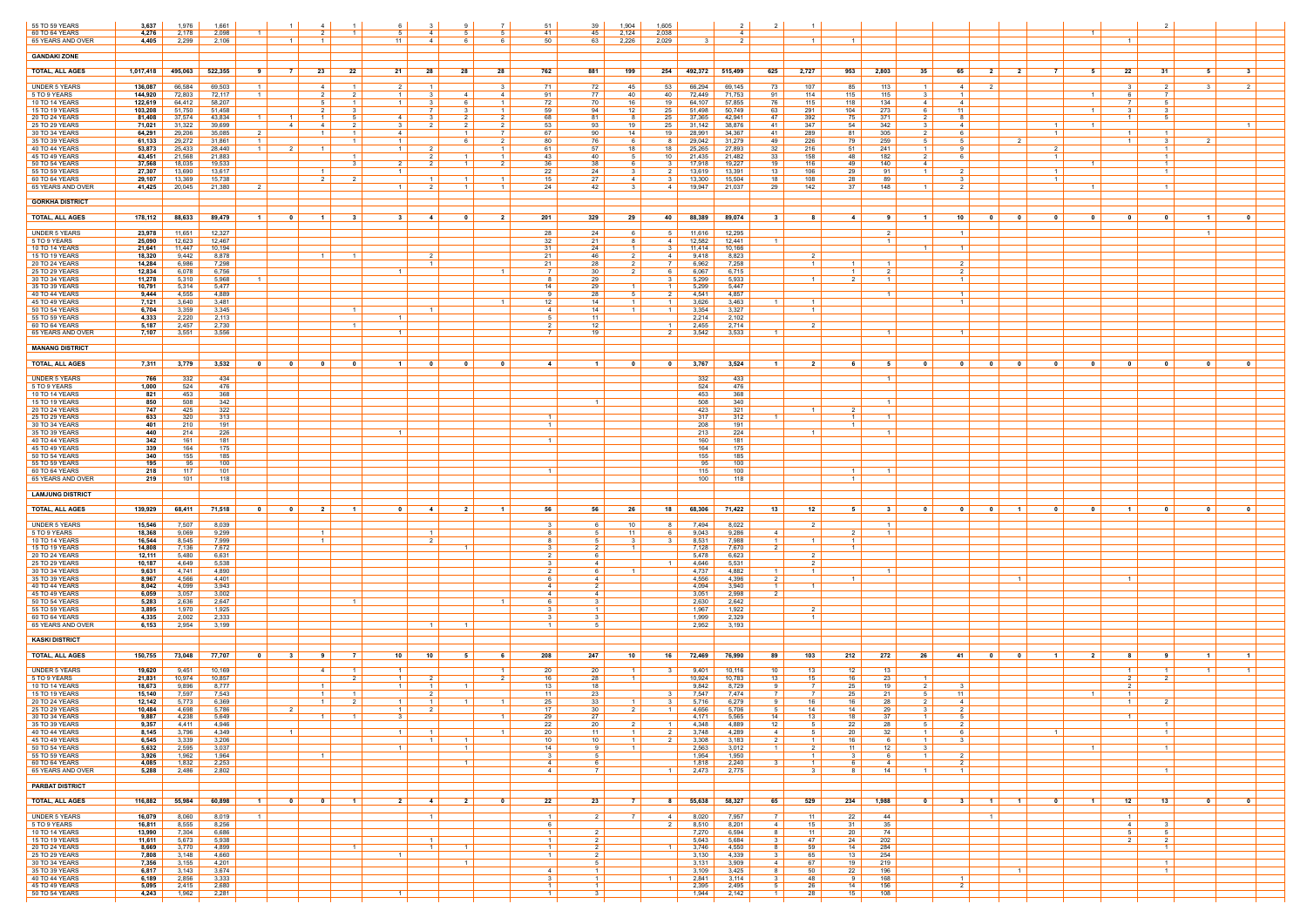| 55 TO 59 YEARS<br>60 TO 64 YEARS                   | 3,637<br>4,276     | 1,976<br>2,178   | 1,661<br>2,098                      |                                  | 4                                                                       | 6<br>51                          |                     |                                  | 51<br>-5                         | 39<br>41<br>45                                             | 1,904<br>2,124 | 1,605<br>2,038          |                  | 4                  |                   | $\overline{1}$                      |                          |                                           |                         |                         |                                                     |                                  | $\overline{1}$          |                                     |                                  |                |                |
|----------------------------------------------------|--------------------|------------------|-------------------------------------|----------------------------------|-------------------------------------------------------------------------|----------------------------------|---------------------|----------------------------------|----------------------------------|------------------------------------------------------------|----------------|-------------------------|------------------|--------------------|-------------------|-------------------------------------|--------------------------|-------------------------------------------|-------------------------|-------------------------|-----------------------------------------------------|----------------------------------|-------------------------|-------------------------------------|----------------------------------|----------------|----------------|
| 65 YEARS AND OVER                                  | 4,405              | 2,299            | 2,106                               | $\overline{1}$<br>$\overline{1}$ |                                                                         | 11 <sup>1</sup>                  | $\overline{4}$      |                                  |                                  | 50<br>63                                                   | 2,226          | 2,029                   |                  |                    |                   | $\overline{1}$                      |                          |                                           |                         |                         |                                                     |                                  |                         | $\overline{1}$                      |                                  |                |                |
| <b>GANDAKI ZONE</b>                                |                    |                  |                                     |                                  |                                                                         |                                  |                     |                                  |                                  |                                                            |                |                         |                  |                    |                   |                                     |                          |                                           |                         |                         |                                                     |                                  |                         |                                     |                                  |                |                |
| <b>TOTAL, ALL AGES</b>                             | 1,017,418          | 495,063          | 522,355<br>- 9                      | - 7 I                            | 22<br>23                                                                | 21                               | 28                  | 28                               | 28<br>762                        | 881                                                        | 199            | 254                     | 492,372 515,499  |                    | 625               | 2,727                               | 2,803<br>953             | 35                                        | 65                      | 2 <sup>1</sup>          | $\overline{\mathbf{2}}$                             |                                  | 5                       | 22                                  | - 31                             | - 5            | $\mathbf{3}$   |
| <b>UNDER 5 YEARS</b>                               | 136,087            | 66,584           | 69,503<br>$\overline{1}$            |                                  | 4<br>$\vert$ 1 $\vert$                                                  | 2 I                              |                     |                                  | 3                                | 71  <br>72                                                 | 45             | 53                      | 66,294           | 69,145             | 73                | 107                                 | 85<br>113                | $\vert$ 1 $\vert$                         | 4                       | 2                       |                                                     |                                  |                         | $\mathbf{R}$                        | 2                                | 3              | $\overline{2}$ |
| 5 TO 9 YEARS<br>10 TO 14 YEARS                     | 144,920<br>122,619 | 72,803<br>64,412 | 72,117<br>58,207                    |                                  | - 5<br>$\overline{1}$                                                   | 1 <sup>1</sup><br>1 <sup>1</sup> |                     | $\overline{A}$                   | 4<br>$\blacksquare$              | 91<br>77<br>72<br>70                                       | -40<br>16      | 40<br>19                | 72,449<br>64,107 | 71,753<br>57,855   | 91<br>76          | 114<br>115                          | 115<br>115<br>118<br>134 | -3<br>4                                   | 4                       |                         |                                                     |                                  | $\overline{1}$          |                                     | 7<br>-5                          |                |                |
| 15 TO 19 YEARS<br>20 TO 24 YEARS                   | 103,208<br>81,408  | 51,750<br>37,574 | 51,458<br>43,834                    | $\overline{1}$                   | $\overline{2}$<br>$\mathbf{R}$<br>$\overline{1}$                        | 4 I                              | $\overline{7}$      |                                  | $\overline{1}$<br>$\overline{2}$ | 59<br>94<br>68<br>81                                       | 12             | 25  <br>$25 \mid$       | 51,498<br>37,365 | 50,749<br>42,941   | 63<br>47          | 291<br>392                          | 273<br>104<br>371<br>75  | <b>6</b>                                  | 11<br>-8                |                         |                                                     |                                  | $\vert$ 1 $\vert$       | ્વ<br>- 1 - I                       | $\mathbf{3}$<br>-5               |                |                |
| 25 TO 29 YEARS<br>30 TO 34 YEARS                   | 71,021<br>64,291   | 31,322<br>29,206 | 39,699<br>35,085<br>$\overline{2}$  | -4                               | -4<br>$\overline{1}$<br>$\vert$ 1 $\vert$                               | 3 I<br>4                         |                     | $\overline{1}$                   | $\overline{7}$                   | 53<br>93<br>67<br>90                                       | 19<br>14       | 25<br>19                | 31,142<br>28,991 | 38,876<br>34,367   | -41<br>41         | 347<br>289                          | 342<br>54<br>305<br>81   | 3<br>2                                    | 4<br>- 6                |                         |                                                     | $\overline{1}$<br>$\overline{1}$ | $\overline{1}$          | $\overline{1}$                      | $\overline{1}$                   |                |                |
| 35 TO 39 YEARS<br>40 TO 44 YEARS                   | 61,133<br>53,873   | 29,272<br>25,433 | 31,861<br>28,440<br>$\blacksquare$  | 2                                | $\overline{1}$                                                          | 1 <sup>1</sup><br>$\overline{1}$ |                     |                                  | 2                                | 76<br>80<br>57<br>61                                       | 18             | 81<br>18                | 29,042<br>25,265 | 31,279<br>27,893   | 49<br>32          | 226<br>216                          | 79<br>259<br>51<br>241   | .5<br>$\overline{1}$                      | 5                       |                         |                                                     |                                  |                         | $\vert$ 1 $\vert$                   | - 3<br>- 1                       | 2              |                |
| 45 TO 49 YEARS<br>50 TO 54 YEARS                   | 43,451<br>37,568   | 21,568<br>18,035 | 21,883<br>19,533                    |                                  | $\blacksquare$ 1<br>$\mathcal{R}$                                       | 2 I                              | 2<br>$\overline{2}$ | $\mathbf{1}$<br>$\mathbf{1}$     | $\overline{1}$<br>2              | 43  <br>40<br>36<br>38                                     | -5<br>- 6      | 10 <sup>1</sup><br>31   | 21,435<br>17,918 | 21,482<br>19,227   | 33<br>19          | 158<br>116                          | 48<br>182<br>49<br>140   | 2  <br>4                                  | ჩ.                      |                         |                                                     | $\overline{1}$                   | $\overline{1}$          |                                     | $\overline{1}$<br>$\overline{1}$ |                |                |
| 55 TO 59 YEARS                                     | 27,307             | 13,690           | 13,617<br>15,738                    |                                  | 2                                                                       | $\mathbf{1}$                     |                     |                                  | $\overline{1}$                   | 22<br>24                                                   | 4              |                         | 13,619           | 13,391             | 13<br>18          | 106                                 | 91<br>-29                |                                           | - 3                     |                         |                                                     | $\overline{1}$                   |                         |                                     |                                  |                |                |
| 60 TO 64 YEARS<br>65 YEARS AND OVER                | 29,107<br>41,425   | 13,369<br>20,045 | 21,380                              |                                  | 2                                                                       | $1 \vert$                        |                     | $\overline{1}$<br>$\overline{1}$ |                                  | 15  <br>27<br>24<br>42                                     |                | 31<br>4                 | 13,300<br>19,947 | 15,504<br>21,037   | 29                | 108<br>142                          | -28<br>89<br>37<br>148   | $\overline{1}$                            | $\overline{2}$          |                         |                                                     |                                  | $\overline{1}$          |                                     | $\overline{1}$                   |                |                |
| <b>GORKHA DISTRICT</b>                             |                    |                  |                                     |                                  |                                                                         |                                  |                     |                                  |                                  |                                                            |                |                         |                  |                    |                   |                                     |                          |                                           |                         |                         |                                                     |                                  |                         |                                     |                                  |                |                |
| <b>TOTAL, ALL AGES</b>                             | 178,112            | 88,633           | 89,479<br>$\blacksquare$            | $\mathbf{0}$                     | -1<br>$\mathbf{3}$                                                      | 31                               | -4                  |                                  | $\overline{2}$<br>201            | 329                                                        | 29             | 40                      | 88,389           | 89,074             | $\mathbf{3}$      | 8                                   | -91<br>4                 | $\blacksquare$                            | 10                      | $\mathbf{0}$            | $\mathbf{0}$                                        | n.                               | $\mathbf{0}$            | $\mathbf{a}$                        | 0                                |                | $\mathbf{a}$   |
| <b>UNDER 5 YEARS</b>                               | 23,978             | 11,651           | 12,327                              |                                  |                                                                         |                                  |                     |                                  |                                  | 28<br>24                                                   |                | 51                      | 11,616           | 12,295             |                   |                                     |                          | 2 I                                       |                         |                         |                                                     |                                  |                         |                                     |                                  | $\overline{1}$ |                |
| 5 TO 9 YEARS<br>10 TO 14 YEARS                     | 25,090<br>21,641   | 12,623<br>11,447 | 12,467<br>10,194                    |                                  |                                                                         |                                  |                     |                                  | 31                               | 32<br>21<br>24                                             |                | 4<br>31                 | 12,582<br>11,414 | 12,441<br>10,166   | $\overline{1}$    |                                     |                          | $\overline{1}$<br>-1                      |                         |                         |                                                     |                                  |                         |                                     |                                  |                |                |
| 15 TO 19 YEARS<br>20 TO 24 YEARS                   | 18,320<br>14,284   | 9,442<br>6,986   | 8,878<br>7,298                      |                                  | $\overline{1}$<br>$\blacksquare$                                        |                                  | - 2                 |                                  |                                  | 21<br>46<br>21<br>28                                       | 2              | 41<br>7 I               | 9,418<br>6,962   | 8,823<br>7,258     |                   | 2<br>$\vert$ 1 $\vert$              | $\overline{1}$           | 1 <sup>1</sup>                            | $\overline{2}$          |                         |                                                     |                                  |                         |                                     |                                  |                |                |
| 25 TO 29 YEARS                                     | 12,834             | 6,078            | 6,756                               |                                  |                                                                         | $\overline{1}$                   |                     |                                  |                                  | 30                                                         |                | 61                      | 6,067            | 6,715              |                   |                                     |                          | 2 <sup>1</sup>                            |                         |                         |                                                     |                                  |                         |                                     |                                  |                |                |
| 30 TO 34 YEARS<br>35 TO 39 YEARS                   | 11,278<br>10,791   | 5,310<br>5,314   | 5,968<br>$\overline{1}$<br>5,477    |                                  |                                                                         |                                  |                     |                                  |                                  | 8<br>29<br>14<br>29                                        |                | 31<br>$1 \mid$          | 5,299<br>5,299   | 5,933<br>5,447     |                   | $\overline{1}$                      | $\overline{2}$           | $1\vert$                                  |                         |                         |                                                     |                                  |                         |                                     |                                  |                |                |
| 40 TO 44 YEARS<br>45 TO 49 YEARS                   | 9,444<br>7,121     | 4,555<br>3,640   | 4,889<br>3,481                      |                                  |                                                                         |                                  |                     |                                  |                                  | 28<br>9<br>12<br>14                                        |                | 2 I<br>- 1 - I          | 4,541<br>3,626   | 4,857<br>3,463     |                   | $\overline{1}$                      | $\vert$ 1 $\vert$        |                                           |                         |                         |                                                     |                                  |                         |                                     |                                  |                |                |
| 50 TO 54 YEARS<br>55 TO 59 YEARS                   | 6,704<br>4,333     | 3,359<br>2,220   | 3,345<br>2,113                      |                                  | $\vert$ 1 $\vert$                                                       | $\mathbf{1}$                     |                     |                                  |                                  | 4<br>14<br>5<br>11                                         | $\overline{1}$ | $1 \mid$                | 3,354<br>2,214   | 3,327<br>2,102     |                   | $\overline{1}$                      |                          |                                           |                         |                         |                                                     |                                  |                         |                                     |                                  |                |                |
| 60 TO 64 YEARS<br>65 YEARS AND OVER                | 5,187<br>7,107     | 2,457<br>3,551   | 2,730<br>3,556                      |                                  |                                                                         | 1 <sup>1</sup>                   |                     |                                  |                                  | -12<br>2<br>7 I<br>19                                      |                | - 1 - I<br>2 I          | 2,455<br>3,542   | 2,714<br>3,533     | $1 \vert$         | 2                                   |                          | $1 \vert$                                 | $\overline{1}$          |                         |                                                     |                                  |                         |                                     |                                  |                |                |
| <b>MANANG DISTRICT</b>                             |                    |                  |                                     |                                  |                                                                         |                                  |                     |                                  |                                  |                                                            |                |                         |                  |                    |                   |                                     |                          |                                           |                         |                         |                                                     |                                  |                         |                                     |                                  |                |                |
| <b>TOTAL, ALL AGES</b>                             |                    | 7,311 3,779      | 3,532                               |                                  |                                                                         | 1 <sup>1</sup>                   | $\mathbf 0$         |                                  | 0                                | 4<br>$\blacksquare$                                        | $\mathbf 0$    | $\overline{\mathbf{0}}$ | 3,767            | 3,524              | $\vert$ 1 $\vert$ | 21                                  | 5<br>6.                  |                                           | $\overline{\mathbf{0}}$ | $\mathbf 0$             | $\overline{\mathbf{0}}$                             | 0                                | $\mathbf{0}$            | 0 <sub>1</sub>                      | 0                                |                |                |
| <b>UNDER 5 YEARS</b>                               | 766                | 332              | 434                                 |                                  |                                                                         |                                  |                     |                                  |                                  |                                                            |                |                         | 332              | 433                |                   |                                     |                          | $1 \vert$                                 |                         |                         |                                                     |                                  |                         |                                     |                                  |                |                |
| 5 TO 9 YEARS<br><b>10 TO 14 YEARS</b>              | 1,000<br>821       | 524<br>453       | 476<br>368                          |                                  |                                                                         |                                  |                     |                                  |                                  |                                                            |                |                         | 524<br>453       | 476<br>368         |                   |                                     |                          |                                           |                         |                         |                                                     |                                  |                         |                                     |                                  |                |                |
| 15 TO 19 YEARS<br>20 TO 24 YEARS                   | 850<br>747         | 508<br>425       | 342<br>322                          |                                  |                                                                         |                                  |                     |                                  |                                  | - 1                                                        |                |                         | 508<br>423       | 340<br>321         |                   | $\overline{1}$                      | $\overline{1}$           |                                           |                         |                         |                                                     |                                  |                         |                                     |                                  |                |                |
| 25 TO 29 YEARS                                     | 633                | 320              | 313                                 |                                  |                                                                         |                                  |                     |                                  |                                  | $\overline{1}$                                             |                |                         | 317              | 312                |                   |                                     | $\overline{1}$           |                                           |                         |                         |                                                     |                                  |                         |                                     |                                  |                |                |
| 30 TO 34 YEARS<br>35 TO 39 YEARS                   | 401<br>440         | 210<br>214       | 191<br>226                          |                                  |                                                                         | $\overline{1}$                   |                     |                                  |                                  | 1 <sup>1</sup>                                             |                |                         | 208<br>213       | 191<br>224         |                   | $\overline{1}$                      | $\overline{1}$           |                                           |                         |                         |                                                     |                                  |                         |                                     |                                  |                |                |
| 40 TO 44 YEARS<br>45 TO 49 YEARS                   | 342<br>339         | 161<br>164       | 181<br>175                          |                                  |                                                                         |                                  |                     |                                  |                                  | $\overline{1}$                                             |                |                         | 160<br>164       | 181<br>175         |                   |                                     |                          |                                           |                         |                         |                                                     |                                  |                         |                                     |                                  |                |                |
| 50 TO 54 YEARS<br>55 TO 59 YEARS                   | 340<br>195         | 155<br>95        | 185<br>100                          |                                  |                                                                         |                                  |                     |                                  |                                  |                                                            |                |                         | 155<br>95        | 185<br>100         |                   |                                     |                          |                                           |                         |                         |                                                     |                                  |                         |                                     |                                  |                |                |
| 60 TO 64 YEARS                                     | 218                | 117              | 101                                 |                                  |                                                                         |                                  |                     |                                  |                                  |                                                            |                |                         | 115              | 100                |                   |                                     | $\overline{1}$           |                                           |                         |                         |                                                     |                                  |                         |                                     |                                  |                |                |
| 65 YEARS AND OVER                                  | 219                | 101              | 118                                 |                                  |                                                                         |                                  |                     |                                  |                                  |                                                            |                |                         | 100              | 118                |                   |                                     |                          |                                           |                         |                         |                                                     |                                  |                         |                                     |                                  |                |                |
| <b>LAMJUNG DISTRICT</b>                            |                    |                  |                                     |                                  |                                                                         |                                  |                     |                                  |                                  |                                                            |                |                         |                  |                    |                   |                                     |                          |                                           |                         |                         |                                                     |                                  |                         |                                     |                                  |                |                |
| <b>TOTAL, ALL AGES</b>                             | 139,929            | 68,411           | 71,518  <br>$\overline{\mathbf{0}}$ | $\overline{\mathbf{0}}$          | $\overline{\phantom{0}}$ 2 $\overline{\phantom{0}}$<br>$\blacksquare$ 1 | 0 <sup>1</sup>                   | $-4$                | 21                               | $-1$                             | 56  <br>56                                                 | - 26           | 18                      | 68,306 71,422    |                    | - 13 I            | 12                                  | 3 <sup>1</sup><br>51     | $\overline{0}$                            | $\overline{\mathbf{0}}$ | $\overline{\mathbf{0}}$ | $-1$                                                | $\mathbf{0}$                     | $\overline{\mathbf{0}}$ | $\overline{1}$                      | 0                                | $\mathbf{0}$   | $\mathbf{0}$   |
| <b>UNDER 5 YEARS</b>                               | 15,546             | 7,507            | 8,039                               |                                  |                                                                         |                                  |                     |                                  |                                  | - 3                                                        | 10             | 81                      | 7,494            | 8,022              |                   | $\overline{2}$                      | $\overline{1}$           |                                           |                         |                         |                                                     |                                  |                         |                                     |                                  |                |                |
| 10 TO 14 YEARS                                     | 18,368<br>16,544   | 9,069<br>8,545   | 9,299<br>7,999                      |                                  | $\overline{1}$<br>$\overline{1}$                                        |                                  |                     |                                  |                                  | 8<br>5<br>8                                                | 11             | 6 I<br>3 I              | 9,043<br>8,531   | 9,286<br>7,988     | 4 I<br>$1 \mid$   | $\overline{1}$                      | 2                        | $1 \mid$                                  |                         |                         |                                                     |                                  |                         |                                     |                                  |                |                |
| 15 TO 19 YEARS<br>20 TO 24 YEARS                   | 14,808<br>12,111   | 7,136<br>5,480   | 7,672<br>6,631                      |                                  |                                                                         |                                  |                     |                                  |                                  | 2 I<br>-6                                                  |                |                         | 7,128<br>5,478   | 7,670<br>6,623     |                   | $\frac{2}{ }$                       |                          |                                           |                         |                         |                                                     |                                  |                         |                                     |                                  |                |                |
| 5 TO 9 YEARS<br>25 TO 29 YEARS                     | 10,187             | 4,649            | 5,538                               |                                  |                                                                         |                                  |                     |                                  |                                  | 3 I<br>4<br>2 <sup>1</sup>                                 |                | - 1 - I                 | 4,646            | 5,531              | - 1 - I           | 2<br>$\overline{1}$                 | $\overline{1}$           |                                           |                         |                         |                                                     |                                  |                         |                                     |                                  |                |                |
| 30 TO 34 YEARS<br>35 TO 39 YEARS                   | 9,631<br>8,967     | 4,741<br>4,566   | 4,890<br>4,401                      |                                  |                                                                         |                                  |                     |                                  |                                  | 6 I<br>-4<br>- 2                                           |                |                         | 4,737<br>4,556   | 4,882<br>4,396     | 2 I               |                                     |                          |                                           |                         |                         | $\blacksquare$ 1                                    |                                  |                         | $\overline{1}$                      |                                  |                |                |
| 40 TO 44 YEARS                                     | 8,042<br>6,059     | 4,099<br>3,057   | 3,943<br>3,002                      |                                  |                                                                         |                                  |                     |                                  |                                  | 4<br>4<br>$\overline{4}$                                   |                |                         | 4,094<br>3,051   | 3,940<br>2,998     | $\overline{1}$    | $\overline{1}$                      |                          |                                           |                         |                         |                                                     |                                  |                         |                                     |                                  |                |                |
| 50 TO 54 YEARS<br>55 TO 59 YEARS                   | 5,283<br>3,895     | 2,636<br>1,970   | 2,647<br>1,925                      |                                  | - 1                                                                     |                                  |                     |                                  |                                  | 6 I<br>3 I<br>$\overline{1}$                               |                |                         | 2,630<br>1,967   | 2,642<br>1,922     |                   | 2 I                                 |                          |                                           |                         |                         |                                                     |                                  |                         |                                     |                                  |                |                |
| 60 TO 64 YEARS<br>65 YEARS AND OVER                | 4,335<br>6,153     | 2,002<br>2,954   | 2,333<br>3,199                      |                                  |                                                                         |                                  |                     |                                  |                                  | $\mathcal{R}$<br>$\overline{1}$                            |                |                         | 1,999<br>2,952   | 2,329<br>3,193     |                   | $\overline{1}$                      |                          |                                           |                         |                         |                                                     |                                  |                         |                                     |                                  |                |                |
| <b>KASKI DISTRICT</b>                              |                    |                  |                                     |                                  |                                                                         |                                  |                     |                                  |                                  |                                                            |                |                         |                  |                    |                   |                                     |                          |                                           |                         |                         |                                                     |                                  |                         |                                     |                                  |                |                |
| <b>TOTAL, ALL AGES</b>                             | 150,755            | 73,048           | 77,707<br>$\overline{\mathbf{0}}$   | 3 <sup>1</sup>                   | - 7 I<br>- 9                                                            | 10 <sup>1</sup>                  | 10                  | - 5                              | 208<br>- 6                       | 247                                                        | 10             | 16 I                    | 72,469           | 76,990             | 89                | 103                                 | 272<br>212 l             | 26                                        | 41                      | $\overline{\mathbf{0}}$ | $\overline{\phantom{0}}$ 0 $\overline{\phantom{0}}$ | $\blacksquare$                   | - 2 I                   | -81                                 | - 9                              |                |                |
| <b>UNDER 5 YEARS</b>                               | 19,620             | 9,451            | 10,169                              |                                  | 4<br>$\overline{1}$                                                     | $\overline{1}$                   |                     |                                  |                                  | 20<br>$\frac{20}{ }$                                       |                | 31                      | 9,401            | 10,116             | 10                | 13                                  | 12<br>13                 |                                           |                         |                         |                                                     |                                  |                         | $\vert$ 1 $\vert$                   |                                  |                |                |
| 5 TO 9 YEARS<br>10 TO 14 YEARS                     | 21,831<br>18,673   | 10,974<br>9,896  | 10,857<br>8,777                     |                                  | $\overline{2}$<br>$\overline{1}$                                        | 1 <sup>1</sup><br>$1 \mid$       | $\vert$ 1 $\vert$   | $\overline{1}$                   | 2                                | 16<br>28<br>13  <br>18                                     |                |                         | 10,924<br>9,842  | 10,783<br>8,729    | 13                | 15<br>- 7 I                         | 23<br>16<br>25<br>19     |                                           | - 3                     |                         |                                                     |                                  |                         | 2                                   | $\overline{2}$                   |                |                |
| 15 TO 19 YEARS<br>20 TO 24 YEARS                   | 15,140<br>12,142   | 7,597<br>5,773   | 7,543<br>6,369                      | $\overline{1}$                   | $\overline{1}$<br>$\overline{1}$<br>2                                   | 1 <sup>1</sup>                   |                     |                                  |                                  | 11<br>23<br>25<br>33                                       |                | 3 I                     | 7,547<br>5,716   | 7,474<br>6,279     |                   | $\overline{7}$<br>16                | 21<br>25<br>28<br>16     |                                           | 11<br>4                 |                         |                                                     |                                  | $\overline{1}$          | $\vert$ 1 $\vert$<br>$\overline{1}$ | 2                                |                |                |
| 25 TO 29 YEARS<br>30 TO 34 YEARS                   | 10.484  <br>9,887  | 4.698<br>4,238   | 5.786<br>5,649                      | 2 I                              | $\overline{1}$                                                          | $1 \mid$<br>3                    | 2                   |                                  |                                  | 17 <sup>1</sup><br>30<br>29<br>27                          | 2 <sup>1</sup> | $\vert$ 1 $\vert$       | 4.656<br>4,171   | $5.706$  <br>5,565 | 5  <br>14         | 14<br>13                            | 29 I<br>14<br>37<br>18   | 3<br>$\overline{1}$                       | 2 <sup>1</sup><br>5     |                         |                                                     |                                  |                         | $\vert$ 1 $\vert$                   |                                  |                |                |
| 35 TO 39 YEARS<br>40 TO 44 YEARS                   | 9,357<br>8,145     | 4,411<br>3,796   | 4,946<br>4,349                      | $\sim$ 1 $\sim$                  |                                                                         | $1 \mid$                         |                     |                                  |                                  | 22<br>20<br>20<br>- 11                                     |                | - 1 - I<br>2            | 4,348<br>3,748   | 4,889<br>4,289     | 12<br>4           | 5<br>5                              | 28<br>22<br>32<br>20     | $5 -$<br>$\overline{1}$                   | 2<br>ჩ.                 |                         |                                                     | $\overline{1}$                   |                         |                                     | $\overline{1}$<br>$\overline{1}$ |                |                |
| 45 TO 49 YEARS<br>50 TO 54 YEARS                   | 6,545<br>5,632     | 3,339<br>2,595   | 3,206<br>3,037                      |                                  |                                                                         | $1 \vert$                        | $\vert$ 1 $\vert$   | $\overline{1}$<br>$\overline{1}$ |                                  | 10<br>10<br>14                                             |                | $2 \mid$                | 3,308<br>2,563   | 3,183<br>3,012     | 2<br>- 1 - I      | $\overline{1}$<br>$\overline{2}$    | 16<br>12<br>11           | $\vert$ 1 $\vert$<br>6 I<br>$\mathcal{R}$ | $\mathbf{3}$            |                         |                                                     |                                  | $\overline{1}$          |                                     | $\overline{1}$                   |                |                |
| 55 TO 59 YEARS                                     | 3,926              | 1,962            | 1,964                               |                                  | $\overline{1}$                                                          |                                  |                     | $\overline{1}$                   |                                  | 3 <sup>1</sup><br>- 5<br>4                                 |                |                         | 1,954            | 1,950              |                   | $\vert$ 1 $\vert$<br>$\overline{1}$ | 3                        | 6 I<br>$\vert$ 1 $\vert$<br>4             | 2<br>$\overline{2}$     |                         |                                                     |                                  |                         |                                     |                                  |                |                |
| 60 TO 64 YEARS<br>65 YEARS AND OVER                | 4,085<br>5,288     | 1,832<br>2,486   | 2,253<br>2,802                      |                                  |                                                                         |                                  |                     |                                  |                                  | $4 \vert$                                                  |                | $1 \mid$                | 1,818<br>2,473   | 2,240<br>2,775     |                   | $\mathbf{3}$                        | 14                       | $\overline{1}$                            | $\overline{1}$          |                         |                                                     |                                  |                         |                                     | $\overline{1}$                   |                |                |
| <b>PARBAT DISTRICT</b>                             |                    |                  |                                     |                                  |                                                                         |                                  |                     |                                  |                                  |                                                            |                |                         |                  |                    |                   |                                     |                          |                                           |                         |                         |                                                     |                                  |                         |                                     |                                  |                |                |
| <b>TOTAL, ALL AGES</b>                             | 116,882            | 55,984           | 60,898<br>$\blacksquare$            | 0                                | $\blacksquare$<br>$\mathbf{0}$                                          | 2 <sup>1</sup>                   | -4                  | 2                                | $\mathbf{0}$                     | 22<br>23                                                   | 7              | 81                      | 55,638           | 58,327             | 65                | 529                                 | 234<br>1,988             | $\overline{\mathbf{0}}$                   | - 3                     | $\blacksquare$ 1        | $\blacksquare$                                      | 0                                | $\vert$ 1 $\vert$       | 12 <sup>1</sup>                     | 13                               | 0              | - 0            |
| UNDER 5 YEARS                                      | 16,079             | 8,060            | 8,019<br>$\blacksquare$             |                                  |                                                                         |                                  | $\blacksquare$      |                                  |                                  | $1 \vert$<br>2                                             |                | 4                       | 8,020            | 7,957              | <sup>7</sup>      | 11                                  | 44<br>22                 |                                           |                         | $\overline{1}$          |                                                     |                                  |                         | $\overline{1}$                      |                                  |                |                |
| 5 TO 9 YEARS<br>10 TO 14 YEARS                     | 16,811<br>13,990   | 8,555<br>7,304   | 8,256<br>6,686                      |                                  |                                                                         |                                  |                     |                                  |                                  | 6 <sup>1</sup><br>$1 \mid$<br>$\overline{2}$               |                | 2 I                     | 8,510<br>7,270   | 8,201<br>6,594     | 4<br>- 8          | 15<br>11                            | 35<br>31<br>20<br>74     |                                           |                         |                         |                                                     |                                  |                         | 4<br>5                              | $\mathbf{3}$<br>5                |                |                |
| 15 TO 19 YEARS<br>20 TO 24 YEARS                   | 11,611<br>8,669    | 5,673<br>3,770   | 5,938<br>4,899                      |                                  | $\overline{1}$                                                          |                                  | $\overline{1}$      |                                  |                                  | $1 \vert$<br>$\overline{2}$<br>$1 \vert$<br>$\overline{2}$ |                | -11                     | 5,643<br>3,746   | 5,684<br>4,550     | 8                 | 47<br>59                            | 202<br>24<br>14<br>284   |                                           |                         |                         |                                                     |                                  |                         | $\overline{2}$                      | $\overline{2}$<br>$\overline{1}$ |                |                |
| 45 TO 49 YEARS<br>25 TO 29 YEARS<br>30 TO 34 YEARS | 7,808<br>7,356     | 3,148<br>3,155   | 4,660<br>4,201                      |                                  |                                                                         | $\vert$ 1 $\vert$                |                     | $\overline{1}$                   |                                  | $1 \mid$<br>$\overline{2}$<br>5                            |                |                         | 3,130<br>3,131   | 4,339<br>3,909     | 3<br>4 I          | 65<br>67                            | 13<br>254<br>19<br>219   |                                           |                         |                         |                                                     |                                  |                         |                                     | $\overline{1}$                   |                |                |
| 35 TO 39 YEARS<br>40 TO 44 YEARS                   | 6,817<br>6,189     | 3,143<br>2,856   | 3,674                               |                                  |                                                                         |                                  |                     |                                  |                                  | 4<br>$\overline{1}$<br>3 <sup>1</sup><br>$\overline{1}$    |                | $\overline{1}$          | 3,109<br>2,841   | 3,425<br>3,114     | 8<br>3            | 50<br>48                            | 22<br>196<br>168<br>9    |                                           |                         |                         | $\overline{1}$                                      |                                  |                         |                                     | $\overline{1}$                   |                |                |
| 45 TO 49 YEARS<br>50 TO 54 YEARS                   | 5,095<br>4,243     | 2,415<br>1,962   | 3,333<br>2,680<br>2,281             |                                  |                                                                         | $\blacksquare$ 1                 |                     |                                  |                                  | $1 \vert$<br>$\overline{1}$<br>$\overline{1}$              |                |                         | 2,395<br>1,944   | 2,495<br>2,142     | 5<br>- 1 - I      | 26<br>28                            | 14<br>156<br>15<br>108   |                                           | 2                       |                         |                                                     |                                  |                         |                                     |                                  |                |                |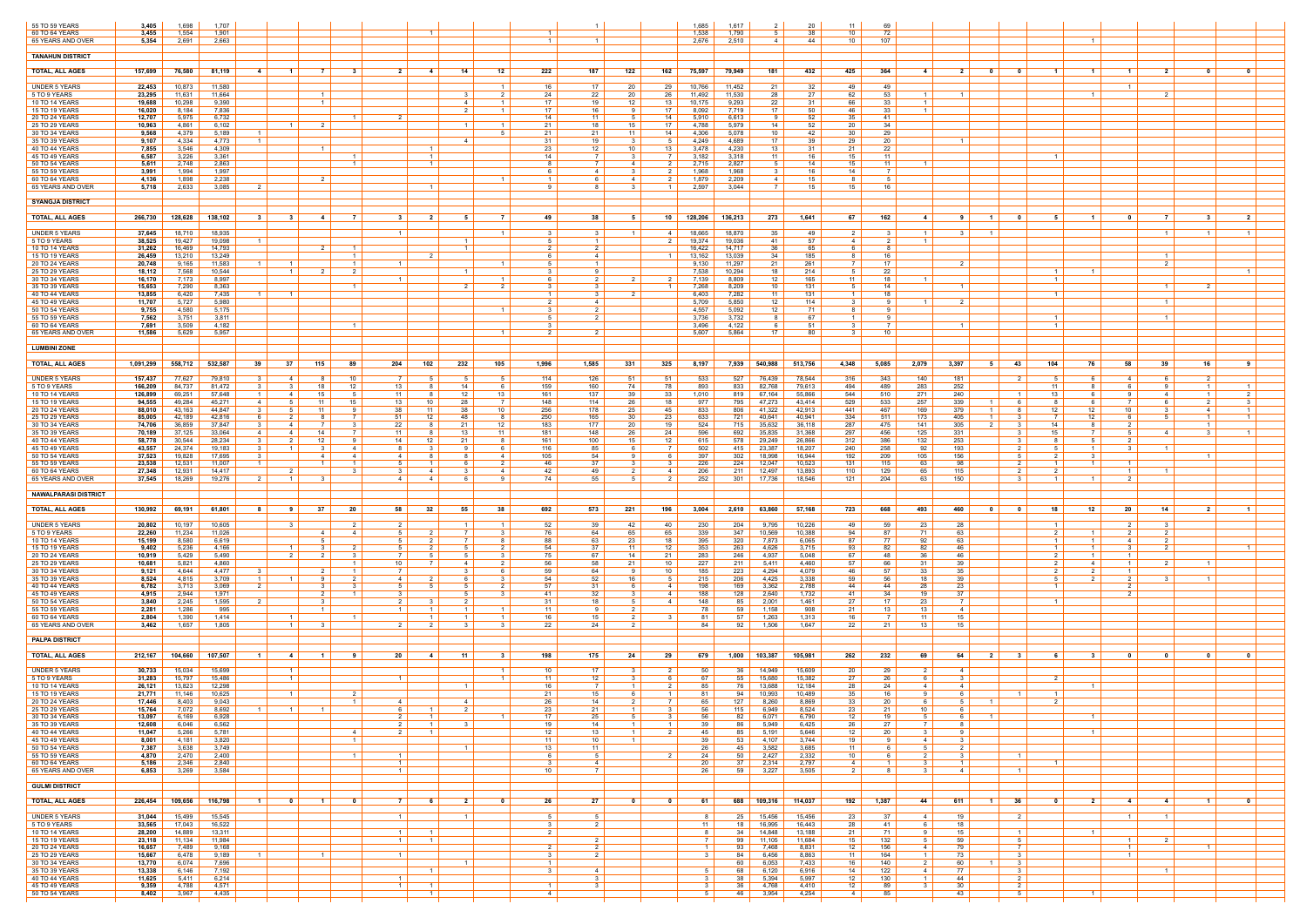|                                         |                    |                  |                  |                                  |                            |                   |                                  |                            |                                                 |                                |                         |                         |                                 |                         |                         |                    |                    |                     |                  | 11                    | 69                                             |                        |                         |                                           |                                |                          |                             |                                 |                                 |                         |
|-----------------------------------------|--------------------|------------------|------------------|----------------------------------|----------------------------|-------------------|----------------------------------|----------------------------|-------------------------------------------------|--------------------------------|-------------------------|-------------------------|---------------------------------|-------------------------|-------------------------|--------------------|--------------------|---------------------|------------------|-----------------------|------------------------------------------------|------------------------|-------------------------|-------------------------------------------|--------------------------------|--------------------------|-----------------------------|---------------------------------|---------------------------------|-------------------------|
| 55 TO 59 YEARS<br>60 TO 64 YEARS        | 3,405<br>3,455     | 1,698<br>1,554   | 1,707<br>1,901   |                                  |                            |                   |                                  |                            |                                                 |                                |                         | $\overline{1}$          |                                 |                         |                         | 1.685<br>1,538     | 1,617<br>1,790     | 5 <sub>1</sub>      | 20<br>38         | 10 <sup>1</sup>       | 72                                             |                        |                         |                                           |                                |                          |                             |                                 |                                 |                         |
| 65 YEARS AND OVER                       | 5,354              | 2,691            | 2,663            |                                  |                            |                   |                                  |                            |                                                 |                                |                         | $\overline{1}$          |                                 |                         |                         | 2,676              | 2,510              | 4                   | 44               | 10                    | 107                                            |                        |                         |                                           |                                |                          |                             |                                 |                                 |                         |
| <b>TANAHUN DISTRICT</b>                 |                    |                  |                  |                                  |                            |                   |                                  |                            |                                                 |                                |                         |                         |                                 |                         |                         |                    |                    |                     |                  |                       |                                                |                        |                         |                                           |                                |                          |                             |                                 |                                 |                         |
| <b>TOTAL, ALL AGES</b>                  | 157,699            | 76,580           | 81,119           | -4                               | $\blacksquare$             |                   | $\mathbf{R}$                     | <b>2</b> l                 | -4                                              | 14                             | 12                      | 222                     | 187                             | 122                     | 162                     | 75,597             | 79,949             | 181                 | 432              | 425                   | 364<br>-4                                      |                        | $\mathbf{0}$            | - 0                                       |                                |                          |                             | $\overline{2}$                  |                                 |                         |
|                                         |                    |                  |                  |                                  |                            |                   |                                  |                            |                                                 |                                |                         |                         |                                 |                         |                         |                    |                    |                     |                  |                       |                                                |                        |                         |                                           |                                |                          |                             |                                 |                                 |                         |
| <b>UNDER 5 YEARS</b><br>5 TO 9 YEARS    | 22,453<br>23,295   | 10,873<br>11,631 | 11,580<br>11,664 |                                  |                            | $\overline{1}$    |                                  |                            |                                                 |                                | 2                       | 16<br>24                | 17<br>22                        | -20<br>20               | 29<br>26                | 10,766<br>11,492   | 11,452<br>11,530   | 21<br>28            | 32<br>27         | 49<br>62              | 49<br>53                                       |                        |                         |                                           |                                |                          | $\overline{1}$              |                                 |                                 |                         |
| 10 TO 14 YEARS                          | 19,688             | 10,298           | 9,390            |                                  |                            | $\overline{1}$    |                                  |                            |                                                 | $\mathbf{A}$                   |                         | 17 <sup>1</sup>         | 19                              | 12 <sup>12</sup>        | 13 <sup>1</sup>         | 10,175             | 9,293              | 22                  | 31               | 66                    | 33                                             |                        |                         |                                           |                                |                          |                             |                                 |                                 |                         |
| 15 TO 19 YEARS<br>20 TO 24 YEARS        | 16,020<br>12,707   | 8,184<br>5,975   | 7,836<br>6,732   |                                  |                            |                   | $\overline{1}$                   | $\mathcal{P}$              |                                                 |                                |                         | 17 <sup>1</sup><br>14   | 16<br>11                        |                         | 17 <sup>2</sup><br>14   | 8,092<br>5,910     | 7,719<br>6,613     | 17                  | 50<br>52         | 46<br>35              | -33<br>41                                      |                        |                         |                                           |                                |                          |                             |                                 |                                 |                         |
| 25 TO 29 YEARS                          | 10,963             | 4,861            | 6,102            |                                  | $\blacksquare$             |                   |                                  |                            |                                                 |                                |                         | 21                      | 18                              | 15                      | 17                      | 4,788              | 5,979              | 14                  | 52               | 20                    | -34                                            |                        |                         |                                           |                                |                          |                             |                                 |                                 |                         |
| 30 TO 34 YEARS<br>35 TO 39 YEARS        | 9,568<br>9,107     | 4,379<br>4,334   | 5,189<br>4,773   | $\blacksquare$<br>$\overline{1}$ |                            |                   |                                  |                            |                                                 | 4                              |                         | 21<br>31                | 21<br>19                        | 11                      | 14 I<br>5 I             | 4,306<br>4,249     | 5,078<br>4,689     | 10<br>17            | 42<br>39         | 30<br>29              | 29<br>20                                       | $\blacksquare$         |                         |                                           |                                |                          |                             |                                 |                                 |                         |
| 40 TO 44 YEARS                          | 7,855              | 3,546<br>3,226   | 4,309            |                                  |                            |                   |                                  |                            |                                                 |                                |                         | 23<br>14                | 12                              | 10                      | $13 \mid$<br>7 I        | 3,478<br>3,182     | 4,230              | 13<br>11            | 31<br>16         | 21<br>15              | 22<br>-11                                      |                        |                         |                                           |                                |                          |                             |                                 |                                 |                         |
| 45 TO 49 YEARS<br>50 TO 54 YEARS        | 6,587<br>5,611     | 2,748            | 3,361<br>2,863   |                                  |                            |                   | $\vert$ 1 $\vert$                |                            | $\overline{1}$                                  |                                |                         | 81                      | $\overline{7}$                  | 4                       | $2 \mid$                | 2,715              | 3,318<br>2,827     | 51                  | 14               | 15                    | 11                                             |                        |                         |                                           |                                |                          |                             |                                 |                                 |                         |
| 55 TO 59 YEARS<br>60 TO 64 YEARS        | 3,991<br>4,136     | 1,994<br>1,898   | 1,997<br>2,238   |                                  |                            |                   |                                  |                            |                                                 |                                |                         | 6.                      | 4                               |                         | 2 I                     | 1,968<br>1,879     | 1,968<br>2,209     | 4                   | 16<br>15         | 14<br>8               | -5                                             |                        |                         |                                           |                                |                          |                             |                                 |                                 |                         |
| 65 YEARS AND OVER                       | 5,718              | 2.633            | 3.085            | - 2                              |                            |                   |                                  |                            |                                                 |                                |                         | 9 <sup>1</sup>          |                                 | $\mathbf{3}$            | $\overline{1}$          | 2.597              | 3.044              | 7                   | 15               | 15 I                  | 16                                             |                        |                         |                                           |                                |                          |                             |                                 |                                 |                         |
| <b>SYANGJA DISTRICT</b>                 |                    |                  |                  |                                  |                            |                   |                                  |                            |                                                 |                                |                         |                         |                                 |                         |                         |                    |                    |                     |                  |                       |                                                |                        |                         |                                           |                                |                          |                             |                                 |                                 |                         |
|                                         |                    |                  |                  |                                  |                            |                   |                                  |                            |                                                 |                                |                         |                         |                                 |                         |                         |                    |                    |                     |                  |                       |                                                |                        |                         |                                           |                                |                          |                             |                                 |                                 |                         |
| <b>TOTAL, ALL AGES</b>                  | 266,730            | 128,628          | 138,102          | 31                               | -31                        | -41               | - 7 I                            | 3 <sup>1</sup>             | 2                                               | 5                              | $\overline{7}$          | 49                      | 38                              | 5                       | 10 <sup>1</sup>         | 128,206 136,213    |                    | 273                 | 1,641            | 67 I                  | 162<br>4                                       | 91                     | $\overline{1}$          | $\mathbf{0}$                              | 5.                             |                          | $\overline{0}$              | $\overline{7}$                  | $\mathbf{3}$                    | 2 <sup>1</sup>          |
| <b>UNDER 5 YEARS</b>                    | 37,645             | 18,710           | 18,935           |                                  |                            |                   |                                  | $\overline{1}$             |                                                 |                                |                         | 3                       | - 3                             |                         | 4                       | 18,665             | 18,870             | 35                  | 49               | 2                     | - 3                                            | 31                     | $\blacksquare$          |                                           |                                |                          |                             | $\blacksquare$                  | $\mathbf{1}$                    |                         |
| 5 TO 9 YEARS<br>10 TO 14 YEARS          | 38,525<br>31,262   | 19,427<br>16,469 | 19,098<br>14,793 | $\overline{1}$                   |                            | $\mathcal{P}$     | $\vert$ 1 $\vert$                |                            |                                                 | $\mathbf{1}$<br>$\overline{1}$ |                         | $5-1$<br>2 <sup>1</sup> | $\overline{1}$<br>$\mathcal{D}$ |                         | 2 I                     | 19,374<br>16,422   | 19,036<br>14,717   | 41<br>36            | 57<br>65         | 4<br>6                | 2<br>-8                                        |                        |                         |                                           |                                |                          |                             |                                 |                                 |                         |
| 15 TO 19 YEARS<br>20 TO 24 YEARS        | 26,459<br>20,748   | 13,210<br>9,165  | 13,249<br>11,583 | $\blacksquare$                   | $\overline{1}$             |                   | $\overline{1}$<br>$\overline{1}$ | $\overline{1}$             |                                                 |                                |                         | 6<br>5                  | 4<br>- 1                        |                         | - 1 - I                 | 13,162<br>9,130    | 13,039<br>11,297   | 34<br>21            | 185<br>261       | 8<br>- 7 I            | 16<br>17                                       |                        |                         |                                           |                                |                          |                             | $\overline{1}$<br>$\mathcal{P}$ |                                 |                         |
| 25 TO 29 YEARS                          | 18,112             | 7,568            | 10,544           |                                  | $\overline{1}$             | 2                 | 2                                |                            |                                                 | $\overline{1}$                 |                         | $\overline{3}$          | <b>Q</b>                        |                         |                         | 7,538              | 10,294             | 18                  | 214              | 5 I                   | 22                                             |                        |                         |                                           | $\mathbf{1}$                   |                          |                             |                                 |                                 | $\overline{1}$          |
| 30 TO 34 YEARS<br>35 TO 39 YEARS        | 16,170<br>15,653   | 7,173<br>7,290   | 8,997<br>8,363   |                                  |                            |                   | $\blacksquare$                   | $\mathbf{1}$               |                                                 |                                |                         | 6<br>3                  |                                 |                         | - 1 - I                 | 7,139<br>7,268     | 8,809<br>8,209     | 12<br>10            | 165<br>131       | 11<br>5               | 18<br>14                                       |                        |                         |                                           |                                |                          |                             | $\overline{1}$                  | - 2                             |                         |
| 40 TO 44 YEARS                          | 13,855             | 6,420            | 7,435            | $\overline{1}$                   | $\overline{1}$             |                   |                                  |                            |                                                 |                                |                         | $1 \vert$               | $\mathbf{3}$                    | $\overline{2}$          |                         | 6,403              | 7,282              | 11                  | 131              | $1 \mid$              | 18                                             |                        |                         |                                           | $\overline{1}$                 |                          |                             |                                 |                                 |                         |
| 45 TO 49 YEARS<br>50 TO 54 YEARS        | 11,707<br>9,755    | 5,727<br>4,580   | 5,980<br>5,175   |                                  |                            |                   |                                  |                            |                                                 |                                |                         | $\mathcal{S}$           | 4                               |                         |                         | 5,709<br>4,557     | 5,850<br>5,092     | 12<br>12            | 114<br>71        | 8.                    | -9<br>-9                                       |                        |                         |                                           |                                |                          |                             | $\overline{1}$                  |                                 |                         |
| 55 TO 59 YEARS                          | 7,562              | 3,751            | 3,811            |                                  |                            |                   |                                  |                            |                                                 |                                |                         | 5 <sup>1</sup>          | 2                               |                         |                         | 3,736              | 3,732              | 8                   | 67               | 1 I                   | 9                                              |                        |                         |                                           | $\blacksquare$                 |                          |                             | $\overline{1}$                  |                                 |                         |
| 60 TO 64 YEARS<br>65 YEARS AND OVER     | 7.691<br>11,586    | 3,509<br>5,629   | 4,182<br>5,957   |                                  |                            |                   | $\overline{1}$                   |                            |                                                 |                                |                         |                         |                                 |                         |                         | 3,496<br>5,607     | 4,122<br>5,864     | -6<br>17            | 51<br>80         |                       | 7<br>10 <sup>1</sup>                           |                        |                         |                                           | $\overline{1}$                 |                          |                             |                                 |                                 |                         |
|                                         |                    |                  |                  |                                  |                            |                   |                                  |                            |                                                 |                                |                         |                         |                                 |                         |                         |                    |                    |                     |                  |                       |                                                |                        |                         |                                           |                                |                          |                             |                                 |                                 |                         |
| <b>LUMBINI ZONE</b>                     |                    |                  |                  |                                  |                            |                   |                                  |                            |                                                 |                                |                         |                         |                                 |                         |                         |                    |                    |                     |                  |                       |                                                |                        |                         |                                           |                                |                          |                             |                                 |                                 |                         |
| <b>TOTAL, ALL AGES</b>                  | 1,091,299          | 558,712          | 532,587          | 39                               | 37                         | 115               | 89                               | 204                        | 102                                             | 232                            | 105                     | 1,996                   | 1,585                           | 331                     | 325                     | 8,197              | 7,939              | 540,988             | 513,756          | 4,348<br>5,085        | 2,079                                          | 3,397                  | 51                      | 43                                        | 104                            | 76                       | 58                          | 39                              | 16                              |                         |
| <b>UNDER 5 YEARS</b>                    | 157,437            | 77,627           | 79,810           |                                  | $\overline{4}$             |                   | 10 <sup>1</sup>                  | 7 I                        |                                                 |                                | 5 <sup>5</sup>          | 114                     | 126                             | 51                      | 51                      | 533                | 527                | 76,439              | 78,544           | 316                   | 343<br>140                                     | 181                    |                         | $\overline{2}$                            |                                | 6                        | 4 I                         | - 6                             | 2 I                             |                         |
| 5 TO 9 YEARS<br>10 TO 14 YEARS          | 166,209<br>126,899 | 84,737<br>69,251 | 81,472<br>57,648 |                                  | $\overline{4}$             | 18<br>15          | 12<br>-5                         | $13 \mid$<br>$11 \mid$     | <b>8</b>                                        | 14<br>12                       | - 6<br>13               | 159<br>161              | 160<br>137                      | 74<br>39                | 78<br>33                | 893<br>1,010       | 833<br>819         | 82,768<br>67,164    | 79,613<br>55,866 | 494<br>544            | 489<br>283<br>510<br>271                       | 252<br>240             |                         |                                           | 13                             | - 6                      | . ი<br>-9                   | -9<br>4                         | $\mathbf{1}$<br>$\mathbf{1}$    | 2                       |
| <b>15 TO 19 YEARS</b>                   | 94,555             | 49,284           | 45,271           | 4                                | - 5                        | 11                | 15                               | $13 \mid$                  | 10                                              | 28                             | $\overline{7}$          | 148                     | 114                             | 26                      | 18                      | 977                | 795                | 47,273              | 43,414           | 529                   | 533<br>257                                     | 339                    | $\overline{1}$          | - 6                                       | 8                              | - 6                      | 7 I                         | -6                              | 2 I                             | $\mathbf{3}$            |
| 20 TO 24 YEARS<br>25 TO 29 YEARS        | 88,010<br>85,005   | 43,163<br>42,189 | 44,847<br>42,816 |                                  | -2                         | 11                |                                  | 38<br>51                   | - 11<br>12                                      | -38<br>48                      | 10 <sup>1</sup><br>- 8  | 256<br>250              | 178<br>165                      | 25<br>30                | 45<br>23                | 833<br>633         | 806<br>721         | 41,322<br>40,641    | 42,913<br>40,941 | 441<br>334            | 169<br>467<br>511<br>173                       | 379<br>405             |                         | -8<br>-3                                  | 12 <sup>°</sup>                | 12<br>12                 | 10 <sup>1</sup><br>6        | -5                              | 4<br>$\mathbf{1}$               |                         |
| 30 TO 34 YEARS                          | 74,706             | 36,859           | 37,847           | -3                               | 4                          | 7                 | -3                               | 22<br>11 <sup>1</sup>      | <b>8</b>                                        | 21<br>13 <sup>1</sup>          | 12 <sup>12</sup>        | 183                     | 177                             | 20                      | 19                      | 524                | 715                | 35,632              | 36,118           | 287                   | 475<br>141                                     | 305                    | 2 I                     | - 3                                       | 14<br>15                       | 8<br>$\overline{7}$      | 2 I<br>.5 I                 |                                 | $\mathbf{1}$<br>$\mathcal{R}$   |                         |
| 35 TO 39 YEARS<br>40 TO 44 YEARS        | 70,189<br>58,778   | 37,125<br>30,544 | 33,064<br>28,234 | -4                               | 4<br>-2                    | 14<br>12          | - 9                              | 14                         | 12                                              | 21                             | 11<br>- 8               | 181<br>161              | 148<br>100                      | 26<br>15                | 24  <br>12 <sup>1</sup> | 596<br>615         | 692  <br>578       | 35,835<br>29,249    | 31,368<br>26,866 | 297<br>312            | 456<br>125<br>386<br>132                       | 331<br>253             |                         | - 3                                       |                                | 51                       |                             | $\overline{4}$                  |                                 |                         |
| 45 TO 49 YEARS<br>50 TO 54 YEARS        | 43,557<br>37,523   | 24,374<br>19,828 | 19,183<br>17,695 | - 3<br>$\mathbf{3}$              | $\overline{1}$             | $\mathbf{3}$<br>4 | 4<br>4                           | 8 I<br>4                   |                                                 |                                | - 6<br>$\overline{4}$   | 116<br>105              | 85<br>54                        | <b>Q</b>                | 7 I<br>6 I              | 502<br>397         | 415  <br>302       | 23,387<br>18,998    | 18,207<br>16,944 | 240<br>192            | 258<br>92<br>209<br>105                        | 193<br>156             |                         | $\overline{2}$<br>- 5                     | 5.                             | $\vert$ 1 $\vert$<br>- 3 | 3 I                         | $\overline{1}$                  | $\overline{1}$                  |                         |
| 55 TO 59 YEARS                          | 23,538             | 12,531           | 11,007           |                                  |                            |                   |                                  | 51                         |                                                 |                                |                         | 46                      | 37                              |                         |                         | 226                | 224 $\vert$        | 12,047              | 10,523           | 131                   | 115<br>63                                      | 98                     |                         |                                           |                                |                          |                             |                                 |                                 |                         |
| 60 TO 64 YEARS<br>65 YEARS AND OVER     | 27,348<br>37,545   | 12,931<br>18,269 | 14,417<br>19,276 |                                  | - 2<br>$\overline{1}$      |                   |                                  | 3 I<br>4 I                 | $\overline{a}$                                  |                                | 4<br><b>Q</b>           | 42<br>74                | 49<br>55                        |                         | 4 I<br>2 I              | 206<br>252         | 211<br>301         | 12,497<br>17,736    | 13,893<br>18,546 | 110<br>121            | 129<br>65<br>204<br>63                         | 115<br>150             |                         | - 2<br>- 3                                |                                |                          | $\overline{1}$<br>2         | $\overline{1}$                  |                                 |                         |
|                                         |                    |                  |                  |                                  |                            |                   |                                  |                            |                                                 |                                |                         |                         |                                 |                         |                         |                    |                    |                     |                  |                       |                                                |                        |                         |                                           |                                |                          |                             |                                 |                                 |                         |
| <b>NAWALPARASI DISTRICT</b>             |                    |                  |                  |                                  |                            |                   |                                  |                            |                                                 |                                |                         |                         |                                 |                         |                         |                    |                    |                     |                  |                       |                                                |                        |                         |                                           |                                |                          |                             |                                 |                                 |                         |
| <b>TOTAL, ALL AGES</b>                  | 130,992            | 69,191           | 61,801           | 8                                | 91                         | 37                | - 20                             | 58 I                       | 32                                              | 55                             | 38                      | 692                     | 573                             | 221                     | 196                     | 3,004              | $2,610$            | 63,860              | 57,168           | 723 I                 | 668<br>493                                     | 460                    | $\overline{\mathbf{0}}$ | $\bullet$                                 | 18                             | 12                       | 20                          | 14                              | $\overline{\mathbf{2}}$         | $\overline{1}$          |
| <b>UNDER 5 YEARS</b>                    | 20,802             | 10,197           | 10,605           |                                  | - 3                        |                   |                                  |                            |                                                 |                                |                         | 52                      | 39                              | 42                      | 40                      | 230                | 204                | 9,795               | 10,226           | 49                    | -59<br>23                                      | 28                     |                         |                                           |                                |                          |                             | - 3                             |                                 |                         |
| 5 TO 9 YEARS<br>10 TO 14 YEARS          | 22,260<br>15,199   | 11,234<br>8,580  | 11,026<br>6,619  |                                  |                            | 4                 | 4                                | 5  <br>51                  |                                                 |                                | 3<br>- 8                | 76<br>88                | 64<br>63                        | 65<br>23                | 65<br>18                | 339<br>395         | 347<br>320         | 10,569<br>7,873     | 10,388<br>6,065  | 94<br>87              | 87<br>71<br>77<br>92                           | 63<br>63               |                         |                                           |                                |                          | 2 I<br>4 I                  | $\overline{2}$<br>2             |                                 |                         |
| 15 TO 19 YEARS                          | 9,402              | 5,236            | 4,166            |                                  | $\blacksquare$             |                   |                                  | 5                          |                                                 |                                |                         | 54                      | 37                              | 11                      | 12                      | 353                | 263                | 4,626               | 3,715            | 93                    | 82<br>82                                       | 46                     |                         |                                           |                                |                          | - 3 - I                     | $\overline{2}$                  |                                 |                         |
| 20 TO 24 YEARS<br>25 TO 29 YEARS        | 10,919<br>10,681   | 5,429<br>5,821   | 5,490<br>4,860   |                                  | 2                          | $\overline{2}$    | $\mathbf{3}$                     | 7 I<br>10 <sup>1</sup>     |                                                 | 4                              | $\mathbf{3}$<br>2       | 75<br>56                | 67<br>58                        | 14<br>21                | 21<br>10                | 283<br>227         | 246 $\vert$<br>211 | 4,937<br>5,411      | 5,048<br>4,460   | 67<br>57              | 48<br>36<br>66<br>31                           | 46<br>39               |                         |                                           | $\mathcal{P}$<br>$\mathcal{P}$ | 4                        | 1 <sup>1</sup><br>$1 \vert$ | 2                               | $\overline{1}$                  |                         |
| 30 TO 34 YEARS                          | 9,121<br>8,524     | 4,644<br>4,815   | 4,477<br>3,709   |                                  |                            |                   | $\overline{1}$                   | 7 I<br>4                   |                                                 |                                | 6.                      | 59<br>54                | 64                              | 16                      | 10 <sup>1</sup><br>51   | 185<br>215         | 223                | 4,294               | 4,079            | 46<br>59              | 57<br>33<br>56<br>18                           | 35<br>39               |                         |                                           |                                | 2                        | - 1 - I                     |                                 | $\overline{1}$                  |                         |
| 35 TO 39 YEARS<br>40 TO 44 YEARS        | 6,782              | 3,713            | 3,069            | $\overline{2}$                   |                            | -3                | -3                               | 5                          | - 5                                             | -5                             | 2                       | 57                      | 52<br>31                        |                         | 4 I                     | 198                | 206<br>169         | 4,425<br>3,362      | 3,338<br>2,788   | 44                    | 44<br>28                                       | 23                     |                         |                                           |                                |                          | 2                           |                                 |                                 |                         |
| 45 TO 49 YEARS<br>50 TO 54 YEARS        | 4,915<br>3,840     | 2,944<br>2,245   | 1.971<br>1,595   |                                  |                            |                   |                                  | 3 I<br>2 <sup>1</sup>      |                                                 |                                |                         | 41<br>31                | -32<br>18                       |                         | 41<br>4                 | 188<br>148         | 128<br>85          | 2,640<br>2,001      | 1,732<br>1,461   | -41<br>27             | 34<br>19<br>17<br>23                           | 37<br>$\overline{7}$   |                         |                                           |                                |                          |                             |                                 |                                 |                         |
| 55 TO 59 YEARS                          | 2,281              | 1,286            | 995              |                                  |                            |                   |                                  | 1 <sup>1</sup>             |                                                 |                                |                         | 11                      |                                 |                         |                         | 78                 | 59                 | 1,158               | 908              | 21                    | 13<br>13                                       | 4                      |                         |                                           |                                |                          |                             |                                 |                                 |                         |
| 60 TO 64 YEARS<br>65 YEARS AND OVER     | 2,804<br>3,462     | 1,390<br>1,657   | 1,414<br>1,805   |                                  | $\overline{1}$<br>$1\vert$ | $\mathcal{R}$     |                                  | $2 \mid$                   | $\overline{2}$                                  | $\mathcal{R}$                  | 3                       | 16<br>22                | 15<br>24                        |                         | - 3                     | -81<br>84          | 57<br>92 I         | 1,263<br>1,506      | 1,313<br>1,647   | 16<br>22              | -11<br>7<br>21<br>13                           | 15<br>15               |                         |                                           |                                |                          |                             |                                 |                                 |                         |
| <b>PALPA DISTRICT</b>                   |                    |                  |                  |                                  |                            |                   |                                  |                            |                                                 |                                |                         |                         |                                 |                         |                         |                    |                    |                     |                  |                       |                                                |                        |                         |                                           |                                |                          |                             |                                 |                                 |                         |
|                                         |                    |                  |                  |                                  |                            |                   |                                  |                            |                                                 |                                |                         |                         |                                 |                         |                         |                    |                    |                     |                  |                       |                                                |                        |                         |                                           |                                |                          |                             |                                 |                                 |                         |
| <b>TOTAL, ALL AGES</b>                  | 212,167            | 104,660          | 107,507          |                                  | -4                         | $\mathbf 1$       |                                  | 20                         | -4                                              | 11                             |                         | 198                     | 175                             | 24                      | 29                      | 679                | 1,000              | 103,387             | 105,981          | 262                   | 232<br>69                                      | 64                     | 2 <sup>1</sup>          | - 3                                       |                                |                          |                             |                                 |                                 |                         |
| <b>UNDER 5 YEARS</b>                    | 30,733             | 15,034           | 15,699           |                                  | $\overline{1}$             |                   |                                  |                            |                                                 |                                | $\overline{1}$          | 10                      | 17                              |                         | 2 I                     | 50                 | 36 I               | 14,949              | 15,609           | 20                    | 29<br>2                                        | 4                      |                         |                                           |                                |                          |                             |                                 |                                 |                         |
| 5 TO 9 YEARS<br>10 TO 14 YEARS          | 31,283<br>26,121   | 15,797<br>13,823 | 15,486<br>12,298 |                                  | $\overline{1}$             |                   |                                  | 1 <sup>1</sup>             |                                                 |                                |                         | 11<br>16                | 12                              |                         | 6<br>2                  | 67<br>85           | 55<br>76           | 15,680<br>13,688    | 15,382<br>12,184 | 27<br>28              | 26<br>24<br>4                                  | 4                      |                         |                                           |                                |                          |                             |                                 |                                 |                         |
| <b>15 TO 19 YEARS</b><br>20 TO 24 YEARS | 21,771<br>17,446   | 11,146<br>8,403  | 10,625<br>9,043  |                                  | $\vert$ 1 $\vert$          |                   | 2<br>$\overline{1}$              | 4                          |                                                 | 4                              |                         | 21<br>26                | 15<br>14                        | 2                       | 1 <sup>1</sup><br>7 I   | -81<br>65          | 94 I<br>127        | 10,993<br>8,260     | 10,489<br>8,869  | 35<br>33              | 16<br>20<br>6                                  | 6<br>51                |                         |                                           | 2                              |                          |                             |                                 |                                 |                         |
| 25 TO 29 YEARS                          | 15,764             | 7,072            | 8,692            | $1 \vert$                        | $1 \vert$                  | $\overline{1}$    |                                  | $6 \mid$                   | $\left  \begin{array}{c} 1 \end{array} \right $ | $\overline{\mathbf{2}}$        |                         | 23                      | 21                              | $\overline{1}$          | $3 \mid$                | 56                 |                    | $115$ 6,949         | 8,524            | 23                    | 21<br>10                                       |                        |                         |                                           |                                |                          |                             |                                 |                                 |                         |
| 30 TO 34 YEARS<br>35 TO 39 YEARS        | 13,097<br>12,608   | 6,169<br>6,046   | 6,928<br>6,562   |                                  |                            |                   |                                  | 2 I<br>$2 \mid$            | $\vert$ 1 $\vert$                               | - 3                            |                         | 17<br>19                | 25<br>14                        | $\overline{1}$          | 31<br>$1 \mid$          | 56<br>39           | 82<br>86           | 6,071<br>5,949      | 6,790<br>6,425   | 12<br>26              | 19<br>5<br>27<br>$\overline{7}$                | 6<br>8                 | $\overline{1}$          |                                           |                                |                          |                             |                                 |                                 |                         |
| 40 TO 44 YEARS                          | 11,047             | 5,266            | 5,781            |                                  |                            |                   | 4                                | 2 <sup>1</sup>             | $\overline{1}$                                  |                                |                         | 12                      | 13                              |                         | 2 I                     | 45                 | 85                 | 5,191               | 5,646            | 12                    | 20<br>$\mathcal{R}$                            | $\mathbf{q}$           |                         |                                           |                                | $\overline{1}$           |                             |                                 |                                 |                         |
| 45 TO 49 YEARS<br>50 TO 54 YEARS        | 8,001<br>7,387     | 4,181<br>3,638   | 3,820<br>3,749   |                                  |                            |                   | $\vert$ 1 $\vert$                |                            |                                                 | $\overline{1}$                 |                         | 11 I<br>$13 \mid$       | 10<br>11                        |                         |                         | 39<br>26           | 53<br>45           | 4,107<br>3,582      | 3,744<br>3,685   | 19<br>11 <sup>1</sup> | 9<br>4<br>61<br>51                             | 3<br>2 I               |                         |                                           |                                |                          |                             |                                 |                                 |                         |
| 55 TO 59 YEARS                          | 4,870              | 2,470            | 2,400            |                                  |                            |                   | $1 \vert$                        | $1 \vert$                  |                                                 |                                |                         | 6                       | 5                               |                         | 2 I                     | 24                 | $50 \mid$          | 2,427               | 2,332            | 10                    | $\overline{2}$<br>6                            | 3 <sup>1</sup>         |                         | $\sim$ 1 $\sim$                           |                                |                          |                             |                                 |                                 |                         |
| 60 TO 64 YEARS<br>65 YEARS AND OVER     | 5,186<br>6,853     | 2,346<br>3,269   | 2,840<br>3,584   |                                  |                            |                   |                                  | 1 <sup>1</sup><br>$1 \mid$ |                                                 |                                |                         | 3 I<br>10 <sup>1</sup>  | $\overline{4}$                  |                         |                         | 20<br>26           | $37 \mid$<br>59    | 2,314<br>3,227      | 2,797<br>3,505   | $4 \vert$<br>2 I      | $\overline{1}$<br>-8<br>-3                     | $\vert$ 1 $\vert$<br>4 |                         | $\overline{1}$                            |                                |                          |                             |                                 |                                 |                         |
| <b>GULMI DISTRICT</b>                   |                    |                  |                  |                                  |                            |                   |                                  |                            |                                                 |                                |                         |                         |                                 |                         |                         |                    |                    |                     |                  |                       |                                                |                        |                         |                                           |                                |                          |                             |                                 |                                 |                         |
|                                         |                    |                  |                  |                                  |                            |                   |                                  |                            |                                                 |                                |                         |                         |                                 |                         |                         |                    |                    |                     |                  |                       |                                                |                        |                         |                                           |                                |                          |                             |                                 |                                 |                         |
| <b>TOTAL, ALL AGES</b>                  | 226,454            | 109,656          | 116,798          | $\blacksquare$ 1                 | $\overline{\mathbf{0}}$    | $\blacksquare$ 1  | $\overline{\mathbf{0}}$          | 7 <sup>1</sup>             | 61                                              | $\overline{\phantom{0}}$ 2     | $\overline{\mathbf{0}}$ | 26                      | 27                              | $\overline{\mathbf{0}}$ | $\overline{\mathbf{0}}$ | 61                 |                    | 688 109,316 114,037 |                  | 192  <br>1,387        | 44                                             | 611                    | $1 \mid 36$             |                                           | $\overline{\mathbf{0}}$        | $2 \mid$                 | $-4$                        | $\sim$ 4 $\mid$                 | $\blacksquare$ 1 $\blacksquare$ | $\overline{\mathbf{0}}$ |
| <b>UNDER 5 YEARS</b>                    | 31,044             | 15,499           | 15,545           |                                  |                            |                   |                                  | $\overline{1}$             |                                                 |                                |                         | 5                       | -5                              |                         |                         | - 8                | 25                 | 15,456              | 15,456           | 23                    | 37<br>4                                        | 19                     |                         | $\overline{2}$                            |                                |                          | $\overline{1}$              | $\overline{1}$                  |                                 |                         |
| 5 TO 9 YEARS<br>10 TO 14 YEARS          | 33,565<br>28,200   | 17,043<br>14,889 | 16,522<br>13,311 |                                  |                            |                   |                                  | $1 \mid$                   |                                                 |                                |                         | $3 \mid$<br>$2 \mid$    | $\overline{2}$                  |                         |                         | 11<br>- 8          | 18 I<br>34         | 16,995<br>14,848    | 16,443<br>13,188 | 28<br>21              | 41<br>6<br>71<br>9                             | 18<br>15               |                         | $\blacksquare$                            |                                | $\overline{1}$           |                             |                                 |                                 |                         |
| 15 TO 19 YEARS<br>20 TO 24 YEARS        | 23,118             | 11,134           | 11,984           |                                  |                            |                   |                                  | $1 \mid$                   |                                                 |                                |                         | 2 <sup>1</sup>          | 2                               |                         |                         | $\overline{1}$     | 99                 | 11,105              | 11,684           | $15$                  | 132                                            | 59<br>79               |                         | - 5                                       |                                |                          | $\overline{1}$<br>$1 \mid$  | $\overline{2}$                  | $\overline{1}$                  |                         |
| 25 TO 29 YEARS                          | 16,657<br>15,667   | 7,489<br>6,478   | 9,168<br>9,189   | $\overline{1}$                   |                            | $\overline{1}$    |                                  | 1 <sup>1</sup>             |                                                 |                                |                         | 3 I                     | $\overline{2}$                  |                         |                         | $\mathbf{3}$       | 93  <br>84         | 7,468<br>6,456      | 8,831<br>8,863   | 12<br>11              | 156<br>$\overline{4}$<br>164<br>$\overline{1}$ | 73                     |                         | $\overline{\mathbf{3}}$                   |                                |                          | $\overline{1}$              |                                 |                                 |                         |
| 30 TO 34 YEARS<br>35 TO 39 YEARS        | 13,770<br>13,338   | 6,074<br>6,146   | 7,696<br>7,192   |                                  |                            |                   |                                  |                            |                                                 | $\overline{1}$                 |                         | $1 \vert$<br>3          | $\overline{4}$                  |                         |                         | - 5                | 60<br>68           | 6,053<br>6,120      | 7,433<br>6,916   | $16$  <br>14          | 140<br>2 <sup>1</sup><br>122<br>4              | 60<br>77               | 1 <sup>1</sup>          | $\overline{\mathbf{3}}$<br>3 <sup>3</sup> |                                |                          |                             | $\blacksquare$                  |                                 |                         |
| 40 TO 44 YEARS                          | 11,625             | 5,411            | 6,214            |                                  |                            |                   |                                  | $1 \mid$                   |                                                 |                                |                         |                         | $\mathbf{3}$                    |                         |                         | - 3                | 38                 | 5,394               | 5,997            | 12 <sup>1</sup>       | 130<br>$\overline{1}$                          | 44                     |                         | $\overline{2}$                            |                                |                          |                             |                                 |                                 |                         |
| 45 TO 49 YEARS<br>50 TO 54 YEARS        | 9,359<br>8,402     | 4,788<br>3,967   | 4,571<br>4,435   |                                  |                            |                   |                                  | $1 \mid$                   | $\overline{1}$                                  |                                |                         | $1 \vert$<br>4          | $\overline{\mathbf{3}}$         |                         |                         | $\mathbf{3}$<br>.5 | 36  <br>46 I       | 4,768<br>3,954      | 4,410<br>4,254   | 12 <sup>1</sup><br>4  | 89<br>$\mathbf{3}$<br>85                       | 30<br>43               |                         | 2<br>- 5                                  |                                |                          |                             |                                 |                                 |                         |
|                                         |                    |                  |                  |                                  |                            |                   |                                  |                            |                                                 |                                |                         |                         |                                 |                         |                         |                    |                    |                     |                  |                       |                                                |                        |                         |                                           |                                |                          |                             |                                 |                                 |                         |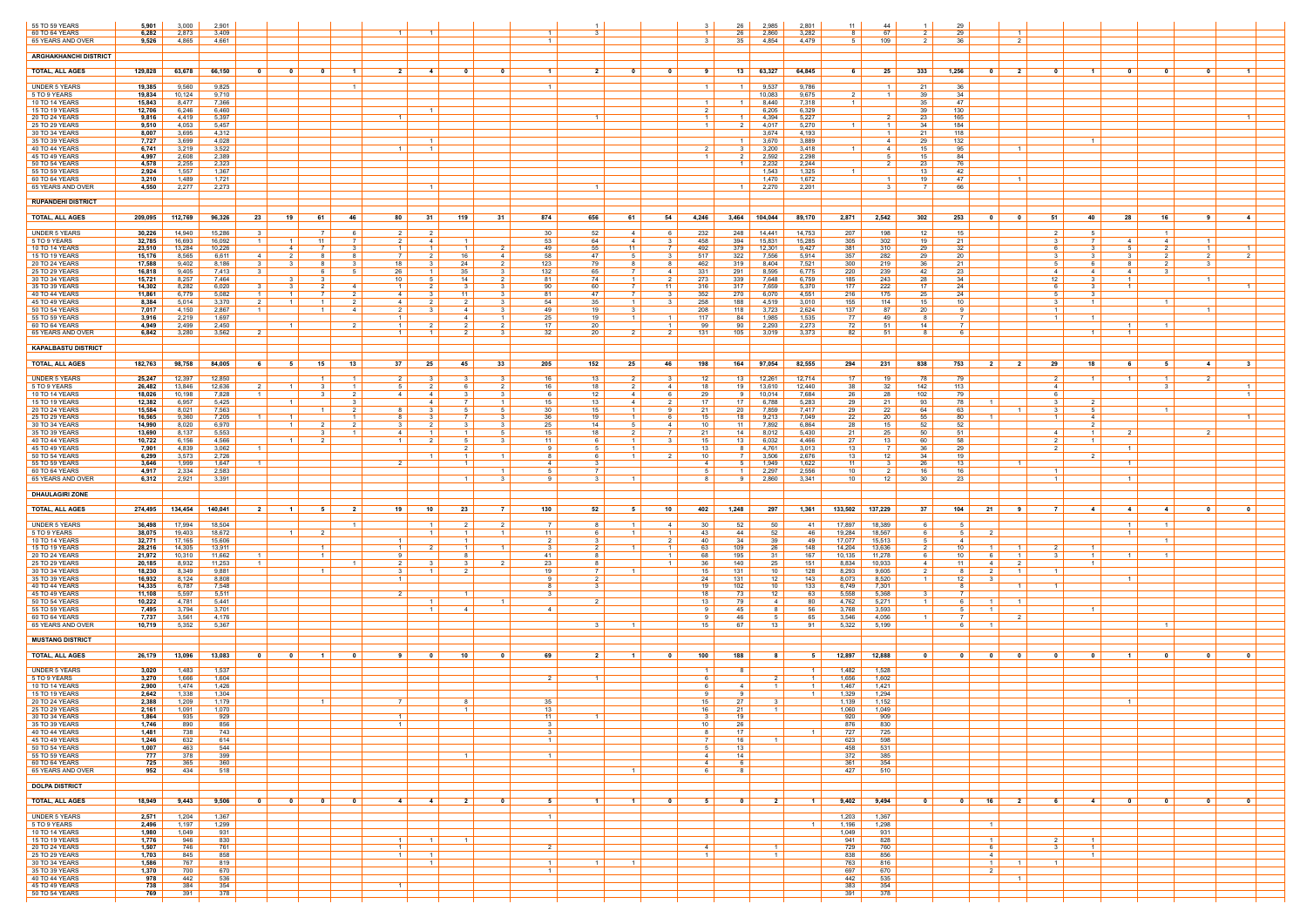| 55 TO 59 YEARS                       | 5,901            | 3,000            | 2,901            |                         |                                                                                |                                              |                                                  |                                  |                       |                                  |                                                                         |                                  | -26<br>2,985                                         | 2,801                | 11<br>44                                         |                                    | 29                                 |                                                |                                       |                                                     |                                                    |
|--------------------------------------|------------------|------------------|------------------|-------------------------|--------------------------------------------------------------------------------|----------------------------------------------|--------------------------------------------------|----------------------------------|-----------------------|----------------------------------|-------------------------------------------------------------------------|----------------------------------|------------------------------------------------------|----------------------|--------------------------------------------------|------------------------------------|------------------------------------|------------------------------------------------|---------------------------------------|-----------------------------------------------------|----------------------------------------------------|
| 60 TO 64 YEARS<br>65 YEARS AND OVER  | 6,282<br>9,526   | 2,873<br>4,865   | 3,409<br>4,661   |                         |                                                                                | - 1 - 1                                      | $\blacksquare$ 1                                 |                                  |                       | - 3                              |                                                                         |                                  | 2,860<br>-26<br>-35<br>4,854                         | 3,282<br>4,479       | 67<br>81<br>109<br>5                             |                                    | 29<br>36                           | $\overline{1}$<br>- 2                          |                                       |                                                     |                                                    |
| <b>ARGHAKHANCHI DISTRICT</b>         |                  |                  |                  |                         |                                                                                |                                              |                                                  |                                  |                       |                                  |                                                                         |                                  |                                                      |                      |                                                  |                                    |                                    |                                                |                                       |                                                     |                                                    |
| <b>TOTAL, ALL AGES</b>               | 129,828          | 63,678           | 66,150           | $\mathbf{0}$            | 0<br>0<br>$\blacksquare$                                                       | $\overline{2}$                               | 0<br>-4                                          |                                  |                       | $\overline{\mathbf{2}}$          | - 0<br>- 0                                                              |                                  | 63,327<br>13                                         | 64,845               | 25<br>61                                         | 333                                | 1,256<br>$\bullet$                 | $\overline{\mathbf{2}}$                        |                                       | 0<br>0                                              |                                                    |
| <b>UNDER 5 YEARS</b>                 | 19,385           | 9,560            | 9,825            |                         | $\overline{1}$                                                                 |                                              |                                                  |                                  |                       |                                  |                                                                         |                                  | 9,537<br>$1 \mid$                                    | 9,786                | -1                                               | 21                                 | 36                                 |                                                |                                       |                                                     |                                                    |
| 5 TO 9 YEARS                         | 19,834           | 10,124           | 9,710            |                         |                                                                                |                                              |                                                  |                                  |                       |                                  |                                                                         |                                  | 10,083                                               | 9,675                | 2 I<br>$\overline{1}$                            | 39                                 | 34                                 |                                                |                                       |                                                     |                                                    |
| 10 TO 14 YEARS<br>15 TO 19 YEARS     | 15,843<br>12,706 | 8,477<br>6,246   | 7,366<br>6,460   |                         |                                                                                |                                              | - 1                                              |                                  |                       |                                  |                                                                         |                                  | 8.440<br>$1 \mid$<br>6,205                           | 7,318<br>6,329       | 1 <sup>1</sup>                                   | 35<br>39                           | 47<br>130                          |                                                |                                       |                                                     |                                                    |
| 20 TO 24 YEARS<br>25 TO 29 YEARS     | 9,816<br>9,510   | 4,419<br>4,053   | 5,397<br>5,457   |                         |                                                                                | $\mathbf{1}$                                 |                                                  |                                  |                       | - 1                              |                                                                         | $\overline{1}$<br>$\overline{1}$ | 4,394<br>$\overline{1}$<br>2 I<br>4,017              | 5,227<br>5,270       | - 2<br>1 <sup>1</sup><br>$\mathbf{1}$            | -23<br>34                          | 165<br>184                         |                                                |                                       |                                                     |                                                    |
| 30 TO 34 YEARS<br>35 TO 39 YEARS     | 8,007<br>7,727   | 3,695<br>3,699   | 4,312<br>4,028   |                         |                                                                                |                                              | $\blacksquare$                                   |                                  |                       |                                  |                                                                         |                                  | 3,674<br>3,670<br>$\overline{1}$                     | 4,193<br>3,889       | 4                                                | -21<br>29                          | 118<br>132                         | $\overline{1}$                                 |                                       |                                                     |                                                    |
| 40 TO 44 YEARS<br>45 TO 49 YEARS     | 6,741<br>4,997   | 3,219<br>2,608   | 3,522<br>2,389   |                         |                                                                                |                                              |                                                  |                                  |                       |                                  |                                                                         |                                  | 3,200<br>3 I<br>2,592                                | 3.418<br>2,298       | 1 <sup>1</sup><br>4<br>-5                        | 15<br>15                           | 95<br>84                           | - 1                                            |                                       |                                                     |                                                    |
| 50 TO 54 YEARS<br>55 TO 59 YEARS     | 4,578<br>2,924   | 2,255<br>1,557   | 2,323<br>1,367   |                         |                                                                                |                                              |                                                  |                                  |                       |                                  |                                                                         |                                  | 2,232<br>$\overline{1}$<br>1,543                     | 2,244<br>1,325       | $\overline{2}$<br>$-1$                           | 23<br>13                           | 76<br>42                           |                                                |                                       |                                                     |                                                    |
| 60 TO 64 YEARS                       | 3,210            | 1,489            | 1,721            |                         |                                                                                |                                              |                                                  |                                  |                       |                                  |                                                                         |                                  | 1.470                                                | 1,672                |                                                  | 19                                 | 47                                 |                                                |                                       |                                                     |                                                    |
| 65 YEARS AND OVER                    | 4,550            | 2,277            | 2,273            |                         |                                                                                |                                              | $\blacksquare$                                   |                                  |                       | - 1                              |                                                                         |                                  | 2,270<br>$\blacksquare$ 1                            | 2,201                | - 3                                              |                                    | 66                                 |                                                |                                       |                                                     |                                                    |
| <b>RUPANDEHI DISTRICT</b>            |                  |                  |                  |                         |                                                                                |                                              |                                                  |                                  |                       |                                  |                                                                         |                                  |                                                      |                      |                                                  |                                    |                                    |                                                |                                       |                                                     |                                                    |
| <b>TOTAL, ALL AGES</b>               | 209,095          | 112,769          | 96,326           | 23                      | 19<br>61<br>- 46                                                               | 80                                           | - 31<br>119                                      | - 31                             | 874                   | 656<br>61                        | 54                                                                      | 4,246                            | $3,464$ 104,044                                      | 89,170               | 2,871<br>2,542                                   | 302                                | 253<br>$\overline{\mathbf{0}}$     | 51<br>40<br>- 0                                | 28                                    | 16<br>9                                             | $\overline{4}$                                     |
| <b>UNDER 5 YEARS</b><br>5 TO 9 YEARS | 30,226<br>32,785 | 14,940<br>16,693 | 15,286<br>16,092 | - 3<br>$\blacksquare$ 1 | - 6<br>11<br>$\overline{1}$                                                    | 2 I<br>2 I<br><sup>7</sup>                   | 4<br>$\overline{1}$                              |                                  | 30<br>53              | 52<br>64                         | - 6<br>4<br>3<br>4                                                      | 232<br>458                       | 248<br>14,441<br>394<br>15,831                       | 14,753<br>15,285     | 207<br>198<br>305<br>302                         | 12<br>19                           | 15<br>21                           | 3                                              | - 5<br>- 7 I<br>-41                   | $\blacksquare$<br>4                                 | $\overline{1}$                                     |
| 10 TO 14 YEARS<br>15 TO 19 YEARS     | 23,510<br>15,176 | 13,284<br>8,565  | 10,226<br>6,611  | $\overline{4}$          | $\mathcal{R}$<br>4<br>$\overline{7}$<br>- 2<br>-8                              | 1 I<br>7 I<br>- 8                            | 1 <sup>1</sup><br>16                             | $\overline{2}$<br>$\overline{4}$ | 49<br>58              | 55<br>47                         | 7 I<br>11<br>-3                                                         | 492<br>517                       | 379  <br>12,301<br>322<br>7,556                      | 9,427<br>5,914       | 310<br>381<br>357<br>282                         | 29<br>29                           | 32<br>20                           | 6.                                             | $\mathbf{R}$<br>-5<br>3<br>-3         | $\overline{2}$<br>$\overline{2}$                    | $\overline{1}$<br>2                                |
| 20 TO 24 YEARS<br>25 TO 29 YEARS     | 17,588<br>16,818 | 9,402<br>9,405   | 8,186<br>7,413   | - 3<br>3                | -3<br>-8<br>6                                                                  | 18<br>-3<br>26<br>- 5                        | 24<br>35<br>- 1 - I                              | 2<br>- 3                         | 123<br>132            | 79<br>65                         | -8<br>-8<br>7 I<br>4                                                    | 462<br>331                       | 319<br>8,404<br>291<br>8.595                         | 7,521<br>6,775       | 219<br>300<br>239<br>220                         | 36<br>42                           | -21<br>23                          | - 6<br>4                                       | -8<br>4<br>4 I                        | $\overline{2}$<br>-3<br>3                           |                                                    |
| 30 TO 34 YEARS                       | 15,721           | 8,257            | 7,464            |                         | $\overline{4}$<br>-3                                                           | 10 <sup>1</sup><br>- 1                       | 14                                               | $\overline{2}$                   | 81                    | 74<br>60                         | $\mathcal{P}$<br>11                                                     | 273                              | 339<br>7,648                                         | 6,759<br>5,370       | 185<br>243                                       | 28<br>17                           | 34                                 | 12                                             | $\overline{1}$                        | $\overline{1}$                                      |                                                    |
| 35 TO 39 YEARS<br>40 TO 44 YEARS     | 14,302<br>11,861 | 8,282<br>6,779   | 6,020<br>5,082   | $\overline{1}$          | $\vert$ 1 $\vert$                                                              | 2<br>41                                      | 11<br>-3-                                        | - 3                              | 90<br>81              | 47                               | 3                                                                       | 316<br>352                       | 317<br>7,659<br>270<br>6,070                         | 4,551                | 222<br>177<br>216<br>175                         | 25                                 | 24<br>24                           |                                                | - 3                                   |                                                     |                                                    |
| 45 TO 49 YEARS<br>50 TO 54 YEARS     | 8,384<br>7,017   | 5,014<br>4,150   | 3.370<br>2,867   | $\overline{2}$          | $\overline{2}$<br>$\vert$ 1 $\vert$<br>$\overline{1}$<br>$\overline{4}$        | 4<br>2                                       | 4                                                | $\mathcal{R}$                    | 54<br>49              | 35<br>19                         | $\overline{3}$<br>$1 \mid$                                              | 258<br>208                       | 188<br>4.519<br>118<br>3,723                         | 3,010<br>2,624       | 155<br>114<br>137<br>87                          | 15<br>20                           | 10                                 |                                                | $\vert$ 1 $\vert$                     | $\overline{1}$                                      |                                                    |
| 55 TO 59 YEARS<br>60 TO 64 YEARS     | 3,916<br>4,949   | 2,219<br>2,499   | 1,697<br>2,450   |                         | $\vert$ 1 $\vert$                                                              | $\overline{1}$<br>2<br>1 I                   | 4<br>$\mathcal{P}$                               | $\vert$ 1 $\vert$<br>2           | 25<br>17              | 19<br>20                         | $\overline{1}$<br>$\overline{1}$                                        | 117<br>99                        | 84<br>1,985<br>90<br>2,293                           | 1,535<br>2,273       | 77 I<br>49<br>72<br>-51                          | - 8<br>14                          | <b>7</b> I<br>7                    | $\overline{1}$                                 | $\overline{1}$<br>$\overline{1}$      | $\overline{1}$                                      |                                                    |
| 65 YEARS AND OVER                    | 6,842            | 3,280            | 3,562            |                         |                                                                                |                                              |                                                  |                                  | 32                    | 20                               |                                                                         | 131                              | 105<br>3,019                                         | 3,373                | 82<br>.51                                        |                                    |                                    |                                                |                                       |                                                     |                                                    |
| <b>KAPALBASTU DISTRICT</b>           |                  |                  |                  |                         |                                                                                |                                              |                                                  |                                  |                       |                                  |                                                                         |                                  |                                                      |                      |                                                  |                                    |                                    |                                                |                                       |                                                     |                                                    |
| <b>TOTAL, ALL AGES</b>               | 182,763          | 98,758           | 84,005           | 6                       | $15 \vert$<br>13<br>5                                                          | 37                                           | 25<br>45                                         | 33                               | 205                   | 152                              | 25<br>46                                                                | 198                              | 164<br>97,054                                        | 82,555               | 231<br>294                                       | 838                                | 753<br>- 2 I                       | 18<br>29<br>$\overline{\mathbf{2}}$            | 6.                                    | - 5                                                 | -4                                                 |
| <b>UNDER 5 YEARS</b><br>5 TO 9 YEARS | 25,247           | 12,397           | 12,850<br>12,636 | 2 I                     | $\overline{1}$<br>$\overline{1}$                                               | $\overline{1}$<br>2<br>$\overline{1}$        | 6                                                | $\mathcal{R}$<br>2 <sup>1</sup>  | 16<br>16              | 13<br>18                         | -3<br>4                                                                 | 12<br>18                         | 13 12,261<br>19                                      | 12,714<br>12,440     | 17 <sup>1</sup><br>19<br>38<br>32                | 78<br>142                          | 79                                 | 4                                              | $\vert$ 1 $\vert$<br>$\blacksquare$ 1 | $\overline{1}$<br>- 3                               | $\mathcal{D}$                                      |
| 10 TO 14 YEARS                       | 26,482<br>18,026 | 13,846<br>10,198 | 7,828            | $\overline{1}$          | $\mathcal{R}$                                                                  | 5<br>2 I<br>4 I                              | -4<br>3                                          | -3                               | 6.                    | 12                               | 41<br>6                                                                 | 29                               | 13,610<br>10,014<br>91                               | 7,684                | 26<br>28                                         | 102                                | 113<br>79                          | 6.                                             |                                       |                                                     |                                                    |
| 15 TO 19 YEARS<br>20 TO 24 YEARS     | 12,382<br>15,584 | 6,957<br>8,021   | 5,425<br>7,563   |                         | $\overline{1}$                                                                 | $\mathbf{3}$<br>-8                           | $7^{\circ}$                                      | $\overline{1}$<br>5              | 15 <sup>1</sup><br>30 | 13<br>15                         | 2<br>41<br>- 9                                                          | 17<br>21                         | 17 <sup>1</sup><br>6,788<br>20 <sub>1</sub><br>7,859 | 5,283<br>7,417       | 21<br>29<br>22<br>29                             | 93<br>64                           | 78<br>63                           |                                                | $\overline{2}$<br>5                   | $\blacksquare$                                      |                                                    |
| 25 TO 29 YEARS<br>30 TO 34 YEARS     | 16,565<br>14,990 | 9,360<br>8,020   | 7,205<br>6,970   | $\overline{1}$          | $\overline{1}$<br>$1 \vert$<br>$\mathcal{P}$                                   | $\blacksquare$ 1<br>8<br>2 <sup>1</sup><br>3 | 2 I<br>3                                         | -3<br>3 <sup>1</sup>             | 36<br>25              | 19<br>14                         | $1 \mid$<br>-6<br>51<br>4                                               | 15<br>10 <sup>1</sup>            | 18 <sup>1</sup><br>9,213<br>11 <sup>1</sup><br>7,892 | 7,049<br>6,864       | 22<br>20<br>28<br>15 <sup>15</sup>               | 55<br>52                           | 80<br>$\overline{1}$<br>52         |                                                | 4<br>$\overline{2}$                   |                                                     |                                                    |
| 35 TO 39 YEARS<br>40 TO 44 YEARS     | 13,690<br>10,722 | 8,137<br>6,156   | 5,553<br>4,566   |                         | $\overline{1}$                                                                 | 41<br>$\mathbf{1}$                           | 5                                                |                                  | 15<br>11              | 18<br>- 6                        | - 3                                                                     | 21<br>15                         | 14<br>8,012<br>13 <sup>1</sup><br>6,032              | 5,430<br>4,466       | 21<br>25<br>27<br>13                             | 50<br>60                           | 51<br>58                           | 4                                              | $\overline{1}$                        | $\mathcal{L}$                                       |                                                    |
| 45 TO 49 YEARS<br>50 TO 54 YEARS     | 7,901<br>6,299   | 4,839<br>3,573   | 3,062<br>2,726   | $\overline{1}$          |                                                                                |                                              | 2 I<br>1                                         | $\overline{1}$                   | 9                     | - 5<br>- 6                       | $\overline{1}$<br>-2                                                    | 13<br>10                         | 4,761<br>81<br>7 I<br>3,506                          | 3,013<br>2,676       | $13$  <br>- 7 I<br>12 <sup>12</sup><br>$13 \mid$ | 36<br>34                           | 29<br>19                           | 2                                              | $1 \vert$                             |                                                     |                                                    |
| 55 TO 59 YEARS<br>60 TO 64 YEARS     | 3,646<br>4,917   | 1,999<br>2,334   | 1,647<br>2,583   | $\blacksquare$          |                                                                                |                                              |                                                  | $\overline{1}$                   | 4<br>51               | - 3<br>$\overline{7}$            |                                                                         | -4<br>- 5                        | 1,949<br>51<br>2,297<br>$1 \mid$                     | 1,622<br>2,556       | 11  <br>-3<br>10<br>2                            | 26<br>16                           | 13<br>16                           |                                                |                                       |                                                     |                                                    |
| 65 YEARS AND OVER                    | 6,312            | 2,921            | 3,391            |                         |                                                                                |                                              | 1 <sup>1</sup>                                   | -3                               | <b>Q</b>              | - 3                              |                                                                         | 8                                | 2,860<br>91                                          | 3,341                | 12<br>10                                         | 30                                 | 23                                 |                                                | $1 \vert$                             |                                                     |                                                    |
| <b>DHAULAGIRI ZONE</b>               |                  |                  |                  |                         |                                                                                |                                              |                                                  |                                  |                       |                                  |                                                                         |                                  |                                                      |                      |                                                  |                                    |                                    |                                                |                                       |                                                     |                                                    |
| <b>TOTAL, ALL AGES</b>               | 274,495          | 134,454          | 140,041          | 2 <sup>1</sup>          | 5<br>$-1$                                                                      | 19<br>$\overline{\mathbf{2}}$                | 10<br>23                                         | <b>7</b>                         | 130                   | 52                               | 10<br>- 5                                                               | 402                              | 1,248<br>297                                         | 1,361                | 133,502 137,229                                  | 37                                 | 104<br>21                          | $\overline{7}$<br>- 9                          | $\sim$ 4<br>4                         | $\overline{4}$                                      |                                                    |
| <b>UNDER 5 YEARS</b>                 | 36,498           | 17,994           | 18,504           |                         |                                                                                | $\overline{1}$                               | $\mathcal{P}$                                    | 2                                | - 7 I                 | - 8                              | 4                                                                       | 30                               | 50<br>52                                             | 41                   | 18,389<br>17,897                                 | -6 I                               | .5                                 |                                                | $1 \mid$                              | $\overline{1}$                                      |                                                    |
| 5 TO 9 YEARS<br>10 TO 14 YEARS       | 38,075<br>32,771 | 19,403<br>17,165 | 18,672<br>15,606 |                         | $\overline{1}$                                                                 |                                              |                                                  | $\overline{1}$                   | 11<br>2               | - 6<br>3                         | 2                                                                       | 43<br>40                         | 44<br>52<br>34<br>- 39                               | 46<br>49             | 19,284<br>18,567<br>17,077<br>15,513             | 6<br>51                            | $5 -$<br>$\overline{2}$<br>4       |                                                |                                       | $\overline{1}$                                      |                                                    |
| 15 TO 19 YEARS<br>20 TO 24 YEARS     | 28,216<br>21,972 | 14,305<br>10,310 | 13,911<br>11,662 |                         | $\overline{1}$<br>$\overline{1}$                                               | 1 1<br>Q                                     | 1 <sup>1</sup>                                   | $\overline{1}$                   | 31<br>41              | $\overline{2}$<br>- 8            | $\vert$ 1 $\vert$<br>$\overline{1}$<br>$\overline{1}$                   | 63<br>68                         | 109<br>26<br>195<br>31                               | 148<br>167           | 14,204<br>13,636<br>11,278<br>10,135             | 2 I<br>6                           | 10<br>$1 \vert$<br>10 <sup>1</sup> | $\overline{1}$                                 | $\overline{1}$                        | $\overline{1}$                                      |                                                    |
| 25 TO 29 YEARS<br>30 TO 34 YEARS     | 20,185<br>18,230 | 8,932<br>8,349   | 11,253<br>9,881  |                         |                                                                                | 2<br>$\mathbf{1}$<br>3                       | 2                                                |                                  | 23<br>19              | - 8<br>$\overline{7}$            | $\overline{1}$                                                          | -36<br>15                        | 25<br>140<br>131<br>10                               | 151<br>128           | 10,933<br>8,834<br>8,293<br>9,605                | 4<br>2 I                           | 11<br>4 I<br>8<br>2 I              | $\overline{\phantom{0}}^2$<br>$\blacksquare$ 1 |                                       |                                                     |                                                    |
| 35 TO 39 YEARS<br>40 TO 44 YEARS     | 16,932<br>14,335 | 8,124<br>6,787   | 8,808<br>7,548   |                         |                                                                                | $\overline{1}$                               |                                                  |                                  |                       | $\overline{2}$<br>3              |                                                                         | 24<br>19                         | 131<br>12<br>102<br>10                               | 143<br>133           | 8,520<br>8,073<br>7,301<br>6,749                 | $\vert$ 1 $\vert$                  | 12<br>-8                           |                                                | $1 \mid$                              |                                                     |                                                    |
| 45 TO 49 YEARS<br>50 TO 54 YEARS     | 11,108<br>10,222 | 5,597<br>4,781   | 5,511<br>5,441   |                         |                                                                                | $\mathcal{P}$                                | $\overline{1}$                                   | $\overline{1}$                   | $\mathbf{3}$          | $\overline{2}$                   |                                                                         | 18<br>13                         | 73<br>12<br>79<br>4 I                                | 63<br>80             | 5,558<br>5,368<br>4,762<br>5,271                 | $\mathcal{R}$<br>$\vert$ 1 $\vert$ | -6<br>$\blacksquare$ 1             | $\overline{1}$                                 |                                       |                                                     |                                                    |
| 55 TO 59 YEARS<br>60 TO 64 YEARS     | 7,495<br>7,737   | 3,794<br>3,561   | 3,701<br>4,176   |                         |                                                                                |                                              | 4                                                |                                  |                       |                                  |                                                                         |                                  | 45<br>46<br>-5                                       | -56<br>65            | 3,768<br>3,593<br>3,546<br>4,056                 |                                    |                                    | - 2                                            |                                       |                                                     |                                                    |
| 65 YEARS AND OVER                    | 10,719           | 5,352            | 5,367            |                         |                                                                                |                                              |                                                  |                                  |                       | 3 <sup>1</sup>                   | $\vert$ 1 $\vert$                                                       | 15                               | 67<br>13                                             | 91                   | 5,322<br>5,199                                   |                                    | 6 I<br>$\overline{1}$              |                                                |                                       | $\overline{1}$                                      |                                                    |
| <b>MUSTANG DISTRICT</b>              |                  |                  |                  |                         |                                                                                |                                              |                                                  |                                  |                       |                                  |                                                                         |                                  |                                                      |                      |                                                  |                                    |                                    |                                                |                                       |                                                     |                                                    |
| <b>TOTAL, ALL AGES</b>               | 26,179           | 13,096           | 13,083           | $\mathbf{0}$            | 0<br>- 0<br>$\blacksquare$                                                     | -9                                           | 10                                               |                                  | 69                    | $\overline{\mathbf{2}}$          | - 0<br>$\blacksquare$                                                   | 100                              | 188                                                  | 5                    | 12,897<br>12,888                                 | $\mathbf{0}$                       | $\mathbf{0}$<br>$\mathbf{0}$       | - 0<br>- 0                                     |                                       | 0                                                   | n.                                                 |
| <b>UNDER 5 YEARS</b>                 | 3,020            | 1,483            | 1,537            |                         |                                                                                |                                              |                                                  |                                  |                       |                                  |                                                                         | $\overline{1}$<br>-6             | 81                                                   | $\vert$ 1 $\vert$    | 1,482<br>1,528                                   |                                    |                                    |                                                |                                       |                                                     |                                                    |
| 5 TO 9 YEARS<br>10 TO 14 YEARS       | 3,270<br>2,900   | 1,666<br>1,474   | 1,604<br>1,426   |                         |                                                                                |                                              |                                                  |                                  |                       | $\overline{1}$                   |                                                                         |                                  | 4                                                    | $\overline{1}$<br>-1 | 1,602<br>1,656<br>1,421<br>1,467                 |                                    |                                    |                                                |                                       |                                                     |                                                    |
| 15 TO 19 YEARS<br>20 TO 24 YEARS     | 2,642<br>2,388   | 1,338<br>1,209   | 1,304<br>1,179   |                         | $\overline{1}$                                                                 | 7                                            | 8                                                |                                  | 35                    |                                  |                                                                         | 15                               | 91<br>27<br>3                                        | $\blacksquare$       | 1,329<br>1,294<br>1,139<br>1,152                 |                                    |                                    |                                                | $1 \mid$                              |                                                     |                                                    |
| 25 TO 29 YEARS<br>30 TO 34 YEARS     | 2,161<br>1,864   | 1,091<br>935     | 1,070<br>929     |                         |                                                                                | $\overline{1}$                               | 1 <sup>1</sup>                                   |                                  | 13<br>11              |                                  |                                                                         | 16<br>3                          | 21<br>$1 \vert$<br>19                                |                      | 1,060<br>1,049<br>920<br>909                     |                                    |                                    |                                                |                                       |                                                     |                                                    |
| 35 TO 39 YEARS<br>40 TO 44 YEARS     | 1,746<br>1,481   | 890<br>738       | 856<br>743       |                         |                                                                                | $\overline{1}$                               |                                                  |                                  | - 3 I                 |                                  |                                                                         | 10 <sup>1</sup>                  | 26  <br>17 <sup>1</sup>                              | $\vert$ 1 $\vert$    | 876<br>830<br>727<br>725                         |                                    |                                    |                                                |                                       |                                                     |                                                    |
| 45 TO 49 YEARS<br>50 TO 54 YEARS     | 1,246<br>1,007   | 632<br>463       | 614<br>544       |                         |                                                                                |                                              |                                                  |                                  |                       |                                  |                                                                         | 5                                | $16$  <br>$13 \text{ l}$                             |                      | 623<br>598<br>458<br>531                         |                                    |                                    |                                                |                                       |                                                     |                                                    |
| 55 TO 59 YEARS<br>60 TO 64 YEARS     | 777<br>725       | 378<br>365       | 399<br>360       |                         |                                                                                |                                              | $1 \vert$                                        |                                  | $\overline{1}$        |                                  |                                                                         | $\overline{4}$<br>-4             | 14<br>6 I                                            |                      | 385<br>372<br>361<br>354                         |                                    |                                    |                                                |                                       |                                                     |                                                    |
| 65 YEARS AND OVER                    | 952              | 434              | 518              |                         |                                                                                |                                              |                                                  |                                  |                       |                                  | $\vert$ 1 $\vert$                                                       | 6                                | 81                                                   |                      | 427  <br>510                                     |                                    |                                    |                                                |                                       |                                                     |                                                    |
| <b>DOLPA DISTRICT</b>                |                  |                  |                  |                         |                                                                                |                                              |                                                  |                                  |                       |                                  |                                                                         |                                  |                                                      |                      |                                                  |                                    |                                    |                                                |                                       |                                                     |                                                    |
| <b>TOTAL, ALL AGES</b>               | 18,949           | 9,443            | 9,506            | $\overline{\mathbf{0}}$ | $\overline{\mathbf{0}}$<br>$\overline{\phantom{0}}$ 0 $\overline{\phantom{0}}$ | $\overline{\mathbf{0}}$<br>4                 | $2 \mid$<br>$\begin{array}{c c} 4 & \end{array}$ | $\overline{\mathbf{0}}$          | 51                    | $\blacksquare$ 1 $\blacksquare$  | $\overline{\phantom{0}}$ 0 $\overline{\phantom{0}}$<br>$\blacksquare$ 1 | 51                               | 2 <sup>1</sup><br>$\overline{\mathbf{0}}$            | $\blacksquare$ 1     | $9,402$ 9,494                                    | $\overline{\mathbf{0}}$            | $\overline{\mathbf{0}}$<br>16 2    | 61                                             | $-4$<br>$\overline{\mathbf{0}}$       | $\overline{\phantom{0}}$ 0 $\overline{\phantom{0}}$ | $\overline{\mathbf{0}}$<br>$\overline{\mathbf{0}}$ |
| UNDER 5 YEARS                        | 2,571            | 1,204            | 1,367            |                         |                                                                                |                                              |                                                  |                                  |                       |                                  |                                                                         |                                  |                                                      |                      | 1,203<br>1,367                                   |                                    |                                    |                                                |                                       |                                                     |                                                    |
| 5 TO 9 YEARS<br>10 TO 14 YEARS       | 2,496<br>1,980   | 1,197<br>1,049   | 1,299<br>931     |                         |                                                                                |                                              |                                                  |                                  |                       |                                  |                                                                         |                                  |                                                      | $1 \vert$            | 1,196<br>1,298<br>1,049<br>931                   |                                    | $1 \vert$                          |                                                |                                       |                                                     |                                                    |
| 15 TO 19 YEARS<br>20 TO 24 YEARS     | 1,776<br>1,507   | 946<br>746       | 830<br>761       |                         |                                                                                | $\overline{1}$<br>$\overline{1}$             | $\overline{1}$<br>$1 \vert$                      |                                  | $\overline{2}$        |                                  |                                                                         | $\overline{4}$                   | $1 \vert$                                            |                      | 941<br>828<br>729<br>760                         |                                    | $\overline{1}$<br>6                | $\overline{2}$<br>3                            | $\overline{1}$                        |                                                     |                                                    |
| 25 TO 29 YEARS<br>30 TO 34 YEARS     | 1,703<br>1,586   | 845<br>767       | 858<br>819       |                         |                                                                                | $1 \mid$                                     | $1 \vert$<br>$\sim$ 1                            |                                  |                       | $\overline{1}$<br>$\overline{1}$ |                                                                         | $\overline{1}$                   | $\vert$ 1 $\vert$                                    |                      | 838<br>856<br>763<br>816                         |                                    | 4<br>$\blacksquare$ 1              |                                                | $\overline{1}$                        |                                                     |                                                    |
| 35 TO 39 YEARS<br>40 TO 44 YEARS     | 1,370            | 700<br>442       | 670<br>536       |                         |                                                                                |                                              |                                                  |                                  |                       |                                  |                                                                         |                                  |                                                      |                      | 697<br>670<br>442                                |                                    | $\overline{2}$                     | $\overline{1}$                                 |                                       |                                                     |                                                    |
| 45 TO 49 YEARS                       | 978<br>738       | 384              | 354              |                         |                                                                                | $\overline{1}$                               |                                                  |                                  |                       |                                  |                                                                         |                                  |                                                      |                      | 535<br>383<br>354                                |                                    |                                    |                                                |                                       |                                                     |                                                    |
| 50 TO 54 YEARS                       | 769              | 391              | 378              |                         |                                                                                |                                              |                                                  |                                  |                       |                                  |                                                                         |                                  |                                                      |                      | 391  <br>378                                     |                                    |                                    |                                                |                                       |                                                     |                                                    |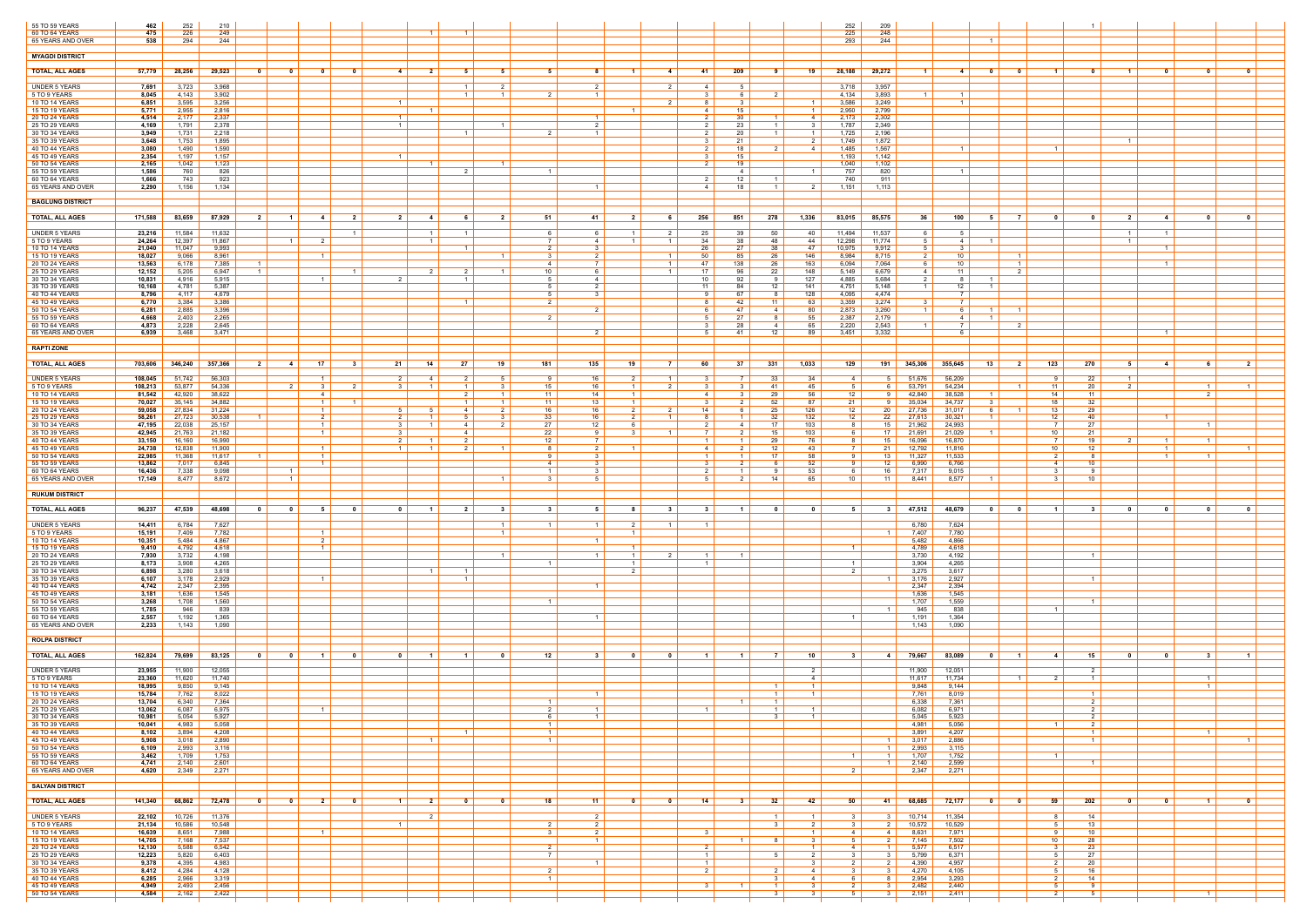| 55 TO 59 YEARS                       | 462               | 252              | 210              |                                  |                         |                                  |                         |                         |                         |                                  |                                |                             |                                  |                   |                                  |                                           |                          |                         |                                                                      | 252                  | 209                     |                                           |                                                     |                                    |                      |                            |                             |                                  |                      |                         |
|--------------------------------------|-------------------|------------------|------------------|----------------------------------|-------------------------|----------------------------------|-------------------------|-------------------------|-------------------------|----------------------------------|--------------------------------|-----------------------------|----------------------------------|-------------------|----------------------------------|-------------------------------------------|--------------------------|-------------------------|----------------------------------------------------------------------|----------------------|-------------------------|-------------------------------------------|-----------------------------------------------------|------------------------------------|----------------------|----------------------------|-----------------------------|----------------------------------|----------------------|-------------------------|
| 60 TO 64 YEARS<br>65 YEARS AND OVER  | 475<br>538        | 226<br>294       | 249<br>244       |                                  |                         |                                  |                         |                         | $\overline{1}$          | $\vert$ 1 $\vert$                |                                |                             |                                  |                   |                                  |                                           |                          |                         |                                                                      | 225<br>293           | 248<br>244              |                                           | $\blacksquare$                                      |                                    |                      |                            |                             |                                  |                      |                         |
| <b>MYAGDI DISTRICT</b>               |                   |                  |                  |                                  |                         |                                  |                         |                         |                         |                                  |                                |                             |                                  |                   |                                  |                                           |                          |                         |                                                                      |                      |                         |                                           |                                                     |                                    |                      |                            |                             |                                  |                      |                         |
| <b>TOTAL, ALL AGES</b>               | 57,779            | 28,256           | 29,523           | - 0                              | $\mathbf{0}$            | - 0                              | $\mathbf{0}$            | $4 \vert$               | $\overline{\mathbf{2}}$ | 5                                | 5                              | 5                           | - 8                              |                   | 4                                | -41                                       | 209                      | - 9                     | - 19                                                                 |                      | 28,188 29,272           | $\blacksquare$ 1<br>4                     | $\overline{\mathbf{0}}$                             | $\overline{\mathbf{0}}$            | $\blacksquare$       | - 0                        | $\blacksquare$              | $\mathbf{0}$                     | $\mathbf{0}$         | $\mathbf{0}$            |
| <b>UNDER 5 YEARS</b>                 | 7,691             | 3,723            | 3,968            |                                  |                         |                                  |                         |                         |                         | $\overline{1}$                   | 2                              |                             | $\overline{\phantom{0}}^2$       |                   | 2                                | 4                                         | 51                       |                         |                                                                      | 3,718                | 3,957                   |                                           |                                                     |                                    |                      |                            |                             |                                  |                      |                         |
| 5 TO 9 YEARS<br>10 TO 14 YEARS       | 8,045<br>6,851    | 4,143<br>3,595   | 3,902<br>3,256   |                                  |                         |                                  |                         | $\overline{1}$          |                         | $\overline{1}$                   | $\overline{1}$                 | $\overline{2}$              | $\overline{1}$                   |                   | 2                                | ູຈ<br>-8                                  | 6 I                      | $\overline{2}$          | $\overline{1}$                                                       | 4,134<br>3,586       | 3,893<br>3,249          | $\overline{1}$<br>$\overline{1}$          |                                                     |                                    |                      |                            |                             |                                  |                      |                         |
| 15 TO 19 YEARS<br>20 TO 24 YEARS     | 5,771<br>4,514    | 2,955<br>2,177   | 2,816<br>2,337   |                                  |                         |                                  |                         | $\overline{1}$          |                         |                                  |                                |                             | $\overline{1}$                   |                   |                                  | -4<br>$\overline{2}$                      | 15<br>30                 | $\overline{1}$          | $\overline{1}$<br>4                                                  | 2,950<br>2,173       | 2,799<br>2,302          |                                           |                                                     |                                    |                      |                            |                             |                                  |                      |                         |
| 25 TO 29 YEARS<br>30 TO 34 YEARS     | 4,169<br>3,949    | 1,791<br>1,731   | 2,378<br>2,218   |                                  |                         |                                  |                         | $\overline{1}$          |                         | - 1                              |                                | $\mathcal{P}$               | $\overline{2}$<br>$\overline{1}$ |                   |                                  | 2<br>2                                    | 23<br>20                 | $\overline{1}$          | 3<br>$\overline{1}$                                                  | 1,787<br>1,725       | 2,349<br>2,196          |                                           |                                                     |                                    |                      |                            |                             |                                  |                      |                         |
| 35 TO 39 YEARS<br>40 TO 44 YEARS     | 3,648<br>3,080    | 1,753<br>1,490   | 1,895<br>1,590   |                                  |                         |                                  |                         |                         |                         |                                  |                                |                             |                                  |                   |                                  | 3                                         | 21<br>18                 |                         | 2<br>-4                                                              | 1,749<br>1,485       | 1,872<br>1,567          |                                           |                                                     |                                    | $\overline{1}$       |                            | $1 \vert$                   |                                  |                      |                         |
| 45 TO 49 YEARS<br>50 TO 54 YEARS     | 2,354<br>2,165    | 1,197<br>1,042   | 1,157<br>1,123   |                                  |                         |                                  |                         | $\blacksquare$          |                         |                                  |                                |                             |                                  |                   |                                  | 2                                         | 15<br>19                 |                         |                                                                      | 1,193<br>1,040       | 1,142<br>1,102          |                                           |                                                     |                                    |                      |                            |                             |                                  |                      |                         |
| 55 TO 59 YEARS<br>60 TO 64 YEARS     | 1,586<br>1,666    | 760<br>743       | 826<br>923       |                                  |                         |                                  |                         |                         |                         |                                  |                                | $\overline{1}$              |                                  |                   |                                  |                                           | 41<br>12                 |                         | $\overline{1}$                                                       | 757<br>740           | 820<br>911              | $\overline{1}$                            |                                                     |                                    |                      |                            |                             |                                  |                      |                         |
| 65 YEARS AND OVER                    | 2,290             | 1,156            | 1,134            |                                  |                         |                                  |                         |                         |                         |                                  |                                |                             | $\overline{1}$                   |                   |                                  | 4                                         | 18                       | -11                     | 21                                                                   | 1,151                | 1,113                   |                                           |                                                     |                                    |                      |                            |                             |                                  |                      |                         |
| <b>BAGLUNG DISTRICT</b>              |                   |                  |                  |                                  |                         |                                  |                         |                         |                         |                                  |                                |                             |                                  |                   |                                  |                                           |                          |                         |                                                                      |                      |                         |                                           |                                                     |                                    |                      |                            |                             |                                  |                      |                         |
| <b>TOTAL, ALL AGES</b>               | 171,588           | 83,659           | 87,929           | $\overline{\mathbf{2}}$          | $\blacksquare$ 1        | -41                              | 2 I                     | 2 <sup>1</sup>          | $\overline{4}$          | 6                                | $\overline{2}$                 | 51                          | -41                              | 2                 | 61                               | 256                                       | 851                      | 278                     | 1,336                                                                | $83,015$             | 85,575                  | 36 I<br>100                               | 51                                                  | <b>7</b> I                         | $\mathbf{0}$         | $\mathbf{0}$               | 2 <sup>1</sup>              | $\overline{4}$                   | $\mathbf 0$          | $\overline{\mathbf{0}}$ |
| <b>UNDER 5 YEARS</b><br>5 TO 9 YEARS | 23,216<br>24,264  | 11,584<br>12,397 | 11,632<br>11,867 |                                  | $\overline{1}$          | $\overline{2}$                   | $\vert$ 1 $\vert$       |                         | $\overline{1}$          | $\overline{1}$                   |                                | 6<br>7 I                    | - 6<br>$\overline{4}$            | $\overline{1}$    | 2<br>$\overline{1}$              | 25<br>34                                  | 39<br>38                 | 50<br>48                | - 40<br>44                                                           | 11,494<br>12,298     | 11,537<br>11,774        | 61<br>- 5<br>4<br>5                       | $\overline{1}$                                      |                                    |                      |                            | $1 \vert$<br>$\overline{1}$ | $\overline{1}$                   |                      |                         |
| 10 TO 14 YEARS<br>15 TO 19 YEARS     | 21,040<br>18,027  | 11,047<br>9,066  | 9,993<br>8,961   |                                  |                         | $\overline{1}$                   |                         |                         |                         | $\overline{1}$                   |                                | $\overline{2}$<br>3 I       | ્ર<br>- 2                        |                   | $\overline{1}$                   | -26<br>50                                 | 27<br>85                 | 38<br>26                | 47<br>146                                                            | 10,975<br>8,984      | 9,912<br>8,715          | -5<br>$\mathbf{R}$<br>10<br>2             |                                                     | $\overline{1}$                     |                      |                            |                             | $\overline{1}$                   |                      |                         |
| 20 TO 24 YEARS<br>25 TO 29 YEARS     | 13,563<br>12,152  | 6,178<br>5,205   | 7,385<br>6,947   | $\blacksquare$<br>$\overline{1}$ |                         |                                  | $\vert$ 1 $\vert$       |                         |                         | $\mathcal{P}$                    |                                | 4<br>10                     | $\overline{7}$<br>-6             |                   | $\overline{1}$<br>$\overline{1}$ | 47<br>17                                  | 138<br>96                | 26<br>22                | 163<br>148                                                           | 6,094<br>5,149       | 7,064<br>6,679          | 10<br>61<br>11<br>4                       |                                                     | $\blacksquare$ 1<br>2 <sup>1</sup> |                      |                            |                             | $\overline{1}$                   |                      |                         |
| 30 TO 34 YEARS<br>35 TO 39 YEARS     | 10,831<br>10,168  | 4,916<br>4,781   | 5,915<br>5,387   |                                  |                         |                                  |                         | -2.                     |                         | $\overline{1}$                   |                                | .5<br>5 <sup>1</sup>        | $\overline{4}$<br>2              |                   |                                  | 10<br>- 11                                | 92<br>84                 | 12                      | 127<br>141                                                           | 4,885<br>4,751       | 5,684<br>5,148          | 2<br>- 8<br>12 <sup>1</sup><br>$1 \vert$  | $\blacksquare$                                      |                                    |                      |                            |                             |                                  |                      |                         |
| 40 TO 44 YEARS<br>45 TO 49 YEARS     | 8,796<br>6,770    | 4,117<br>3,384   | 4,679<br>3,386   |                                  |                         |                                  |                         |                         |                         | $\overline{1}$                   |                                | 5  <br>$\mathcal{P}$        | $\overline{\mathbf{3}}$          |                   |                                  | $\mathbf{Q}$                              | 67<br>42                 | -8<br>11                | 128<br>63                                                            | 4,095<br>3,359       | 4,474<br>3,274          | - 7 I<br>$\overline{7}$                   |                                                     |                                    |                      |                            |                             |                                  |                      |                         |
| 50 TO 54 YEARS<br>55 TO 59 YEARS     | 6,281<br>4,668    | 2,885<br>2,403   | 3,396<br>2,265   |                                  |                         |                                  |                         |                         |                         |                                  |                                | 2 I                         |                                  |                   |                                  | - 6<br>5                                  | 47<br>27                 | 4<br>- 8                | 80<br>55                                                             | 2,873<br>2,387       | 3,260<br>2,179          | $\overline{1}$<br>61<br>4                 | $-1$<br>$\overline{1}$                              | $\blacksquare$                     |                      |                            |                             |                                  |                      |                         |
| 60 TO 64 YEARS<br>65 YEARS AND OVER  | 4,873<br>6,939    | 2,228<br>3,468   | 2,645<br>3,471   |                                  |                         |                                  |                         |                         |                         |                                  |                                |                             | $\overline{2}$                   |                   |                                  | -5                                        | 28<br>-41                | 4<br>12                 | 65<br>89                                                             | 2,220<br>3,451       | 2,543<br>3,332          | $\overline{1}$<br>6.                      |                                                     |                                    |                      |                            |                             | $\overline{1}$                   |                      |                         |
| <b>RAPTI ZONE</b>                    |                   |                  |                  |                                  |                         |                                  |                         |                         |                         |                                  |                                |                             |                                  |                   |                                  |                                           |                          |                         |                                                                      |                      |                         |                                           |                                                     |                                    |                      |                            |                             |                                  |                      |                         |
| <b>TOTAL, ALL AGES</b>               | 703,606           | 346,240          | 357,366          | $\overline{\phantom{a}2}$        | 4 I                     | 17                               | -31                     | 21                      | 14                      | 27                               | 19                             | 181                         | 135                              | 19                | - 7 I                            | 60                                        | 37                       | 331                     | 1,033                                                                | 129                  |                         | 191 345,306<br>355,645                    | 13                                                  | 2 <sup>1</sup>                     | 123                  | 270                        | 51                          | -4                               | -6                   | 2                       |
| <b>UNDER 5 YEARS</b>                 | 108,045           | 51,742           | 56,303           |                                  |                         | $\overline{1}$                   |                         |                         |                         |                                  |                                |                             | 16                               |                   |                                  |                                           |                          | 33                      | 34                                                                   | $\overline{4}$       | 51                      | 51,676<br>56,209                          |                                                     |                                    |                      | 22                         | $\overline{1}$              |                                  |                      |                         |
| 5 TO 9 YEARS<br>10 TO 14 YEARS       | 108,213<br>81,542 | 53,877<br>42,920 | 54,336<br>38,622 |                                  | $\overline{2}$          | 3<br>$\overline{4}$              | 2                       | 31                      |                         | $\overline{1}$<br>$\mathcal{P}$  | $\mathbf{3}$<br>$\overline{1}$ | 15<br>11 <sup>1</sup>       | 16<br>14                         | $\vert$ 1 $\vert$ | 2                                | 3<br>4                                    |                          | -41<br>29               | 45<br>56                                                             | -5<br>12             | 6 I<br>91               | 54,234<br>53,791<br>42,840<br>38,528      | 1 <sup>1</sup>                                      | $\blacksquare$ 1                   | 11<br>14             | 20<br>11                   | 2                           |                                  | $\overline{1}$<br>2  | $\overline{1}$          |
| 15 TO 19 YEARS<br>20 TO 24 YEARS     | 70,027<br>59,058  | 35,145<br>27,834 | 34,882<br>31,224 |                                  |                         | $\overline{1}$<br>$\overline{1}$ |                         | 51                      |                         | 4                                | 2 <sup>1</sup>                 | 11<br>16                    | 13<br>16                         | 2                 | 2                                | $\mathbf{R}$<br>14                        | 61                       | 52<br>25                | 87<br>126                                                            | 21<br>12             | 91<br>$20 \mid$         | 35,034<br>34,737<br>27,736<br>31,017      | - 3-I<br>6                                          | - 1 - 1                            | 18<br>13             | 32<br>29                   |                             |                                  |                      |                         |
| 25 TO 29 YEARS<br>30 TO 34 YEARS     | 58,261<br>47,195  | 27,723<br>22,038 | 30,538<br>25,157 |                                  |                         | 2<br>$\overline{1}$              |                         | $2 \mid$<br>3 I         |                         | $-5$<br>4                        | 3                              | 33<br>27 $\vert$            | 16<br>12                         | 2                 | $\overline{1}$                   | - 8                                       | 1 <sup>1</sup><br>4      | 32<br>17                | 132<br>103                                                           | 12                   | $22 \mid$<br>$15 \vert$ | 27,613<br>30,321<br>21,962<br>24,993      | 1 <sup>1</sup>                                      |                                    | 12<br>$\overline{7}$ | 40<br>27                   |                             | $\overline{1}$                   | $\overline{1}$       |                         |
| 35 TO 39 YEARS<br>40 TO 44 YEARS     | 42,945<br>33,150  | 21,763<br>16,160 | 21,182<br>16,990 |                                  |                         | $\overline{1}$                   |                         | 3<br>2 I                |                         | 4<br>2                           |                                | 22<br>12                    | -9                               |                   | $\blacksquare$                   | $\overline{1}$                            | 1 <sup>1</sup>           | 15<br>29                | 103<br>76                                                            | -8                   | 17 $\vert$<br>15        | 21,691<br>21,029<br>16,096<br>16,870      |                                                     |                                    | 10<br><sup>7</sup>   | 21<br>19                   | 2 I                         | $\overline{1}$                   | $\overline{1}$       |                         |
| 45 TO 49 YEARS<br>50 TO 54 YEARS     | 24,738<br>22,985  | 12,838<br>11,368 | 11,900<br>11,617 |                                  |                         | $\overline{1}$<br>$\overline{1}$ |                         | 1 <sup>1</sup>          |                         | $\mathcal{P}$                    | $\overline{1}$                 | 8                           | $\overline{2}$                   |                   |                                  | $\overline{4}$<br>$\overline{1}$          |                          | 12<br>17                | 43<br>58                                                             |                      | 21 $\vert$<br>13        | 12,792<br>11,816<br>11,327<br>11,533      |                                                     |                                    | 10                   | 12<br>-8                   |                             | $\overline{1}$<br>$\overline{1}$ |                      | $\overline{1}$          |
| 55 TO 59 YEARS<br>60 TO 64 YEARS     | 13,862<br>16,436  | 7,017<br>7,338   | 6,845<br>9,098   |                                  | $\overline{1}$          | $\overline{1}$                   |                         |                         |                         |                                  |                                | $4 \vert$<br>$\overline{1}$ | $\mathbf{R}$<br>$\mathbf{R}$     |                   |                                  | $\overline{\mathbf{3}}$<br>$\overline{2}$ | 2 I<br>$\vert$ 1 $\vert$ | - 6<br>9                | 52<br>53                                                             | <b>Q</b><br>6        | 12 <sup>1</sup><br>16   | 6,990<br>6,766<br>7,317<br>9.015          |                                                     |                                    | 4<br>$\mathbf{3}$    | 10<br>9                    |                             |                                  |                      |                         |
| 65 YEARS AND OVER                    | 17,149            | 8,477            | 8,672            |                                  | $\overline{1}$          |                                  |                         |                         |                         |                                  |                                | $\mathcal{S}$               |                                  |                   |                                  | -5                                        |                          | 14                      | 65                                                                   | 10                   | $11 \quad$              | 8,441<br>8,577                            |                                                     |                                    |                      | 10 <sup>1</sup>            |                             |                                  |                      |                         |
| <b>RUKUM DISTRICT</b>                |                   |                  |                  |                                  |                         |                                  |                         |                         |                         |                                  |                                |                             |                                  |                   |                                  |                                           |                          |                         |                                                                      |                      |                         |                                           |                                                     |                                    |                      |                            |                             |                                  |                      |                         |
| <b>TOTAL, ALL AGES</b>               | 96,237            | 47,539           | 48,698           | - 0                              | - 0                     | - 5                              |                         | $\overline{\mathbf{0}}$ | $\blacksquare$          | $\overline{\mathbf{2}}$          | - 3                            | $\mathbf{3}$                | - 5                              |                   | -3                               | $\mathbf{3}$                              |                          | ົດ                      | - 0                                                                  | - 5                  |                         | $3 \mid 47,512 \mid$<br>48,679            | $\overline{\mathbf{0}}$                             | $\mathbf{0}$                       | $\blacksquare$       |                            |                             | - 0                              | - 0                  | $\mathbf{0}$            |
| <b>UNDER 5 YEARS</b><br>5 TO 9 YEARS | 14,411<br>15,191  | 6,784<br>7,409   | 7,627<br>7,782   |                                  |                         | $\overline{1}$                   |                         |                         |                         |                                  |                                | 1                           | $\overline{1}$                   |                   | $\overline{\mathbf{1}}$          | $\overline{1}$                            |                          |                         |                                                                      |                      | $1 \mid$                | 7,624<br>6,780<br>7,407<br>7,780          |                                                     |                                    |                      |                            |                             |                                  |                      |                         |
| 10 TO 14 YEARS<br>15 TO 19 YEARS     | 10,351<br>9,410   | 5,484<br>4,792   | 4,867<br>4,618   |                                  |                         | $\overline{2}$<br>$\overline{1}$ |                         |                         |                         |                                  |                                |                             | $\overline{1}$                   |                   |                                  |                                           |                          |                         |                                                                      |                      |                         | 4,866<br>5,482<br>4,789<br>4,618          |                                                     |                                    |                      |                            |                             |                                  |                      |                         |
| 20 TO 24 YEARS<br>25 TO 29 YEARS     | 7,930<br>8,173    | 3,732<br>3,908   | 4,198<br>4,265   |                                  |                         |                                  |                         |                         |                         |                                  |                                |                             |                                  |                   |                                  |                                           |                          |                         |                                                                      | $\overline{1}$       |                         | 3,730<br>4,192<br>3,904<br>4,265          |                                                     |                                    |                      |                            |                             |                                  |                      |                         |
| 30 TO 34 YEARS<br>35 TO 39 YEARS     | 6,898<br>6,107    | 3,280<br>3,178   | 3,618<br>2,929   |                                  |                         | $\overline{1}$                   |                         |                         |                         | $\overline{1}$<br>$\overline{1}$ |                                |                             |                                  | $\overline{2}$    |                                  |                                           |                          |                         |                                                                      | 2                    | 1 <sup>1</sup>          | 3,275<br>3,617<br>2,927<br>3,176          |                                                     |                                    |                      |                            |                             |                                  |                      |                         |
| 40 TO 44 YEARS<br>45 TO 49 YEARS     | 4,742<br>3,181    | 2,347<br>1,636   | 2,395<br>1,545   |                                  |                         |                                  |                         |                         |                         |                                  |                                |                             | $\overline{1}$                   |                   |                                  |                                           |                          |                         |                                                                      |                      |                         | 2,347<br>2,394<br>1,636<br>1,545          |                                                     |                                    |                      |                            |                             |                                  |                      |                         |
| 50 TO 54 YEARS<br>55 TO 59 YEARS     | 3,268<br>1,785    | 1,708<br>946     | 1,560<br>839     |                                  |                         |                                  |                         |                         |                         |                                  |                                |                             |                                  |                   |                                  |                                           |                          |                         |                                                                      |                      |                         | 1,559<br>1,707<br>945<br>838              |                                                     |                                    | $\mathbf{1}$         |                            |                             |                                  |                      |                         |
| 60 TO 64 YEARS<br>65 YEARS AND OVER  | 2,557<br>2,233    | 1,192<br>1,143   | 1,365<br>1,090   |                                  |                         |                                  |                         |                         |                         |                                  |                                |                             | $\overline{1}$                   |                   |                                  |                                           |                          |                         |                                                                      | $\overline{1}$       |                         | 1,191<br>1,364<br>1,090<br>1,143          |                                                     |                                    |                      |                            |                             |                                  |                      |                         |
| <b>ROLPA DISTRICT</b>                |                   |                  |                  |                                  |                         |                                  |                         |                         |                         |                                  |                                |                             |                                  |                   |                                  |                                           |                          |                         |                                                                      |                      |                         |                                           |                                                     |                                    |                      |                            |                             |                                  |                      |                         |
| <b>TOTAL, ALL AGES</b>               | 162,824           | 79,699           | 83,125           |                                  |                         |                                  |                         | $\overline{\mathbf{0}}$ |                         |                                  | 0                              | 12                          | -3                               |                   |                                  |                                           |                          | $\overline{z}$          | 10                                                                   |                      |                         | 4 79,667<br>83,089                        | $\mathbf{0}$                                        | $\blacksquare$                     | -4                   | 15                         | $\mathbf{0}$                | - 0                              | - 3                  |                         |
| UNDER 5 YEARS                        | 23,955            | 11,900           | 12,055           |                                  |                         |                                  |                         |                         |                         |                                  |                                |                             |                                  |                   |                                  |                                           |                          |                         | 2 <sup>1</sup>                                                       |                      |                         | 11,900<br>12,051                          |                                                     |                                    |                      | $\overline{2}$             |                             |                                  |                      |                         |
| 5 TO 9 YEARS<br>10 TO 14 YEARS       | 23,360<br>18,995  | 11,620<br>9,850  | 11,740<br>9,145  |                                  |                         |                                  |                         |                         |                         |                                  |                                |                             |                                  |                   |                                  |                                           |                          |                         | -4<br>$\overline{1}$                                                 |                      |                         | 11,734<br>11,617<br>9,848<br>9,144        |                                                     |                                    |                      |                            |                             |                                  | -1<br>$\overline{1}$ |                         |
| 15 TO 19 YEARS<br>20 TO 24 YEARS     | 15,784<br>13,704  | 7,762<br>6,340   | 8,022<br>7,364   |                                  |                         |                                  |                         |                         |                         |                                  |                                |                             | $\overline{1}$                   |                   |                                  |                                           |                          | $\overline{1}$          | $\overline{1}$                                                       |                      |                         | 7,761<br>8,019<br>6,338<br>7,361          |                                                     |                                    |                      | $\overline{1}$<br>2        |                             |                                  |                      |                         |
| 25 TO 29 YEARS<br>30 TO 34 YEARS     | 13,062<br>10,981  | 6,087<br>5,054   | 6,975<br>5,927   |                                  |                         | $\overline{1}$                   |                         |                         |                         |                                  |                                | $2 \mid$<br>6               | $\overline{1}$<br>$\overline{1}$ |                   |                                  | $\blacksquare$ 1                          |                          | $1 \vert$<br>31         | $\left  \begin{array}{c} 1 \end{array} \right $<br>$\vert$ 1 $\vert$ |                      |                         | 6,082<br>6,971<br>5,045<br>5,923          |                                                     |                                    |                      | $2 \mid$<br>$\overline{2}$ |                             |                                  |                      |                         |
| 35 TO 39 YEARS<br>40 TO 44 YEARS     | 10,041<br>8,102   | 4,983<br>3,894   | 5,058<br>4,208   |                                  |                         |                                  |                         |                         |                         | $\overline{1}$                   |                                | 1 <sup>1</sup><br>$1 \vert$ |                                  |                   |                                  |                                           |                          |                         |                                                                      |                      |                         | 4,981<br>5,056<br>3,891<br>4,207          |                                                     |                                    | $\overline{1}$       | 2<br>$\overline{1}$        |                             |                                  | $\overline{1}$       |                         |
| 45 TO 49 YEARS<br>50 TO 54 YEARS     | 5,908<br>6,109    | 3,018<br>2,993   | 2,890<br>3,116   |                                  |                         |                                  |                         |                         | $\overline{1}$          |                                  |                                | $1 \vert$                   |                                  |                   |                                  |                                           |                          |                         |                                                                      |                      | $1 \mid$                | 1 $3,017$<br>2,886<br>2,993<br>3,115      |                                                     |                                    |                      | $\overline{1}$             |                             |                                  |                      | $\overline{1}$          |
| 55 TO 59 YEARS<br>60 TO 64 YEARS     | 3,462<br>4,741    | 1,709<br>2,140   | 1,753<br>2,601   |                                  |                         |                                  |                         |                         |                         |                                  |                                |                             |                                  |                   |                                  |                                           |                          |                         |                                                                      |                      |                         | 1 $1,707$<br>1,752<br>1 2,140<br>2,599    |                                                     |                                    | $\overline{1}$       |                            |                             |                                  |                      |                         |
| 65 YEARS AND OVER                    | 4,620             | 2,349            | 2,271            |                                  |                         |                                  |                         |                         |                         |                                  |                                |                             |                                  |                   |                                  |                                           |                          |                         |                                                                      | 2                    |                         | 2,347<br>2,271                            |                                                     |                                    |                      |                            |                             |                                  |                      |                         |
| <b>SALYAN DISTRICT</b>               |                   |                  |                  |                                  |                         |                                  |                         |                         |                         |                                  |                                |                             |                                  |                   |                                  |                                           |                          |                         |                                                                      |                      |                         |                                           |                                                     |                                    |                      |                            |                             |                                  |                      |                         |
| <b>TOTAL, ALL AGES</b>               | 141,340           | 68,862           | 72,478           | $\mathbf{0}$                     | $\overline{\mathbf{0}}$ | $\overline{\phantom{0}}$ 2       | $\overline{\mathbf{0}}$ | $\blacksquare$ 1        | 21                      | $\mathbf{0}$                     | $\mathbf{0}$                   | 18                          | 11                               | $\mathbf{0}$      | $\overline{\mathbf{0}}$          | 14                                        | 31                       | 32                      | 42                                                                   | 50                   | 41                      | 68,685 72,177                             | $\overline{\phantom{0}}$ 0 $\overline{\phantom{0}}$ | $\overline{\phantom{0}}$           | 59                   | 202                        | $\overline{\mathbf{0}}$     | $\overline{\mathbf{0}}$          | $\vert$ 1 $\vert$    | $\overline{\mathbf{0}}$ |
| <b>UNDER 5 YEARS</b><br>5 TO 9 YEARS | 22,102<br>21,134  | 10,726<br>10,586 | 11,376<br>10,548 |                                  |                         |                                  |                         | 1 <sup>1</sup>          | $\overline{2}$          |                                  |                                | 2 <sup>1</sup>              | $\overline{2}$<br>2              |                   |                                  |                                           |                          | - 1 - I<br>$\mathbf{3}$ | $\vert$ 1 $\vert$<br>$\overline{2}$                                  | - 3<br>$\mathcal{R}$ | $2 \mid$                | $3$ 10,714 11,354<br>10,572<br>10,529     |                                                     |                                    | 8<br>5 <sup>1</sup>  | 14<br>13                   |                             |                                  |                      |                         |
| 10 TO 14 YEARS<br>15 TO 19 YEARS     | 16,639<br>14,705  | 8,651<br>7,168   | 7,988<br>7,537   |                                  |                         | $\overline{1}$                   |                         |                         |                         |                                  |                                |                             | $\overline{2}$<br>$\overline{1}$ |                   |                                  | $\overline{\mathbf{3}}$                   | 1 <sup>1</sup>           |                         | $\overline{1}$<br>$\mathbf{3}$                                       | -4<br>-5             | 4<br>2                  | 8,631<br>7,971<br>7,145<br>7,502          |                                                     |                                    | 9<br>10              | 10<br>28                   |                             |                                  |                      |                         |
| 20 TO 24 YEARS<br>25 TO 29 YEARS     | 12,130<br>12,223  | 5,588<br>5,820   | 6,542<br>6,403   |                                  |                         |                                  |                         |                         |                         |                                  |                                | 2 <sup>1</sup>              |                                  |                   |                                  | 2<br>$\overline{1}$                       |                          | 5                       | $\vert$ 1 $\vert$<br>$\overline{2}$                                  | 4                    | $\overline{1}$          | 5,577<br>6,517<br>3   5,799<br>6,371      |                                                     |                                    | 3 <sup>1</sup><br>5  | 23<br>27                   |                             |                                  |                      |                         |
| 30 TO 34 YEARS<br>35 TO 39 YEARS     | 9,378<br>8,412    | 4,395<br>4,284   | 4,983<br>4,128   |                                  |                         |                                  |                         |                         |                         |                                  |                                | 2 <sup>1</sup>              | $\overline{1}$                   |                   |                                  | $\overline{1}$<br>$2 \mid$                |                          | 2                       | $\mathbf{3}$<br>4                                                    | 2<br>3               | $2 \mid$                | 4,390<br>4,957<br>$3 \mid 4,270$<br>4,105 |                                                     |                                    | 2<br>5               | 20<br>16                   |                             |                                  |                      |                         |
| 40 TO 44 YEARS<br>45 TO 49 YEARS     | 6,285<br>4,949    | 2,966<br>2,493   | 3,319<br>2,456   |                                  |                         |                                  |                         |                         |                         |                                  |                                | $\mathbf{1}$                |                                  |                   |                                  | $\overline{\mathbf{3}}$                   | $\overline{1}$           | $\overline{1}$          | 4<br>3                                                               |                      | 8<br>$3 \mid$           | 2,954<br>3,293<br>2,482<br>2,440          |                                                     |                                    | $\sim$ 2<br>-5       | 14<br>-9                   |                             |                                  |                      |                         |
| 50 TO 54 YEARS                       | 4,584             | 2,162            | 2,422            |                                  |                         |                                  |                         |                         |                         |                                  |                                |                             |                                  |                   |                                  |                                           |                          | $\mathbf{3}$            | 3                                                                    | 51                   |                         | $3 \mid 2,151$<br>2,411                   |                                                     |                                    | 2 I                  | 5                          |                             |                                  | $\overline{1}$       |                         |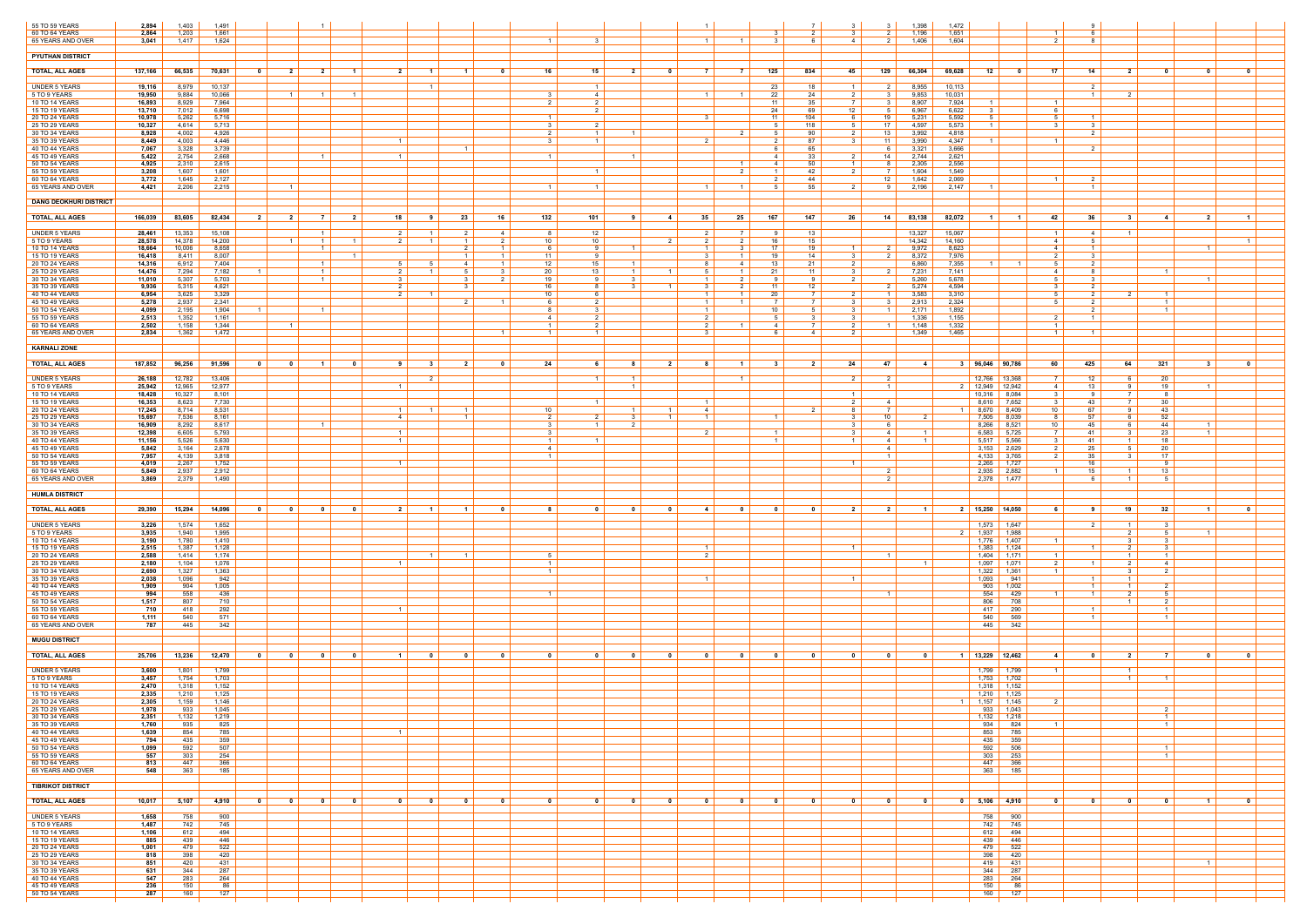| 55 TO 59 YEARS                       | 2,894            | 1,403            | 1,491            |                                                    |                                     |                          |                                  |                         |                                            |                                                    |                         |                         |                                  |                                                     |                              |                      | 31                         | 1,398                            | 1,472                                                                |                                                     |                                            |                                              |                         |
|--------------------------------------|------------------|------------------|------------------|----------------------------------------------------|-------------------------------------|--------------------------|----------------------------------|-------------------------|--------------------------------------------|----------------------------------------------------|-------------------------|-------------------------|----------------------------------|-----------------------------------------------------|------------------------------|----------------------|----------------------------|----------------------------------|----------------------------------------------------------------------|-----------------------------------------------------|--------------------------------------------|----------------------------------------------|-------------------------|
| 60 TO 64 YEARS<br>65 YEARS AND OVER  | 2,864<br>3,041   | 1,203<br>1,417   | 1,661<br>1,624   |                                                    |                                     |                          |                                  |                         |                                            |                                                    |                         |                         | $\overline{1}$                   |                                                     | 2<br>. რ                     | $\overline{a}$       | 2 I<br>2 L                 | 1,196<br>1,406                   | 1,651<br>$\vert$ 1 $\vert$<br>1,604<br>$\mathcal{P}$                 | - 6<br>8                                            |                                            |                                              |                         |
| <b>PYUTHAN DISTRICT</b>              |                  |                  |                  |                                                    |                                     |                          |                                  |                         |                                            |                                                    |                         |                         |                                  |                                                     |                              |                      |                            |                                  |                                                                      |                                                     |                                            |                                              |                         |
|                                      |                  |                  |                  |                                                    |                                     |                          |                                  |                         |                                            |                                                    |                         |                         |                                  |                                                     |                              |                      |                            |                                  |                                                                      |                                                     |                                            |                                              |                         |
| <b>TOTAL, ALL AGES</b>               | 137,166          | 66,535           | 70,631           | $\overline{\mathbf{2}}$<br>0                       | $\overline{\mathbf{2}}$             | $\mathbf 1$              | <b>2</b> l                       | -1                      | 16<br>- 0                                  | 15                                                 | $\overline{\mathbf{2}}$ | 0                       |                                  | 125                                                 | 834                          | 45                   | 129                        | 66,304                           | 69,628<br>17 <sup>17</sup><br>12<br>0                                | 14                                                  | $\overline{2}$<br>- 0                      | - 0                                          | $\mathbf{0}$            |
| <b>UNDER 5 YEARS</b><br>5 TO 9 YEARS | 19,116<br>19,950 | 8,979<br>9,884   | 10,137<br>10,066 | $1\vert$                                           | $\overline{1}$                      | $\overline{1}$           |                                  |                         | $\mathbf{3}$                               | $\overline{1}$<br>$\overline{4}$                   |                         |                         |                                  | 23<br>22                                            | 18<br>24                     |                      | 2 I<br>3 I                 | 8,955<br>9,853                   | 10,113<br>10,031                                                     | 2                                                   | - 2                                        |                                              |                         |
| 10 TO 14 YEARS<br>15 TO 19 YEARS     | 16,893<br>13,710 | 8,929<br>7,012   | 7,964<br>6,698   |                                                    |                                     |                          |                                  |                         |                                            | 2 <sup>1</sup><br>2                                |                         |                         |                                  | 11<br>24                                            | 35<br>69                     | 7<br>12              | 3 I<br>51                  | 8,907<br>6,967                   | 7,924<br>$\vert$ 1 $\vert$<br>$\vert$ 1 $\vert$<br>6,622<br>6        |                                                     |                                            |                                              |                         |
| 20 TO 24 YEARS<br>25 TO 29 YEARS     | 10,978<br>10,327 | 5,262<br>4,614   | 5,716<br>5,713   |                                                    |                                     |                          |                                  |                         | 3                                          | $\overline{2}$                                     |                         |                         |                                  | -11<br>5                                            | 104<br>118                   | -5                   | 19<br>17 <sup>1</sup>      | 5,231<br>4,597                   | 5,592<br>.5<br>.5<br>5,573<br>$\overline{1}$<br>3 <sup>1</sup>       | 3                                                   |                                            |                                              |                         |
| 30 TO 34 YEARS<br>35 TO 39 YEARS     | 8,928<br>8,449   | 4,002<br>4,003   | 4,926<br>4,446   |                                                    |                                     |                          | $\overline{1}$                   |                         | $\mathcal{R}$                              | 2 <sup>1</sup><br>$\overline{1}$<br>$\overline{1}$ |                         |                         |                                  | - 5                                                 | 90<br>87                     |                      | $13 \mid$<br>$11 \quad$    | 3,992<br>3,990                   | 4,818<br>4,347<br>$\overline{1}$                                     | $\mathcal{P}$                                       |                                            |                                              |                         |
| 40 TO 44 YEARS<br>45 TO 49 YEARS     | 7,067<br>5,422   | 3,328<br>2,754   | 3,739<br>2,668   |                                                    | $\overline{1}$                      |                          | $\vert$ 1 $\vert$                | $\overline{1}$          | $\overline{1}$                             |                                                    | $\blacksquare$          |                         |                                  | - 6<br>$\overline{4}$                               | 65<br>33                     | $\mathcal{L}$        | 61<br>14                   | 3,321<br>2,744                   | 3,666<br>2,621                                                       | $\overline{2}$                                      |                                            |                                              |                         |
| 50 TO 54 YEARS                       | 4,925            | 2,310            | 2,615            |                                                    |                                     |                          |                                  |                         |                                            |                                                    |                         |                         |                                  | $\vert$ 1 $\vert$<br>4                              | 50                           | $\overline{1}$       | 81                         | 2,305                            | 2,556                                                                |                                                     |                                            |                                              |                         |
| 55 TO 59 YEARS<br>60 TO 64 YEARS     | 3,208<br>3,772   | 1,607<br>1,645   | 1,601<br>2,127   |                                                    |                                     |                          |                                  |                         |                                            | $\overline{1}$                                     |                         |                         | 2                                |                                                     | 42<br>44                     | 2                    | 7 I<br>12 <sup>1</sup>     | 1,604<br>1,642                   | 1,549<br>2,069<br>$\overline{1}$                                     | $\overline{2}$                                      |                                            |                                              |                         |
| 65 YEARS AND OVER                    | 4,421            | 2,206            | 2,215            | $\overline{1}$                                     |                                     |                          |                                  |                         |                                            | $\overline{1}$                                     |                         |                         | $\overline{1}$                   | $\vert$ 1 $\vert$                                   | 55                           |                      | 91                         | 2,196                            | 2.147                                                                | $\overline{1}$                                      |                                            |                                              |                         |
| <b>DANG DEOKHURI DISTRICT</b>        |                  |                  |                  |                                                    |                                     |                          |                                  |                         |                                            |                                                    |                         |                         |                                  |                                                     |                              |                      |                            |                                  |                                                                      |                                                     |                                            |                                              |                         |
| <b>TOTAL, ALL AGES</b>               | 166,039          | 83,605           | 82,434           | - 2<br>2                                           |                                     | $\overline{2}$           | 18                               | 23                      | 132<br>16                                  | 101                                                |                         | -4                      | 35<br>$25$                       | 167                                                 | 147                          | 26                   | 14                         | 83,138                           | 82,072<br>42                                                         | 36                                                  | 3<br>$\overline{\mathbf{4}}$               | $\overline{2}$                               | $\blacksquare$          |
| <b>UNDER 5 YEARS</b><br>5 TO 9 YEARS | 28,461<br>28,578 | 13,353<br>14,378 | 15,108<br>14,200 | $\overline{1}$                                     | $\vert$ 1 $\vert$<br>$\overline{1}$ | $\blacksquare$           | $2 \mid$<br>2 I                  | 2<br>$\overline{1}$     | $\sim$ 4 $\mid$<br>2<br>10                 | 8<br>12<br>10                                      |                         |                         | 2                                | 7 I<br>- 9<br>16                                    | 13<br>15                     |                      |                            | 13,327<br>14,342                 | 15,067<br>$\overline{1}$<br>14,160<br>4                              | $\vert$ 4 $\vert$                                   | $1 \vert$                                  |                                              |                         |
| 10 TO 14 YEARS<br>15 TO 19 YEARS     | 18,664<br>16,418 | 10,006<br>8,411  | 8,658<br>8,007   |                                                    |                                     | $\vert$ 1 $\vert$        |                                  | $\overline{1}$          | $\overline{1}$<br>11 <sup>1</sup>          | 61<br>-9<br>-9                                     |                         |                         | -3<br>3                          | 17<br>19<br>- 1 - I                                 | 19<br>14                     | - 3                  | 2 I<br>2 <sup>1</sup>      | 9,972<br>8,372                   | 8,623<br>4<br>7,976<br>2 <sup>1</sup>                                | 3                                                   |                                            |                                              |                         |
| 20 TO 24 YEARS<br>25 TO 29 YEARS     | 14,316<br>14,476 | 6,912<br>7,294   | 7,404<br>7,182   |                                                    | $\overline{1}$<br>$\overline{1}$    |                          | 2 I                              | 4                       | 12<br>$\overline{1}$<br>20<br>$\mathbf{3}$ | 15<br>13                                           |                         |                         | -5<br>$\overline{1}$             | 13<br>41<br>21                                      | 21<br>11                     |                      | 2 I                        | 6,860<br>7,231                   | 7,355<br>5<br>7,141<br>4                                             | 8                                                   | $\overline{1}$                             |                                              |                         |
| 30 TO 34 YEARS                       | 11,010           | 5,307            | 5,703            |                                                    | $\overline{1}$                      |                          | 3 I<br>2 <sup>1</sup>            | $\mathbf{3}$            | 19<br>2                                    | q                                                  |                         |                         | $\overline{1}$<br>$\mathcal{R}$  | - 9                                                 | - 9                          | 2                    |                            | 5,260                            | 5,678<br>5 <sup>1</sup>                                              | 3<br>$\mathcal{P}$                                  |                                            | $\overline{1}$                               |                         |
| 35 TO 39 YEARS<br>40 TO 44 YEARS     | 9,936<br>6,954   | 5,315<br>3,625   | 4,621<br>3,329   |                                                    |                                     |                          | 2 I                              |                         | 16<br>10 <sup>1</sup>                      |                                                    |                         | $\overline{1}$          | $\overline{1}$                   | 11<br>20                                            | 12<br>$\overline{7}$         |                      | 2 I<br>$1 \mid$            | 5,274<br>3,583                   | 4,594<br>3,310                                                       | $\mathcal{P}$                                       | $\overline{1}$                             |                                              |                         |
| 45 TO 49 YEARS<br>50 TO 54 YEARS     | 5,278<br>4,099   | 2,937<br>2,195   | 2,341<br>1,904   | $\overline{1}$                                     | $\overline{1}$                      |                          |                                  | $\overline{2}$          |                                            | 6 I<br>2<br>8<br>$\mathbf{R}$                      |                         |                         | $\overline{1}$<br>$\overline{1}$ | $\overline{7}$<br>$\overline{1}$<br>10 <sup>1</sup> | - 7 I<br>-5                  | $\mathbf{3}$         | 3 I<br>$1 \mid$            | 2,913<br>2,171                   | 2,324<br>5<br>1,892                                                  | $\overline{2}$<br>$\overline{2}$                    | $\overline{1}$<br>$\overline{1}$           |                                              |                         |
| 55 TO 59 YEARS<br>60 TO 64 YEARS     | 2,513<br>2,502   | 1,352<br>1,158   | 1,161<br>1,344   | $\overline{1}$                                     |                                     |                          |                                  |                         | 4                                          | $\overline{2}$<br>1 <sup>1</sup><br>$\overline{2}$ |                         |                         | $\mathcal{D}$<br>2               | $\overline{4}$                                      | $\mathbf{3}$<br><sup>7</sup> | 2                    | $1 \mid$                   | 1,336<br>1,148                   | 1,155<br>1,332<br>$\overline{1}$                                     | $\overline{1}$                                      |                                            |                                              |                         |
| 65 YEARS AND OVER                    | 2,834            | 1,362            | 1,472            |                                                    |                                     |                          |                                  |                         | $\vert$ 1 $\vert$                          | $\overline{1}$                                     |                         |                         |                                  |                                                     | 4                            |                      |                            | 1,349                            | 1,465<br>$\overline{1}$                                              |                                                     |                                            |                                              |                         |
| <b>KARNALI ZONE</b>                  |                  |                  |                  |                                                    |                                     |                          |                                  |                         |                                            |                                                    |                         |                         |                                  |                                                     |                              |                      |                            |                                  |                                                                      |                                                     |                                            |                                              |                         |
| <b>TOTAL, ALL AGES</b>               | 187,852          | 96,256           | 91,596           | $\mathbf 0$<br>$\overline{\mathbf{0}}$             | $\vert$ 1 $\vert$                   | $\overline{\phantom{0}}$ | 3<br>9 <sup>1</sup>              | $\overline{\mathbf{2}}$ | 24<br>$\mathbf{0}$                         | -6                                                 | 8                       | 2 <sup>1</sup>          | 8                                | $\overline{1}$<br>31                                | 2 <sup>1</sup>               | 24                   | 47                         | $-4$                             | 96,046 90,786<br>60<br>- 3                                           | 425                                                 | 321<br>64                                  | $\mathbf{3}$                                 | $\mathbf 0$             |
| <b>UNDER 5 YEARS</b><br>5 TO 9 YEARS | 26,188<br>25,942 | 12,782<br>12,965 | 13,406<br>12,977 |                                                    |                                     |                          | $\overline{2}$<br>1 <sup>1</sup> |                         |                                            | $\overline{1}$                                     | $\vert$ 1 $\vert$       |                         |                                  | $\vert$ 1 $\vert$                                   |                              | 2                    | 2 <sup>1</sup><br>$1 \mid$ |                                  | 12,766 13,368<br>7 I<br>2 12,949 12,942                              | 12                                                  | 20<br>6<br>19<br>-91                       | $1\vert$                                     |                         |
| 10 TO 14 YEARS                       | 18,428           | 10,327           | 8,101            |                                                    |                                     |                          |                                  |                         |                                            |                                                    |                         |                         |                                  |                                                     |                              |                      |                            |                                  | 4<br>$10,316$ 8,084<br>3                                             | 13<br>9                                             | - 8                                        |                                              |                         |
| 15 TO 19 YEARS<br>20 TO 24 YEARS     | 16,353<br>17,245 | 8,623<br>8,714   | 7,730<br>8,531   |                                                    |                                     |                          | $1 \mid$                         | $\overline{1}$          | 10                                         | $\overline{1}$                                     | $\blacksquare$          | $\overline{1}$          | $\overline{1}$<br>4              |                                                     | $\overline{2}$               | $\overline{2}$<br>Я. | 4<br>7 I                   |                                  | 8,610 7,652<br>3<br>8,670<br>10<br>  8,409<br>1 <sup>1</sup>         | 43<br>67                                            | 30<br><b>7</b> I<br>43<br>9                |                                              |                         |
| 25 TO 29 YEARS<br>30 TO 34 YEARS     | 15,697<br>16,909 | 7,536<br>8,292   | 8,161<br>8,617   |                                                    | $\overline{1}$                      |                          | $\overline{4}$                   | $\overline{1}$          | 3                                          | 2 <sup>1</sup><br>$\overline{1}$                   | $\overline{2}$          |                         | $\overline{1}$                   |                                                     |                              |                      | 10<br>61                   |                                  | 7,505 8,039<br>8<br>$8,266$ $8,521$<br>10                            | 57<br>45                                            | 52<br>44<br>- 6                            | $\overline{1}$                               |                         |
| 35 TO 39 YEARS<br>40 TO 44 YEARS     | 12,398<br>11,156 | 6,605<br>5,526   | 5,793<br>5,630   |                                                    |                                     |                          | $1 \mid$<br>$1 \mid$             |                         | 3                                          | 1 <sup>1</sup><br>-1                               |                         |                         | $\overline{2}$                   | $\vert$ 1 $\vert$                                   |                              | $\mathbf{R}$         | 4<br>4                     | $\overline{1}$<br>$\overline{1}$ | $6,583$ 5,725<br>7 I<br>5,517<br>5,566<br>$\mathbf{3}$               | 41<br>41                                            | 23<br>$\mathbf{3}$<br>18<br>$\overline{1}$ | 1 <sup>1</sup>                               |                         |
| 45 TO 49 YEARS<br>50 TO 54 YEARS     | 5,842<br>7,957   | 3,164<br>4,139   | 2,678<br>3,818   |                                                    |                                     |                          |                                  |                         | $4 \vert$                                  | $1 \vert$                                          |                         |                         |                                  |                                                     |                              |                      | 4<br>$\vert$ 1 $\vert$     |                                  | $3,153$ 2,629<br>$\overline{2}$<br>4,133 3,765<br>$2 \mid$           | 25<br>35                                            | 20<br>5<br>17<br>- 3                       |                                              |                         |
| 55 TO 59 YEARS<br>60 TO 64 YEARS     | 4,019<br>5,849   | 2,267<br>2,937   | 1,752<br>2,912   |                                                    |                                     |                          | $\overline{1}$                   |                         |                                            |                                                    |                         |                         |                                  |                                                     |                              |                      | 2 I                        |                                  | $2,265$ 1,727<br>2,935<br>2,882<br>$\overline{1}$                    | 16<br>15                                            | - 9<br>13<br>$\blacksquare$                |                                              |                         |
| 65 YEARS AND OVER                    | 3,869            | 2,379            | 1,490            |                                                    |                                     |                          |                                  |                         |                                            |                                                    |                         |                         |                                  |                                                     |                              |                      | $2 \mid$                   |                                  | 2,378 1,477                                                          | - 6                                                 | $1 \vert$                                  | 5                                            |                         |
| <b>HUMLA DISTRICT</b>                |                  |                  |                  |                                                    |                                     |                          |                                  |                         |                                            |                                                    |                         |                         |                                  |                                                     |                              |                      |                            |                                  |                                                                      |                                                     |                                            |                                              |                         |
| <b>TOTAL, ALL AGES</b>               | 29,390           | 15,294           | 14,096           | $\mathbf{a}$<br>$\mathbf{0}$                       | $\mathbf{a}$                        | $\mathsf{a}$             | 2 <sup>1</sup><br>$\blacksquare$ | $\blacksquare$          | $\mathbf{0}$<br>8.                         | $\mathbf{a}$                                       | $\mathbf{a}$            | $\mathbf{0}$            | 4                                | $\mathsf{A}$<br>$\mathbf{a}$                        | $\mathbf{0}$                 | $\overline{2}$       | 2 <sup>1</sup>             | $\blacksquare$ 1                 | 2 15,250 14,050<br>61                                                | -91                                                 | 32<br>19 I                                 | $\blacksquare$                               | $\overline{\mathbf{0}}$ |
| <b>UNDER 5 YEARS</b>                 | 3,226            | 1,574            | 1,652            |                                                    |                                     |                          |                                  |                         |                                            |                                                    |                         |                         |                                  |                                                     |                              |                      |                            |                                  | 1,573 1,647                                                          | 2 I                                                 | $1 \vert$<br>$\overline{\mathbf{3}}$       |                                              |                         |
| 5 TO 9 YEARS<br>10 TO 14 YEARS       | 3,935<br>3,190   | 1,940<br>1,780   | 1,995<br>1,410   |                                                    |                                     |                          |                                  |                         |                                            |                                                    |                         |                         |                                  |                                                     |                              |                      |                            |                                  | $2 \mid 1,937$<br>1,988<br>1,776<br>1,407<br>$\overline{1}$          |                                                     | 2 I<br>3                                   | 5 <sup>1</sup><br>$\overline{1}$             |                         |
| 15 TO 19 YEARS<br>20 TO 24 YEARS     | 2,515<br>2,588   | 1,387<br>1,414   | 1,128<br>1,174   |                                                    |                                     |                          |                                  | $\overline{1}$          | 5                                          |                                                    |                         |                         | $\overline{1}$<br>$\mathcal{D}$  |                                                     |                              | $\overline{1}$       | $\overline{1}$             |                                  | 1,383<br>1,124<br>1,404<br>1,171<br>$\blacksquare$                   | $\overline{1}$                                      | <sup>2</sup>                               | $\overline{\mathbf{3}}$<br>$\overline{1}$    |                         |
| 25 TO 29 YEARS<br>30 TO 34 YEARS     | 2,180<br>2,690   | 1,104<br>1,327   | 1,076<br>1,363   |                                                    |                                     |                          | $1 \mid$                         |                         |                                            | $\overline{1}$<br>1 <sup>1</sup>                   |                         |                         |                                  |                                                     |                              |                      |                            | $\vert$ 1 $\vert$                | 1,097<br>1,071<br>2 <sup>1</sup><br>1,322<br>1,361<br>$\overline{1}$ | $\overline{1}$                                      | 2 I<br>- 3                                 | $\overline{4}$<br>$\overline{2}$             |                         |
| 35 TO 39 YEARS<br>40 TO 44 YEARS     | 2,038<br>1,909   | 1,096<br>904     | 942<br>1,005     |                                                    |                                     |                          |                                  |                         |                                            |                                                    |                         |                         |                                  |                                                     |                              | $\overline{1}$       |                            |                                  | 1,093<br>941<br>903<br>1,002                                         | $\vert$ 1 $\vert$                                   | $\overline{1}$<br>$1 \vert$                | $\overline{2}$                               |                         |
| 45 TO 49 YEARS<br>50 TO 54 YEARS     | 994<br>1,517     | 558<br>807       | 436<br>710       |                                                    |                                     |                          |                                  |                         | $\mathbf{1}$                               |                                                    |                         |                         |                                  |                                                     |                              |                      | $\overline{1}$             |                                  | 554<br>429<br>$\overline{1}$<br>806<br>708                           | $\overline{1}$                                      | $\overline{2}$<br>$\blacksquare$           | 5<br>2                                       |                         |
| 55 TO 59 YEARS<br>60 TO 64 YEARS     | 710<br>1,111     | 418<br>540       | 292<br>571       |                                                    |                                     |                          | $1 \mid$                         |                         |                                            |                                                    |                         |                         |                                  |                                                     |                              |                      |                            |                                  | 417<br>290<br>540<br>569                                             | $\overline{1}$<br>$\overline{1}$                    |                                            | $\overline{1}$<br>$\overline{1}$             |                         |
| 65 YEARS AND OVER                    | 787              | 445              | 342              |                                                    |                                     |                          |                                  |                         |                                            |                                                    |                         |                         |                                  |                                                     |                              |                      |                            |                                  | 445<br>342                                                           |                                                     |                                            |                                              |                         |
| <b>MUGU DISTRICT</b>                 |                  |                  |                  |                                                    |                                     |                          |                                  |                         |                                            |                                                    |                         |                         |                                  |                                                     |                              |                      |                            |                                  |                                                                      |                                                     |                                            |                                              |                         |
| <b>TOTAL, ALL AGES</b>               | 25,706           | 13,236           | 12,470           | $\overline{\mathbf{0}}$<br>$\overline{\mathbf{0}}$ | - 0                                 | - 0                      | $\overline{1}$<br>$\mathbf{0}$   | - 0                     | $\mathbf{0}$<br>0                          | - 0                                                | - 0                     | $\overline{\mathbf{0}}$ | $\bullet$                        | $\mathbf{0}$<br>$\overline{\mathbf{0}}$             | $\mathbf{0}$                 |                      | $\overline{\mathbf{0}}$    | $\overline{\mathbf{0}}$          | 1 $13,229$ 12,462<br>$-4$                                            | $\overline{\phantom{0}}$ 0 $\overline{\phantom{0}}$ | 2 <sup>1</sup><br>$\vert$ 7 $\vert$        | - 0                                          | $\mathbf{0}$            |
| <b>UNDER 5 YEARS</b>                 | 3,600            | 1,801            | 1,799            |                                                    |                                     |                          |                                  |                         |                                            |                                                    |                         |                         |                                  |                                                     |                              |                      |                            |                                  | 1,799   1,799<br>$\overline{1}$                                      |                                                     | $\vert$ 1 $\vert$                          |                                              |                         |
| 5 TO 9 YEARS<br>10 TO 14 YEARS       | 3,457<br>2,470   | 1,754<br>1,318   | 1,703<br>1,152   |                                                    |                                     |                          |                                  |                         |                                            |                                                    |                         |                         |                                  |                                                     |                              |                      |                            |                                  | $1,753$ 1,702<br>$1,318$ 1,152                                       |                                                     | $\vert$ 1 $\vert$                          | $\overline{1}$                               |                         |
| 15 TO 19 YEARS<br>20 TO 24 YEARS     | 2,335<br>2,305   | 1,210<br>1,159   | 1,125<br>1,146   |                                                    |                                     |                          |                                  |                         |                                            |                                                    |                         |                         |                                  |                                                     |                              |                      |                            |                                  | 1,210<br>1,125<br>1 $1,157$ 1,145<br>$\overline{2}$                  |                                                     |                                            |                                              |                         |
| 25 TO 29 YEARS<br>30 TO 34 YEARS     | 1,978<br>2,351   | 933<br>1,132     | 1,045<br>1,219   |                                                    |                                     |                          |                                  |                         |                                            |                                                    |                         |                         |                                  |                                                     |                              |                      |                            |                                  | $933$ 1,043<br>$1,132$ 1,218                                         |                                                     |                                            | $\overline{1}$                               |                         |
| 35 TO 39 YEARS<br>40 TO 44 YEARS     | 1,760<br>1,639   | 935<br>854       | 825<br>785       |                                                    |                                     |                          | $1 \vert$                        |                         |                                            |                                                    |                         |                         |                                  |                                                     |                              |                      |                            |                                  | 934<br>824<br>$\vert$ 1 $\vert$<br>853<br>785                        |                                                     |                                            | $\overline{1}$                               |                         |
| 45 TO 49 YEARS<br>50 TO 54 YEARS     | 794<br>1,099     | 435<br>592       | 359<br>507       |                                                    |                                     |                          |                                  |                         |                                            |                                                    |                         |                         |                                  |                                                     |                              |                      |                            |                                  | 435<br>359<br>592<br>506                                             |                                                     |                                            | $\overline{1}$                               |                         |
| 55 TO 59 YEARS                       | 557              | 303              | 254              |                                                    |                                     |                          |                                  |                         |                                            |                                                    |                         |                         |                                  |                                                     |                              |                      |                            |                                  | 303<br>253                                                           |                                                     |                                            | $\overline{1}$                               |                         |
| 60 TO 64 YEARS<br>65 YEARS AND OVER  | 813<br>548       | 447<br>363       | 366<br>185       |                                                    |                                     |                          |                                  |                         |                                            |                                                    |                         |                         |                                  |                                                     |                              |                      |                            |                                  | 447<br>366<br>363<br>185                                             |                                                     |                                            |                                              |                         |
| <b>TIBRIKOT DISTRICT</b>             |                  |                  |                  |                                                    |                                     |                          |                                  |                         |                                            |                                                    |                         |                         |                                  |                                                     |                              |                      |                            |                                  |                                                                      |                                                     |                                            |                                              |                         |
| <b>TOTAL, ALL AGES</b>               | $10,017$         | 5,107            | 4,910            | $\overline{\mathbf{0}}$<br>$\overline{\mathbf{0}}$ | $\overline{\mathbf{0}}$             | $\overline{\mathbf{0}}$  | $\overline{\mathbf{0}}$<br>0     | $\overline{\mathbf{0}}$ | $\mathbf{0}$<br>$\overline{\mathbf{0}}$    | $\mathbf{0}$                                       | $\overline{\mathbf{0}}$ | $\overline{\mathbf{0}}$ | $\mathbf{0}$                     | $\mathbf{0}$<br>$\overline{\mathbf{0}}$             | $\overline{\mathbf{0}}$      | $\mathbf{0}$         | $\overline{\mathbf{0}}$    | $\overline{\mathbf{0}}$          | 0 5,106 4,910<br>$\overline{\mathbf{0}}$                             | $\overline{\mathbf{0}}$                             | $\overline{\mathbf{0}}$                    | $\overline{\mathbf{0}}$<br>$\vert$ 1 $\vert$ | $\overline{\mathbf{0}}$ |
| <b>UNDER 5 YEARS</b>                 | 1,658            | 758              | 900              |                                                    |                                     |                          |                                  |                         |                                            |                                                    |                         |                         |                                  |                                                     |                              |                      |                            |                                  | 758 900                                                              |                                                     |                                            |                                              |                         |
| 5 TO 9 YEARS<br>10 TO 14 YEARS       | 1,487<br>1,106   | 742<br>612       | 745<br>494       |                                                    |                                     |                          |                                  |                         |                                            |                                                    |                         |                         |                                  |                                                     |                              |                      |                            |                                  | 742  <br>$\frac{1}{245}$<br>612<br>494                               |                                                     |                                            |                                              |                         |
| 15 TO 19 YEARS<br>20 TO 24 YEARS     | 885<br>1,001     | 439<br>479       | 446<br>522       |                                                    |                                     |                          |                                  |                         |                                            |                                                    |                         |                         |                                  |                                                     |                              |                      |                            |                                  | 439<br>446<br>479<br>522                                             |                                                     |                                            |                                              |                         |
| 25 TO 29 YEARS<br>30 TO 34 YEARS     | 818<br>851       | 398<br>420       | 420<br>431       |                                                    |                                     |                          |                                  |                         |                                            |                                                    |                         |                         |                                  |                                                     |                              |                      |                            |                                  | 398<br>420<br>419<br>431                                             |                                                     |                                            | $\overline{1}$                               |                         |
| 35 TO 39 YEARS                       | 631              | 344              | 287              |                                                    |                                     |                          |                                  |                         |                                            |                                                    |                         |                         |                                  |                                                     |                              |                      |                            |                                  | 344<br>287                                                           |                                                     |                                            |                                              |                         |
| 40 TO 44 YEARS<br>45 TO 49 YEARS     | 547<br>236       | 283<br>150       | 264<br>86        |                                                    |                                     |                          |                                  |                         |                                            |                                                    |                         |                         |                                  |                                                     |                              |                      |                            |                                  | 283<br>264<br>150<br>86                                              |                                                     |                                            |                                              |                         |
| 50 TO 54 YEARS                       | 287              | 160              | 127              |                                                    |                                     |                          |                                  |                         |                                            |                                                    |                         |                         |                                  |                                                     |                              |                      |                            |                                  | 160<br>127                                                           |                                                     |                                            |                                              |                         |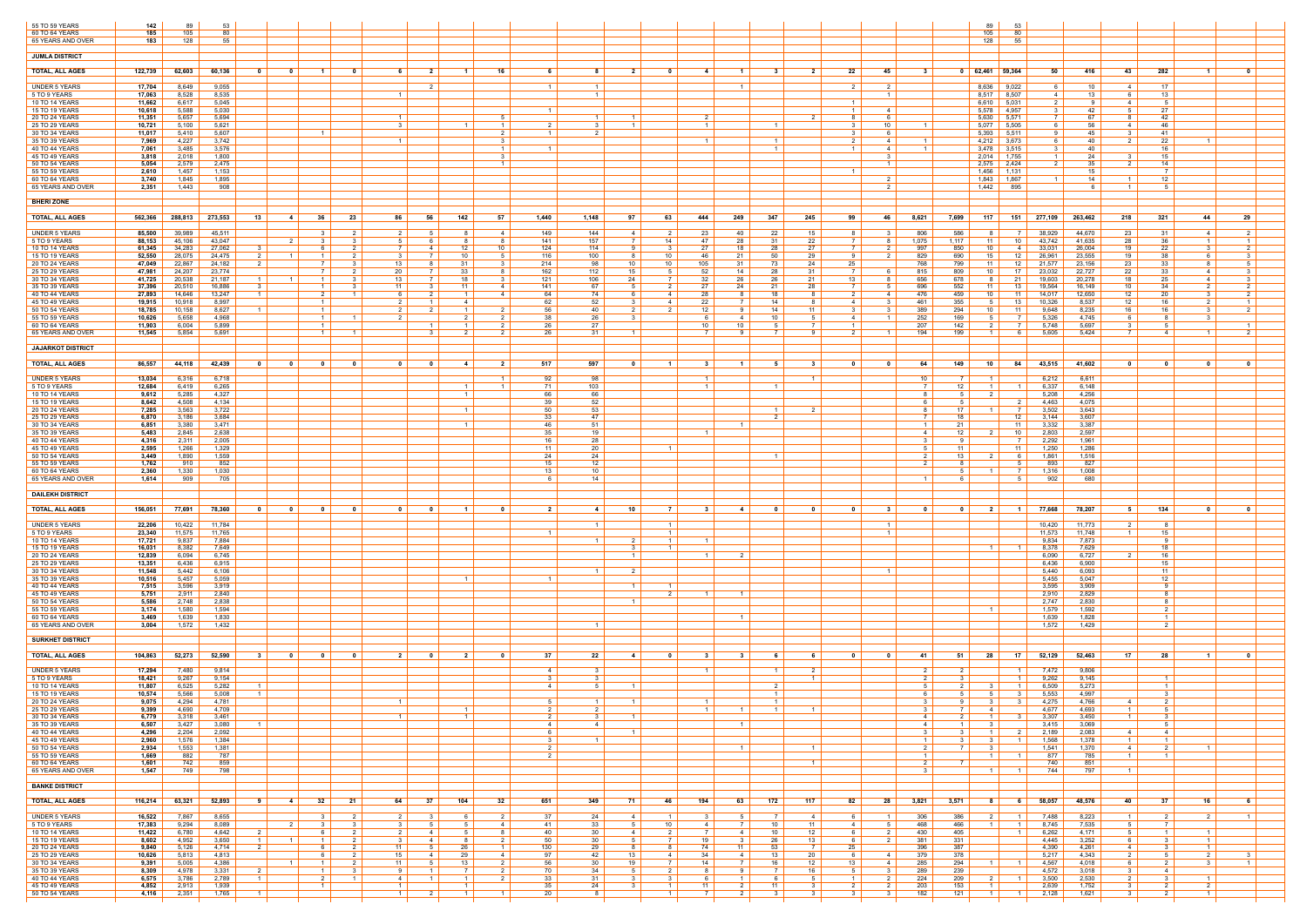| 55 TO 59 YEARS<br>60 TO 64 YEARS        | 142<br>185       | 89<br>105        | 53<br>-80        |                                                    |                                                         |                          |                                        |                                  |                 |                     |                                                   |                      |                 |                                                       |                             |                                          | 89<br>105                                      | 53<br>-80                                |                  |                       |                                           |                                                         |
|-----------------------------------------|------------------|------------------|------------------|----------------------------------------------------|---------------------------------------------------------|--------------------------|----------------------------------------|----------------------------------|-----------------|---------------------|---------------------------------------------------|----------------------|-----------------|-------------------------------------------------------|-----------------------------|------------------------------------------|------------------------------------------------|------------------------------------------|------------------|-----------------------|-------------------------------------------|---------------------------------------------------------|
| 65 YEARS AND OVER                       | 183              | 128              | -55              |                                                    |                                                         |                          |                                        |                                  |                 |                     |                                                   |                      |                 |                                                       |                             |                                          | 128                                            | - 55                                     |                  |                       |                                           |                                                         |
| <b>JUMLA DISTRICT</b>                   |                  |                  |                  |                                                    |                                                         |                          |                                        |                                  |                 |                     |                                                   |                      |                 |                                                       |                             |                                          |                                                |                                          |                  |                       |                                           |                                                         |
| <b>TOTAL, ALL AGES</b>                  | 122,739          | 62,603           | 60,136           | $\mathbf{0}$<br>0                                  | - 0                                                     |                          | - 2                                    | 16                               |                 | - 8                 | - 0<br>- 2                                        | $\mathbf{A}$         | $\mathbf 1$     | $\overline{2}$                                        | 22                          | -45<br>-3                                | 62,461                                         | 59,364<br>50                             | 416              | 43                    | 282                                       | $\mathbf{a}$                                            |
| UNDER 5 YEARS                           | 17,704           | 8,649            | 9,055            |                                                    |                                                         |                          |                                        |                                  |                 | $\overline{1}$      |                                                   |                      | $1 \mid$        |                                                       | 2 I                         | $\overline{2}$                           | 8,636 9,022                                    | 6.                                       | 10               | 4 I                   | 17                                        |                                                         |
| 5 TO 9 YEARS<br>10 TO 14 YEARS          | 17,063<br>11,662 | 8,528<br>6,617   | 8,535<br>5,045   |                                                    |                                                         |                          |                                        |                                  |                 | $\overline{1}$      |                                                   |                      |                 |                                                       | $\blacksquare$ 1            |                                          | 8,517<br>6,610                                 | 8,507<br>4<br>5,031<br>2                 | 13<br>- 9        | 4 I                   | 13<br>5                                   |                                                         |
| 15 TO 19 YEARS<br>20 TO 24 YEARS        | 10,618<br>11,351 | 5,588<br>5,657   | 5,030<br>5,694   |                                                    |                                                         | $\overline{1}$           |                                        |                                  |                 | $\overline{1}$      |                                                   |                      |                 | - 2                                                   | $\overline{1}$<br>8         | 4<br>-6                                  | 5,578 4,957<br>5,630                           | $\mathcal{R}$<br>5,571                   | 42<br>67         | -51<br>8              | 27<br>42                                  |                                                         |
| 25 TO 29 YEARS<br>30 TO 34 YEARS        | 10,721<br>11,017 | 5,100<br>5,410   | 5,621<br>5,607   |                                                    | $\overline{1}$                                          | 3                        |                                        | $\overline{1}$<br>2              |                 | 3<br>$\overline{2}$ |                                                   |                      |                 |                                                       | 31<br>- 3 I                 | 10<br>- 6                                | $5,077$ 5,505<br>$5,393$ 5,511                 | Q                                        | 56<br>45         | 4<br>-3-1             | 46<br>-41                                 |                                                         |
| 35 TO 39 YEARS                          | 7,969            | 4,227            | 3,742            |                                                    |                                                         | $\overline{1}$           |                                        | $\mathcal{R}$                    |                 |                     |                                                   | $\overline{1}$       |                 | $\vert$ 1 $\vert$                                     | $\overline{2}$              | 4<br>$\overline{1}$                      | 4,212                                          | 3,673                                    | 40               | $\overline{2}$        | 22                                        | $\overline{1}$                                          |
| 40 TO 44 YEARS<br>45 TO 49 YEARS        | 7,061<br>3,818   | 3,485<br>2,018   | 3,576<br>1,800   |                                                    |                                                         |                          |                                        | $\overline{1}$<br>-3             |                 |                     |                                                   |                      |                 | $\overline{1}$                                        | 1 1                         | -4<br>- 3                                | 3,478 3,515<br>2,014                           | 1,755                                    | 40<br>24         | -3 I                  | 16<br>15                                  |                                                         |
| 50 TO 54 YEARS<br>55 TO 59 YEARS        | 5,054<br>2,610   | 2,579<br>1,457   | 2,475<br>1,153   |                                                    |                                                         |                          |                                        | $\overline{1}$                   |                 |                     |                                                   |                      |                 |                                                       |                             | $\overline{1}$                           | 2,575 2,424<br>1,456                           | 2<br>1,131                               | 35<br>15         | 2 I                   | 14<br>$\overline{7}$                      |                                                         |
| 60 TO 64 YEARS                          | 3,740            | 1,845            | 1,895            |                                                    |                                                         |                          |                                        |                                  |                 |                     |                                                   |                      |                 |                                                       |                             | - 2<br>2                                 | 1,843                                          | 1,867<br>895                             | 14<br>- 6        | $1 \vert$             | 12<br>-5                                  |                                                         |
| 65 YEARS AND OVER                       | 2,351            | 1,443            | 908              |                                                    |                                                         |                          |                                        |                                  |                 |                     |                                                   |                      |                 |                                                       |                             |                                          | 1,442                                          |                                          |                  |                       |                                           |                                                         |
| <b>BHERI ZONE</b>                       |                  |                  |                  |                                                    |                                                         |                          |                                        |                                  |                 |                     |                                                   |                      |                 |                                                       |                             |                                          |                                                |                                          |                  |                       |                                           |                                                         |
| <b>TOTAL, ALL AGES</b>                  | 562,366          | 288,813          | 273,553          | 13<br>4                                            | 23<br>36                                                | 86                       | 56<br>142                              | 57                               | 1,440           | 1,148               | 97<br>63                                          | 444                  | 249             | 245<br>347                                            | 99                          | 46<br>8,621                              | 7,699<br>117                                   | 151<br>277,109                           | 263,462          | 218                   | 321                                       | 29<br>44                                                |
| UNDER 5 YEARS<br>5 TO 9 YEARS           | 85,500<br>88,153 | 39,989<br>45,106 | 45,511<br>43,047 | $\overline{2}$                                     | $\overline{\mathbf{3}}$<br>2 I<br>$\mathcal{R}$         | 2 I<br>5                 | 8<br>51                                | -4                               | 149<br>141      | 144<br>157          | 2<br>41<br>14                                     | 23<br>47             | 40<br>28        | 22<br>15<br>22<br>-31                                 | 81<br>7 I                   | 806<br>-3<br>1,075                       | 586<br>81<br>1.117<br>11                       | 38,929<br>$\overline{7}$<br>10<br>43,742 | 44,670<br>41,635 | 23<br>28              | -31<br>36                                 | 2 I<br>4 I<br>$\overline{1}$<br>$\blacksquare$          |
| 10 TO 14 YEARS                          | 61,345           | 34,283           | 27,062           |                                                    |                                                         |                          | 12                                     | 10                               | 124             | 114                 |                                                   | 27                   | 18              | 27<br>-28                                             |                             | 997                                      | 850<br>10                                      | 33,03'                                   | 26,004           | 19                    | -22                                       |                                                         |
| 15 TO 19 YEARS<br>20 TO 24 YEARS        | 52,550<br>47,049 | 28,075<br>22,867 | 24,475<br>24,182 | $\overline{2}$<br>$\overline{1}$<br>$\overline{2}$ | 2<br>$\overline{1}$<br><b>7</b><br>- 3                  | 31<br>13 I               | 10<br>31                               | - 5                              | 116<br>214      | 100<br>98           | 10<br>81<br>10 <sup>1</sup><br>10                 | 46<br>105            | 21<br>31 I      | 50<br>29<br>73<br>24                                  | -91<br>25                   | 829<br>2<br>768                          | 690<br>15<br>799<br>11                         | -12<br>26,961<br>-12<br>21,577           | 23,555<br>23,156 | 19<br>23              | 38<br>33                                  | -6<br>3<br>.5<br>8                                      |
| 25 TO 29 YEARS<br>30 TO 34 YEARS        | 47,981<br>41,725 | 24,207<br>20,538 | 23,774<br>21,187 | $\vert$ 1 $\vert$<br>$\overline{1}$                | $\vert$ 1 $\vert$<br>3 <sup>1</sup>                     | 20<br>13                 | 33<br>18                               | -3                               | 162<br>121      | 112<br>106          | 15<br>24<br>7                                     | 52<br>32             | 14<br>26        | 28<br>31<br>26<br>21                                  | 13                          | 815<br>656<br>-8                         | 809<br>10<br>678<br>81                         | 17<br>23,032<br>19,603<br>- 21           | 22,727<br>20,278 | 22<br>18 I            | 33<br>25                                  | 4<br>31<br>4 I                                          |
| 35 TO 39 YEARS<br>40 TO 44 YEARS        | 37,396<br>27,893 | 20,510<br>14,646 | 16,886<br>13,247 | $\mathbf{3}$<br>$\vert$ 1 $\vert$                  | $\overline{1}$<br>$\mathbf{3}$<br>2<br>$\blacksquare$ 1 | 11<br>-6                 | 11<br>$\overline{1}$                   | 4<br>$\overline{4}$              | 141<br>64       | 67<br>74            | 2<br>$\overline{4}$                               | 27<br>28             | 24<br>-8 I      | 28<br>21<br>18<br>- 8                                 | <b>7</b> I<br>$\mathcal{P}$ | 696<br>5<br>476<br>4                     | 552<br>11<br>459<br>10                         | 19,564<br>- 13<br>- 11<br>14,017         | 16,149<br>12,650 | 10<br>12              | 34<br>20                                  | 2 I<br>$\overline{2}$<br>$\overline{2}$<br>$\mathbf{3}$ |
| 45 TO 49 YEARS                          | 19,915           | 10,918           | 8,997            |                                                    | $\overline{1}$                                          | 2                        | 4                                      |                                  | 62              | 52                  | 4                                                 | 22                   |                 | 14<br>- 8                                             | 4                           | 461<br>-3                                | 355<br>51                                      | 10,326<br>- 13                           | 8,537            | 12                    | 16                                        | 2                                                       |
| 50 TO 54 YEARS<br>55 TO 59 YEARS        | 18,785<br>10,626 | 10,158<br>5,658  | 8,627<br>4,968   | $\overline{1}$                                     | $\overline{1}$<br>$\overline{1}$<br>$\blacksquare$ 1    | 2<br>$\mathcal{P}$       | $\mathbf{1}$                           | - 2                              | 56<br>38        | 40<br>26            | 2<br>2 I                                          | 12                   | 91<br>4         | 11<br>14<br>10<br>- 5                                 | 31<br>4                     | 389<br>-3<br>252<br>$\overline{1}$       | 294<br>10<br>169                               | -11<br>9,648<br>5,326                    | 8,235<br>4,745   | 16<br>6               | 16<br>-8                                  | 2<br>3<br>$\mathcal{R}$                                 |
| 60 TO 64 YEARS<br>65 YEARS AND OVER     | 11,903<br>11,545 | 6,004<br>5.854   | 5,899<br>5,691   |                                                    | $\overline{1}$<br>$\vert$ 1 $\vert$                     |                          | $\overline{2}$<br>-3 I                 | - 2<br>$\overline{2}$            | 26<br>26        | 27<br>31            | $\vert$ 1 $\vert$                                 | 10<br>$\overline{7}$ | 10<br>91        | 9<br>7                                                | 2 I                         | 207<br>194<br>$\overline{1}$             | 142<br>199<br>$\overline{1}$                   | 5,748<br>5,605<br>h                      | 5,697<br>5,424   | 7 I                   | -5<br>4                                   | $\overline{2}$<br>$\overline{1}$                        |
| <b>JAJARKOT DISTRICT</b>                |                  |                  |                  |                                                    |                                                         |                          |                                        |                                  |                 |                     |                                                   |                      |                 |                                                       |                             |                                          |                                                |                                          |                  |                       |                                           |                                                         |
|                                         |                  |                  |                  |                                                    |                                                         |                          |                                        |                                  |                 |                     |                                                   |                      |                 |                                                       |                             |                                          |                                                |                                          |                  |                       |                                           |                                                         |
| <b>TOTAL, ALL AGES</b>                  | 86,557           | 44,118           | 42,439           | $\overline{\mathbf{0}}$<br>$\overline{\mathbf{0}}$ | $\overline{\phantom{0}}$<br>$\overline{\phantom{0}}$    | $\overline{\phantom{0}}$ | $\sim$ 4  <br>$\overline{\phantom{0}}$ | $\overline{\mathbf{2}}$          | 517             | 597                 | $\overline{1}$<br>$\mathbf{0}$                    | - 3                  | $-1$            | $\mathbf{3}$<br>51                                    | $\overline{\mathbf{0}}$     | 64<br>$\mathbf 0$                        | 149<br>10                                      | 84  <br>43,515                           | 41,602           |                       | 0                                         |                                                         |
| <b>UNDER 5 YEARS</b><br>5 TO 9 YEARS    | 13,034<br>12,684 | 6,316<br>6,419   | 6,718<br>6,265   |                                                    |                                                         |                          | $\overline{1}$                         | $\overline{1}$<br>$\overline{1}$ | 92<br>- 71      | 98<br>103           |                                                   | $\overline{1}$       |                 | $\overline{1}$<br>$\blacksquare$ 1                    |                             | 10<br>$\overline{7}$                     | $\overline{1}$<br>$12-1$<br>$\vert$ 1 $\vert$  | 6,212<br>6,337<br>- 1                    | 6,611<br>6,148   |                       |                                           |                                                         |
| <b>10 TO 14 YEARS</b><br>15 TO 19 YEARS | 9,612<br>8,642   | 5,285<br>4,508   | 4,327<br>4,134   |                                                    |                                                         |                          |                                        |                                  | 66<br>39        | 66<br>52            |                                                   |                      |                 |                                                       |                             | 6                                        |                                                | 5,208<br>4,463                           | 4,256<br>4,075   |                       |                                           |                                                         |
| 20 TO 24 YEARS<br>25 TO 29 YEARS        | 7,285<br>6,870   | 3,563<br>3,186   | 3,722<br>3,684   |                                                    |                                                         |                          | $\overline{1}$                         |                                  | 50<br>33        | 53<br>47            |                                                   |                      |                 | $1 \vert$<br>$\overline{2}$                           |                             | 8<br>$\overline{7}$                      | 17 <sup>1</sup><br>1 <sup>1</sup><br>18        | $\overline{7}$<br>3,502<br>- 12<br>3,144 | 3,643<br>3,607   |                       |                                           |                                                         |
| 30 TO 34 YEARS                          | 6,851            | 3,380            | 3,471            |                                                    |                                                         |                          |                                        |                                  | 46              | 51                  |                                                   |                      |                 |                                                       |                             | $\overline{1}$                           | 21                                             | 3,332<br>- 11                            | 3,387            |                       |                                           |                                                         |
| 35 TO 39 YEARS<br>40 TO 44 YEARS        | 5,483<br>4,316   | 2,845<br>2,311   | 2,638<br>2,005   |                                                    |                                                         |                          |                                        |                                  | 35<br>16        | 19<br>28            |                                                   |                      |                 |                                                       |                             | 41<br>$\mathbf{3}$                       | 12 <sub>1</sub><br>2 I<br>9                    | - 10<br>2,803<br>2,292                   | 2,597<br>1,961   |                       |                                           |                                                         |
| 45 TO 49 YEARS<br>50 TO 54 YEARS        | 2,595<br>3,449   | 1,266<br>1,890   | 1,329<br>1,559   |                                                    |                                                         |                          |                                        |                                  | 11<br>24        | 20<br>24            |                                                   |                      |                 | $\overline{1}$                                        |                             | 2                                        | 11<br>13 I<br>2 I                              | 1,250<br>- 11<br>1,861<br>- 6            | 1,286<br>1,516   |                       |                                           |                                                         |
| 55 TO 59 YEARS<br>60 TO 64 YEARS        | 1,762<br>2,360   | 910<br>1,330     | 852<br>1,030     |                                                    |                                                         |                          |                                        |                                  | 15<br>13        | 12<br>10            |                                                   |                      |                 |                                                       |                             |                                          |                                                | 893<br>1,316                             | 827<br>1,008     |                       |                                           |                                                         |
| 65 YEARS AND OVER                       | 1,614            | 909              | 705              |                                                    |                                                         |                          |                                        |                                  |                 | 14                  |                                                   |                      |                 |                                                       |                             |                                          |                                                | 902                                      | 680              |                       |                                           |                                                         |
| <b>DAILEKH DISTRICT</b>                 |                  |                  |                  |                                                    |                                                         |                          |                                        |                                  |                 |                     |                                                   |                      |                 |                                                       |                             |                                          |                                                |                                          |                  |                       |                                           |                                                         |
| <b>TOTAL, ALL AGES</b>                  | 156.051          | 77,691           | 78,360           | $\overline{\mathbf{0}}$<br>$\overline{\mathbf{0}}$ | $\overline{\mathbf{0}}$<br>$\overline{\mathbf{0}}$      | $\mathbf{0}$             | $\mathbf{0}$<br>$\blacksquare$         | - 0                              | 21              | 4                   | 10<br>$\overline{7}$                              | $\mathbf{3}$         | 4 I             | $\mathbf{0}$                                          | $\overline{\mathbf{0}}$     | $\mathbf{3}$<br>$\mathbf{0}$             | $\overline{\mathbf{0}}$<br>2 <sup>1</sup>      | 77,668<br>$\blacksquare$ 1               | 78,207           | 51                    | 134                                       | $\mathbf{a}$<br>ົດ                                      |
| <b>UNDER 5 YEARS</b>                    | 22,206           | 10,422           | 11,784           |                                                    |                                                         |                          |                                        |                                  |                 | $\overline{1}$      | $\mathbf{1}$                                      |                      |                 |                                                       |                             |                                          |                                                | 10,420                                   | 11,773           |                       | - 8                                       |                                                         |
| 5 TO 9 YEARS<br>10 TO 14 YEARS          | 23,340<br>17,721 | 11,575<br>9,837  | 11,765<br>7,884  |                                                    |                                                         |                          |                                        |                                  |                 | $\overline{1}$      | $\overline{1}$<br>$1 \vert$                       | $\blacksquare$       |                 |                                                       |                             |                                          |                                                | 11,573<br>9,834                          | 11,748<br>7,873  |                       | 15<br>-9                                  |                                                         |
| 15 TO 19 YEARS                          | 16,031           | 8,382            | 7,649            |                                                    |                                                         |                          |                                        |                                  |                 |                     |                                                   |                      | $\mathcal{P}$   |                                                       |                             |                                          | $\overline{1}$                                 | 8,378                                    | 7,629            |                       | 18<br>16                                  |                                                         |
| 20 TO 24 YEARS<br>25 TO 29 YEARS        | 12,839<br>13,351 | 6,094<br>6,436   | 6,745<br>6,915   |                                                    |                                                         |                          |                                        |                                  |                 |                     |                                                   |                      |                 |                                                       |                             |                                          |                                                | 6,090<br>6,436                           | 6,727<br>6,900   |                       | 15                                        |                                                         |
| 30 TO 34 YEARS<br>35 TO 39 YEARS        | 11,548<br>10,516 | 5,442<br>5,457   | 6,106<br>5,059   |                                                    |                                                         |                          |                                        |                                  |                 |                     |                                                   |                      |                 |                                                       |                             | $\overline{1}$                           |                                                | 5,440<br>5,455                           | 6,093<br>5,047   |                       | 11<br>12                                  |                                                         |
| 40 TO 44 YEARS<br>45 TO 49 YEARS        | 7,515<br>5,751   | 3,596<br>2,911   | 3,919<br>2,840   |                                                    |                                                         |                          |                                        |                                  |                 |                     | $\overline{1}$<br>$\overline{1}$<br>$\mathcal{P}$ |                      |                 |                                                       |                             |                                          |                                                | 3,595<br>2,910                           | 3,909<br>2,829   |                       | -9<br>-8                                  |                                                         |
| 50 TO 54 YEARS<br>55 TO 59 YEARS        | 5,586<br>3.174   | 2,748<br>1,580   | 2,838<br>1,594   |                                                    |                                                         |                          |                                        |                                  |                 |                     | $\blacksquare$                                    |                      |                 |                                                       |                             |                                          | $\overline{1}$                                 | 2,747<br>1,579                           | 2,830<br>1,592   |                       | -8<br>2                                   |                                                         |
| 60 TO 64 YEARS                          | 3,469            | 1,639            | 1,830            |                                                    |                                                         |                          |                                        |                                  |                 |                     |                                                   |                      | $1 \mid$        |                                                       |                             |                                          |                                                | 1,639                                    | 1,828            |                       | $\overline{1}$                            |                                                         |
| 65 YEARS AND OVER                       | 3,004            | 1,572            | 1,432            |                                                    |                                                         |                          |                                        |                                  |                 | $\overline{1}$      |                                                   |                      |                 |                                                       |                             |                                          |                                                | 1,572                                    | 1,429            |                       | $\overline{2}$                            |                                                         |
| <b>SURKHET DISTRICT</b>                 |                  |                  |                  |                                                    |                                                         |                          |                                        |                                  |                 |                     |                                                   |                      |                 |                                                       |                             |                                          |                                                |                                          |                  |                       |                                           |                                                         |
| <b>TOTAL, ALL AGES</b>                  | 104,863          | 52,273           | 52,590           | 31<br>0                                            | 0<br>$\mathbf{0}$                                       | 2 I                      | 2<br>- 0                               | 0                                | 37              | 22                  | - 0<br>4                                          | - 3                  | 31              | - 6<br>61                                             | $\overline{\mathbf{0}}$     | 0<br>- 41                                | 28<br>51                                       | 52,129<br>17 <sup>1</sup>                | 52,463           | 17 <sup>1</sup>       | - 28                                      | . വ                                                     |
| <b>UNDER 5 YEARS</b><br>5 TO 9 YEARS    | 17,294<br>18,421 | 7,480<br>9,267   | 9,814<br>9,154   |                                                    |                                                         |                          |                                        |                                  | 4               | - 3<br>- 3          |                                                   | $\overline{1}$       |                 | $\overline{2}$<br>$\vert$ 1 $\vert$<br>$\overline{1}$ |                             | $\overline{2}$                           | $\overline{2}$                                 | 7,472<br>9,262                           | 9,806<br>9,145   |                       | $\blacksquare$                            |                                                         |
| 10 TO 14 YEARS<br>15 TO 19 YEARS        | 11,807<br>10,574 | 6,525            | 5,282            | $\overline{1}$<br>$\overline{1}$                   |                                                         |                          |                                        |                                  | $\overline{4}$  | -5                  | - 1                                               |                      |                 | - 2<br>$\vert$ 1 $\vert$                              |                             |                                          |                                                | 6,509                                    | 5,273<br>4,997   |                       | $\overline{1}$<br>$\overline{\mathbf{3}}$ |                                                         |
| 20 TO 24 YEARS                          | 9,075            | 5,566<br>4,294   | 5,008<br>4,781   |                                                    |                                                         |                          |                                        |                                  |                 |                     |                                                   |                      |                 | $\overline{1}$                                        |                             | 3                                        |                                                | 5,553<br>4,275<br>- 3                    | 4,766            | 4                     | $\overline{2}$                            |                                                         |
| 25 TO 29 YEARS<br>30 TO 34 YEARS        | 9,399<br>6,779   | 4,690<br>3,318   | 4,709<br>3,461   |                                                    |                                                         | $\overline{1}$           | $\overline{1}$                         |                                  | $2 \mid$<br>2 I | $2 \mid$<br>3       | $\overline{1}$                                    | $\overline{1}$       | $1 \mid$        | $1 \vert$<br>$\overline{1}$                           |                             | $3 \mid$<br>$\overline{4}$               | 7 I<br>$4 \mid$<br>2 I<br>$1 \mid$             | 4,677<br>3,307<br>- 3                    | 4,693<br>3,450   | $1 \mid$<br>$1 \mid$  | $5 \vert$<br>$\overline{\mathbf{3}}$      |                                                         |
| 35 TO 39 YEARS<br>40 TO 44 YEARS        | 6,507<br>4,296   | 3,427<br>2,204   | 3,080<br>2,092   | $\overline{1}$                                     |                                                         |                          |                                        |                                  | 4<br>6          | $\overline{4}$      | $\overline{1}$                                    |                      | $\overline{1}$  |                                                       |                             | $\overline{4}$<br>3                      | 1 <sup>1</sup><br>- 3<br>$\overline{1}$<br>3 I | 3,415<br>2,189<br>$\overline{2}$         | 3,069<br>2,083   | 4                     | 5 <sup>5</sup><br>$\overline{4}$          |                                                         |
| 45 TO 49 YEARS<br>50 TO 54 YEARS        | 2,960<br>2,934   | 1,576<br>1,553   | 1,384<br>1,381   |                                                    |                                                         |                          |                                        |                                  | 3               | $\overline{1}$      |                                                   |                      | $\overline{1}$  | $\overline{1}$                                        |                             | $\overline{1}$<br>$\overline{2}$         | $3 \mid$<br>31                                 | 1,568<br>$\overline{1}$<br>1,541         | 1,378<br>1,370   | $1 \mid$<br>4         | $\overline{1}$<br>$\overline{2}$          | $\overline{1}$                                          |
| 55 TO 59 YEARS                          | 1,669            | 882              | 787              |                                                    |                                                         |                          |                                        |                                  | $\overline{2}$  |                     |                                                   |                      |                 |                                                       |                             | $\overline{1}$                           | $\vert$ 1 $\vert$                              | 877                                      | 785              | $1 \mid$              | $\overline{1}$                            |                                                         |
| 60 TO 64 YEARS<br>65 YEARS AND OVER     | 1,601<br>1,547   | 742<br>749       | 859<br>798       |                                                    |                                                         |                          |                                        |                                  |                 |                     |                                                   |                      |                 | $\vert$ 1 $\vert$                                     |                             | 2<br>3                                   | 7 I<br>1 <sup>1</sup>                          | 740<br>744                               | 851<br>797       | 1 <sup>1</sup>        |                                           |                                                         |
| <b>BANKE DISTRICT</b>                   |                  |                  |                  |                                                    |                                                         |                          |                                        |                                  |                 |                     |                                                   |                      |                 |                                                       |                             |                                          |                                                |                                          |                  |                       |                                           |                                                         |
| <b>TOTAL, ALL AGES</b>                  | 116,214          | 63,321           | 52,893           | 91<br>$-4$                                         | 32<br>21                                                | 64                       | 37  <br>104                            | 32                               | 651             | 349                 | 71  <br>46                                        | 194                  | 63              | 172<br>117                                            | $82$                        | 28<br>3,821                              | 3,571<br>8                                     | 58,057<br>6                              | 48,576           | 40                    | 37                                        | 16<br>- 6 I                                             |
|                                         |                  | 7,867            | 8,655            |                                                    | $\mathbf{3}$<br>2 I                                     |                          | 6                                      | 2 I                              | 37              |                     | 41<br>- 1 - I                                     | - 3                  | 51              | <sup>7</sup><br>$\overline{4}$                        | 6 I                         | - 1 -                                    | 2 I                                            |                                          |                  | $1 \mid$              | $\overline{2}$                            | $\overline{2}$                                          |
| UNDER 5 YEARS<br>5 TO 9 YEARS           | 16,522<br>17,383 | 9,294            | 8,089            | 2 <sup>1</sup>                                     | $\mathbf{B}$<br>3 <sup>1</sup>                          | 2 I<br>3 I               | 5 <sup>5</sup>                         | 4                                | 41              | 24<br>33            | 10                                                | $\overline{4}$       | 7 I             | 11<br>10                                              | 4                           | 306<br>468<br>5                          | 386<br>466<br>1 <sup>1</sup>                   | 7,488<br>$\overline{1}$<br>8,745         | 8,223<br>7,535   | 5 <sup>1</sup>        | $\overline{7}$                            |                                                         |
| 10 TO 14 YEARS<br>15 TO 19 YEARS        | 11,422<br>8,602  | 6,780<br>4,952   | 4,642<br>3,650   | $\vert$ 2 $\vert$<br>$\overline{1}$<br>$1 \vert$   | 2 <sup>1</sup><br>6<br>$\overline{1}$<br>$\overline{2}$ | $2 \mid$<br>3 I          | 5  <br>41<br>8<br>4                    | 8<br>2 I                         | 40<br>50        | 30<br>30            | $2 \mid$<br>41<br>7 I                             | $\overline{7}$<br>19 | 4<br>3 I        | 12<br>10<br>13<br>26                                  | 6 I<br>6 <sup>1</sup>       | 430<br>$2 \mid$<br>2<br>381              | 405<br>331                                     | 6,262<br>4,445                           | 4,171<br>3,252   | 5  <br>6 I            | $\overline{1}$<br>$\overline{\mathbf{3}}$ | $\vert$ 1 $\vert$<br>$1 \mid$                           |
| 20 TO 24 YEARS<br>25 TO 29 YEARS        | 9,840<br>10,626  | 5,126<br>5,813   | 4,714<br>4,813   | $\overline{2}$                                     | 6<br>2 <sup>1</sup><br>2 <sup>1</sup><br>6              | 11<br>$15 \mid$          | 26<br>5  <br>29<br>4                   | $1 \mid$<br>4                    | 130<br>97       | 29<br>42            | 8 <sup>1</sup><br>81<br>13<br>4                   | 74<br>34             | 11<br>4         | 53<br>$\overline{7}$<br>20<br>13                      | 25<br>6 I                   | 396<br>379<br>4                          | 387<br>378                                     | 4,390<br>5,217                           | 4,261<br>4,343   | 4<br>$2 \mid$         | $\overline{\mathbf{3}}$<br>5 <sup>5</sup> | $1 \mid$<br>$2 \mid$<br>$\mathbf{3}$                    |
| 30 TO 34 YEARS<br>35 TO 39 YEARS        | 9,391<br>8,309   | 5,005<br>4,978   | 4,386<br>3,331   | $1 \vert$<br>$\overline{2}$                        | 2 I<br>$\vert$ 1 $\vert$<br>$1 \vert$<br>31             | 11<br>9 I                | 13<br>5  <br>$\blacksquare$ 1          | 2  <br>2 I                       | 56<br>70        | 30<br>34            | 7 I<br>19<br>$2 \mid$<br>51                       | 14<br>8              | 7 I<br>9        | 12<br>16<br>16<br>- 7 I                               | 13<br>$5 \mid$              | 285<br>4<br>289<br>3                     | 294<br>$1 \mid$<br>239                         | 4,567<br>4,572                           | 4,018<br>3,018   | 6 I<br>3 I            | $\overline{2}$<br>$\overline{4}$          | 3 I                                                     |
| 40 TO 44 YEARS<br>45 TO 49 YEARS        | 6,575<br>4,852   | 3,786<br>2,913   | 2,789<br>1,939   | $\vert$ 1 $\vert$                                  | 2 <sup>1</sup><br>$\overline{1}$<br>$\overline{1}$      | 4<br>$\overline{1}$      | $1 \mid$<br>- 1 - I<br>1 <sup>1</sup>  | 2 I                              | 33<br>35        | 31<br>24            | 3 <sup>1</sup><br>1 <sup>1</sup>                  | 6<br>11              | $1 \mid$<br>2 I | 5<br>- 6<br>11<br>$\begin{array}{c c} 3 \end{array}$  | $1 \mid$<br>$2 \mid$        | $\overline{2}$<br>224<br>$2 \mid$<br>203 | 209<br>$2 \mid$<br>153<br>$\vert$ 1 $\vert$    | 3,500<br>2,639                           | 2,530<br>1,752   | 2 <sup>1</sup><br>3 I | $\mathbf{3}$<br>$\overline{2}$            | $\mathbf{1}$<br>$2 \mid$                                |
| 50 TO 54 YEARS                          | 4,116            | 2,351            | 1,765            | $\overline{1}$                                     |                                                         | $1 \mid$                 | $1 \mid$                               | $\overline{1}$                   | 20              | 8                   | 1 <sup>1</sup>                                    | $\overline{7}$       | 2 I             | 3 <sup>1</sup>                                        | 3 I                         | 182<br>3 I                               | 121<br>$\overline{1}$                          | 2,128<br>$\overline{1}$                  | 1,621            | 3 I                   | $\overline{2}$                            | $1 \mid$                                                |
|                                         |                  |                  |                  |                                                    |                                                         |                          |                                        |                                  |                 |                     |                                                   |                      |                 |                                                       |                             |                                          |                                                |                                          |                  |                       |                                           |                                                         |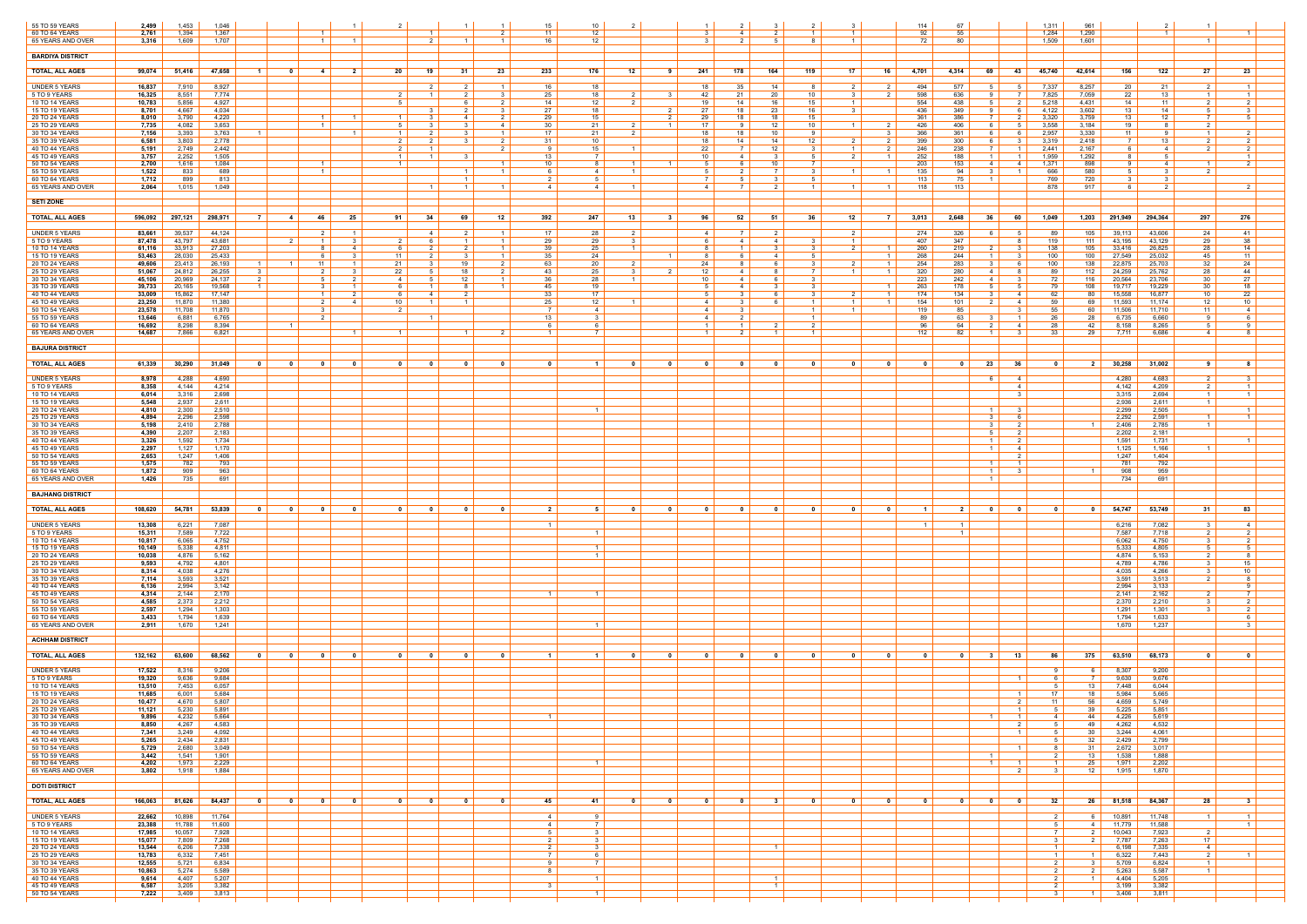| 55 TO 59 YEARS<br>60 TO 64 YEARS        | 2,499<br>2,761   | 1,453<br>1,394   | 1,046<br>1,367   |                                                                                                            |                         |                         |                                                    |                                                     | 15<br>11              | 10<br>12                                    | $\mathcal{S}$                                      | $\sim$ 4 $\rightarrow$  | $\overline{1}$                            |                         |                                                     | 114<br>67<br>92                                     | 55                                                  |                                                     | 1,311<br>1,284                   | 961<br>1,290            |                        |                      |                            |                                     |
|-----------------------------------------|------------------|------------------|------------------|------------------------------------------------------------------------------------------------------------|-------------------------|-------------------------|----------------------------------------------------|-----------------------------------------------------|-----------------------|---------------------------------------------|----------------------------------------------------|-------------------------|-------------------------------------------|-------------------------|-----------------------------------------------------|-----------------------------------------------------|-----------------------------------------------------|-----------------------------------------------------|----------------------------------|-------------------------|------------------------|----------------------|----------------------------|-------------------------------------|
| 65 YEARS AND OVER                       | 3,316            | 1,609            | 1,707            | $\overline{1}$                                                                                             | $\overline{1}$          |                         |                                                    | $\overline{1}$                                      | 16.                   | 12                                          |                                                    |                         | -8                                        |                         |                                                     | 72<br>80                                            |                                                     |                                                     | 1,509                            | 1,601                   |                        |                      |                            |                                     |
| <b>BARDIYA DISTRICT</b>                 |                  |                  |                  |                                                                                                            |                         |                         |                                                    |                                                     |                       |                                             |                                                    |                         |                                           |                         |                                                     |                                                     |                                                     |                                                     |                                  |                         |                        |                      |                            |                                     |
| <b>TOTAL, ALL AGES</b>                  | 99,074           | 51,416           | 47,658           | $-1$<br>$\mathbf 0$<br>4                                                                                   | 2                       | -20                     | 19<br>- 31                                         | 23                                                  | 233                   | 176<br>12                                   | 241<br>- 9                                         | 178                     | 164<br>119                                | 17                      | 16                                                  | 4,701<br>4,314                                      | 69                                                  | -43                                                 | 45,740                           | 42,614                  | 156                    | 122                  | 27                         | 23                                  |
| <b>UNDER 5 YEARS</b><br>5 TO 9 YEARS    | 16,837<br>16,325 | 7,910<br>8,551   | 8,927<br>7,774   |                                                                                                            |                         |                         | $\mathcal{P}$<br>$\mathcal{P}$                     | $\overline{1}$<br>$\mathbf{R}$                      | 16<br>25              | 18<br>18                                    | 18<br>42<br>$\mathbf{R}$                           | 35<br>21                | 14<br>-8<br>20<br>10                      |                         | 2<br>$\mathcal{P}$                                  | 494<br>577<br>598<br>636                            | 51                                                  | -5                                                  | 7,337<br>7,825                   | 8,257<br>7,059          | 20<br>22               | 21<br>13             |                            | $\overline{1}$<br>$\vert$ 1 $\vert$ |
| <b>10 TO 14 YEARS</b><br>15 TO 19 YEARS | 10,783<br>8,701  | 5,856            | 4,927<br>4,034   |                                                                                                            |                         | -5                      | 6                                                  | 2 <sup>1</sup>                                      | 14<br>27              | 12<br>18                                    | 19                                                 | 14<br>18                | 16<br>15<br>16                            |                         |                                                     | 554<br>438<br>349                                   | 51                                                  | 2                                                   | 5,218<br>4,122                   | 4,431                   | 14                     | 11<br>14             | 2                          | 2                                   |
| 20 TO 24 YEARS                          | 8,010            | 4,667<br>3,790   | 4,220            | $\overline{1}$                                                                                             | $\overline{1}$          | $\overline{1}$          | 4                                                  | $\overline{2}$                                      | 29                    | 15                                          | 27<br>29                                           | 18                      | 23<br>18<br>15                            |                         |                                                     | 436<br>361<br>386                                   | - 7 - 1                                             |                                                     | 3,320                            | 3,602<br>3,759          | 13<br>13               | 12                   |                            |                                     |
| 25 TO 29 YEARS<br>30 TO 34 YEARS        | 7,735<br>7,156   | 4,082<br>3,393   | 3,653<br>3,763   | $\overline{1}$                                                                                             |                         | -5<br>$\overline{1}$    | $\mathcal{R}$                                      | 4<br>$\overline{1}$                                 | 30<br>17              | 21<br>21<br>- 2                             | 17<br>18                                           | -9<br>18                | 10 <sup>°</sup><br>12<br>10<br>-9         |                         | $\mathcal{R}$                                       | 426<br>406<br>366<br>361                            | 6<br>ĥ                                              | -6                                                  | 3,558<br>2,957                   | 3,184<br>3,330          | 19<br>11               | 8<br>Q               |                            | $\mathcal{P}$                       |
| 35 TO 39 YEARS<br>40 TO 44 YEARS        | 6,581<br>5,191   | 3,803<br>2,749   | 2,778<br>2,442   |                                                                                                            |                         | 2                       | $\mathbf{3}$                                       | 2<br>$\overline{2}$                                 | 31<br><b>Q</b>        | 10<br>15                                    | 18<br>22                                           | 14                      | 14<br>12<br>12<br>- 3                     |                         | $\overline{2}$                                      | 399<br>300<br>246<br>238                            | 61                                                  | $\mathcal{R}$                                       | 3,319<br>2,441                   | 2,418<br>2,167          | $\overline{7}$<br>h    | 13<br>-4             |                            | 2 I                                 |
| 45 TO 49 YEARS<br>50 TO 54 YEARS        | 3,757<br>2,700   | 2,252<br>1,616   | 1,505<br>1,084   | $\overline{1}$                                                                                             |                         | $\overline{1}$          |                                                    | $\overline{1}$                                      | 13<br>10              | $\overline{7}$<br>8<br>- 1 - I              | 10 <sup>1</sup><br>5<br>$\overline{1}$             | 4<br>6 I                | - 5<br>$\mathbf{B}$<br>10<br>7            |                         |                                                     | 252<br>188<br>203<br>153                            | 4                                                   | -4                                                  | 1,959<br>1,371                   | 1,292<br>898            | -8<br>-91              | -5<br>$\overline{4}$ |                            | 2 I                                 |
| 55 TO 59 YEARS<br>60 TO 64 YEARS        | 1,522<br>1,712   | 833<br>899       | 689<br>813       | $\vert$ 1 $\vert$                                                                                          |                         |                         |                                                    | $\vert$ 1 $\vert$                                   |                       | $\overline{4}$<br>$\blacksquare$<br>-5      |                                                    |                         | -3<br>-5                                  |                         |                                                     | 135<br>94<br>113<br>75                              |                                                     |                                                     | 666<br>769                       | 580<br>720              |                        |                      |                            |                                     |
| 65 YEARS AND OVER                       | 2,064            | 1.015            | 1,049            |                                                                                                            |                         |                         | $1 \vert$<br>$\blacksquare$ 1                      | $\vert$ 1 $\vert$                                   | 4                     | 4<br>$\overline{1}$                         | $4 \vert$                                          | 7 I                     | 2 I<br>$\vert$ 1 $\vert$                  | $\vert$ 1 $\vert$       | $\overline{1}$                                      | 118<br>113                                          |                                                     |                                                     | 878                              | 917                     | -6                     | $\overline{2}$       |                            | 2 <sup>1</sup>                      |
| <b>SETI ZONE</b>                        |                  |                  |                  |                                                                                                            |                         |                         |                                                    |                                                     |                       |                                             |                                                    |                         |                                           |                         |                                                     |                                                     |                                                     |                                                     |                                  |                         |                        |                      |                            |                                     |
| <b>TOTAL, ALL AGES</b>                  | 596,092          | 297,121          | 298,971          | <b>7</b> I<br>$-4$<br>46                                                                                   | 25                      | 91                      | 69<br>34                                           | 12                                                  | 392                   | 247<br>13                                   | 96<br>- 3                                          | 52                      | 51<br>36                                  | 12                      | - 7 I                                               | 3,013<br>2,648                                      | 36 <sup>1</sup>                                     | 60                                                  | 1.049                            | 1,203                   | 291,949                | 294.364              | 297                        | 276                                 |
| <b>UNDER 5 YEARS</b><br>5 TO 9 YEARS    | 83,661<br>87,478 | 39,537<br>43,797 | 44,124<br>43,681 | 2 <sup>1</sup><br>2 I<br>$\vert$ 1 $\vert$                                                                 | $\overline{1}$<br>- 3-I | 2                       | 2<br>1                                             | $\overline{1}$<br>$\overline{1}$                    | 17<br>29              | 28<br>29                                    | 4<br>6                                             | 4                       | 2<br>- 3<br>4 I                           | $\overline{1}$          |                                                     | 274<br>326<br>407<br>347                            |                                                     | - 5                                                 | -89<br>119                       | 105<br>111              | 39,113<br>43,195       | 43,606<br>43,129     | 24<br>29                   | 41  <br>38                          |
| 10 TO 14 YEARS<br>15 TO 19 YEARS        | 61,116<br>53,463 | 33,913<br>28,030 | 27,203<br>25,433 | 8<br>-6                                                                                                    | 4<br>3                  | - 6<br>11               | $\mathcal{D}$                                      | $\overline{1}$<br>$\vert$ 1 $\vert$                 | 39<br>35              | 25<br>$\overline{1}$<br>24                  | <b>R</b><br>8                                      | $\overline{1}$<br>- 6   | 3<br>$\mathcal{R}$<br>- 5<br>-4           |                         | $\overline{1}$<br>-1                                | 260<br>219<br>268<br>244                            |                                                     | - 3                                                 | 138<br>100                       | 105<br>100              | 33,416<br>27,549       | 26,825<br>25,032     | 28<br>45                   | 14<br>11                            |
| 20 TO 24 YEARS<br>25 TO 29 YEARS        | 49,606<br>51,067 | 23,413<br>24,812 | 26,193<br>26,255 | 11<br>1 <sup>1</sup><br>$1 \mid$<br>3<br>2 <sup>1</sup>                                                    | $\overline{1}$<br>- 3 I | 21<br>22                | 19<br>18<br>5 <sub>1</sub>                         | 2<br>2 I                                            | 63<br>43              | 20<br>- 2<br>25                             | 24<br>12<br>$\overline{2}$                         | -8 I<br>4               | - 3<br>6<br>$\overline{7}$<br>8           | $\vert$ 1 $\vert$       | $\overline{1}$<br>$1 \vert$                         | 254<br>283<br>320<br>280                            | 31<br>4                                             | - 6<br>-8                                           | 100<br>89                        | 138<br>112              | 22,875<br>24,259       | 25,703<br>25,762     | 32<br>28                   | 24 I<br>44                          |
| 30 TO 34 YEARS                          | 45,106           | 20,969           | 24,137           | $5 -$<br>$\overline{1}$                                                                                    | $\overline{1}$          | 4                       | 12                                                 | $\vert$ 1 $\vert$<br>$\overline{1}$                 | 36                    | 28                                          | 10                                                 | 4                       | - 3                                       |                         |                                                     | 223<br>242                                          | 4                                                   |                                                     | 72                               | 116                     | 20,564                 | 23,706               | 30                         | 27                                  |
| 35 TO 39 YEARS<br>40 TO 44 YEARS        | 39,733<br>33,009 | 20,165<br>15,862 | 19,568<br>17,147 | 3<br>$\vert$ 1 $\vert$                                                                                     | 2 I                     | - 6<br>-6 I             | 8<br>2<br>4                                        |                                                     | 45<br>33              | 19<br>17                                    | $5 -$<br>51                                        | 4<br>3 I                | - 3<br>3<br>- 6                           | 2                       | $\overline{1}$<br>$\overline{1}$                    | 263<br>178<br>174<br>134                            | $\mathcal{L}$<br>31                                 | 5<br>$\overline{4}$                                 | 79<br>62                         | 108<br>80               | 19,717<br>15,558       | 19,229<br>16,877     | -30<br>10                  | 18 I<br>22                          |
| 45 TO 49 YEARS<br>50 TO 54 YEARS        | 23,250<br>23,578 | 11,870<br>11,708 | 11,380<br>11,870 | $\overline{2}$<br>- 3                                                                                      | 4                       | 10 <sup>1</sup>         | $\overline{1}$                                     |                                                     | 25                    | 12<br>$\overline{4}$                        | $\overline{4}$<br>-4                               | $\mathcal{R}$<br>-3     | $\overline{1}$                            |                         | $\overline{1}$                                      | 154<br>101<br>119<br>85                             |                                                     | -4                                                  | 59<br>55                         | 69<br>60                | 11,593<br>11,506       | 11.174<br>11,710     | 12<br>11                   | 10<br>4                             |
| 55 TO 59 YEARS<br>60 TO 64 YEARS        | 13,646<br>16,692 | 6,881<br>8,298   | 6,765<br>8,394   | $\overline{2}$<br>$\overline{1}$                                                                           |                         |                         | - 1 - 1                                            |                                                     | 13 I                  | 31<br>- 6                                   | 4<br>$\overline{1}$                                | 2 I<br>1 <sup>1</sup>   | $\overline{1}$<br>$\overline{2}$          |                         |                                                     | 89<br>96<br>64                                      | 63<br>31                                            | $\overline{1}$<br>-4                                | 26<br>28                         | 28<br>42                | 6,735<br>8.158         | 6,660<br>8,265       | 9                          | - 6 I<br><b>Q</b>                   |
| 65 YEARS AND OVER                       | 14,687           | 7,866            | 6,821            |                                                                                                            |                         |                         |                                                    |                                                     |                       |                                             |                                                    |                         | $\mathbf{1}$                              |                         |                                                     | 112<br>82                                           |                                                     | -3                                                  | -33                              | 29                      | 7,711                  | 6,686                | 4                          |                                     |
| <b>BAJURA DISTRICT</b>                  |                  |                  |                  |                                                                                                            |                         |                         |                                                    |                                                     |                       |                                             |                                                    |                         |                                           |                         |                                                     |                                                     |                                                     |                                                     |                                  |                         |                        |                      |                            |                                     |
| <b>TOTAL, ALL AGES</b>                  | 61,339           | 30,290           | 31,049           | $\overline{\mathbf{0}}$<br>$\overline{\mathbf{0}}$<br>$\overline{\mathbf{0}}$                              | $\overline{\mathbf{0}}$ | 0                       | $\mathbf 0$<br>0                                   |                                                     |                       | $\blacksquare$ 1                            | - 0<br>$\mathbf{0}$                                | - 0                     | - 0<br>0                                  | $\mathbf{0}$            | 0                                                   | $\mathbf{0}$                                        | 23<br>$\overline{\mathbf{0}}$                       | - 36                                                | $\overline{\mathbf{0}}$          |                         | 2 30,258               | 31,002               |                            |                                     |
| <b>UNDER 5 YEARS</b><br>5 TO 9 YEARS    | 8,978<br>8,358   | 4,288<br>4,144   | 4,690<br>4,214   |                                                                                                            |                         |                         |                                                    |                                                     |                       |                                             |                                                    |                         |                                           |                         |                                                     |                                                     | 61                                                  | $\overline{4}$<br>$-4$                              |                                  |                         | 4,280<br>4,142         | 4,683<br>4,209       | $\mathcal{P}$              | - 3 I<br>$\overline{1}$             |
| 10 TO 14 YEARS<br><b>15 TO 19 YEARS</b> | 6,014<br>5,548   | 3,316<br>2,937   | 2,698<br>2,611   |                                                                                                            |                         |                         |                                                    |                                                     |                       |                                             |                                                    |                         |                                           |                         |                                                     |                                                     |                                                     | - 3                                                 |                                  |                         | 3,315<br>2,936         | 2,694<br>2,611       | $\overline{1}$             | $\overline{1}$                      |
| 20 TO 24 YEARS<br>25 TO 29 YEARS        | 4,810<br>4,894   | 2,300<br>2,296   | 2,510<br>2,598   |                                                                                                            |                         |                         |                                                    |                                                     |                       | $\overline{1}$                              |                                                    |                         |                                           |                         |                                                     |                                                     | $\blacksquare$ 1<br>3                               | $\mathbf{3}$<br>-6                                  |                                  |                         | 2,299<br>2,292         | 2,505<br>2,591       |                            | $\mathbf{1}$                        |
| 30 TO 34 YEARS<br>35 TO 39 YEARS        | 5,198<br>4,390   | 2,410<br>2,207   | 2,788<br>2,183   |                                                                                                            |                         |                         |                                                    |                                                     |                       |                                             |                                                    |                         |                                           |                         |                                                     |                                                     | 3  <br>51                                           | $\overline{2}$                                      |                                  | $\overline{1}$          | 2,406<br>2,202         | 2,785<br>2,181       | $\overline{1}$             |                                     |
| 40 TO 44 YEARS<br>45 TO 49 YEARS        | 3,326<br>2,297   | 1,592<br>1,127   | 1,734<br>1,170   |                                                                                                            |                         |                         |                                                    |                                                     |                       |                                             |                                                    |                         |                                           |                         |                                                     |                                                     | $\overline{1}$<br>$\vert$ 1 $\vert$                 | $\overline{2}$<br>$\overline{4}$                    |                                  |                         | 1,591<br>1,125         | 1,731<br>1,166       |                            |                                     |
| 50 TO 54 YEARS<br>55 TO 59 YEARS        | 2,653<br>1,575   | 1,247<br>782     | 1,406<br>793     |                                                                                                            |                         |                         |                                                    |                                                     |                       |                                             |                                                    |                         |                                           |                         |                                                     |                                                     | $\blacksquare$                                      | - 2<br>$\overline{1}$                               |                                  |                         | 1,247<br>781           | 1,404<br>792         |                            |                                     |
| 60 TO 64 YEARS<br>65 YEARS AND OVER     | 1,872<br>1,426   | 909<br>735       | 963<br>691       |                                                                                                            |                         |                         |                                                    |                                                     |                       |                                             |                                                    |                         |                                           |                         |                                                     |                                                     | $\overline{1}$<br>$\overline{1}$                    | $\mathbf{R}$                                        |                                  | $\blacksquare$ 1        | 908<br>734             | 959<br>691           |                            |                                     |
| <b>BAJHANG DISTRICT</b>                 |                  |                  |                  |                                                                                                            |                         |                         |                                                    |                                                     |                       |                                             |                                                    |                         |                                           |                         |                                                     |                                                     |                                                     |                                                     |                                  |                         |                        |                      |                            |                                     |
| <b>TOTAL, ALL AGES</b>                  | 108,620          | 54,781           | 53,839           | $\overline{\phantom{0}}$<br>$\overline{\mathbf{0}}$<br>$\overline{\phantom{0}}$ 0 $\overline{\phantom{0}}$ | $\mathbf{0}$            | $\overline{\mathbf{0}}$ | $\mathbf{0}$<br>$\mathbf{0}$                       | $\mathbf{0}$                                        | 2                     | 51<br>0                                     | $\mathbf{0}$<br>$\mathbf{0}$                       | $\overline{\mathbf{0}}$ | $\mathbf{0}$<br>$\overline{0}$            | $\mathbf{0}$            | $\mathbf{0}$                                        | $\blacksquare$ 1                                    | 2 <sup>1</sup><br>$\overline{\mathbf{0}}$           | $\bullet$                                           | $\overline{\mathbf{0}}$          | $\overline{\mathbf{0}}$ | 54,747                 | 53,749               | 31                         | 83                                  |
| <b>UNDER 5 YEARS</b>                    | 13,308           | 6,221            | 7,087            |                                                                                                            |                         |                         |                                                    |                                                     |                       |                                             |                                                    |                         |                                           |                         |                                                     | $\vert$ 1 $\vert$                                   | $\overline{1}$                                      |                                                     |                                  |                         | 6,216                  | 7,082                |                            | 4                                   |
| 5 TO 9 YEARS<br>10 TO 14 YEARS          | 15,311<br>10,817 | 7,589<br>6,065   | 7,722<br>4,752   |                                                                                                            |                         |                         |                                                    |                                                     |                       | $\overline{1}$                              |                                                    |                         |                                           |                         |                                                     |                                                     | $\vert$ 1 $\vert$                                   |                                                     |                                  |                         | 7,587<br>6,062         | 7,718<br>4,750       | $\mathcal{B}$              | 2 I<br>2                            |
| 15 TO 19 YEARS<br>20 TO 24 YEARS        | 10,149<br>10,038 | 5,338<br>4,876   | 4,811<br>5,162   |                                                                                                            |                         |                         |                                                    |                                                     |                       | $\overline{1}$<br>$\overline{1}$            |                                                    |                         |                                           |                         |                                                     |                                                     |                                                     |                                                     |                                  |                         | 5,333<br>4,874         | 4,805<br>5,153       |                            | 81                                  |
| 25 TO 29 YEARS<br>30 TO 34 YEARS        | 9,593<br>8,314   | 4,792<br>4,038   | 4,801<br>4,276   |                                                                                                            |                         |                         |                                                    |                                                     |                       |                                             |                                                    |                         |                                           |                         |                                                     |                                                     |                                                     |                                                     |                                  |                         | 4,789<br>4,035         | 4,786<br>4,266       | 3                          | 15 <sup>1</sup><br>10               |
| 35 TO 39 YEARS<br>40 TO 44 YEARS        | 7,114<br>6,136   | 3,593<br>2,994   | 3,521<br>3,142   |                                                                                                            |                         |                         |                                                    |                                                     |                       |                                             |                                                    |                         |                                           |                         |                                                     |                                                     |                                                     |                                                     |                                  |                         | 3,591<br>2,994         | 3,513<br>3,133       |                            |                                     |
| 45 TO 49 YEARS<br>50 TO 54 YEARS        | 4,314            | 2,144            | 2,170<br>2,212   |                                                                                                            |                         |                         |                                                    |                                                     |                       | $\overline{1}$                              |                                                    |                         |                                           |                         |                                                     |                                                     |                                                     |                                                     |                                  |                         | 2,141<br>2,370         | 2,162<br>2,210       |                            | 7<br>$\overline{2}$                 |
| 55 TO 59 YEARS                          | 4,585<br>2,597   | 2,373<br>1,294   | 1,303            |                                                                                                            |                         |                         |                                                    |                                                     |                       |                                             |                                                    |                         |                                           |                         |                                                     |                                                     |                                                     |                                                     |                                  |                         | 1,291                  | 1,301                |                            | -6                                  |
| 60 TO 64 YEARS<br>65 YEARS AND OVER     | 3,433<br>2,911   | 1,794<br>1,670   | 1,639<br>1,241   |                                                                                                            |                         |                         |                                                    |                                                     |                       | $\overline{1}$                              |                                                    |                         |                                           |                         |                                                     |                                                     |                                                     |                                                     |                                  |                         | 1,794<br>1,670         | 1,633<br>1,237       |                            | 3 I                                 |
| <b>ACHHAM DISTRICT</b>                  |                  |                  |                  |                                                                                                            |                         |                         |                                                    |                                                     |                       |                                             |                                                    |                         |                                           |                         |                                                     |                                                     |                                                     |                                                     |                                  |                         |                        |                      |                            |                                     |
| <b>TOTAL, ALL AGES</b>                  | 132,162          | 63,600           | 68,562           | $\mathbf 0$<br>$\mathbf 0$<br>$\mathbf{0}$                                                                 | $\mathbf{0}$            | 0                       | 0                                                  |                                                     |                       | $\blacksquare$                              | $\mathbf{0}$<br>$\mathbf{0}$                       | - 0                     | 0                                         |                         | 0                                                   | $\mathbf 0$                                         | 31                                                  | 13                                                  | 86                               | $375$                   | 63,510                 | 68,173               |                            |                                     |
| <b>UNDER 5 YEARS</b>                    | 17,522           | 8,316            | 9,206            |                                                                                                            |                         |                         |                                                    |                                                     |                       |                                             |                                                    |                         |                                           |                         |                                                     |                                                     |                                                     |                                                     | -91                              | 6                       | 8,307                  | 9,200                |                            |                                     |
| 5 TO 9 YEARS<br>10 TO 14 YEARS          | 19,320<br>13,510 | 9,636<br>7,453   | 9,684<br>6,057   |                                                                                                            |                         |                         |                                                    |                                                     |                       |                                             |                                                    |                         |                                           |                         |                                                     |                                                     |                                                     | $\overline{1}$                                      |                                  | 7 I<br>13               | 9,630<br>7,448         | 9,676<br>6,044       |                            |                                     |
| 15 TO 19 YEARS<br>20 TO 24 YEARS        | 11,685<br>10,477 | 6,001<br>4,670   | 5,684<br>5,807   |                                                                                                            |                         |                         |                                                    |                                                     |                       |                                             |                                                    |                         |                                           |                         |                                                     |                                                     |                                                     | $\overline{1}$<br>2                                 | 17<br>11                         | 18 I<br>56              | 5,984<br>4,659         | 5,665<br>5,749       |                            |                                     |
| 25 TO 29 YEARS<br>30 TO 34 YEARS        | 11,121<br>9,896  | 5,230<br>4,232   | 5,891<br>5,664   |                                                                                                            |                         |                         |                                                    |                                                     |                       |                                             |                                                    |                         |                                           |                         |                                                     |                                                     | $\begin{array}{c} \text{1} \end{array}$             | $\vert$ 1 $\vert$<br>$\overline{1}$                 | $5 \vert$<br>4                   | 44                      | $39$ 5,225<br>4,226    | 5,851<br>5,619       |                            |                                     |
| 35 TO 39 YEARS<br>40 TO 44 YEARS        | 8,850<br>7,341   | 4,267<br>3,249   | 4,583<br>4,092   |                                                                                                            |                         |                         |                                                    |                                                     |                       |                                             |                                                    |                         |                                           |                         |                                                     |                                                     |                                                     | $\mathcal{P}$<br>$\overline{1}$                     | $5-1$<br>5 <sub>1</sub>          | 49<br>30                | 4,262<br>3,244         | 4,532<br>4,061       |                            |                                     |
| 45 TO 49 YEARS<br>50 TO 54 YEARS        | 5,265<br>5,729   | 2,434<br>2,680   | 2,831<br>3,049   |                                                                                                            |                         |                         |                                                    |                                                     |                       |                                             |                                                    |                         |                                           |                         |                                                     |                                                     |                                                     | $\overline{1}$                                      | 8                                | 32<br>31                | 2,429<br>2,672         | 2,799<br>3,017       |                            |                                     |
| 55 TO 59 YEARS<br>60 TO 64 YEARS        | 3,442<br>4,202   | 1,541<br>1,973   | 1,901<br>2,229   |                                                                                                            |                         |                         |                                                    |                                                     |                       | $\blacksquare$                              |                                                    |                         |                                           |                         |                                                     |                                                     | $\vert$ 1 $\vert$<br>$\overline{1}$                 |                                                     | 2<br>$\overline{1}$              | 13<br>25                | 1,538<br>1,971         | 1,888<br>2,202       |                            |                                     |
| 65 YEARS AND OVER                       | 3,802            | 1,918            | 1,884            |                                                                                                            |                         |                         |                                                    |                                                     |                       |                                             |                                                    |                         |                                           |                         |                                                     |                                                     |                                                     | -2                                                  | - 3                              | 12 <sup>1</sup>         | 1,915                  | 1,870                |                            |                                     |
| <b>DOTI DISTRICT</b>                    |                  |                  |                  |                                                                                                            |                         |                         |                                                    |                                                     |                       |                                             |                                                    |                         |                                           |                         |                                                     |                                                     |                                                     |                                                     |                                  |                         |                        |                      |                            |                                     |
| <b>TOTAL, ALL AGES</b>                  | 166,063          | 81,626           | 84,437           | $\overline{\phantom{0}}$<br>$\overline{\mathbf{0}}$<br>$\overline{\mathbf{0}}$                             | $\overline{\mathbf{0}}$ | 0 <sup>1</sup>          | $\overline{\mathbf{0}}$<br>$\overline{\mathbf{0}}$ | $\overline{\phantom{0}}$ 0 $\overline{\phantom{0}}$ | 45                    | 41  <br>$\overline{\mathbf{0}}$             | $\overline{\mathbf{0}}$<br>$\overline{\mathbf{0}}$ | $\overline{\mathbf{0}}$ | 3 <sup>1</sup><br>$\overline{\mathbf{0}}$ | $\overline{\mathbf{0}}$ | $\overline{\phantom{0}}$ 0 $\overline{\phantom{0}}$ | $\overline{\phantom{0}}$ 0 $\overline{\phantom{0}}$ | $\overline{\phantom{0}}$<br>$\overline{\mathbf{0}}$ | $\overline{\phantom{0}}$ 0 $\overline{\phantom{0}}$ | 32                               |                         | 26 81,518              | 84,367               | 28                         | 31                                  |
| UNDER 5 YEARS<br>5 TO 9 YEARS           | 22,662<br>23,388 | 10,898<br>11,788 | 11,764<br>11,600 |                                                                                                            |                         |                         |                                                    |                                                     | 4<br>4                | - 9<br>$\overline{7}$                       |                                                    |                         |                                           |                         |                                                     |                                                     |                                                     |                                                     | 5                                |                         | $6$ 10,891<br>4 11,779 | 11,748<br>11,588     |                            | $\overline{1}$<br>$1 \vert$         |
| 10 TO 14 YEARS<br>15 TO 19 YEARS        | 17,985<br>15,077 | 10,057<br>7,809  | 7,928<br>7,268   |                                                                                                            |                         |                         |                                                    |                                                     | 5  <br>$\overline{2}$ | $\overline{\phantom{a}3}$<br>$\overline{3}$ |                                                    |                         |                                           |                         |                                                     |                                                     |                                                     |                                                     | <b>7</b>                         |                         | 2 10,043<br>2 7,787    | 7,923<br>7,263       | <sup>2</sup><br>17         |                                     |
| 20 TO 24 YEARS<br>25 TO 29 YEARS        | 13,544<br>13,783 | 6,206<br>6,332   | 7,338<br>7,451   |                                                                                                            |                         |                         |                                                    |                                                     | 2<br>- 7 I            | $\begin{array}{c c} 3 \end{array}$<br>6     |                                                    |                         | $\overline{1}$                            |                         |                                                     |                                                     |                                                     |                                                     | $\overline{1}$<br>$\overline{1}$ | $1 \mid$                | 6,198<br>6,322         | 7,335<br>7,443       | $\sim$ 4<br>2 <sup>1</sup> | 1 <sup>1</sup>                      |
| 30 TO 34 YEARS<br>35 TO 39 YEARS        | 12,555<br>10,863 | 5,721<br>5,274   | 6,834<br>5,589   |                                                                                                            |                         |                         |                                                    |                                                     | <b>Q</b>              | <b>7</b>                                    |                                                    |                         |                                           |                         |                                                     |                                                     |                                                     |                                                     | $\overline{2}$                   | $3 \mid$                | 5,709<br>2 5,263       | 6,824<br>5,587       | $\mathbf{1}$               |                                     |
| 40 TO 44 YEARS<br>45 TO 49 YEARS        | 9,614<br>6,587   | 4,407<br>3,205   | 5,207<br>3,382   |                                                                                                            |                         |                         |                                                    |                                                     |                       | $\overline{1}$                              |                                                    |                         | $\blacksquare$<br>$\overline{1}$          |                         |                                                     |                                                     |                                                     |                                                     | 2 <sup>1</sup><br>2 <sup>1</sup> | $1 \mid$                | 4,404<br>3,199         | 5,205<br>3,382       |                            |                                     |
| 50 TO 54 YEARS                          | 7,222            | 3,409            | 3,813            |                                                                                                            |                         |                         |                                                    |                                                     |                       | $\overline{1}$                              |                                                    |                         |                                           |                         |                                                     |                                                     |                                                     |                                                     | $\mathcal{A}$                    | $1 \mid$                | 3,406                  | 3,811                |                            |                                     |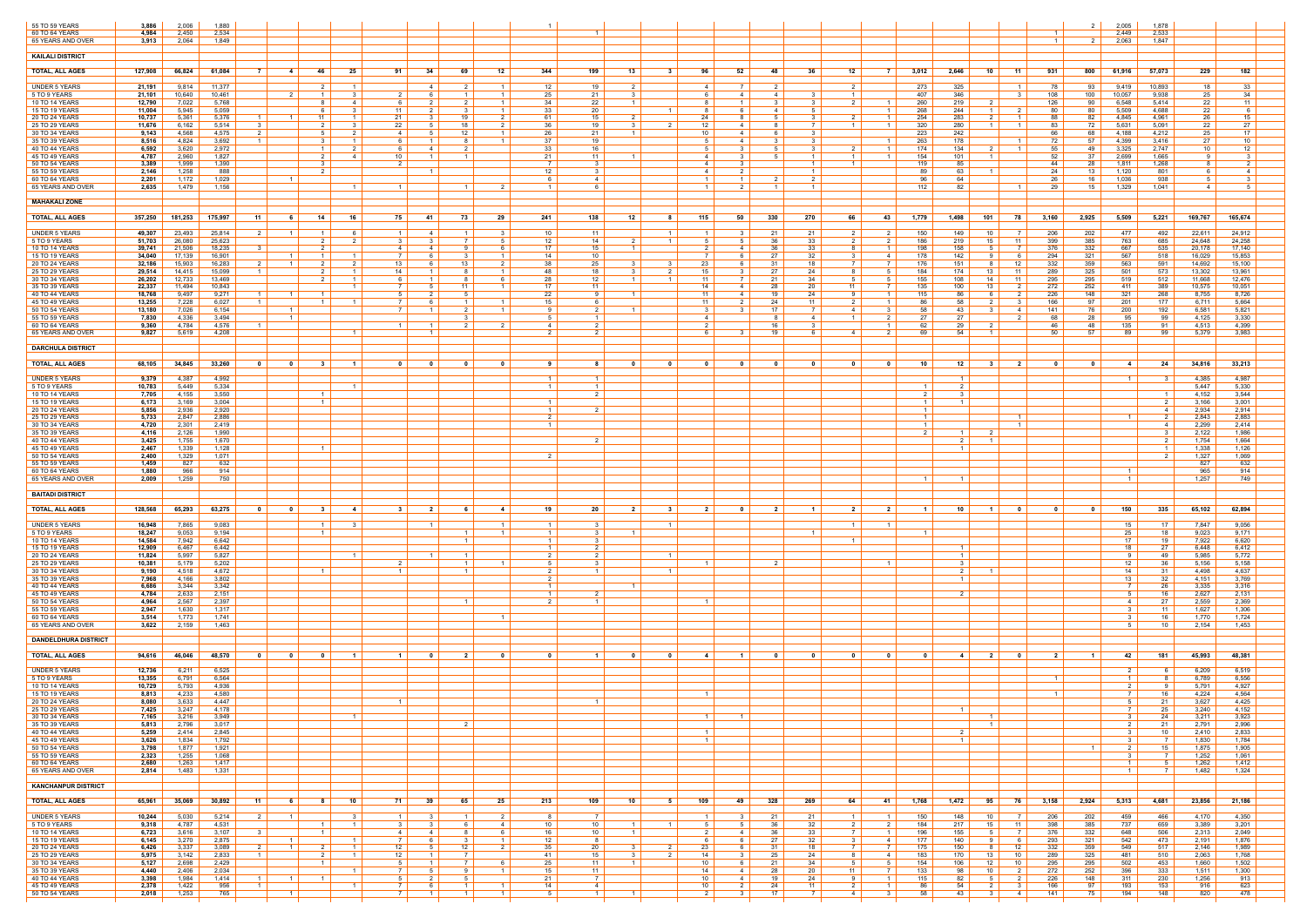| 55 TO 59 YEARS<br>60 TO 64 YEARS<br>65 YEARS AND OVER | 3,886<br>4,984<br>3,913 | 2,006<br>2,450<br>2.064 | 1,880<br>2,534<br>1,849 |                                                        |                                                          |                                |                                                                                              |                                                                |                  |                                                                                  |                                                     |                                                    |                                                    |                                                   |                                  |                                                  | 2 <sup>1</sup><br>$\overline{2}$<br>$\overline{1}$ | 2,005<br>2,449<br>2,063 | 1,878<br>2,533<br>1,847                 |                        |
|-------------------------------------------------------|-------------------------|-------------------------|-------------------------|--------------------------------------------------------|----------------------------------------------------------|--------------------------------|----------------------------------------------------------------------------------------------|----------------------------------------------------------------|------------------|----------------------------------------------------------------------------------|-----------------------------------------------------|----------------------------------------------------|----------------------------------------------------|---------------------------------------------------|----------------------------------|--------------------------------------------------|----------------------------------------------------|-------------------------|-----------------------------------------|------------------------|
| KAILALI DISTRICT                                      |                         |                         |                         |                                                        |                                                          |                                |                                                                                              |                                                                |                  |                                                                                  |                                                     |                                                    |                                                    |                                                   |                                  |                                                  |                                                    |                         |                                         |                        |
| <b>TOTAL, ALL AGES</b>                                | 127,908                 | 66,824                  | 61,084                  | <b>7</b> I<br>$-4$                                     | 25<br>46 I                                               | 91                             | 34<br>69                                                                                     | 12                                                             | 344              | 199<br>13                                                                        | $\mathbf{3}$<br>96                                  | 52  <br>48                                         | 36                                                 | 12<br>- 7 I                                       | 3,012                            | 2,646<br>$10-1$<br>- 11                          | 931<br>800                                         | 61,916                  | 229<br>57,073                           | 182                    |
| <b>UNDER 5 YEARS</b>                                  | 21,191                  | 9,814                   | 11,377                  |                                                        | 2 <sup>1</sup><br>$\overline{1}$                         |                                |                                                                                              | 2<br>$\overline{1}$                                            | 12               | 19<br>2                                                                          | $\overline{4}$                                      | 7 I<br>2                                           |                                                    | 2 I                                               | 273                              | 325                                              | 93<br>-78                                          | 9,419                   | 10,893<br>18                            | 33                     |
| 5 TO 9 YEARS<br>10 TO 14 YEARS                        | 21,101<br>12,790        | 10,640<br>7,022         | 10,461<br>5,768         | 2                                                      | $\mathbf{3}$<br>$\overline{1}$<br>8<br>4                 | -6                             |                                                                                              | $\overline{1}$<br>$\overline{1}$                               | 25<br>34         | 21<br>22                                                                         |                                                     | 4 I<br>4                                           | - 3<br>- 3                                         | 1 <sup>1</sup><br>2                               | 407<br>260                       | 346<br>219                                       | 108<br>100<br>90<br>126                            | 10,057<br>6,548         | 9,938<br>25<br>5,414<br>22              | 34<br>11               |
| 15 TO 19 YEARS<br>20 TO 24 YEARS                      | 11,004<br>10,737        | 5,945<br>5,361          | 5,059<br>5,376          | $\overline{1}$<br>$1 \vert$                            | 6<br>- 3-I<br>11<br>1 <sup>1</sup>                       | 11<br>21                       | $\overline{2}$                                                                               | $\overline{1}$<br>$\mathbf{3}$<br>19<br>2 I                    | 33<br>61         | 20<br>15                                                                         | $1 \mid$<br>-8<br>24                                | 6 I<br>4<br>8 I                                    | 5<br>3 <sup>3</sup>                                | $\overline{1}$                                    | 268<br>254                       | 244<br>$\overline{1}$<br>- 2<br>283              | -80<br>80<br>88<br>82                              | 5,509<br>4,845          | 4,688<br>22<br>4,961<br>26              | 6<br>15 I              |
| 25 TO 29 YEARS<br>30 TO 34 YEARS                      | 11,676                  | 6,162                   | 5,514<br>4,575          | 3<br>2 I                                               | $\mathcal{P}$<br>3<br>5<br>2 I                           | 22<br>4                        | -5                                                                                           | 18<br>2<br>12<br>$\overline{1}$                                | 36<br>26         | 19<br>$\overline{1}$                                                             | 12<br>$\mathcal{P}$<br>10                           | 4 I<br>4 I<br>- 6                                  | $\overline{7}$<br>3                                |                                                   | 320                              | 280                                              | 72<br>-83                                          | 5,631                   | 5,091<br>22<br>4,212                    | 27<br>17               |
| 35 TO 39 YEARS                                        | 9,143<br>8,516          | 4,568<br>4,824          | 3,692                   | $\overline{1}$                                         | 3<br>$\overline{1}$                                      | 6                              |                                                                                              | $\overline{1}$<br>8                                            | 37               | 21<br>19                                                                         | -5                                                  | 4 I<br>$\mathbf{R}$                                | 3 <sup>3</sup>                                     |                                                   | 223<br>263                       | 242<br>178                                       | 68<br>66<br>72<br>57                               | 4,188<br>4,399          | 25<br>3,416<br>27                       | 10                     |
| 40 TO 44 YEARS<br>45 TO 49 YEARS                      | 6,592<br>4,787          | 3,620<br>2,960          | 2,972<br>1,827          |                                                        | $\overline{1}$<br>2 I<br>4                               | -6<br>10                       | $\mathbf{1}$                                                                                 |                                                                | 33<br>21         | 16<br>11                                                                         | $\overline{4}$                                      | 3 I                                                | $\mathbf{B}$<br>$\overline{1}$                     | $\overline{1}$<br>- 1                             | 174<br>154                       | 134<br>101<br>$\overline{1}$                     | -55<br>49<br>37<br>52                              | 3,325<br>2,699          | 2,747<br>10<br>1,665<br>-9              | 12 <sup>7</sup><br>- 3 |
| 50 TO 54 YEARS<br>55 TO 59 YEARS                      | 3,389<br>2,146          | 1,999<br>1,258          | 1,390<br>888            |                                                        | 3<br>$\overline{2}$                                      | 2                              |                                                                                              |                                                                | 12 <sup>°</sup>  | - 3                                                                              | 4<br>$\overline{A}$                                 | 3 I<br>2 <sup>1</sup>                              | $\overline{1}$<br>$\vert$ 1 $\vert$                | $\mathbf{1}$                                      | 119<br>89                        | 85<br>63                                         | 28<br>44<br>24<br>13                               | 1,811<br>1,120          | 1,268<br>-8<br>801                      | 2<br>$\overline{4}$    |
| 60 TO 64 YEARS<br>65 YEARS AND OVER                   | 2,201<br>2,635          | 1,172<br>1,479          | 1,029<br>1,156          | $\overline{1}$                                         | $\overline{1}$                                           |                                |                                                                                              |                                                                |                  | $-4$<br>- 6                                                                      |                                                     | $\overline{1}$<br>2 <sub>1</sub><br>$\overline{1}$ | 2<br>$\overline{1}$                                |                                                   | 96<br>112                        | 64<br>82                                         | -26<br>16<br>29<br>15 I                            | 1,036<br>1,329          | 938<br>5<br>1,041<br>4                  | 5                      |
| <b>MAHAKALI ZONE</b>                                  |                         |                         |                         |                                                        |                                                          |                                |                                                                                              |                                                                |                  |                                                                                  |                                                     |                                                    |                                                    |                                                   |                                  |                                                  |                                                    |                         |                                         |                        |
| <b>TOTAL, ALL AGES</b>                                | 357,250                 | 181,253                 | 175,997                 | - 11 I<br>61                                           | 14 <sup>1</sup><br>16                                    | 75                             | - 41                                                                                         | 73<br>29                                                       | 241              | 138<br>12                                                                        | 115<br>81                                           | 330<br>50 I                                        | 270                                                | -66 I<br>43                                       | 1,779                            | 1,498<br>101 l<br>78                             | 3,160<br>2,925                                     | $5,509$                 | 5,221<br>169,767                        | 165,674                |
| UNDER 5 YEARS                                         | 49,307                  | 23,493                  | 25,814                  | 2 I<br>$\left  \begin{array}{c} 1 \end{array} \right $ | $\overline{1}$<br>6                                      | $\overline{1}$                 | 4                                                                                            | -3                                                             | 10               | - 11                                                                             | 1 <sup>1</sup><br>$\overline{1}$                    | 21<br>3 I                                          | 21                                                 | 2<br>-2                                           | 150                              | 149<br>10                                        | 202<br>206                                         | 477                     | 492<br>22,611                           | 24,912                 |
| 5 TO 9 YEARS<br>10 TO 14 YEARS                        | 51,703<br>39,741        | 26,080<br>21,506        | 25,623<br>18,235        |                                                        | 2 I<br>2 <sub>1</sub>                                    | - 3<br>4                       |                                                                                              | 7<br>51<br>6                                                   | 12<br>17         | 14<br>15                                                                         | $1 \vert$<br>-5                                     | 36<br>51<br>36<br>4 I                              | 33<br>33                                           | $\overline{2}$<br>2 I<br>8                        | 186<br>198                       | 219<br>11<br>15<br>158                           | 399<br>385<br>376<br>332                           | 763<br>667              | 685<br>24,648<br>20,178                 | 24,258<br>17,140       |
| 15 TO 19 YEARS                                        | 34,040                  | 17,139                  | 16,901                  | $\overline{1}$                                         | $\overline{1}$                                           |                                |                                                                                              |                                                                | 14               | 10                                                                               |                                                     | 27<br>6                                            | 32                                                 | -4                                                | 178                              | 142<br>- 6                                       | 294<br>321                                         | 567                     | 535<br>518<br>16,029                    | 15,853                 |
| <b>20 TO 24 YEARS</b><br>25 TO 29 YEARS               | 32,186<br>29,514        | 15,903<br>14,415        | 16,283<br>15,099        | 2 I<br>$\overline{1}$<br>$\overline{1}$                | 2 <sup>1</sup><br>2 I<br>$\mathcal{P}$<br>$\overline{1}$ | 13<br>14                       | - 6                                                                                          | 13<br>2 I<br>$\overline{1}$                                    | 38<br>48         | 25<br>18                                                                         | 23<br>3 I<br>$\mathcal{P}$<br>15                    | 31<br>6 I<br>27                                    | 18<br>24                                           | 7 I<br>$7\overline{ }$<br>8<br>-5                 | 176<br>184                       | 151<br>-12<br>8 I<br>174<br>13<br>- 11           | 332<br>359<br>289<br>325                           | 563<br>501              | 591<br>14,692<br>573<br>13,302          | 15,100<br>13,961       |
| 30 TO 34 YEARS<br>35 TO 39 YEARS                      | 26,202<br>22,337        | 12,733<br>11,494        | 13,469<br>10,843        |                                                        | $\mathcal{P}$<br>$\overline{1}$<br>- 1 - I               | -6<br><sup>7</sup>             | 51                                                                                           | 11<br>$\overline{1}$                                           | -28<br>17        | 12<br>11                                                                         | 11<br>$\vert$ 1 $\vert$<br>14                       | -21<br>28<br>4 I                                   | 34<br>20                                           | $5 -$<br>$\mathbf{h}$<br>11 I<br>7                | 155<br>135                       | 108<br>14<br>- 11<br>100<br>13<br>- 2            | 295<br>295<br>272<br>252                           | 519<br>411              | 512<br>11,668<br>389<br>10,575          | 12,476<br>10,051       |
| 40 TO 44 YEARS<br>45 TO 49 YEARS                      | 18,768<br>13,255        | 9,497<br>7,228          | 9,271<br>6,027          | $1 \vert$<br>$\overline{1}$                            | $\overline{1}$                                           | -5                             |                                                                                              |                                                                | 22<br>15         | - 9                                                                              | 11<br>-11                                           | 19<br>4 I<br>24                                    | 24<br>11                                           | 9<br>$\overline{1}$                               | 115<br>86                        | 86<br>-6<br>58                                   | 226<br>148<br>97<br>166                            | 321<br>201              | 268<br>8,755<br>177<br>6,711            | 8,726<br>5,664         |
| 50 TO 54 YEARS<br>55 TO 59 YEARS                      | 13,180<br>7,830         | 7,026<br>4,336          | 6,154<br>3,494          | $\overline{1}$<br>$\overline{1}$                       |                                                          | <sup>7</sup>                   | $\mathbf{1}$                                                                                 | 2<br>$\overline{1}$                                            | -9               | 2<br>$\mathbf{1}$<br>$\overline{1}$                                              | $\mathbf{3}$<br>-4                                  | 17<br>3 I<br>-8                                    | 7<br>4                                             | 4<br>-3<br>$\mathcal{P}$<br>1 <sup>1</sup>        | 58<br>27                         | 43<br>31<br>-4<br>27                             | 141<br>76<br>28<br>68                              | 200<br>95               | 192<br>6,581<br>99<br>4,125             | 5,821<br>3,330         |
| 60 TO 64 YEARS<br>65 YEARS AND OVER                   | 9,360<br>9,827          | 4,784<br>5,619          | 4,576<br>4,208          |                                                        | $\blacksquare$ 1                                         |                                | $\mathbf{1}$                                                                                 |                                                                | 2 I              | $\overline{2}$                                                                   | -6                                                  | 16<br>19<br>3 I                                    | -3<br>61                                           | 2<br>41                                           | 62<br>69                         | 29<br>54<br>$\overline{1}$                       | 48<br>46<br>57<br>50                               | 135<br>89               | 91<br>4,513<br>99<br>5,379              | 4,399<br>3,983         |
| <b>DARCHULA DISTRICT</b>                              |                         |                         |                         |                                                        |                                                          |                                |                                                                                              |                                                                |                  |                                                                                  |                                                     |                                                    |                                                    |                                                   |                                  |                                                  |                                                    |                         |                                         |                        |
| <b>TOTAL, ALL AGES</b>                                |                         | $68,105$ 34,845 33,260  |                         | $\overline{\mathbf{0}}$<br>$\overline{\mathbf{0}}$     | $\overline{\mathbf{3}}$<br>$\blacksquare$                |                                | $\begin{array}{ c c c c c }\hline \textbf{0} & \textbf{0} & \textbf{0} \\\hline \end{array}$ | $\overline{\mathbf{0}}$                                        | 9                | $\begin{array}{ c c c c c }\n\hline\n\text{8} & \text{0} & \text{}\n\end{array}$ | $\overline{\phantom{a}}$<br>$\overline{\mathbf{0}}$ | $\overline{\mathbf{0}}$                            | $\overline{\mathbf{0}}$<br>$\overline{\mathbf{0}}$ |                                                   |                                  | 10 12 3 2                                        | $\overline{\mathbf{0}}$<br>$\overline{\mathbf{0}}$ |                         | 4 24 34,816 33,213                      |                        |
| <b>UNDER 5 YEARS</b>                                  | 9,379                   | 4,387                   | 4,992                   |                                                        |                                                          |                                |                                                                                              |                                                                |                  |                                                                                  |                                                     |                                                    |                                                    |                                                   |                                  |                                                  |                                                    | $\blacksquare$ 1        | 4,385<br>- 3                            | 4,987                  |
| 5 TO 9 YEARS<br><b>10 TO 14 YEARS</b>                 | 10,783<br>7,705         | 5,449<br>4,155          | 5,334<br>3,550          |                                                        | $\overline{1}$<br>$\vert$ 1 $\vert$                      |                                |                                                                                              |                                                                |                  | $\overline{1}$<br>$\overline{2}$                                                 |                                                     |                                                    |                                                    |                                                   | $\overline{2}$                   | 2                                                |                                                    |                         | 5,447<br>$\overline{1}$<br>4,152        | 5,330<br>3,544         |
| 15 TO 19 YEARS                                        | 6,173                   | 3,169<br>2,936          | 3,004                   |                                                        | $\vert$ 1 $\vert$                                        |                                |                                                                                              |                                                                |                  | $\mathcal{P}$                                                                    |                                                     |                                                    |                                                    |                                                   | $\blacksquare$<br>$\blacksquare$ |                                                  |                                                    |                         | -2<br>3,166<br>4                        | 3,001                  |
| 20 TO 24 YEARS<br>25 TO 29 YEARS                      | 5,856<br>5,733          | 2,847                   | 2,920<br>2,886          |                                                        |                                                          |                                |                                                                                              |                                                                | $\overline{2}$   |                                                                                  |                                                     |                                                    |                                                    |                                                   | $\overline{1}$                   | $\overline{1}$                                   |                                                    | $\blacksquare$ 1        | 2,934<br>2,843<br>2                     | 2,914<br>2,883         |
| 30 TO 34 YEARS<br>35 TO 39 YEARS                      | 4,720<br>4,116          | 2,301<br>2,126          | 2,419<br>1,990          |                                                        |                                                          |                                |                                                                                              |                                                                |                  |                                                                                  |                                                     |                                                    |                                                    |                                                   |                                  | - 2                                              |                                                    |                         | 2,299<br>-4<br>2,122<br>- 3             | 2,414<br>1,986         |
| 40 TO 44 YEARS<br>45 TO 49 YEARS                      | 3,425<br>2,467          | 1,755<br>1,339          | 1,670<br>1,128          |                                                        | $\vert$ 1 $\vert$                                        |                                |                                                                                              |                                                                |                  | $\overline{2}$                                                                   |                                                     |                                                    |                                                    |                                                   |                                  | 2 I<br>$\overline{1}$                            |                                                    |                         | $\overline{2}$<br>1,754<br>1,338<br>- 1 | 1,664<br>1,126         |
| 50 TO 54 YEARS<br>55 TO 59 YEARS                      | 2,400<br>1,459          | 1,329<br>827            | 1,071<br>632            |                                                        |                                                          |                                |                                                                                              |                                                                |                  |                                                                                  |                                                     |                                                    |                                                    |                                                   |                                  |                                                  |                                                    |                         | -2<br>1,327<br>827                      | 1,069<br>632           |
| 60 TO 64 YEARS<br>65 YEARS AND OVER                   | 1,880<br>2,009          | 966<br>1,259            | 914<br>750              |                                                        |                                                          |                                |                                                                                              |                                                                |                  |                                                                                  |                                                     |                                                    |                                                    |                                                   |                                  |                                                  |                                                    |                         | 965<br>1,257                            | 914<br>749             |
| <b>BAITADI DISTRICT</b>                               |                         |                         |                         |                                                        |                                                          |                                |                                                                                              |                                                                |                  |                                                                                  |                                                     |                                                    |                                                    |                                                   |                                  |                                                  |                                                    |                         |                                         |                        |
| <b>TOTAL, ALL AGES</b>                                | 128,568                 | 65,293                  | 63,275                  | $\overline{\phantom{0}}$<br>$\overline{\phantom{0}}$   | 3 <sup>1</sup><br>$-4$                                   | 3 <sup>1</sup>                 | $\overline{\phantom{0}}$ 2 $\overline{\phantom{0}}$                                          | 4<br>- 6                                                       | - 19             | 20<br>2 <sup>1</sup>                                                             | 3 <sup>1</sup><br>21                                | $\overline{\phantom{0}}$<br>2 <sup>1</sup>         | $\blacksquare$ 1                                   | 2 <sup>1</sup><br>2 <sub>1</sub>                  | $\blacksquare$                   | 10 I<br>$\mathbf{0}$<br>$\overline{1}$           | $\overline{\mathbf{0}}$<br>0                       | $150$                   | 335<br>65,102                           | 62,894                 |
| <b>UNDER 5 YEARS</b>                                  | 16,948                  | 7,865                   | 9,083                   |                                                        | $\vert$ 1 $\vert$                                        |                                |                                                                                              | $\overline{1}$                                                 |                  |                                                                                  | $\overline{1}$                                      |                                                    |                                                    | 1 <sup>1</sup>                                    |                                  |                                                  |                                                    | 15                      | 17<br>7,847                             | 9,056                  |
| 5 TO 9 YEARS<br>10 TO 14 YEARS                        | 18,247<br>14,584        | 9,053<br>7,942          | 9,194<br>6,642          |                                                        | $\vert$ 1 $\vert$                                        |                                |                                                                                              | $\overline{1}$<br>$\overline{1}$                               | 1 <sup>1</sup>   | - 3<br>$\mathbf{3}$                                                              |                                                     |                                                    | $\overline{1}$                                     | $\overline{1}$                                    |                                  |                                                  |                                                    | 25<br>17                | 18<br>9,023<br>7,922<br>19              | 9,171<br>6,620         |
| 15 TO 19 YEARS<br>20 TO 24 YEARS                      | 12,909<br>11,824        | 6,467<br>5,997          | 6,442<br>5,827          |                                                        | $\blacksquare$                                           |                                |                                                                                              |                                                                | $\overline{2}$   | $\overline{2}$<br>$\overline{2}$                                                 | $\overline{1}$                                      |                                                    |                                                    |                                                   |                                  | $\overline{1}$                                   |                                                    | 18                      | 27<br>6,448<br>49<br>5,985              | 6,412<br>5,772         |
| 25 TO 29 YEARS<br>30 TO 34 YEARS                      | 10,381<br>9,190         | 5,179<br>4,518          | 5,202<br>4,672          |                                                        | $\overline{1}$                                           | $\overline{1}$                 |                                                                                              | $\mathbf{1}$<br>$\overline{1}$<br>$\overline{1}$               | 51<br>$\sqrt{2}$ | $\mathbf{R}$<br>$\overline{1}$                                                   | $\overline{1}$                                      | ່າ                                                 |                                                    | $\overline{\mathbf{1}}$                           |                                  | $\mathbf{R}$<br>$\overline{2}$<br>$\overline{1}$ |                                                    | 12<br>14                | -36<br>5,156<br>31<br>4,498             | 5,158<br>4,637         |
| 35 TO 39 YEARS<br>40 TO 44 YEARS                      | 7,968<br>6,686          | 4,166<br>3,344          | 3,802<br>3,342          |                                                        |                                                          |                                |                                                                                              |                                                                |                  |                                                                                  |                                                     |                                                    |                                                    |                                                   |                                  |                                                  |                                                    | 13<br>$\overline{1}$    | 32<br>4,151<br>26<br>3,335              | 3,769<br>3,316         |
| 45 TO 49 YEARS<br>50 TO 54 YEARS                      | 4,784<br>4,964          | 2,633<br>2,567          | 2,151<br>2,397          |                                                        |                                                          |                                |                                                                                              |                                                                | $\overline{1}$   | $\overline{2}$                                                                   |                                                     |                                                    |                                                    |                                                   |                                  | $\overline{2}$                                   |                                                    | 4                       | 16<br>2,627<br>27<br>2,559              | 2,131<br>2,369         |
| 55 TO 59 YEARS                                        | 2,947                   | 1,630                   | 1,317                   |                                                        |                                                          |                                |                                                                                              |                                                                |                  |                                                                                  |                                                     |                                                    |                                                    |                                                   |                                  |                                                  |                                                    |                         | 1,627<br>11                             | 1,306                  |
| 60 TO 64 YEARS<br>65 YEARS AND OVER                   | 3,514<br>3,622          | 1,773<br>2,159          | 1,741<br>1,463          |                                                        |                                                          |                                |                                                                                              | $\overline{1}$                                                 |                  |                                                                                  |                                                     |                                                    |                                                    |                                                   |                                  |                                                  |                                                    | $\mathcal{R}$           | 16<br>1,770<br>10<br>2,154              | 1,724<br>1,453         |
| <b>DANDELDHURA DISTRICT</b>                           |                         |                         |                         |                                                        |                                                          |                                |                                                                                              |                                                                |                  |                                                                                  |                                                     |                                                    |                                                    |                                                   |                                  |                                                  |                                                    |                         |                                         |                        |
| <b>TOTAL, ALL AGES</b>                                | 94,616                  | 46,046                  | 48,570                  | $\overline{\mathbf{0}}$<br>$\overline{\mathbf{0}}$     | $\overline{\mathbf{0}}$                                  |                                | - 0                                                                                          | $\overline{2}$                                                 |                  |                                                                                  | - 0<br>$\mathbf{A}$                                 |                                                    | $\mathbf{0}$                                       | $\mathbf{0}$<br>- 0                               |                                  | 2 <sup>1</sup><br>4<br>$\bullet$                 | $\overline{2}$                                     | 42                      | 181<br>45,993                           | 48,381                 |
| <b>UNDER 5 YEARS</b>                                  | 12,736                  | 6,211                   | 6,525                   |                                                        |                                                          |                                |                                                                                              |                                                                |                  |                                                                                  |                                                     |                                                    |                                                    |                                                   |                                  |                                                  |                                                    |                         | 6,209<br>- 6                            | 6,519                  |
| 5 TO 9 YEARS<br><b>10 TO 14 YEARS</b>                 | 13,355<br>10,729        | 6,791<br>5,793          | 6,564<br>4,936          |                                                        |                                                          |                                |                                                                                              |                                                                |                  |                                                                                  |                                                     |                                                    |                                                    |                                                   |                                  |                                                  |                                                    | 2 I                     | 6,789<br>5,791<br>-9                    | 6,556<br>4,927         |
| 15 TO 19 YEARS<br>20 TO 24 YEARS                      | 8,813<br>8,080          | 4,233<br>3,633          | 4,580<br>4.447          |                                                        |                                                          |                                |                                                                                              |                                                                |                  | $\overline{1}$                                                                   | $\overline{1}$                                      |                                                    |                                                    |                                                   |                                  |                                                  |                                                    | 7                       | 16<br>4,224<br>3,627<br>21              | 4,564<br>4,425         |
| 25 TO 29 YEARS<br>30 TO 34 YEARS                      | 7,425  <br>7,165        | 3,247<br>3,216          | 4,178<br>3,949          |                                                        | $\overline{1}$                                           |                                |                                                                                              |                                                                |                  |                                                                                  | $\overline{1}$                                      | - 1 - I                                            |                                                    |                                                   |                                  | $\overline{1}$                                   |                                                    | 3 I                     | 25<br>3,240<br>24<br>3,211              | 4,152<br>3,923         |
| 35 TO 39 YEARS<br>40 TO 44 YEARS                      | 5,813<br>5,259          | 2,796<br>2,414          | 3,017<br>2,845          |                                                        |                                                          |                                |                                                                                              | $\mathcal{P}$                                                  |                  |                                                                                  | $\overline{1}$                                      |                                                    |                                                    |                                                   |                                  | $\vert$ 1 $\vert$<br>$\overline{2}$              |                                                    |                         | 21<br>2,791<br>10<br>2,410              | 2,996<br>2,833         |
| 45 TO 49 YEARS<br>50 TO 54 YEARS                      | 3,626<br>3,798          | 1,834<br>1,877          | 1,792<br>1,921          |                                                        |                                                          |                                |                                                                                              |                                                                |                  |                                                                                  | $\overline{1}$                                      |                                                    |                                                    |                                                   |                                  |                                                  | $\vert$ 1 $\vert$                                  | - 3- I                  | 1,830<br>7<br>15<br>1,875               | 1,784<br>1,905         |
| 55 TO 59 YEARS<br>60 TO 64 YEARS                      | 2,323<br>2,680          | 1,255<br>1,263          | 1,068<br>1,417          |                                                        |                                                          |                                |                                                                                              |                                                                |                  |                                                                                  |                                                     |                                                    |                                                    |                                                   |                                  |                                                  |                                                    | $1 \vert$               | 1,252<br>5<br>1,262                     | 1,061<br>1,412         |
| 65 YEARS AND OVER                                     | 2,814                   | 1,483                   | 1,331                   |                                                        |                                                          |                                |                                                                                              |                                                                |                  |                                                                                  |                                                     |                                                    |                                                    |                                                   |                                  |                                                  |                                                    | $\vert$ 1 $\vert$       | 1,482<br>7                              | 1,324                  |
| <b>KANCHANPUR DISTRICT</b>                            |                         |                         |                         |                                                        |                                                          |                                |                                                                                              |                                                                |                  |                                                                                  |                                                     |                                                    |                                                    |                                                   |                                  |                                                  |                                                    |                         |                                         |                        |
| <b>TOTAL, ALL AGES</b>                                | 65,961                  | 35,069                  | 30,892                  | 11<br>6                                                | 10<br>81                                                 | 71                             | 39<br>65                                                                                     | 25                                                             | 213              | 109<br>10 <sup>1</sup>                                                           | 109<br>51                                           | 328<br>49                                          | 269                                                | 64<br>41                                          | 1,768                            | 1,472<br>95<br>- 76                              | 3,158<br>2,924                                     | 5,313                   | 4,681<br>23,856                         | 21,186                 |
| UNDER 5 YEARS<br>5 TO 9 YEARS                         | 10,244<br>9,318         | 5,030<br>4,787          | 5,214<br>4,531          | 2 <sup>1</sup><br>$1\vert$                             | 3 I<br>$\overline{1}$<br>$\blacksquare$ 1                | 1 <sup>1</sup><br>$\mathbf{3}$ | - 3- I                                                                                       | 2 I<br>- 1 I<br>6.<br>4                                        | 8<br>10          | $\overline{7}$<br>10                                                             | $\vert$ 1 $\vert$<br>$1 \mid$                       | 21<br>3 I<br>36<br>5 I                             | 21<br>32                                           | $1 \mid$<br>$\overline{1}$<br>2 <sup>1</sup><br>2 | 150<br>184                       | 148<br>10<br>- 7 I<br>217<br>$15 \mid$<br>11     | 202<br>206<br>398<br>385                           | 459<br>737              | 466<br>4,170<br>3,389<br>659            | 4,350<br>3,201         |
| 10 TO 14 YEARS<br>15 TO 19 YEARS                      | 6,723                   | 3,616<br>3,270          | 3,107<br>2,875          | 3<br>$\blacksquare$ 1                                  | $\overline{1}$<br>$1 \vert$                              | 4<br>7 I                       | - 6                                                                                          | 6<br>3<br>$\overline{1}$                                       | 16               | 10                                                                               | -6                                                  | 36<br>4                                            | 33                                                 |                                                   | 196                              | 155<br>5<br>91<br>- 6                            | 376<br>332                                         | 648                     | 506<br>2,313                            | 2,049<br>1,876         |
| 20 TO 24 YEARS                                        | 6,145<br>6,426          | 3,337                   | 3,089                   | 2 I<br>$\vert$ 1 $\vert$                               | 2 <sup>1</sup><br>$1 \vert$                              | 12                             | 51                                                                                           | 12<br>2                                                        | 12<br>35         | - 8<br>20                                                                        | $2 \mid$<br>23                                      | 27<br>6 I<br>31<br>6 I                             | 32<br>18                                           | 3 I<br>4<br>7 I<br>$\overline{7}$                 | 177<br>175                       | 140<br>150<br>12<br>81                           | 293<br>321<br>359<br>332                           | 542<br>549              | 473<br>2,191<br>517<br>2,146            | 1,989                  |
| 25 TO 29 YEARS<br>30 TO 34 YEARS                      | 5,975<br>5,127          | 3,142<br>2,698          | 2,833<br>2,429          | $1 \vert$                                              | 2 <sup>1</sup><br>$1 \vert$<br>$\overline{1}$            | 12<br>5                        |                                                                                              | 6<br>$7\overline{ }$                                           | 41<br>25         | 15<br>11<br>$\overline{1}$                                                       | 2 I<br>14<br>10                                     | 25<br>3 I<br>21<br>6                               | 24<br>34                                           | 8 <sup>1</sup><br>4<br>5  <br>5                   | 183<br>154                       | 170<br>13<br>10<br>106<br>12<br>10               | 289<br>325<br>295<br>295                           | 481<br>502              | 510<br>2,063<br>453<br>1,660            | 1,768<br>1,502         |
| 35 TO 39 YEARS<br>40 TO 44 YEARS                      | 4,440<br>3,398          | 2,406<br>1,984          | 2,034<br>1,414          | $1 \vert$<br>$\overline{1}$                            | $\overline{1}$<br>$\overline{1}$                         | 7 I<br>-5                      | 51                                                                                           | -9<br>$\overline{1}$                                           | 15<br>21         | 11<br>$\overline{7}$                                                             | 14<br>10                                            | 28<br>4<br>19<br>4                                 | 20<br>24                                           | 11 <sup>1</sup><br>- 7 - 1<br>9<br>$\overline{1}$ | 133<br>115                       | 98<br>10 <sup>1</sup><br>$\overline{2}$<br>82    | 272<br>252<br>226<br>148                           | 396<br>311              | 333<br>1,511<br>230<br>1,256            | 1,300<br>913           |
| 45 TO 49 YEARS<br>50 TO 54 YEARS                      | 2,378<br>2,018          | 1,422<br>1,253          | 956<br>765              | $\overline{1}$                                         | $\overline{1}$                                           | 7 I<br>7                       | - 6                                                                                          | $\overline{1}$<br>$\sim$ 1<br>$\overline{1}$<br>$\overline{1}$ | 14<br>5          | $\overline{4}$<br>$\overline{1}$                                                 | 10                                                  | 24<br>2 I<br>17<br>3 I                             | 11<br><b>7</b>                                     | 2  <br>$\overline{1}$<br>4<br>-3                  | 86<br>58                         | 54<br><sup>2</sup><br>3<br>43<br>-4              | 97<br>166<br>75<br>141                             | 193<br>194              | 153<br>916<br>148<br>820                | 623<br>478             |
|                                                       |                         |                         |                         |                                                        |                                                          |                                |                                                                                              |                                                                |                  |                                                                                  |                                                     |                                                    |                                                    |                                                   |                                  |                                                  |                                                    |                         |                                         |                        |